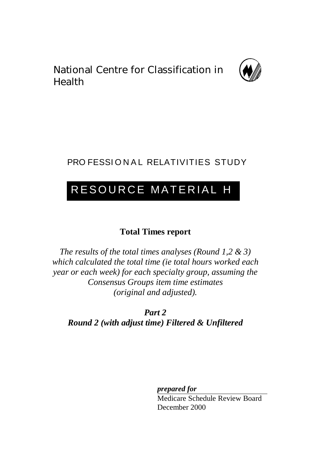National Centre for Classification in Health



# PRO FESSIONAL RELATIVITIES STUDY

# RESOURCE MATERIAL H

## **Total Times report**

*The results of the total times analyses (Round 1,2 & 3) which calculated the total time (ie total hours worked each year or each week) for each specialty group, assuming the Consensus Groups item time estimates (original and adjusted).*

*Part 2 Round 2 (with adjust time) Filtered & Unfiltered*

*prepared for*

Medicare Schedule Review Board December 2000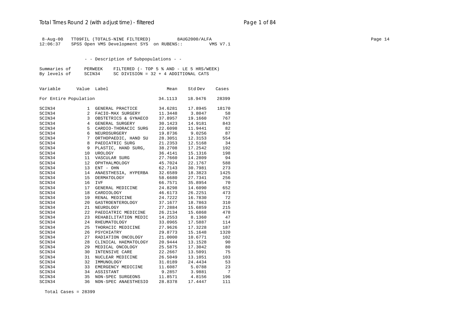## Total Times Round 2 (with adjust time) - *filtered* entitled and page 1 of 84

 8-Aug-00 TT09FIL (TOTALS-NINE FILTERED) 8AUG2000/ALFA Page 14 12:06:37 SPSS Open VMS Development SYS on RUBENS:: VMS V7.1

- - Description of Subpopulations - -

| Summaries of | PERWEEK |                                        |  | FILTERED (- TOP 5 % AND - LE 5 HRS/WEEK) |
|--------------|---------|----------------------------------------|--|------------------------------------------|
| By levels of | SCIN34  | SC DIVISION = $32 + 4$ ADDITIONAL CATS |  |                                          |

| Variable | Value                 | Label                | Mean    | Std Dev        | Cases |
|----------|-----------------------|----------------------|---------|----------------|-------|
|          | For Entire Population |                      | 34.1113 | 18.9476        | 28399 |
| SCIN34   | 1                     | GENERAL PRACTICE     | 34.6281 | 17.8945        | 18170 |
| SCIN34   | 2                     | FACIO-MAX SURGERY    | 11.3448 | 3.8047         | 58    |
| SCIN34   | 3                     | OBSTETRICS & GYNAECO | 37.8957 | 19.1660        | 767   |
| SCIN34   | $4\overline{ }$       | GENERAL SURGERY      | 30.1423 | 14.9181        | 843   |
| SCIN34   | 5                     | CARDIO-THORACIC SURG | 22.6098 | 11.9441        | 82    |
| SCIN34   | 6                     | NEUROSURGERY         | 19.8736 | 9.0256         | 87    |
| SCIN34   | 7                     | ORTHOPAEDIC, HAND SU | 28.3051 | 12.3153        | 554   |
| SCIN34   | 8                     | PAEDIATRIC SURG      | 21.2353 | 12.5168        | 34    |
| SCIN34   | 9                     | PLASTIC, HAND SURG,  | 38.2708 | 17.2542        | 192   |
| SCIN34   | 10                    | UROLOGY              | 36.4141 | 15.1316        | 198   |
| SCIN34   | 11                    | VASCULAR SURG        | 27.7660 | 14.2809        | 94    |
| SCIN34   | 12                    | OPHTHALMOLOGY        | 45.7024 | 22.1767        | 588   |
| SCIN34   | 13                    | ENT - OHN            | 62.7143 | 30.7981        | 273   |
| SCIN34   | 14                    | ANAESTHESIA, HYPERBA | 32.6589 | 18.3823        | 1425  |
| SCIN34   | 15                    | <b>DERMATOLOGY</b>   | 58.6680 | 27.7341        | 256   |
| SCIN34   | 16                    | <b>IVF</b>           | 66.7571 | 35.8954        | 70    |
| SCIN34   | 17                    | GENERAL MEDICINE     | 24.8298 | 14.6090        | 652   |
| SCIN34   | 18                    | CARDIOLOGY           | 46.6173 | 26.2251        | 473   |
| SCIN34   | 19                    | RENAL MEDICINE       | 24.7222 | 16.7830        | 72    |
| SCIN34   | 20                    | GASTROENTEROLOGY     | 37.1677 | 18.7863        | 310   |
| SCIN34   | 21                    | NEUROLOGY            | 27.2884 | 15.6859        | 215   |
| SCIN34   | 22                    | PAEDIATRIC MEDICINE  | 26.2134 | 15.6868        | 478   |
| SCIN34   | 23                    | REHABILITATION MEDIC | 14.2553 | 8.1360         | 47    |
| SCIN34   | 24                    | RHEUMATOLOGY         | 33.0965 | 17.5887        | 114   |
| SCIN34   | 25                    | THORACIC MEDICINE    | 27.9626 | 17.3228        | 187   |
| SCIN34   | 26                    | PSYCHIATRY           | 29.8773 | 15.1648        | 1320  |
| SCIN34   | 27                    | RADIATION ONCOLOGY   | 21.0000 | 10.6771        | 102   |
| SCIN34   | 28                    | CLINICAL HAEMATOLOGY | 20.9444 | 13.1528        | 90    |
| SCIN34   | 29                    | MEDICAL ONCOLOGY     | 25.5875 | 17.3042        | 80    |
| SCIN34   | 30                    | INTENSIVE CARE       | 22.2667 | 13.5091        | 75    |
| SCIN34   | 31                    | NUCLEAR MEDICINE     | 26.5049 | 13.1051        | 103   |
| SCIN34   | 32                    | IMMUNOLOGY           | 31.0189 | 24.4434        | 53    |
| SCIN34   | 33                    | EMERGENCY MEDICINE   |         | 11.6087 5.0788 | 23    |
| SCIN34   | 34                    | ASSISTANT            | 9.2857  | 3.9881         | 7     |
| SCIN34   | 35                    | NON-SPEC SURGEONS    | 11.8571 | 4.8156         | 196   |
| SCIN34   | 36                    | NON-SPEC ANAESTHESIO | 28.8378 | 17.4447        | 111   |

Total Cases = 28399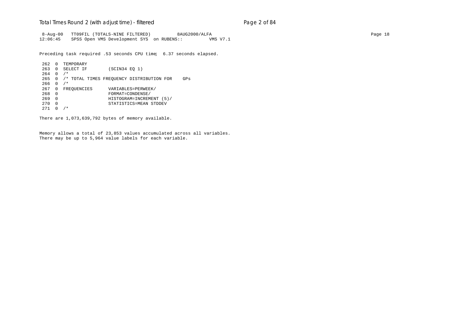## Total Times Round 2 (with adjust time) - *filtered* entitled and page 2 of 84

 8-Aug-00 TT09FIL (TOTALS-NINE FILTERED) 8AUG2000/ALFA Page 18 12:06:45 SPSS Open VMS Development SYS on RUBENS:: VMS V7.1

Preceding task required .53 seconds CPU time; 6.37 seconds elapsed.

```
262 0 TEMPORARY<br>263 0 SELECT IF
                    (SCIN34 EQ 1)
264 0 /*
265 0 /* TOTAL TIMES FREQUENCY DISTRIBUTION FOR GPs
266 0 /*
267 0 FREQUENCIES VARIABLES=PERWEEK/<br>268 0 FORMAT=CONDENSE/
268 0 FORMAT=CONDENSE/
269 0 HISTOGRAM=INCREMENT (5)/
270 0 STATISTICS=MEAN STDDEV
271 0 /*
```
There are 1,073,639,792 bytes of memory available.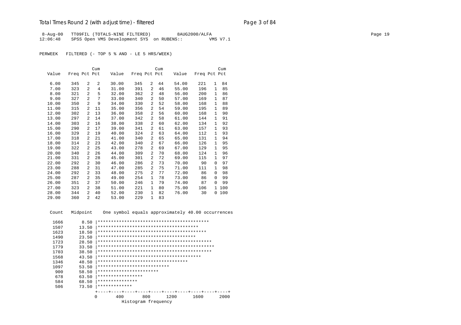## Total Times Round 2 (with adjust time) - *filtered* entitled and page 3 of 84

 8-Aug-00 TT09FIL (TOTALS-NINE FILTERED) 8AUG2000/ALFA Page 19 12:06:48 SPSS Open VMS Development SYS on RUBENS:: VMS V7.1

PERWEEK FILTERED (- TOP 5 % AND - LE 5 HRS/WEEK)

|       |              |                | Cum |       |              |                | Cum |       |              |              | Cum |
|-------|--------------|----------------|-----|-------|--------------|----------------|-----|-------|--------------|--------------|-----|
| Value | Freq Pct Pct |                |     | Value | Freq Pct Pct |                |     | Value | Freq Pct Pct |              |     |
|       |              |                |     |       |              |                |     |       |              |              |     |
| 6.00  | 345          | 2              | 2   | 30.00 | 345          | 2              | 44  | 54.00 | 221          | $\mathbf{1}$ | 84  |
| 7.00  | 323          | $\overline{a}$ | 4   | 31.00 | 391          | 2              | 46  | 55.00 | 196          | $\mathbf{1}$ | 85  |
| 8.00  | 321          | $\overline{2}$ | 5   | 32.00 | 362          | 2              | 48  | 56.00 | 200          | 1            | 86  |
| 9.00  | 327          | $\overline{a}$ | 7   | 33.00 | 340          | $\overline{a}$ | 50  | 57.00 | 169          | 1            | 87  |
| 10.00 | 350          | $\overline{2}$ | 9   | 34.00 | 330          | $\overline{a}$ | 52  | 58.00 | 168          | 1            | 88  |
| 11.00 | 315          | 2              | 11  | 35.00 | 356          | 2              | 54  | 59.00 | 195          | $\mathbf{1}$ | 89  |
| 12.00 | 302          | 2              | 13  | 36.00 | 358          | 2              | 56  | 60.00 | 168          | 1            | 90  |
| 13.00 | 297          | 2              | 14  | 37.00 | 342          | 2              | 58  | 61.00 | 144          | 1            | 91  |
| 14.00 | 303          | 2              | 16  | 38.00 | 338          | $\overline{a}$ | 60  | 62.00 | 134          | 1            | 92  |
| 15.00 | 290          | 2              | 17  | 39.00 | 341          | 2              | 61  | 63.00 | 157          | 1            | 93  |
| 16.00 | 329          | 2              | 19  | 40.00 | 324          | 2              | 63  | 64.00 | 112          | 1            | 93  |
| 17.00 | 318          | 2              | 21  | 41.00 | 340          | $\overline{a}$ | 65  | 65.00 | 131          | 1            | 94  |
| 18.00 | 314          | 2              | 23  | 42.00 | 340          | 2              | 67  | 66.00 | 126          | 1            | 95  |
| 19.00 | 322          | 2              | 25  | 43.00 | 278          | $\overline{a}$ | 69  | 67.00 | 129          | 1            | 95  |
| 20.00 | 340          | 2              | 26  | 44.00 | 309          | 2              | 70  | 68.00 | 124          | $\mathbf{1}$ | 96  |
| 21.00 | 331          | 2              | 28  | 45.00 | 301          | 2              | 72  | 69.00 | 115          | $\mathbf{1}$ | 97  |
| 22.00 | 292          | 2              | 30  | 46.00 | 286          | $\overline{a}$ | 73  | 70.00 | 90           | $\Omega$     | 97  |
| 23.00 | 288          | 2              | 31  | 47.00 | 285          | 2              | 75  | 71.00 | 111          | 1            | 98  |
| 24.00 | 292          | 2              | 33  | 48.00 | 275          | 2              | 77  | 72.00 | 86           | $\Omega$     | 98  |
| 25.00 | 287          | 2              | 35  | 49.00 | 254          | $\mathbf{1}$   | 78  | 73.00 | 86           | $\Omega$     | 99  |
| 26.00 | 351          | 2              | 37  | 50.00 | 246          | $\mathbf{1}$   | 79  | 74.00 | 87           | $\Omega$     | 99  |
| 27.00 | 323          | 2              | 38  | 51.00 | 221          | $\mathbf{1}$   | 80  | 75.00 | 106          | $\mathbf{1}$ | 100 |
| 28.00 | 344          | 2              | 40  | 52.00 | 230          | $\mathbf{1}$   | 82  | 76.00 | 30           | 0            | 100 |
| 29.00 | 360          | $\overline{2}$ | 42  | 53.00 | 229          | $\mathbf{1}$   | 83  |       |              |              |     |

Count Midpoint One symbol equals approximately 40.00 occurrences

| 1666 | 8.50  |                                        |     |                     |     |  |      |  |      |  |  |      |  |
|------|-------|----------------------------------------|-----|---------------------|-----|--|------|--|------|--|--|------|--|
| 1507 | 13.50 |                                        |     |                     |     |  |      |  |      |  |  |      |  |
| 1623 | 18.50 |                                        |     |                     |     |  |      |  |      |  |  |      |  |
| 1490 | 23.50 | ************************************** |     |                     |     |  |      |  |      |  |  |      |  |
| 1723 | 28.50 |                                        |     |                     |     |  |      |  |      |  |  |      |  |
| 1779 | 33.50 |                                        |     |                     |     |  |      |  |      |  |  |      |  |
| 1703 | 38.50 |                                        |     |                     |     |  |      |  |      |  |  |      |  |
| 1568 | 43.50 |                                        |     |                     |     |  |      |  |      |  |  |      |  |
| 1346 | 48.50 | **********************************     |     |                     |     |  |      |  |      |  |  |      |  |
| 1097 | 53.50 | ***************************            |     |                     |     |  |      |  |      |  |  |      |  |
| 900  | 58.50 | ***********************                |     |                     |     |  |      |  |      |  |  |      |  |
| 678  | 63.50 | *****************                      |     |                     |     |  |      |  |      |  |  |      |  |
| 584  | 68.50 | ***************                        |     |                     |     |  |      |  |      |  |  |      |  |
| 506  | 73.50 | *************                          |     |                     |     |  |      |  |      |  |  |      |  |
|      |       |                                        |     |                     |     |  |      |  |      |  |  |      |  |
|      | 0     |                                        | 400 |                     | 800 |  | 1200 |  | 1600 |  |  | 2000 |  |
|      |       |                                        |     | Histogram frequency |     |  |      |  |      |  |  |      |  |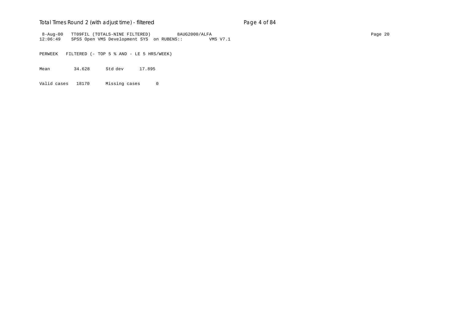## Total Times Round 2 (with adjust time) - *filtered* entitled and page 4 of 84

 8-Aug-00 TT09FIL (TOTALS-NINE FILTERED) 8AUG2000/ALFA Page 20 12:06:49 SPSS Open VMS Development SYS on RUBENS:: VMS V7.1

PERWEEK FILTERED (- TOP 5 % AND - LE 5 HRS/WEEK)

Mean 34.628 Std dev 17.895

Valid cases 18170 Missing cases 0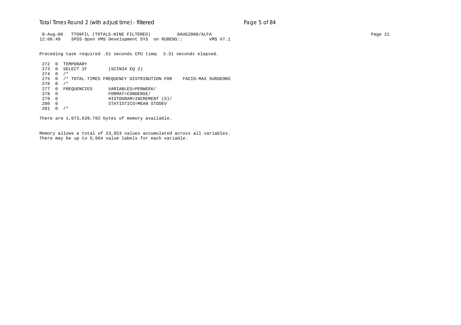#### Total Times Round 2 (with adjust time) - *filtered* entitled and page 5 of 84

 8-Aug-00 TT09FIL (TOTALS-NINE FILTERED) 8AUG2000/ALFA Page 21 12:06:49 SPSS Open VMS Development SYS on RUBENS:: VMS V7.1

Preceding task required .51 seconds CPU time; 3.31 seconds elapsed.

272 0 TEMPORARY<br>273 0 SELECT IF  $(SCIN34 EQ 2)$  $274 \t0 \t/*$ 275 0 /\* TOTAL TIMES FREQUENCY DISTRIBUTION FOR FACIO-MAX SURGEONS 276 0 /\* 277 0 FREQUENCIES VARIABLES=PERWEEK/<br>278 0 FORMAT=CONDENSE/ 278 0 FORMAT=CONDENSE/ 279 0 HISTOGRAM=INCREMENT (5)/ 280 0 STATISTICS=MEAN STDDEV 281 0 /\*

There are 1,073,639,792 bytes of memory available.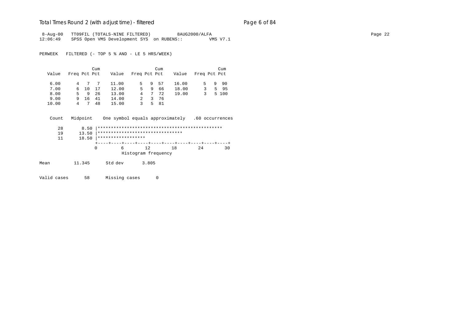#### Total Times Round 2 (with adjust time) - *filtered* entitled and page 6 of 84

8-Aug-00 TT09FIL (TOTALS-NINE FILTERED) 8AUG2000/ALFA<br>12:06:49 SPSS Open VMS Development SYS on RUBENS:: WMS V7.1 SPSS Open VMS Development SYS on RUBENS:: VMS V7.1

PERWEEK FILTERED (- TOP 5 % AND - LE 5 HRS/WEEK)

|       |              |        | Cum |       |              |    | Cum |       |              |    | Cum   |
|-------|--------------|--------|-----|-------|--------------|----|-----|-------|--------------|----|-------|
| Value | Freq Pct Pct |        |     | Value | Freq Pct Pct |    |     | Value | Freq Pct Pct |    |       |
| 6.00  |              | 4<br>7 |     | 11.00 | 5.           | 9. | 57  | 16.00 | 5.           | 9. | 90    |
| 7.00  |              | 6 10   | 17  | 12.00 | 5.           | -9 | 66  | 18.00 | 3.           |    | 5 95  |
| 8.00  | 5.           | 9      | -26 | 13.00 | 4            | 7  | 72  | 19.00 | 3            |    | 5 100 |
| 9.00  | 9.           | -16    | 41  | 14.00 |              | 3  | 76  |       |              |    |       |
| 10.00 | 4            |        | 48  | 15.00 | 3.           | 5. | 81  |       |              |    |       |

 Count Midpoint One symbol equals approximately .60 occurrences 28 8.50 |\*\*\*\*\*\*\*\*\*\*\*\*\*\*\*\*\*\*\*\*\*\*\*\*\*\*\*\*\*\*\*\*\*\*\*\*\*\*\*\*\*\*\*\*\*\*\*

 19 13.50 |\*\*\*\*\*\*\*\*\*\*\*\*\*\*\*\*\*\*\*\*\*\*\*\*\*\*\*\*\*\*\*\*  $18.50$  |\*\*\*\*\*\*\*\*\*\*\*\*\*\*\*\*\*\*\* +----+----+----+----+----+----+----+----+----+----+ 0 6 12 18 24 30 Histogram frequency

Mean 11.345 Std dev 3.805

Valid cases 58 Missing cases 0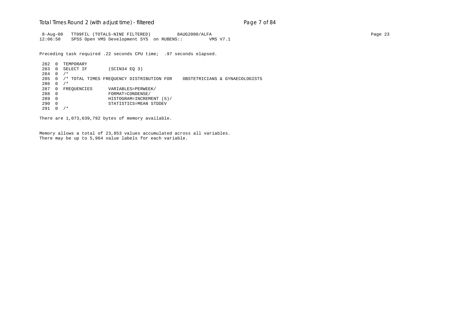#### Total Times Round 2 (with adjust time) - *filtered* entitled and page 7 of 84

 8-Aug-00 TT09FIL (TOTALS-NINE FILTERED) 8AUG2000/ALFA Page 23 12:06:50 SPSS Open VMS Development SYS on RUBENS:: VMS V7.1

Preceding task required .22 seconds CPU time; .97 seconds elapsed.

282 0 TEMPORARY<br>283 0 SELECT IF  $(SCIN34 EQ 3)$ 284 0 /\* 285 0 /\* TOTAL TIMES FREQUENCY DISTRIBUTION FOR OBSTETRICIANS & GYNAECOLOGISTS 286 0 /\* 287 0 FREQUENCIES VARIABLES=PERWEEK/<br>288 0 FORMAT=CONDENSE/ 288 0 FORMAT=CONDENSE/ 289 0 HISTOGRAM=INCREMENT (5)/ 290 0 STATISTICS=MEAN STDDEV 291 0 /\*

There are 1,073,639,792 bytes of memory available.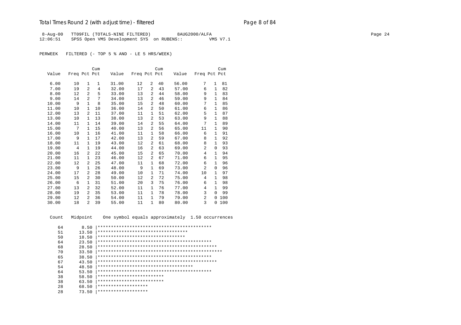## Total Times Round 2 (with adjust time) - *filtered* entitled and page 8 of 84

 8-Aug-00 TT09FIL (TOTALS-NINE FILTERED) 8AUG2000/ALFA Page 24 12:06:51 SPSS Open VMS Development SYS on RUBENS:: VMS V7.1

PERWEEK FILTERED (- TOP 5 % AND - LE 5 HRS/WEEK)

|       |                |                | Cum          |       |              |                | Cum |       |              |              | Cum |
|-------|----------------|----------------|--------------|-------|--------------|----------------|-----|-------|--------------|--------------|-----|
| Value | Freq Pct Pct   |                |              | Value | Freq Pct Pct |                |     | Value | Freq Pct Pct |              |     |
|       |                |                |              |       |              |                |     |       |              |              |     |
| 6.00  | 10             | 1              | $\mathbf{1}$ | 31.00 | 12           | $\overline{2}$ | 40  | 56.00 | 7            | $\mathbf{1}$ | 81  |
| 7.00  | 19             | $\mathfrak{D}$ | 4            | 32.00 | 17           | $\overline{a}$ | 43  | 57.00 | 6            | 1            | 82  |
| 8.00  | 12             | $\mathfrak{D}$ | 5            | 33.00 | 13           | $\overline{a}$ | 44  | 58.00 | 9            | $\mathbf{1}$ | 83  |
| 9.00  | 14             | $\overline{a}$ | 7            | 34.00 | 13           | 2              | 46  | 59.00 | 9            | $\mathbf{1}$ | 84  |
| 10.00 | 9              | 1              | 8            | 35.00 | 15           | $\overline{2}$ | 48  | 60.00 | 7            | 1            | 85  |
| 11.00 | 10             | 1              | 10           | 36.00 | 14           | 2              | 50  | 61.00 | 6            | $\mathbf{1}$ | 86  |
| 12.00 | 13             | $\mathfrak{D}$ | 11           | 37.00 | 11           | 1              | 51  | 62.00 | 5            | $\mathbf{1}$ | 87  |
| 13.00 | 10             | 1              | 13           | 38.00 | 13           | $\overline{2}$ | 53  | 63.00 | 9            | 1            | 88  |
| 14.00 | 11             | 1              | 14           | 39.00 | 14           | 2              | 55  | 64.00 | 7            | $\mathbf{1}$ | 89  |
| 15.00 | 7              | $\mathbf{1}$   | 15           | 40.00 | 13           | 2              | 56  | 65.00 | 11           | 1            | 90  |
| 16.00 | 10             | 1              | 16           | 41.00 | 11           | 1              | 58  | 66.00 | 6            | 1            | 91  |
| 17.00 | 9              | 1              | 17           | 42.00 | 13           | 2              | 59  | 67.00 | 8            | 1            | 92  |
| 18.00 | 11             | 1              | 19           | 43.00 | 12           | 2              | 61  | 68.00 | 8            | $\mathbf{1}$ | 93  |
| 19.00 | $\overline{4}$ | $\mathbf{1}$   | 19           | 44.00 | 16           | 2              | 63  | 69.00 | 2            | $\Omega$     | 93  |
| 20.00 | 16             | 2              | 22           | 45.00 | 15           | $\overline{2}$ | 65  | 70.00 | 4            | $\mathbf{1}$ | 94  |
| 21.00 | 11             | 1              | 23           | 46.00 | 12           | 2              | 67  | 71.00 | 6            | 1            | 95  |
| 22.00 | 12             | 2              | 25           | 47.00 | 11           | 1              | 68  | 72.00 | 6            | 1            | 96  |
| 23.00 | 9              | 1              | 26           | 48.00 | 9            | $\mathbf{1}$   | 69  | 73.00 | 2            | 0            | 96  |
| 24.00 | 17             | 2              | 28           | 49.00 | 10           | 1              | 71  | 74.00 | 10           | $\mathbf{1}$ | 97  |
| 25.00 | 15             | $\mathfrak{D}$ | 30           | 50.00 | 12           | $\overline{2}$ | 72  | 75.00 | 4            | 1            | 98  |
| 26.00 | 6              | 1              | 31           | 51.00 | 20           | 3              | 75  | 76.00 | 6            | 1            | 98  |
| 27.00 | 13             | 2              | 32           | 52.00 | 11           | 1              | 76  | 77.00 | 4            | 1            | 99  |
| 28.00 | 19             | $\overline{a}$ | 35           | 53.00 | 11           | 1              | 78  | 78.00 | 3            | $\Omega$     | 99  |
| 29.00 | 12             | 2              | 36           | 54.00 | 11           | 1              | 79  | 79.00 | 2            | 0            | 100 |
| 30.00 | 18             | $\mathfrak{D}$ | 39           | 55.00 | 11           | $\mathbf{1}$   | 80  | 80.00 | 3            | 0            | 100 |

Count Midpoint One symbol equals approximately 1.50 occurrences

| 64 | 8.50  |                                      |
|----|-------|--------------------------------------|
| 51 | 13.50 | ***********************************  |
| 50 | 18.50 | *********************************    |
| 64 | 23.50 |                                      |
| 68 | 28.50 |                                      |
| 70 | 33.50 |                                      |
| 65 | 38.50 |                                      |
| 67 | 43.50 |                                      |
| 54 | 48.50 | ************************************ |
| 64 | 53.50 |                                      |
| 38 | 58.50 | *************************            |
| 38 | 63.50 | *************************            |
| 28 | 68.50 | *******************                  |
| 28 | 73.50 | *******************                  |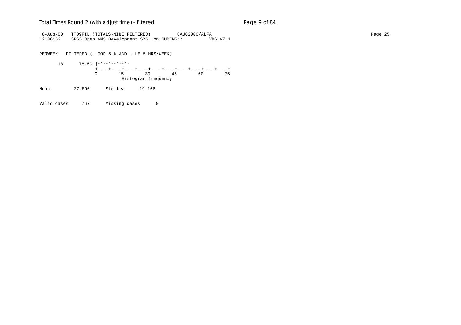#### Total Times Round 2 (with adjust time) - *filtered* example 2 and 2 and 2 and 84

 8-Aug-00 TT09FIL (TOTALS-NINE FILTERED) 8AUG2000/ALFA Page 25 12:06:52 SPSS Open VMS Development SYS on RUBENS:: VMS V7.1

PERWEEK FILTERED (- TOP 5 % AND - LE 5 HRS/WEEK)

 18 78.50 |\*\*\*\*\*\*\*\*\*\*\*\* +----+----+----+----+----+----+----+----+----+----+ 0 15 30 45 60 75 Histogram frequency

Mean 37.896 Std dev 19.166

Valid cases 767 Missing cases 0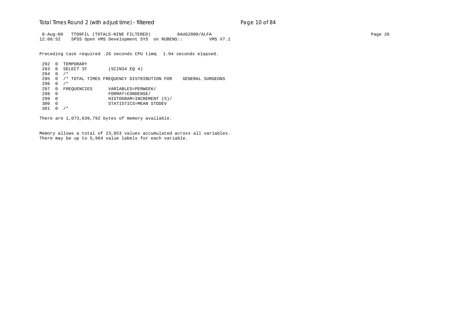#### Total Times Round 2 (with adjust time) - *filtered* entitled and page 10 of 84

 8-Aug-00 TT09FIL (TOTALS-NINE FILTERED) 8AUG2000/ALFA Page 26 12:06:52 SPSS Open VMS Development SYS on RUBENS:: VMS V7.1

Preceding task required .26 seconds CPU time; 1.94 seconds elapsed.

292 0 TEMPORARY<br>293 0 SELECT IF  $(SCIN34 EQ 4)$ 294 0 /\* 295 0 /\* TOTAL TIMES FREQUENCY DISTRIBUTION FOR GENERAL SURGEONS 296 0 /\* 297 0 FREQUENCIES VARIABLES=PERWEEK/<br>298 0 FORMAT=CONDENSE/ 298 0 FORMAT=CONDENSE/ 299 0 HISTOGRAM=INCREMENT (5)/ 300 0 STATISTICS=MEAN STDDEV 301 0 /\*

There are 1,073,639,792 bytes of memory available.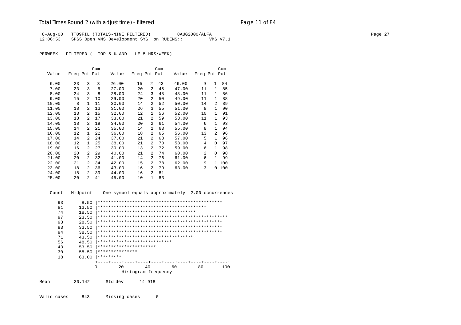#### Total Times Round 2 (with adjust time) - *filtered* Page 11 of 84

 8-Aug-00 TT09FIL (TOTALS-NINE FILTERED) 8AUG2000/ALFA Page 27 12:06:53 SPSS Open VMS Development SYS on RUBENS:: VMS V7.1

PERWEEK FILTERED (- TOP 5 % AND - LE 5 HRS/WEEK)

|       |              |                | Cum |       |              |                | Cum |       |                |                | Cum |
|-------|--------------|----------------|-----|-------|--------------|----------------|-----|-------|----------------|----------------|-----|
| Value | Freq Pct Pct |                |     | Value | Freq Pct Pct |                |     | Value | Freq Pct Pct   |                |     |
| 6.00  | 23           | 3              | 3   | 26.00 | 15           | 2              | 43  | 46.00 | 9              | $\mathbf{1}$   | 84  |
| 7.00  | 23           | 3              | 5   | 27.00 | 20           | 2              | 45  | 47.00 | 11             | $\mathbf{1}$   | 85  |
| 8.00  | 24           | 3              | 8   | 28.00 | 24           | 3              | 48  | 48.00 | 11             | $\mathbf{1}$   | 86  |
| 9.00  | 15           | $\overline{2}$ | 10  | 29.00 | 20           | 2              | 50  | 49.00 | 11             | 1              | 88  |
| 10.00 | 8            | $\mathbf{1}$   | 11  | 30.00 | 14           | 2              | 52  | 50.00 | 14             | 2              | 89  |
| 11.00 | 18           | 2              | 13  | 31.00 | 26           | 3              | 55  | 51.00 | 8              | $\mathbf{1}$   | 90  |
| 12.00 | 13           | 2              | 15  | 32.00 | 12           | $\mathbf{1}$   | 56  | 52.00 | 10             | $\mathbf{1}$   | 91  |
| 13.00 | 18           | 2              | 17  | 33.00 | 21           | $\overline{a}$ | 59  | 53.00 | 11             | $\mathbf{1}$   | 93  |
| 14.00 | 18           | 2              | 19  | 34.00 | 20           | 2              | 61  | 54.00 | 6              | $\mathbf{1}$   | 93  |
| 15.00 | 14           | 2              | 21  | 35.00 | 14           | 2              | 63  | 55.00 | 8              | 1              | 94  |
| 16.00 | 12           | $\mathbf{1}$   | 22  | 36.00 | 18           | $\overline{a}$ | 65  | 56.00 | 13             | $\mathfrak{D}$ | 96  |
| 17.00 | 14           | 2              | 24  | 37.00 | 21           | 2              | 68  | 57.00 | 5              | $\mathbf{1}$   | 96  |
| 18.00 | 12           | 1              | 25  | 38.00 | 21           | 2              | 70  | 58.00 | 4              | 0              | 97  |
| 19.00 | 16           | 2              | 27  | 39.00 | 13           | $\overline{a}$ | 72  | 59.00 | 6              | $\mathbf{1}$   | 98  |
| 20.00 | 20           | 2              | 29  | 40.00 | 21           | 2              | 74  | 60.00 | $\overline{a}$ | $\Omega$       | 98  |
| 21.00 | 20           | 2              | 32  | 41.00 | 14           | 2              | 76  | 61.00 | 6              | $\mathbf{1}$   | 99  |
| 22.00 | 21           | 2              | 34  | 42.00 | 15           | 2              | 78  | 62.00 | 9              | $\mathbf{1}$   | 100 |
| 23.00 | 18           | 2              | 36  | 43.00 | 16           | 2              | 79  | 63.00 | 3              | 0              | 100 |
| 24.00 | 18           | 2              | 39  | 44.00 | 16           | 2              | 81  |       |                |                |     |
| 25.00 | 20           | $\overline{a}$ | 41  | 45.00 | 10           | 1              | 83  |       |                |                |     |

 Count Midpoint One symbol equals approximately 2.00 occurrences 93 8.50 |\*\*\*\*\*\*\*\*\*\*\*\*\*\*\*\*\*\*\*\*\*\*\*\*\*\*\*\*\*\*\*\*\*\*\*\*\*\*\*\*\*\*\*\*\*\*\* 81 13.50 |\*\*\*\*\*\*\*\*\*\*\*\*\*\*\*\*\*\*\*\*\*\*\*\*\*\*\*\*\*\*\*\*\*\*\*\*\*\*\*\*\* 74 18.50 |\*\*\*\*\*\*\*\*\*\*\*\*\*\*\*\*\*\*\*\*\*\*\*\*\*\*\*\*\*\*\*\*\*\*\*\*\* 97 23.50 |\*\*\*\*\*\*\*\*\*\*\*\*\*\*\*\*\*\*\*\*\*\*\*\*\*\*\*\*\*\*\*\*\*\*\*\*\*\*\*\*\*\*\*\*\*\*\*\*\* 93 28.50 |\*\*\*\*\*\*\*\*\*\*\*\*\*\*\*\*\*\*\*\*\*\*\*\*\*\*\*\*\*\*\*\*\*\*\*\*\*\*\*\*\*\*\*\*\*\*\* 93 33.50 |\*\*\*\*\*\*\*\*\*\*\*\*\*\*\*\*\*\*\*\*\*\*\*\*\*\*\*\*\*\*\*\*\*\*\*\*\*\*\*\*\*\*\*\*\*\*\* 94 38.50 |\*\*\*\*\*\*\*\*\*\*\*\*\*\*\*\*\*\*\*\*\*\*\*\*\*\*\*\*\*\*\*\*\*\*\*\*\*\*\*\*\*\*\*\*\*\*\* 71 43.50 |\*\*\*\*\*\*\*\*\*\*\*\*\*\*\*\*\*\*\*\*\*\*\*\*\*\*\*\*\*\*\*\*\*\*\*\* 56 48.50 |\*\*\*\*\*\*\*\*\*\*\*\*\*\*\*\*\*\*\*\*\*\*\*\*\*\*\*\* 43 53.50 |\*\*\*\*\*\*\*\*\*\*\*\*\*\*\*\*\*\*\*\*\*\*\*\*<br>30 58.50 |\*\*\*\*\*\*\*\*\*\*\*\*\*\*\*\*\* 30 58.50  $************************$ <br>18 63.00 \*\*\*\*\*\*\*\*\*\* 18 63.00 |\*\*\*\*\*\*\*\*\*

| . |     |                     |    |     |     |
|---|-----|---------------------|----|-----|-----|
|   |     |                     |    |     |     |
|   | -20 | 40                  | 60 | 80. | 100 |
|   |     | Histogram frequency |    |     |     |



Valid cases 843 Missing cases 0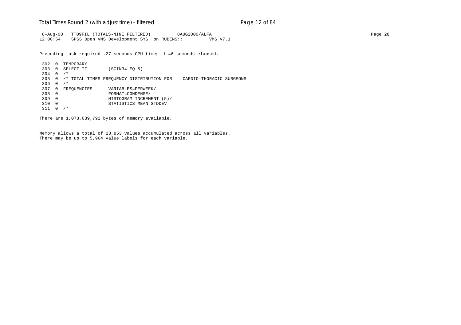#### Total Times Round 2 (with adjust time) - *filtered* entitled and page 12 of 84

 8-Aug-00 TT09FIL (TOTALS-NINE FILTERED) 8AUG2000/ALFA Page 28 12:06:54 SPSS Open VMS Development SYS on RUBENS:: VMS V7.1

Preceding task required .27 seconds CPU time; 1.46 seconds elapsed.

302 0 TEMPORARY<br>303 0 SELECT IF  $(SCIN34 EQ 5)$ 304 0 /\* 305 0 /\* TOTAL TIMES FREQUENCY DISTRIBUTION FOR CARDIO-THORACIC SURGEONS  $306 \t 0 / *$ 307 0 FREQUENCIES VARIABLES=PERWEEK/ 308 0 FORMAT=CONDENSE/ 309 0 HISTOGRAM=INCREMENT (5)/ 310 0 STATISTICS=MEAN STDDEV 311 0 /\*

There are 1,073,639,792 bytes of memory available.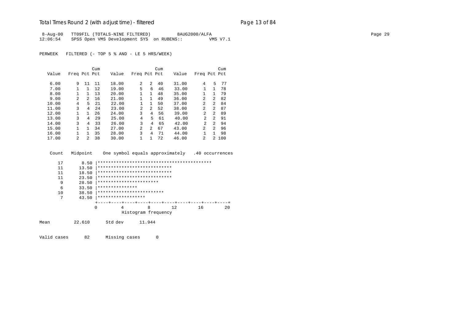#### Total Times Round 2 (with adjust time) - *filtered* entitled and page 13 of 84

 8-Aug-00 TT09FIL (TOTALS-NINE FILTERED) 8AUG2000/ALFA Page 29 12:06:54 SPSS Open VMS Development SYS on RUBENS:: VMS V7.1

PERWEEK FILTERED (- TOP 5 % AND - LE 5 HRS/WEEK)

|       |                |                | Cum |       |                |              | Cum |       |                |                | Cum   |
|-------|----------------|----------------|-----|-------|----------------|--------------|-----|-------|----------------|----------------|-------|
| Value | Freq Pct Pct   |                |     | Value | Freq Pct Pct   |              |     | Value | Freq Pct Pct   |                |       |
|       |                |                |     |       |                |              |     |       |                |                |       |
| 6.00  | 9              | 11             | 11  | 18.00 | $\overline{a}$ | 2            | 40  | 31.00 | 4              | 5              | 77    |
| 7.00  |                |                | 12  | 19.00 | 5              | 6            | 46  | 33.00 |                | 1.             | 78    |
| 8.00  |                |                | 13  | 20.00 |                | $\mathbf{1}$ | 48  | 35.00 |                | 1              | 79    |
| 9.00  | $\mathfrak{D}$ | $\overline{2}$ | 16  | 21.00 |                | 1            | 49  | 36.00 | 2              | $\overline{a}$ | 82    |
| 10.00 | 4              | 5              | 21  | 22.00 |                | 1            | 50  | 37.00 | 2              | $\overline{a}$ | 84    |
| 11.00 | ζ              | 4              | 2.4 | 23.00 | $\mathfrak{D}$ | 2            | 52  | 38.00 | 2              | $\mathcal{L}$  | 87    |
| 12.00 |                |                | 26  | 24.00 | 3              | 4            | 56  | 39.00 | 2              | $\mathcal{L}$  | 89    |
| 13.00 | 3              | 4              | 29  | 25.00 | 4              | 5            | 61  | 40.00 | $\mathfrak{D}$ | 2              | 91    |
| 14.00 | 3              | 4              | 33  | 26.00 | 3              | 4            | 65  | 42.00 | $\mathfrak{D}$ | 2              | 94    |
| 15.00 |                | 1.             | 34  | 27.00 | $\overline{a}$ | 2            | 67  | 43.00 | 2              | $\mathcal{L}$  | 96    |
| 16.00 |                |                | 35  | 28.00 | 3              | 4            | 71  | 44.00 |                | 1              | 98    |
| 17.00 | $\mathfrak{D}$ | $\mathfrak{D}$ | 38  | 30.00 | 1              |              | 72  | 46.00 | 2              |                | 2 100 |

| 17 | 8.50  |                              |   |                     |    |    |    |
|----|-------|------------------------------|---|---------------------|----|----|----|
| 11 | 13.50 | **************************** |   |                     |    |    |    |
| 11 | 18.50 | **************************** |   |                     |    |    |    |
| 11 | 23.50 | **************************** |   |                     |    |    |    |
| 9  | 28.50 | ***********************      |   |                     |    |    |    |
| 6  | 33.50 | ***************              |   |                     |    |    |    |
| 10 | 38.50 | *************************    |   |                     |    |    |    |
| 7  | 43.50 | ******************           |   |                     |    |    |    |
|    |       |                              |   |                     |    |    |    |
|    | 0     |                              | 4 | 8                   | 12 | 16 | 20 |
|    |       |                              |   | Histogram frequency |    |    |    |
|    |       |                              |   |                     |    |    |    |

Count Midpoint One symbol equals approximately .40 occurrences

Mean 22.610 Std dev 11.944

Valid cases 82 Missing cases 0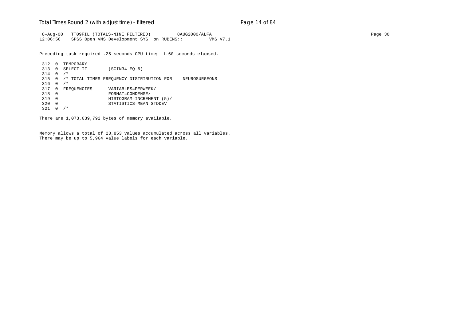#### Total Times Round 2 (with adjust time) - *filtered* entitled and page 14 of 84

 8-Aug-00 TT09FIL (TOTALS-NINE FILTERED) 8AUG2000/ALFA Page 30 12:06:56 SPSS Open VMS Development SYS on RUBENS:: VMS V7.1

Preceding task required .25 seconds CPU time; 1.60 seconds elapsed.

```
312 0 TEMPORARY<br>313 0 SELECT IF
                   (SCIN34 EQ 6)314 0 /*
315 0 /* TOTAL TIMES FREQUENCY DISTRIBUTION FOR NEUROSURGEONS
316 0 /*
317 0 FREQUENCIES VARIABLES=PERWEEK/<br>318 0 FORMAT=CONDENSE/
318 0 FORMAT=CONDENSE/
319 0 HISTOGRAM=INCREMENT (5)/
320 0 STATISTICS=MEAN STDDEV
321 0 /*
```
There are 1,073,639,792 bytes of memory available.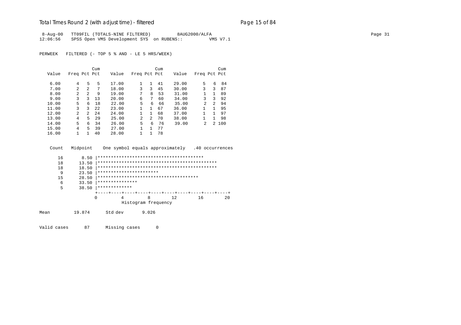#### Total Times Round 2 (with adjust time) - *filtered* entitled and page 15 of 84

 8-Aug-00 TT09FIL (TOTALS-NINE FILTERED) 8AUG2000/ALFA Page 31 12:06:56 SPSS Open VMS Development SYS on RUBENS:: VMS V7.1

PERWEEK FILTERED (- TOP 5 % AND - LE 5 HRS/WEEK)

|       |                |                | Cum  |       |                |              | Cum |       |                |   | Cum   |
|-------|----------------|----------------|------|-------|----------------|--------------|-----|-------|----------------|---|-------|
| Value | Freq Pct Pct   |                |      | Value | Freq Pct Pct   |              |     | Value | Freq Pct Pct   |   |       |
|       |                |                |      |       |                |              |     |       |                |   |       |
| 6.00  | 4              | 5              | 5    | 17.00 | $\mathbf{1}$   | $\mathbf{1}$ | 41  | 29.00 | 5              | 6 | 84    |
| 7.00  | $\mathcal{L}$  | $\mathfrak{D}$ | 7    | 18.00 | 3              | 3            | 45  | 30.00 | 3              | 3 | 87    |
| 8.00  | 2              | 2              | 9    | 19.00 | 7              | 8            | 53  | 31.00 |                | 1 | 89    |
| 9.00  | 3              | 3              | 13   | 20.00 | 6              | 7            | 60  | 34.00 | 3              | 3 | 92    |
| 10.00 | 5              | 6              | 18   | 22.00 | 5              | 6            | 66  | 35.00 | 2              | 2 | 94    |
| 11.00 | 3              | 3              | 2.2. | 23.00 |                | $\mathbf{1}$ | 67  | 36.00 |                | 1 | 95    |
| 12.00 | $\overline{a}$ | $2^{\circ}$    | 24   | 24.00 |                | 1.           | 68  | 37.00 |                | 1 | 97    |
| 13.00 | 4              | 5              | 29   | 25.00 | $\mathfrak{D}$ | 2            | 70  | 38.00 |                | 1 | 98    |
| 14.00 | 5.             | б.             | 34   | 26.00 | 5              | 6            | 76  | 39.00 | $\mathfrak{D}$ |   | 2 100 |
| 15.00 | 4              | 5              | 39   | 27.00 |                |              | 77  |       |                |   |       |
| 16.00 |                | 1.             | 40   | 28.00 |                |              | 78  |       |                |   |       |

|     | 16 | 8.50     |                 |                         |                     |                                        |    |    |
|-----|----|----------|-----------------|-------------------------|---------------------|----------------------------------------|----|----|
|     | 18 | 13.50    |                 |                         |                     |                                        |    |    |
|     | 18 | 18.50    |                 |                         |                     |                                        |    |    |
|     | 9  | 23.50    |                 | *********************** |                     |                                        |    |    |
|     | 15 | 28.50    |                 |                         |                     | ************************************** |    |    |
|     | 6  | 33.50    | *************** |                         |                     |                                        |    |    |
|     | 5  | 38.50    | *************   |                         |                     |                                        |    |    |
|     |    |          |                 |                         |                     |                                        |    |    |
|     |    | $\Omega$ |                 | 4                       | 8                   | 12                                     | 16 | 20 |
|     |    |          |                 |                         | Histogram frequency |                                        |    |    |
| - - |    |          |                 |                         | .                   |                                        |    |    |

Count Midpoint One symbol equals approximately .40 occurrences

Mean 19.874 Std dev 9.026

Valid cases 87 Missing cases 0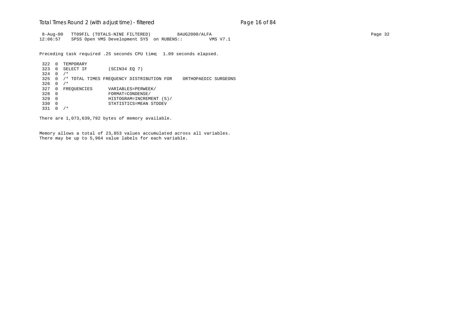#### Total Times Round 2 (with adjust time) - *filtered* entitled and page 16 of 84

 8-Aug-00 TT09FIL (TOTALS-NINE FILTERED) 8AUG2000/ALFA Page 32 12:06:57 SPSS Open VMS Development SYS on RUBENS:: VMS V7.1

Preceding task required .25 seconds CPU time; 1.09 seconds elapsed.

322 0 TEMPORARY<br>323 0 SELECT IF  $(SCIN34 EQ 7)$ 324 0 /\* 325 0 /\* TOTAL TIMES FREQUENCY DISTRIBUTION FOR ORTHOPAEDIC SURGEONS 326 0  $/*$ 327 0 FREQUENCIES VARIABLES=PERWEEK/<br>328 0 FORMAT=CONDENSE/ 328 0 FORMAT=CONDENSE/ 329 0 HISTOGRAM=INCREMENT (5)/ 330 0 STATISTICS=MEAN STDDEV 331 0 /\*

There are 1,073,639,792 bytes of memory available.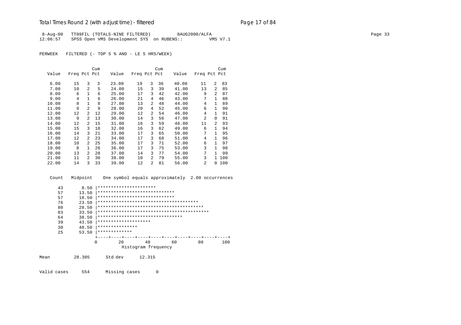## Total Times Round 2 (with adjust time) - *filtered* entitled and page 17 of 84

 8-Aug-00 TT09FIL (TOTALS-NINE FILTERED) 8AUG2000/ALFA Page 33 12:06:57 SPSS Open VMS Development SYS on RUBENS:: VMS V7.1

PERWEEK FILTERED (- TOP 5 % AND - LE 5 HRS/WEEK)

|       |              |                | Cum |       |              |                | Cum |       |                |                | Cum |
|-------|--------------|----------------|-----|-------|--------------|----------------|-----|-------|----------------|----------------|-----|
| Value | Freq Pct Pct |                |     | Value | Freq Pct Pct |                |     | Value | Freq Pct Pct   |                |     |
| 6.00  | 15           | 3              | 3   | 23.00 | 19           | 3              | 36  | 40.00 | 11             | $\overline{a}$ | 83  |
| 7.00  | 10           | $\overline{2}$ | 5   | 24.00 | 15           | 3              | 39  | 41.00 | 13             | $\overline{a}$ | 85  |
| 8.00  | 6            | $\mathbf{1}$   | 6   | 25.00 | 17           | 3              | 42  | 42.00 | 9              | $\mathfrak{D}$ | 87  |
| 9.00  | 4            | $\mathbf{1}$   | 6   | 26.00 | 21           | 4              | 46  | 43.00 | 7              | $\mathbf{1}$   | 88  |
| 10.00 | 8            | 1              | 8   | 27.00 | 13           | 2              | 48  | 44.00 | 4              | $\mathbf{1}$   | 89  |
| 11.00 | 9            | $\mathfrak{D}$ | 9   | 28.00 | 20           | 4              | 52  | 45.00 | 6              | 1              | 90  |
| 12.00 | 12           | 2              | 12  | 29.00 | 12           | $\overline{a}$ | 54  | 46.00 | 4              | $\mathbf{1}$   | 91  |
| 13.00 | 9            | 2              | 13  | 30.00 | 14           | 3              | 56  | 47.00 | $\mathfrak{D}$ | 0              | 91  |
| 14.00 | 12           | 2              | 15  | 31.00 | 16           | 3              | 59  | 48.00 | 11             | 2              | 93  |
| 15.00 | 15           | 3              | 18  | 32.00 | 16           | 3              | 62  | 49.00 | 6              | 1.             | 94  |
| 16.00 | 14           | 3              | 21  | 33.00 | 17           | 3              | 65  | 50.00 | 7              | 1              | 95  |
| 17.00 | 12           | 2              | 23  | 34.00 | 17           | 3              | 68  | 51.00 | 4              | $\mathbf{1}$   | 96  |
| 18.00 | 10           | 2              | 25  | 35.00 | 17           | 3              | 71  | 52.00 | 6              | 1              | 97  |
| 19.00 | 8            | 1.             | 26  | 36.00 | 17           | 3              | 75  | 53.00 | 3              | 1              | 98  |
| 20.00 | 13           | $\mathfrak{D}$ | 28  | 37.00 | 14           | 3              | 77  | 54.00 | 7              | 1              | 99  |
| 21.00 | 11           | 2              | 30  | 38.00 | 10           | $\overline{a}$ | 79  | 55.00 | 3              | 1.             | 100 |
| 22.00 | 14           | 3              | 33  | 39.00 | 12           | 2              | 81  | 56.00 | $\overline{a}$ | 0              | 100 |

Count Midpoint One symbol equals approximately 2.00 occurrences

| 43 | 8.50  | **********************                 |                     |    |    |     |
|----|-------|----------------------------------------|---------------------|----|----|-----|
| 57 | 13.50 | *****************************          |                     |    |    |     |
| 57 | 18.50 | *****************************          |                     |    |    |     |
| 76 | 23.50 | ************************************** |                     |    |    |     |
| 80 | 28.50 |                                        |                     |    |    |     |
| 83 | 33.50 |                                        |                     |    |    |     |
| 64 | 38.50 | ********************************       |                     |    |    |     |
| 39 | 43.50 | ********************                   |                     |    |    |     |
| 30 | 48.50 | ***************                        |                     |    |    |     |
| 25 | 53.50 | *************                          |                     |    |    |     |
|    |       |                                        |                     |    |    |     |
|    | 0     | 20                                     | 40                  | 60 | 80 | 100 |
|    |       |                                        | Histogram frequency |    |    |     |

Mean 28.305 Std dev 12.315

Valid cases 554 Missing cases 0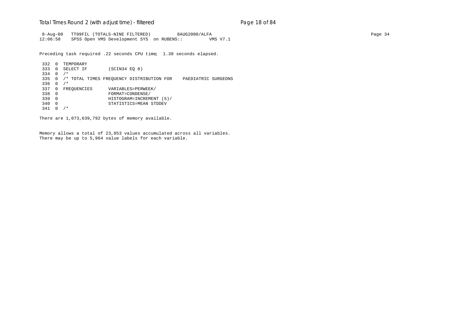#### Total Times Round 2 (with adjust time) - *filtered* entitled and page 18 of 84

 8-Aug-00 TT09FIL (TOTALS-NINE FILTERED) 8AUG2000/ALFA Page 34 12:06:58 SPSS Open VMS Development SYS on RUBENS:: VMS V7.1

Preceding task required .22 seconds CPU time; 1.38 seconds elapsed.

332 0 TEMPORARY<br>333 0 SELECT IF  $(SCIN34 EQ 8)$ 334 0 /\* 335 0 /\* TOTAL TIMES FREQUENCY DISTRIBUTION FOR PAEDIATRIC SURGEONS 336 0 /\* 337 0 FREQUENCIES VARIABLES=PERWEEK/ 338 0 FORMAT=CONDENSE/ 339 0 HISTOGRAM=INCREMENT (5)/ 340 0 STATISTICS=MEAN STDDEV 341 0 /\*

There are 1,073,639,792 bytes of memory available.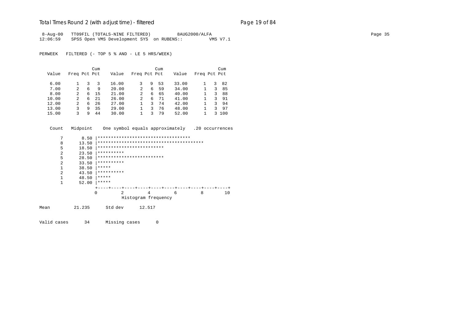## Total Times Round 2 (with adjust time) - *filtered* entitled and page 19 of 84

 8-Aug-00 TT09FIL (TOTALS-NINE FILTERED) 8AUG2000/ALFA Page 35 12:06:59 SPSS Open VMS Development SYS on RUBENS:: VMS V7.1

PERWEEK FILTERED (- TOP 5 % AND - LE 5 HRS/WEEK)

|       |               |   | Cum |       |              |   | Cum |       |              |    | Cum |
|-------|---------------|---|-----|-------|--------------|---|-----|-------|--------------|----|-----|
| Value | Freq Pct Pct  |   |     | Value | Freq Pct Pct |   |     | Value | Freq Pct Pct |    |     |
| 6.00  |               |   |     | 16.00 |              | 9 | 53  | 33.00 |              | 3  | 82  |
| 7.00  | $\mathcal{L}$ | 6 | 9   | 20.00 | 2            | 6 | 59  | 34.00 |              | 3  | 85  |
| 8.00  | 2             | 6 | -15 | 21.00 | 2            | 6 | 65  | 40.00 |              | 3  | 88  |
| 10.00 | 2             | 6 | 21  | 26.00 | 2            | 6 | 71  | 41.00 |              | 3  | 91  |
| 12.00 |               | 6 | 26  | 27.00 |              | 3 | 74  | 42.00 |              | 3  | 94  |
| 13.00 | ζ             | 9 | 35  | 29.00 |              | 3 | 76  | 48.00 |              | ર  | 97  |
| 15.00 | ς             | q | 44  | 30.00 |              |   | 79  | 52.00 |              | 3. | 100 |

Count Midpoint One symbol equals approximately .20 occurrences

| 7    | 8.50   | *********************************** |                     |         |               |    |
|------|--------|-------------------------------------|---------------------|---------|---------------|----|
| 8    | 13.50  |                                     |                     |         |               |    |
| 5    | 18.50  | *************************           |                     |         |               |    |
| 2    | 23.50  | **********                          |                     |         |               |    |
| 5    | 28.50  | *************************           |                     |         |               |    |
| 2    | 33.50  | **********                          |                     |         |               |    |
| 1    | 38.50  | *****                               |                     |         |               |    |
| 2    | 43.50  | **********                          |                     |         |               |    |
| 1    | 48.50  | *****                               |                     |         |               |    |
| 1    | 52.00  | *****                               |                     |         |               |    |
|      |        |                                     | ---+----+---+----   | $- + -$ | --+----+----+ |    |
|      |        | 2<br>0                              | 4                   | 6       | 8             | 10 |
|      |        |                                     | Histogram frequency |         |               |    |
| Mean | 21.235 | Std dev                             | 12.517              |         |               |    |

Valid cases 34 Missing cases 0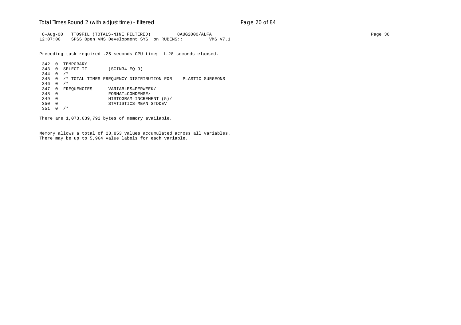#### Total Times Round 2 (with adjust time) - *filtered* entitled and page 20 of 84

 8-Aug-00 TT09FIL (TOTALS-NINE FILTERED) 8AUG2000/ALFA Page 36 12:07:00 SPSS Open VMS Development SYS on RUBENS:: VMS V7.1

Preceding task required .25 seconds CPU time; 1.28 seconds elapsed.

342 0 TEMPORARY<br>343 0 SELECT IF  $(SCIN34 EQ 9)$ 344 0 /\* 345 0 /\* TOTAL TIMES FREQUENCY DISTRIBUTION FOR PLASTIC SURGEONS  $346 \t0 \t/*$ 347 0 FREQUENCIES VARIABLES=PERWEEK/<br>348 0 FORMAT=CONDENSE/ 348 0 FORMAT=CONDENSE/ 349 0 HISTOGRAM=INCREMENT (5)/ 350 0 STATISTICS=MEAN STDDEV 351 0 /\*

There are 1,073,639,792 bytes of memory available.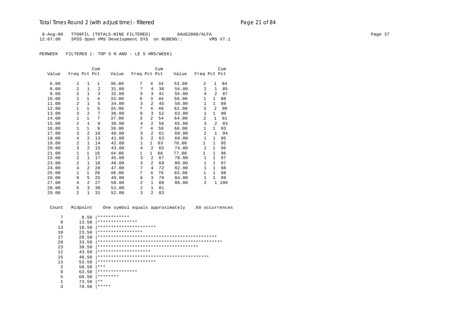## Total Times Round 2 (with adjust time) - *filtered* entitled and page 21 of 84

 8-Aug-00 TT09FIL (TOTALS-NINE FILTERED) 8AUG2000/ALFA Page 37 12:07:00 SPSS Open VMS Development SYS on RUBENS:: VMS V7.1

PERWEEK FILTERED (- TOP 5 % AND - LE 5 HRS/WEEK)

|       |                |                | Cum            |       |                |                | Cum |       |                |                | Cum |
|-------|----------------|----------------|----------------|-------|----------------|----------------|-----|-------|----------------|----------------|-----|
| Value | Freq Pct Pct   |                |                | Value | Freq Pct Pct   |                |     | Value | Freq Pct Pct   |                |     |
|       |                |                |                |       |                |                |     |       |                |                |     |
| 6.00  | 2              | 1              | $\mathbf{1}$   | 30.00 | 7              | 4              | 34  | 53.00 | 2              | $\mathbf{1}$   | 84  |
| 8.00  | 2              | $\mathbf{1}$   | $\overline{a}$ | 31.00 | 7              | 4              | 38  | 54.00 | $\overline{a}$ | $\mathbf{1}$   | 85  |
| 9.00  | $\overline{2}$ | $\mathbf{1}$   | 3              | 32.00 | 5              | 3              | 41  | 55.00 | 4              | 2              | 87  |
| 10.00 | $\mathbf{1}$   | $\mathbf{1}$   | 4              | 33.00 | 6              | 3              | 44  | 56.00 | $\mathbf{1}$   | 1              | 88  |
| 11.00 | 2              | $\mathbf{1}$   | 5              | 34.00 | 3              | 2              | 45  | 58.00 | 1              | 1              | 88  |
| 12.00 | $\mathbf{1}$   | $\mathbf{1}$   | 5              | 35.00 | 7              | 4              | 49  | 62.00 | 3              | $\overline{2}$ | 90  |
| 13.00 | 3              | $\overline{a}$ | 7              | 36.00 | 6              | 3              | 52  | 63.00 | $\mathbf{1}$   | $\mathbf{1}$   | 90  |
| 14.00 | $\mathbf{1}$   | $\mathbf{1}$   | 7              | 37.00 | 3              | $\overline{2}$ | 54  | 64.00 | $\overline{a}$ | $\mathbf{1}$   | 91  |
| 15.00 | $\overline{2}$ | $\mathbf{1}$   | 8              | 38.00 | $\overline{4}$ | 2              | 56  | 65.00 | 3              | $\overline{a}$ | 93  |
| 16.00 | $\mathbf{1}$   | $\mathbf{1}$   | 9              | 39.00 | 7              | $\overline{4}$ | 59  | 66.00 | $\mathbf 1$    | $\mathbf{1}$   | 93  |
| 17.00 | 3              | $\mathfrak{D}$ | 10             | 40.00 | 3              | $\overline{2}$ | 61  | 68.00 | 2              | $\mathbf{1}$   | 94  |
| 18.00 | 4              | $\overline{2}$ | 13             | 41.00 | 3              | $\overline{a}$ | 63  | 69.00 | $\mathbf 1$    | 1              | 95  |
| 19.00 | 2              | $\mathbf{1}$   | 14             | 42.00 | 1              | $\mathbf{1}$   | 63  | 70.00 | 1              | $\mathbf{1}$   | 95  |
| 20.00 | 3              | 2              | 15             | 43.00 | 4              | 2              | 65  | 74.00 | $\mathbf{1}$   | $\mathbf{1}$   | 96  |
| 21.00 | $\mathbf{1}$   | $\mathbf{1}$   | 16             | 44.00 | $\mathbf{1}$   | $\mathbf{1}$   | 66  | 77.00 | $\mathbf{1}$   | $\mathbf{1}$   | 96  |
| 22.00 | 2              | $\mathbf{1}$   | 17             | 45.00 | 3              | $\overline{a}$ | 67  | 78.00 | $\mathbf{1}$   | $\mathbf{1}$   | 97  |
| 23.00 | $\overline{2}$ | 1              | 18             | 46.00 | 3              | $\overline{2}$ | 69  | 80.00 | $\mathbf{1}$   | $\mathbf{1}$   | 97  |
| 24.00 | $\overline{4}$ | 2              | 20             | 47.00 | 7              | $\overline{4}$ | 72  | 82.00 | $\mathbf{1}$   | $\mathbf{1}$   | 98  |
| 25.00 | $\mathbf{1}$   | $\mathbf{1}$   | 20             | 48.00 | 7              | 4              | 76  | 83.00 | $\mathbf{1}$   | $\mathbf{1}$   | 98  |
| 26.00 | 9              | 5              | 25             | 49.00 | 6              | 3              | 79  | 84.00 | $\mathbf{1}$   | $\mathbf{1}$   | 99  |
| 27.00 | 4              | $\mathfrak{D}$ | 27             | 50.00 | 2              | $\mathbf{1}$   | 80  | 86.00 | 2              | 1              | 100 |
| 28.00 | 5              | 3              | 30             | 51.00 | $\overline{a}$ | $\mathbf{1}$   | 81  |       |                |                |     |
| 29.00 | 2              | $\mathbf{1}$   | 31             | 52.00 | 3              | $\overline{a}$ | 83  |       |                |                |     |

 Count Midpoint One symbol equals approximately .60 occurrences 7 8.50  $**************$ <br>9 13.50 \*\*\*\*\*\*\*\*\*\*\*\*\* 9 13.50 |\*\*\*\*\*\*\*\*\*\*\*\*\*\*\* 13 18.50 |\*\*\*\*\*\*\*\*\*\*\*\*\*\*\*\*\*\*\*\*\*\* 10 23.50 |\*\*\*\*\*\*\*\*\*\*\*\*\*\*\*\*\* 27 28.50 |\*\*\*\*\*\*\*\*\*\*\*\*\*\*\*\*\*\*\*\*\*\*\*\*\*\*\*\*\*\*\*\*\*\*\*\*\*\*\*\*\*\*\*\*\* 28 33.50 |\*\*\*\*\*\*\*\*\*\*\*\*\*\*\*\*\*\*\*\*\*\*\*\*\*\*\*\*\*\*\*\*\*\*\*\*\*\*\*\*\*\*\*\*\*\*\* 23 38.50 |\*\*\*\*\*\*\*\*\*\*\*\*\*\*\*\*\*\*\*\*\*\*\*\*\*\*\*\*\*\*\*\*\*\*\*\*\*\* 12 43.50 |\*\*\*\*\*\*\*\*\*\*\*\*\*\*\*\*\*\*\*\* 25 48.50 |\*\*\*\*\*\*\*\*\*\*\*\*\*\*\*\*\*\*\*\*\*\*\*\*\*\*\*\*\*\*\*\*\*\*\*\*\*\*\*\*\*\* 13 53.50 |\*\*\*\*\*\*\*\*\*\*\*\*\*\*\*\*\*\*\*\*\*\*\*<br>2 58.50 |\*\*\*  $58.50$  |\*\*\* 9 63.50  $************************$  5 68.50 |\*\*\*\*\*\*\*\*  $\begin{array}{ccc} 1 & 73.50 & \ast \ast \\ 3 & 78.50 & \ast \ast \ast \end{array}$ 3 78.50 |\*\*\*\*\*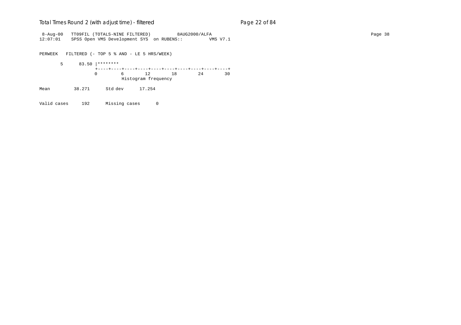#### Total Times Round 2 (with adjust time) - *filtered* entitled and page 22 of 84

 8-Aug-00 TT09FIL (TOTALS-NINE FILTERED) 8AUG2000/ALFA Page 38 12:07:01 SPSS Open VMS Development SYS on RUBENS:: VMS V7.1

PERWEEK FILTERED (- TOP 5 % AND - LE 5 HRS/WEEK)

 5 83.50 |\*\*\*\*\*\*\*\* +----+----+----+----+----+----+----+----+----+----+ 0 6 12 18 24 30 Histogram frequency Mean 38.271 Std dev 17.254

Valid cases 192 Missing cases 0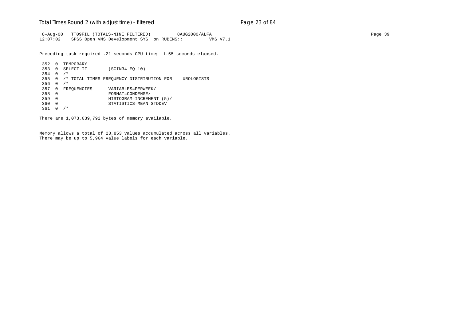#### Total Times Round 2 (with adjust time) - *filtered* entitled and page 23 of 84

 8-Aug-00 TT09FIL (TOTALS-NINE FILTERED) 8AUG2000/ALFA Page 39 12:07:02 SPSS Open VMS Development SYS on RUBENS:: VMS V7.1

Preceding task required .21 seconds CPU time; 1.55 seconds elapsed.

```
352 0 TEMPORARY<br>353 0 SELECT IF
                   (SCIN34 EQ 10)
354 0 /*
355 0 /* TOTAL TIMES FREQUENCY DISTRIBUTION FOR UROLOGISTS
356 0 /*
357 0 FREQUENCIES VARIABLES=PERWEEK/<br>358 0 FORMAT=CONDENSE/
358 0 FORMAT=CONDENSE/
359 0 HISTOGRAM=INCREMENT (5)/
360 0 STATISTICS=MEAN STDDEV
361 0 /*
```
There are 1,073,639,792 bytes of memory available.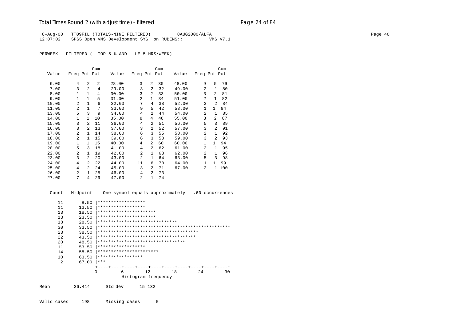## Total Times Round 2 (with adjust time) - *filtered* entitled and page 24 of 84

 8-Aug-00 TT09FIL (TOTALS-NINE FILTERED) 8AUG2000/ALFA Page 40 12:07:02 SPSS Open VMS Development SYS on RUBENS:: VMS V7.1

PERWEEK FILTERED (- TOP 5 % AND - LE 5 HRS/WEEK)

|       |                |                | Cum |       |                |                | Cum |       |                |                | Cum |
|-------|----------------|----------------|-----|-------|----------------|----------------|-----|-------|----------------|----------------|-----|
| Value | Freq Pct Pct   |                |     | Value | Freq Pct Pct   |                |     | Value | Freq Pct Pct   |                |     |
| 6.00  | 4              | $\overline{a}$ | 2   | 28.00 | 3              | 2              | 30  | 48.00 | 9              | 5              | 79  |
| 7.00  | 3              | $\overline{2}$ | 4   | 29.00 | 3              | 2              | 32  | 49.00 | 2              | $\mathbf{1}$   | 80  |
| 8.00  | 1              | 1              | 4   | 30.00 | 3              | $\overline{a}$ | 33  | 50.00 | 3              | $\overline{2}$ | 81  |
| 9.00  | $\mathbf{1}$   | $\mathbf{1}$   | 5   | 31.00 | $\overline{a}$ | $\mathbf{1}$   | 34  | 51.00 | $\overline{a}$ | $\mathbf{1}$   | 82  |
| 10.00 | $\overline{a}$ | $\mathbf{1}$   | 6   | 32.00 | 7              | 4              | 38  | 52.00 | 3              | $\overline{2}$ | 84  |
| 11.00 | 2              | $\mathbf{1}$   | 7   | 33.00 | 9              | 5              | 42  | 53.00 | 1              | 1              | 84  |
| 13.00 | 5              | 3              | 9   | 34.00 | 4              | 2              | 44  | 54.00 | $\mathfrak{D}$ | $\mathbf{1}$   | 85  |
| 14.00 | $\mathbf{1}$   | $\mathbf{1}$   | 10  | 35.00 | 8              | $\overline{4}$ | 48  | 55.00 | 3              | $\overline{2}$ | 87  |
| 15.00 | 3              | 2              | 11  | 36.00 | 4              | 2              | 51  | 56.00 | 5              | 3              | 89  |
| 16.00 | 3              | 2              | 13  | 37.00 | 3              | 2              | 52  | 57.00 | 3              | 2              | 91  |
| 17.00 | $\overline{a}$ | $\mathbf{1}$   | 14  | 38.00 | 6              | 3              | 55  | 58.00 | 2              | $\mathbf{1}$   | 92  |
| 18.00 | $\overline{a}$ | $\mathbf{1}$   | 15  | 39.00 | 6              | 3              | 58  | 59.00 | 3              | $\mathfrak{D}$ | 93  |
| 19.00 | $\mathbf{1}$   | 1              | 15  | 40.00 | 4              | 2              | 60  | 60.00 | 1              | 1              | 94  |
| 20.00 | 5              | 3              | 18  | 41.00 | 4              | 2              | 62  | 61.00 | 2              | $\mathbf{1}$   | 95  |
| 22.00 | $\overline{a}$ | $\mathbf{1}$   | 19  | 42.00 | $\overline{a}$ | $\mathbf{1}$   | 63  | 62.00 | $\overline{a}$ | $\mathbf{1}$   | 96  |
| 23.00 | 3              | 2              | 20  | 43.00 | $\overline{a}$ | $\mathbf{1}$   | 64  | 63.00 | 5              | ζ              | 98  |
| 24.00 | 4              | 2              | 22  | 44.00 | 11             | 6              | 70  | 64.00 | 1              | 1              | 99  |
| 25.00 | 4              | 2              | 24  | 45.00 | 3              | 2              | 71  | 67.00 | 2              | $\mathbf{1}$   | 100 |
| 26.00 | $\overline{a}$ | $\mathbf{1}$   | 25  | 46.00 | 4              | 2              | 73  |       |                |                |     |
| 27.00 | 7              | 4              | 29  | 47.00 | 2              | $\mathbf{1}$   | 74  |       |                |                |     |

| Count | Midpoint |          |                    |                                | One symbol equals approximately        |    | .60 occurrences |
|-------|----------|----------|--------------------|--------------------------------|----------------------------------------|----|-----------------|
| 11    | 8.50     |          | ****************** |                                |                                        |    |                 |
| 11    | 13.50    |          | ****************** |                                |                                        |    |                 |
| 13    | 18.50    |          |                    | **********************         |                                        |    |                 |
| 13    | 23.50    |          |                    | **********************         |                                        |    |                 |
| 18    | 28.50    |          |                    | ****************************** |                                        |    |                 |
| 30    | 33.50    |          |                    |                                |                                        |    |                 |
| 23    | 38.50    |          |                    |                                |                                        |    |                 |
| 2.2   | 43.50    |          |                    |                                | ************************************** |    |                 |
| 20    | 48.50    |          |                    |                                | *********************************      |    |                 |
| 11    | 53.50    |          | ****************** |                                |                                        |    |                 |
| 14    | 58.50    |          |                    | ***********************        |                                        |    |                 |
| 10    | 63.50    |          | *****************  |                                |                                        |    |                 |
| 2     | 67.00    | $* * *$  |                    |                                |                                        |    |                 |
|       |          |          |                    |                                |                                        |    |                 |
|       |          | $\Omega$ | 6                  | 12                             | 18                                     | 24 | 30              |
|       |          |          |                    | Histogram frequency            |                                        |    |                 |
| Mean  | 36.414   |          | Std dev            | 15.132                         |                                        |    |                 |

Valid cases 198 Missing cases 0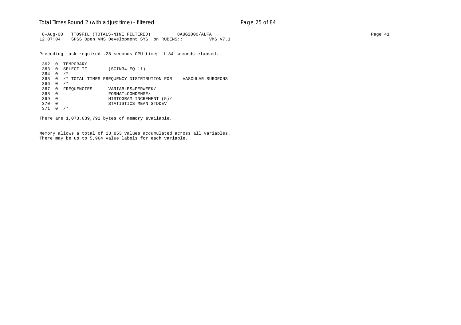#### Total Times Round 2 (with adjust time) - *filtered* entitled and page 25 of 84

 8-Aug-00 TT09FIL (TOTALS-NINE FILTERED) 8AUG2000/ALFA Page 41 12:07:04 SPSS Open VMS Development SYS on RUBENS:: VMS V7.1

Preceding task required .28 seconds CPU time; 1.84 seconds elapsed.

362 0 TEMPORARY<br>363 0 SELECT IF (SCIN34 EQ 11) 364 0 /\* 365 0 /\* TOTAL TIMES FREQUENCY DISTRIBUTION FOR VASCULAR SURGEONS 366 0 /\* 367 0 FREQUENCIES VARIABLES=PERWEEK/<br>368 0 FORMAT=CONDENSE/ 368 0 FORMAT=CONDENSE/ 369 0 HISTOGRAM=INCREMENT (5)/ 370 0 STATISTICS=MEAN STDDEV 371 0 /\*

There are 1,073,639,792 bytes of memory available.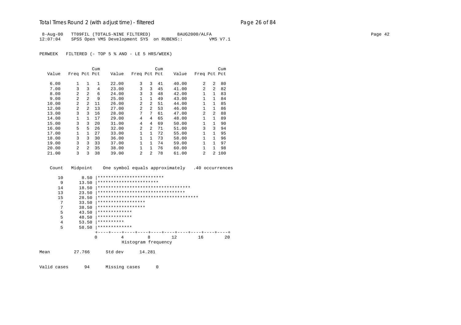## Total Times Round 2 (with adjust time) - *filtered* end and page 26 of 84

8-Aug-00 TT09FIL (TOTALS-NINE FILTERED) 8AUG2000/ALFA Page 42 12:07:04 SPSS Open VMS Development SYS on RUBENS:: VMS V7.1

PERWEEK FILTERED (- TOP 5 % AND - LE 5 HRS/WEEK)

|       |                |                | Cum          |       |                |                | Cum |       |                |                | Cum   |
|-------|----------------|----------------|--------------|-------|----------------|----------------|-----|-------|----------------|----------------|-------|
| Value | Freq Pct Pct   |                |              | Value | Freq Pct Pct   |                |     | Value | Freq Pct Pct   |                |       |
| 6.00  | $\mathbf{1}$   | 1              | $\mathbf{1}$ | 22.00 | 3              | 3              | 41  | 40.00 | 2              | $\mathfrak{D}$ | 80    |
| 7.00  | 3              | 3              | 4            | 23.00 | 3              | 3              | 45  | 41.00 | 2              | $\mathfrak{D}$ | 82    |
| 8.00  | $\mathfrak{D}$ | 2              | 6            | 24.00 | 3              | 3              | 48  | 42.00 | 1              | 1              | 83    |
| 9.00  | 2              | 2              | 9            | 25.00 | 1              | $\mathbf{1}$   | 49  | 43.00 | $\mathbf{1}$   | 1              | 84    |
| 10.00 | $\mathfrak{D}$ | 2              | 11           | 26.00 | 2              | $\mathfrak{D}$ | 51  | 44.00 | $\mathbf{1}$   | 1              | 85    |
| 12.00 | $\overline{2}$ | $\mathfrak{D}$ | 13           | 27.00 | $\overline{a}$ | $\overline{a}$ | 53  | 46.00 | 1              | $\mathbf{1}$   | 86    |
| 13.00 | 3              | 3              | 16           | 28.00 | 7              | 7              | 61  | 47.00 | $\mathfrak{D}$ | $\mathfrak{D}$ | 88    |
| 14.00 | 1              | 1              | 17           | 29.00 | 4              | 4              | 65  | 48.00 | 1              | $\mathbf{1}$   | 89    |
| 15.00 | 3              | 3              | 20           | 31.00 | 4              | 4              | 69  | 50.00 | $\mathbf{1}$   | $\mathbf{1}$   | 90    |
| 16.00 | 5              | 5              | 26           | 32.00 | $\overline{a}$ | $\overline{a}$ | 71  | 51.00 | 3              | 3              | 94    |
| 17.00 | 1              | 1              | 27           | 33.00 | 1              | $\mathbf{1}$   | 72  | 55.00 | $\mathbf{1}$   | $\mathbf{1}$   | 95    |
| 18.00 | 3              | 3              | 30           | 36.00 | $\mathbf{1}$   | $\mathbf{1}$   | 73  | 58.00 | $\mathbf{1}$   | 1              | 96    |
| 19.00 | 3              | 3              | 33           | 37.00 | 1              | $\mathbf{1}$   | 74  | 59.00 | 1              | 1              | 97    |
| 20.00 | $\mathfrak{D}$ | $\mathfrak{D}$ | 35           | 38.00 | 1              | $\mathbf{1}$   | 76  | 60.00 |                | 1              | 98    |
| 21.00 | 3              | 3              | 38           | 39.00 | $\mathfrak{D}$ | $\mathfrak{D}$ | 78  | 61.00 | 2              |                | 2 100 |

Count Midpoint One symbol equals approximately .40 occurrences

| 10   | 8.50   | *************************         |                     |                                           |    |    |
|------|--------|-----------------------------------|---------------------|-------------------------------------------|----|----|
| 9    | 13.50  | ***********************           |                     |                                           |    |    |
| 14   | 18.50  |                                   |                     | ************************************      |    |    |
| 13   | 23.50  | ********************************* |                     |                                           |    |    |
| 15   | 28.50  |                                   |                     |                                           |    |    |
| 7    | 33.50  | ******************                |                     |                                           |    |    |
| 7    | 38.50  | ******************                |                     |                                           |    |    |
| 5    | 43.50  | *************                     |                     |                                           |    |    |
| 5    | 48.50  | *************                     |                     |                                           |    |    |
| 4    | 53.50  | **********                        |                     |                                           |    |    |
| 5    | 58.50  | *************                     |                     |                                           |    |    |
|      |        |                                   |                     | ---+----+----+----+----+----+----+---+--- |    |    |
|      |        | 0<br>4                            | 8                   | 12.                                       | 16 | 20 |
|      |        |                                   | Histogram frequency |                                           |    |    |
| Mean | 27.766 | Std dev                           | 14.281              |                                           |    |    |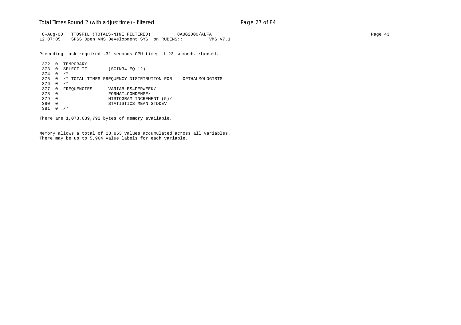#### Total Times Round 2 (with adjust time) - *filtered* entitled and page 27 of 84

 8-Aug-00 TT09FIL (TOTALS-NINE FILTERED) 8AUG2000/ALFA Page 43 12:07:05 SPSS Open VMS Development SYS on RUBENS:: VMS V7.1

Preceding task required .31 seconds CPU time; 1.23 seconds elapsed.

```
372 0 TEMPORARY<br>373 0 SELECT IF
                 (SCIN34 EQ 12)
374 0 /*
375 0 /* TOTAL TIMES FREQUENCY DISTRIBUTION FOR OPTHALMOLOGISTS
376 0 /*
377 0 FREQUENCIES VARIABLES=PERWEEK/
378 0 FORMAT=CONDENSE/
379 0 HISTOGRAM=INCREMENT (5)/
380 0 STATISTICS=MEAN STDDEV
381 0 /*
```
There are 1,073,639,792 bytes of memory available.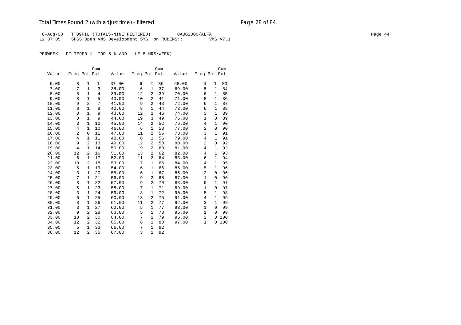## Total Times Round 2 (with adjust time) - *filtered* end and page 28 of 84

8-Aug-00 TT09FIL (TOTALS-NINE FILTERED) 8AUG2000/ALFA Page 44 Page 44 12:07:05 SPSS Open VMS Development SYS on RUBENS:: VMS V7.1

PERWEEK FILTERED (- TOP 5 % AND - LE 5 HRS/WEEK)

|       |              |                | Cum            |       |              |                | Cum |       |                |              | Cum |
|-------|--------------|----------------|----------------|-------|--------------|----------------|-----|-------|----------------|--------------|-----|
| Value | Freq Pct Pct |                |                | Value | Freq Pct Pct |                |     | Value | Freq Pct Pct   |              |     |
|       |              |                |                |       |              |                |     |       |                |              |     |
| 6.00  | 8            | $\mathbf 1$    | $\mathbf{1}$   | 37.00 | 9            | 2              | 36  | 68.00 | 6              | 1            | 83  |
| 7.00  | 7            | $\mathbf{1}$   | 3              | 38.00 | 6            | 1              | 37  | 69.00 | 5              | $\mathbf{1}$ | 84  |
| 8.00  | 8            | $\mathbf{1}$   | $\overline{4}$ | 39.00 | 12           | 2              | 39  | 70.00 | 6              | 1            | 85  |
| 9.00  | 8            | $\mathbf{1}$   | 5              | 40.00 | 10           | 2              | 41  | 71.00 | 8              | $\mathbf{1}$ | 86  |
| 10.00 | 9            | $\overline{2}$ | 7              | 41.00 | 9            | $\overline{2}$ | 43  | 72.00 | 6              | $\mathbf{1}$ | 87  |
| 11.00 | 8            | $\mathbf{1}$   | 8              | 42.00 | 8            | $\mathbf{1}$   | 44  | 73.00 | 6              | $\mathbf{1}$ | 88  |
| 12.00 | 3            | $\mathbf{1}$   | 9              | 43.00 | 12           | 2              | 46  | 74.00 | 3              | $\mathbf{1}$ | 89  |
| 13.00 | 3            | $\mathbf{1}$   | 9              | 44.00 | 19           | 3              | 49  | 75.00 | $\mathbf{1}$   | 0            | 89  |
| 14.00 | 3            | $\mathbf{1}$   | 10             | 45.00 | 14           | 2              | 52  | 76.00 | 4              | 1            | 90  |
| 15.00 | 4            | $\mathbf{1}$   | 10             | 46.00 | 6            | $\mathbf{1}$   | 53  | 77.00 | $\overline{a}$ | $\mathbf 0$  | 90  |
| 16.00 | 2            | $\mathbf 0$    | 11             | 47.00 | 11           | $\overline{2}$ | 55  | 78.00 | 3              | $\mathbf{1}$ | 91  |
| 17.00 | 4            | $\mathbf{1}$   | 11             | 48.00 | 8            | $\mathbf{1}$   | 56  | 79.00 | 4              | $\mathbf{1}$ | 91  |
| 18.00 | 9            | $\overline{a}$ | 13             | 49.00 | 12           | $\overline{2}$ | 58  | 80.00 | 2              | $\mathbf 0$  | 92  |
| 19.00 | 4            | 1              | 14             | 50.00 | 9            | $\overline{a}$ | 60  | 81.00 | 4              | 1            | 92  |
| 20.00 | 12           | $\overline{a}$ | 16             | 51.00 | 13           | $\overline{2}$ | 62  | 82.00 | 4              | $\mathbf{1}$ | 93  |
| 21.00 | 6            | $\mathbf{1}$   | 17             | 52.00 | 11           | 2              | 64  | 83.00 | 6              | $\mathbf{1}$ | 94  |
| 22.00 | 10           | 2              | 18             | 53.00 | 7            | $\mathbf{1}$   | 65  | 84.00 | 4              | $\mathbf{1}$ | 95  |
| 23.00 | 5            | $\mathbf{1}$   | 19             | 54.00 | 6            | $\mathbf{1}$   | 66  | 85.00 | 5              | $\mathbf 1$  | 96  |
| 24.00 | 3            | $\mathbf{1}$   | 20             | 55.00 | 6            | $\mathbf{1}$   | 67  | 86.00 | $\overline{a}$ | $\mathbf 0$  | 96  |
| 25.00 | 7            | 1              | 21             | 56.00 | 9            | $\overline{a}$ | 68  | 87.00 | $\mathbf{1}$   | $\mathbf 0$  | 96  |
| 26.00 | 8            | $\mathbf{1}$   | 22             | 57.00 | 9            | $\overline{2}$ | 70  | 88.00 | 5              | $\mathbf{1}$ | 97  |
| 27.00 | 6            | 1              | 23             | 58.00 | 7            | 1              | 71  | 89.00 | $\mathbf{1}$   | 0            | 97  |
| 28.00 | 3            | $\mathbf{1}$   | 24             | 59.00 | 8            | 1              | 72  | 90.00 | 5              | 1            | 98  |
| 29.00 | 6            | 1              | 25             | 60.00 | 13           | 2              | 75  | 91.00 | 4              | $\mathbf{1}$ | 99  |
| 30.00 | 8            | 1              | 26             | 61.00 | 11           | 2              | 77  | 92.00 | 3              | $\mathbf{1}$ | 99  |
| 31.00 | 3            | $\mathbf{1}$   | 27             | 62.00 | 5            | $\mathbf{1}$   | 77  | 93.00 | $\mathbf{1}$   | $\Omega$     | 99  |
| 32.00 | 9            | 2              | 28             | 63.00 | 5            | $\mathbf{1}$   | 78  | 95.00 | $\mathbf{1}$   | $\Omega$     | 99  |
| 33.00 | 10           | 2              | 30             | 64.00 | 7            | $\mathbf{1}$   | 79  | 96.00 | $\overline{a}$ | 0            | 100 |
| 34.00 | 12           | 2              | 32             | 65.00 | 6            | 1              | 80  | 97.00 | $\mathbf{1}$   | 0            | 100 |
| 35.00 | 5            | $\mathbf{1}$   | 33             | 66.00 | 7            | 1              | 82  |       |                |              |     |
| 36.00 | 12           | $\overline{a}$ | 35             | 67.00 | 3            | $\mathbf{1}$   | 82  |       |                |              |     |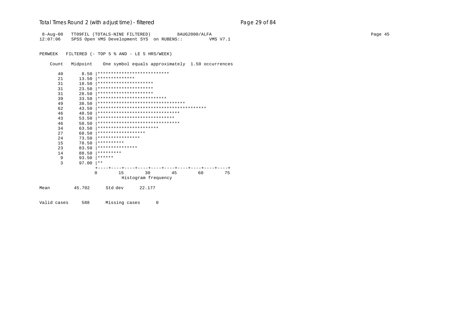## Total Times Round 2 (with adjust time) - *filtered* entitled and page 29 of 84

8-Aug-00 TT09FIL (TOTALS-NINE FILTERED) 8AUG2000/ALFA Page 45 12:07:06 SPSS Open VMS Development SYS on RUBENS:: VMS V7.1

PERWEEK FILTERED (- TOP 5 % AND - LE 5 HRS/WEEK)

Count Midpoint One symbol equals approximately 1.50 occurrences

|      | 40 | 8.50   |                       | ***************************       |    |    |    |
|------|----|--------|-----------------------|-----------------------------------|----|----|----|
|      | 21 | 13.50  | **************        |                                   |    |    |    |
|      | 31 | 18.50  | ********************* |                                   |    |    |    |
|      | 31 | 23.50  | ********************* |                                   |    |    |    |
|      | 31 | 28.50  | ********************* |                                   |    |    |    |
|      | 39 | 33.50  |                       | **************************        |    |    |    |
|      | 49 | 38.50  |                       | ********************************* |    |    |    |
|      | 62 | 43.50  |                       |                                   |    |    |    |
|      | 46 | 48.50  |                       | *******************************   |    |    |    |
|      | 43 | 53.50  |                       | *****************************     |    |    |    |
|      | 46 | 58.50  |                       | *******************************   |    |    |    |
|      | 34 | 63.50  |                       | ***********************           |    |    |    |
|      | 27 | 68.50  | ******************    |                                   |    |    |    |
|      | 24 | 73.50  | ****************      |                                   |    |    |    |
|      | 15 | 78.50  | **********            |                                   |    |    |    |
|      | 23 | 83.50  | ***************       |                                   |    |    |    |
|      | 14 | 88.50  | *********             |                                   |    |    |    |
|      | 9  | 93.50  | ******                |                                   |    |    |    |
|      | 3  | 97.00  | * *                   |                                   |    |    |    |
|      |    |        |                       |                                   |    |    |    |
|      |    |        | 15<br>$\Omega$        | 30                                | 45 | 60 | 75 |
|      |    |        |                       | Histogram frequency               |    |    |    |
| Mean |    | 45.702 | Std dev               | 22.177                            |    |    |    |

Valid cases 588 Missing cases 0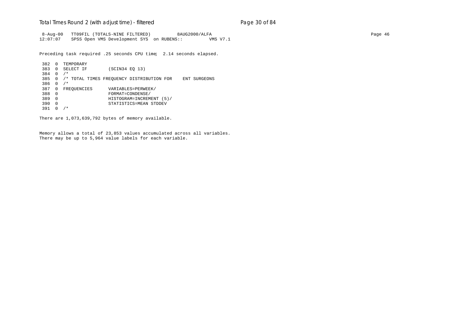#### Total Times Round 2 (with adjust time) - *filtered* entitled and page 30 of 84

 8-Aug-00 TT09FIL (TOTALS-NINE FILTERED) 8AUG2000/ALFA Page 46 12:07:07 SPSS Open VMS Development SYS on RUBENS:: VMS V7.1

Preceding task required .25 seconds CPU time; 2.14 seconds elapsed.

```
382 0 TEMPORARY<br>383 0 SELECT IF
                 (SCIN34 EQ 13)
384 0 /*
385 0 /* TOTAL TIMES FREQUENCY DISTRIBUTION FOR ENT SURGEONS
386 0 /*
387 0 FREQUENCIES VARIABLES=PERWEEK/
388 0 FORMAT=CONDENSE/
389 0 HISTOGRAM=INCREMENT (5)/
390 0 STATISTICS=MEAN STDDEV
391 0 /*
```
There are 1,073,639,792 bytes of memory available.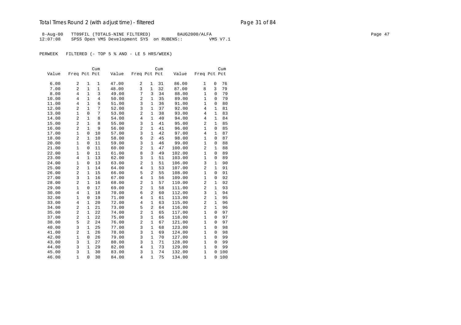## Total Times Round 2 (with adjust time) - *filtered* entitled and page 31 of 84

8-Aug-00 TT09FIL (TOTALS-NINE FILTERED) 8AUG2000/ALFA Page 47 Page 47 12:07:08 SPSS Open VMS Development SYS on RUBENS:: VMS V7.1

PERWEEK FILTERED (- TOP 5 % AND - LE 5 HRS/WEEK)

|       |                |                | Cum            |       |                |                | Cum |        |                         |              | Cum |
|-------|----------------|----------------|----------------|-------|----------------|----------------|-----|--------|-------------------------|--------------|-----|
| Value | Freq Pct Pct   |                |                | Value | Freq Pct Pct   |                |     | Value  | Freq Pct Pct            |              |     |
|       |                |                |                |       |                |                |     |        |                         |              |     |
| 6.00  | $\overline{a}$ | $\mathbf{1}$   | $\mathbf{1}$   | 47.00 | 2              | $\mathbf{1}$   | 31  | 86.00  | $\mathbf{1}$            | 0            | 76  |
| 7.00  | $\overline{c}$ | $\mathbf{1}$   | $\mathbf{1}$   | 48.00 | 3              | $\mathbf{1}$   | 32  | 87.00  | 8                       | 3            | 79  |
| 8.00  | $\overline{4}$ | $\mathbf{1}$   | $\overline{3}$ | 49.00 | 7              | 3              | 34  | 88.00  | $\mathbf{1}$            | $\mathbf 0$  | 79  |
| 10.00 | $\overline{4}$ | $\mathbf{1}$   | $\overline{4}$ | 50.00 | $\overline{a}$ | $\mathbf{1}$   | 35  | 89.00  | $\mathbf 1$             | 0            | 79  |
| 11.00 | $\overline{4}$ | $\mathbf{1}$   | 6              | 51.00 | 3              | $\mathbf{1}$   | 36  | 91.00  | $\mathbf{1}$            | $\mathbf 0$  | 80  |
| 12.00 | $\overline{2}$ | $\mathbf{1}$   | 7              | 52.00 | 3              | $\mathbf{1}$   | 37  | 92.00  | 4                       | $\mathbf{1}$ | 81  |
| 13.00 | $\mathbf{1}$   | 0              | 7              | 53.00 | $\overline{c}$ | $\mathbf{1}$   | 38  | 93.00  | 4                       | $\mathbf{1}$ | 83  |
| 14.00 | $\overline{2}$ | $\mathbf{1}$   | 8              | 54.00 | $\overline{4}$ | $\mathbf{1}$   | 40  | 94.00  | $\overline{4}$          | $\mathbf{1}$ | 84  |
| 15.00 | $\overline{2}$ | $\mathbf{1}$   | 8              | 55.00 | 3              | $\mathbf{1}$   | 41  | 95.00  | $\overline{a}$          | $\mathbf{1}$ | 85  |
| 16.00 | $\overline{2}$ | $\mathbf{1}$   | 9              | 56.00 | $\overline{c}$ | $\mathbf{1}$   | 41  | 96.00  | $\mathbf{1}$            | $\mathbf 0$  | 85  |
| 17.00 | $\mathbf{1}$   | $\mathsf 0$    | 10             | 57.00 | 3              | $\mathbf{1}$   | 42  | 97.00  | $\overline{4}$          | $\mathbf{1}$ | 87  |
| 18.00 | $\overline{2}$ | $\mathbf{1}$   | 10             | 58.00 | 6              | $\overline{2}$ | 45  | 98.00  | $\mathbf{1}$            | 0            | 87  |
| 20.00 | $\mathbf{1}$   | $\mathbf 0$    | 11             | 59.00 | 3              | $\mathbf{1}$   | 46  | 99.00  | $\mathbf{1}$            | $\mathbf 0$  | 88  |
| 21.00 | $\mathbf{1}$   | 0              | 11             | 60.00 | $\overline{c}$ | $\mathbf{1}$   | 47  | 100.00 | $\overline{a}$          | $\mathbf{1}$ | 88  |
| 22.00 | $\mathbf{1}$   | 0              | 11             | 61.00 | 8              | $\overline{3}$ | 49  | 102.00 | $\mathbf 1$             | 0            | 89  |
| 23.00 | $\overline{4}$ | $\mathbf{1}$   | 13             | 62.00 | 3              | $\mathbf{1}$   | 51  | 103.00 | $\mathbf{1}$            | $\mathbf 0$  | 89  |
| 24.00 | $\mathbf{1}$   | 0              | 13             | 63.00 | $\overline{a}$ | $\mathbf{1}$   | 51  | 106.00 | 3                       | $\mathbf{1}$ | 90  |
| 25.00 | 2              | $\mathbf{1}$   | 14             | 64.00 | 4              | $\mathbf{1}$   | 53  | 107.00 | 2                       | $\mathbf{1}$ | 91  |
| 26.00 | $\overline{2}$ | $\mathbf{1}$   | 15             | 66.00 | 5              | $\overline{2}$ | 55  | 108.00 | $\mathbf 1$             | 0            | 91  |
| 27.00 | 3              | $\mathbf{1}$   | 16             | 67.00 | $\overline{4}$ | $\mathbf{1}$   | 56  | 109.00 | $\mathbf{1}$            | 0            | 92  |
| 28.00 | $\overline{2}$ | $\mathbf{1}$   | 16             | 68.00 | $\overline{2}$ | $\mathbf{1}$   | 57  | 110.00 | 2                       | $\mathbf{1}$ | 92  |
| 29.00 | $\mathbf{1}$   | $\mathbf 0$    | 17             | 69.00 | $\overline{c}$ | $\mathbf{1}$   | 58  | 111.00 | $\overline{a}$          | $\mathbf{1}$ | 93  |
| 30.00 | $\,4$          | $\mathbf{1}$   | 18             | 70.00 | 6              | $\overline{2}$ | 60  | 112.00 | 3                       | $\mathbf{1}$ | 94  |
| 32.00 | $\mathbf{1}$   | $\mathsf 0$    | 19             | 71.00 | $\overline{4}$ | $\mathbf{1}$   | 61  | 113.00 | $\overline{c}$          | $\mathbf{1}$ | 95  |
| 33.00 | $\,4$          | $\mathbf{1}$   | 20             | 72.00 | $\overline{4}$ | $\mathbf{1}$   | 63  | 115.00 | $\overline{\mathbf{c}}$ | $\mathbf{1}$ | 96  |
| 34.00 | $\overline{2}$ | $\mathbf{1}$   | 21             | 73.00 | 5              | $\overline{2}$ | 64  | 116.00 | $\overline{2}$          | $\mathbf{1}$ | 96  |
| 35.00 | $\overline{2}$ | $\mathbf{1}$   | 22             | 74.00 | $\overline{a}$ | $\mathbf{1}$   | 65  | 117.00 | $\mathbf{1}$            | $\Omega$     | 97  |
| 37.00 | $\overline{2}$ | $\mathbf{1}$   | 22             | 75.00 | 3              | $\mathbf{1}$   | 66  | 118.00 | $\mathbf 1$             | 0            | 97  |
| 38.00 | 5              | $\overline{2}$ | 24             | 76.00 | $\overline{c}$ | $\mathbf{1}$   | 67  | 121.00 | $\mathbf{1}$            | $\mathbf 0$  | 97  |
| 40.00 | 3              | $\mathbf{1}$   | 25             | 77.00 | 3              | $\mathbf{1}$   | 68  | 123.00 | 1                       | $\mathbf 0$  | 98  |
| 41.00 | 2              | $\mathbf{1}$   | 26             | 78.00 | 3              | $\mathbf{1}$   | 69  | 124.00 | 1                       | 0            | 98  |
| 42.00 | $\mathbf{1}$   | 0              | 26             | 79.00 | 3              | $\mathbf{1}$   | 70  | 127.00 | $\mathbf{1}$            | 0            | 99  |
| 43.00 | 3              | $\mathbf{1}$   | 27             | 80.00 | 3              | $\mathbf{1}$   | 71  | 128.00 | $\mathbf{1}$            | 0            | 99  |
| 44.00 | 3              | $\mathbf{1}$   | 29             | 82.00 | $\overline{4}$ | $\mathbf{1}$   | 73  | 129.00 | $\mathbf{1}$            | $\mathbf 0$  | 99  |
| 45.00 | 3              | $\mathbf{1}$   | 30             | 83.00 | 3              | $\mathbf{1}$   | 74  | 132.00 | $\mathbf{1}$            | $\mathbf 0$  | 100 |
| 46.00 | $\mathbf{1}$   | $\mathbf 0$    | 30             | 84.00 | $\overline{4}$ | $\mathbf{1}$   | 75  | 134.00 | $\mathbf{1}$            | 0            | 100 |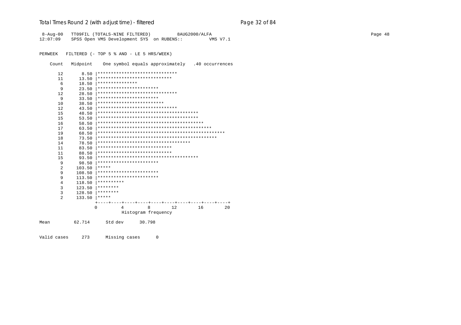## Total Times Round 2 (with adjust time) - *filtered* end and page 32 of 84

8-Aug-00 TT09FIL (TOTALS-NINE FILTERED) 8AUG2000/ALFA Page 48 12:07:09 SPSS Open VMS Development SYS on RUBENS:: VMS V7.1

PERWEEK FILTERED (- TOP 5 % AND - LE 5 HRS/WEEK)

Count Midpoint One symbol equals approximately .40 occurrences

| 12             | 8.50   | ******************************      |
|----------------|--------|-------------------------------------|
| 11             | 13.50  | ****************************        |
| 6              | 18.50  | ***************                     |
| 9              | 23.50  | ***********************             |
| 12             | 28.50  | ******************************      |
| 9              | 33.50  | ***********************             |
| 10             | 38.50  | *************************           |
| 12             | 43.50  | ******************************      |
| 15             | 48.50  |                                     |
| 15             | 53.50  |                                     |
| 16             | 58.50  |                                     |
| 17             | 63.50  |                                     |
| 19             | 68.50  |                                     |
| 18             | 73.50  |                                     |
| 14             | 78.50  | *********************************** |
| 11             | 83.50  | ****************************        |
| 11             | 88.50  | ****************************        |
| 15             | 93.50  |                                     |
| 9              | 98.50  | ***********************             |
| 2              | 103.50 | *****                               |
| 9              | 108.50 | ***********************             |
| 9              | 113.50 | ***********************             |
| 4              | 118.50 | **********                          |
| 3              | 123.50 | ********                            |
| 3              | 128.50 | ********                            |
| $\mathfrak{D}$ | 133.50 | *****                               |
|                |        |                                     |
|                |        | 8<br>12<br>16<br>20<br>0<br>4       |
|                |        | Histogram frequency                 |
| Mean           | 62.714 | 30.798<br>Std dev                   |

Valid cases 273 Missing cases 0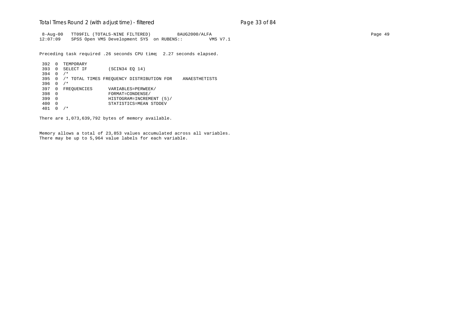#### Total Times Round 2 (with adjust time) - *filtered* entitled and page 33 of 84

 8-Aug-00 TT09FIL (TOTALS-NINE FILTERED) 8AUG2000/ALFA Page 49 12:07:09 SPSS Open VMS Development SYS on RUBENS:: VMS V7.1

Preceding task required .26 seconds CPU time; 2.27 seconds elapsed.

```
392 0 TEMPORARY<br>393 0 SELECT IF
                   (SCIN34 EQ 14)
394 0 /*
395 0 /* TOTAL TIMES FREQUENCY DISTRIBUTION FOR ANAESTHETISTS
396 0 /*
397 0 FREQUENCIES VARIABLES=PERWEEK/<br>398 0 FORMAT=CONDENSE/
398 0 FORMAT=CONDENSE/
399 0 HISTOGRAM=INCREMENT (5)/
400 0 STATISTICS=MEAN STDDEV
401 0 /*
```
There are 1,073,639,792 bytes of memory available.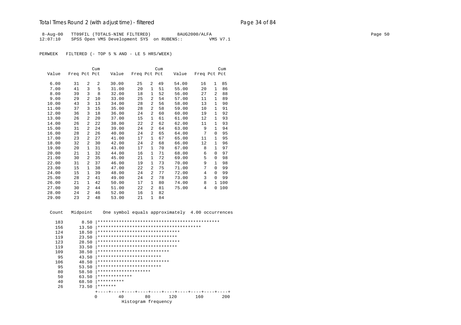## Total Times Round 2 (with adjust time) - *filtered* entitled and page 34 of 84

 8-Aug-00 TT09FIL (TOTALS-NINE FILTERED) 8AUG2000/ALFA Page 50 12:07:10 SPSS Open VMS Development SYS on RUBENS:: VMS V7.1

PERWEEK FILTERED (- TOP 5 % AND - LE 5 HRS/WEEK)

|       |              |                | Cum            |       |              |                | Cum |       |              |              | Cum |
|-------|--------------|----------------|----------------|-------|--------------|----------------|-----|-------|--------------|--------------|-----|
| Value | Freq Pct Pct |                |                | Value | Freq Pct Pct |                |     | Value | Freq Pct Pct |              |     |
|       |              |                |                |       |              |                |     |       |              |              |     |
| 6.00  | 31           | $\overline{a}$ | $\overline{a}$ | 30.00 | 25           | $\overline{2}$ | 49  | 54.00 | 16           | $\mathbf{1}$ | 85  |
| 7.00  | 41           | 3              | 5              | 31.00 | 20           | $\mathbf{1}$   | 51  | 55.00 | 20           | $\mathbf{1}$ | 86  |
| 8.00  | 39           | 3              | 8              | 32.00 | 18           | 1              | 52  | 56.00 | 27           | 2            | 88  |
| 9.00  | 29           | $\overline{2}$ | 10             | 33.00 | 25           | $\mathfrak{D}$ | 54  | 57.00 | 11           | $\mathbf{1}$ | 89  |
| 10.00 | 43           | 3              | 13             | 34.00 | 28           | $\overline{2}$ | 56  | 58.00 | 13           | 1            | 90  |
| 11.00 | 37           | 3              | 15             | 35.00 | 28           | 2              | 58  | 59.00 | 10           | 1            | 91  |
| 12.00 | 36           | 3              | 18             | 36.00 | 24           | 2              | 60  | 60.00 | 19           | $\mathbf{1}$ | 92  |
| 13.00 | 26           | 2              | 20             | 37.00 | 15           | 1              | 61  | 61.00 | 12           | 1            | 93  |
| 14.00 | 26           | 2              | 22             | 38.00 | 22           | $\overline{2}$ | 62  | 62.00 | 11           | 1            | 93  |
| 15.00 | 31           | 2              | 24             | 39.00 | 24           | 2              | 64  | 63.00 | 9            | $\mathbf{1}$ | 94  |
| 16.00 | 28           | $\mathfrak{D}$ | 26             | 40.00 | 24           | 2              | 65  | 64.00 | 7            | 0            | 95  |
| 17.00 | 23           | $\overline{a}$ | 27             | 41.00 | 17           | 1              | 67  | 65.00 | 11           | 1            | 95  |
| 18.00 | 32           | 2              | 30             | 42.00 | 24           | 2              | 68  | 66.00 | 12           | 1            | 96  |
| 19.00 | 20           | $\mathbf{1}$   | 31             | 43.00 | 17           | $\mathbf{1}$   | 70  | 67.00 | 8            | $\mathbf{1}$ | 97  |
| 20.00 | 21           | 1              | 32             | 44.00 | 16           | 1              | 71  | 68.00 | 6            | $\Omega$     | 97  |
| 21.00 | 30           | $\overline{a}$ | 35             | 45.00 | 21           | $\mathbf{1}$   | 72  | 69.00 | 5            | $\Omega$     | 98  |
| 22.00 | 31           | $\overline{2}$ | 37             | 46.00 | 19           | 1              | 73  | 70.00 | 9            | $\mathbf{1}$ | 98  |
| 23.00 | 15           | 1              | 38             | 47.00 | 22           | 2              | 75  | 71.00 | 7            | $\Omega$     | 99  |
| 24.00 | 15           | 1              | 39             | 48.00 | 24           | 2              | 77  | 72.00 | 4            | $\Omega$     | 99  |
| 25.00 | 28           | 2              | 41             | 49.00 | 24           | 2              | 78  | 73.00 | 3            | $\Omega$     | 99  |
| 26.00 | 21           | 1              | 42             | 50.00 | 17           | $\mathbf{1}$   | 80  | 74.00 | 8            | $\mathbf{1}$ | 100 |
| 27.00 | 30           | $\mathfrak{D}$ | 44             | 51.00 | 22           | 2              | 81  | 75.00 | 4            | 0            | 100 |
| 28.00 | 24           | $\overline{a}$ | 46             | 52.00 | 16           | $\mathbf{1}$   | 82  |       |              |              |     |
| 29.00 | 23           | $\overline{a}$ | 48             | 53.00 | 21           | $\mathbf{1}$   | 84  |       |              |              |     |

Count Midpoint One symbol equals approximately 4.00 occurrences

| 183 | 8.50                |                                 |  |  |  |  |
|-----|---------------------|---------------------------------|--|--|--|--|
| 156 | 13.50               |                                 |  |  |  |  |
| 124 | 18.50               | ******************************* |  |  |  |  |
| 119 | 23.50               | ******************************  |  |  |  |  |
| 123 | 28.50               | ******************************* |  |  |  |  |
| 119 | 33.50               | ******************************  |  |  |  |  |
| 109 | 38.50               | ***************************     |  |  |  |  |
| 95  | 43.50               | ************************        |  |  |  |  |
| 106 | 48.50               | ***************************     |  |  |  |  |
| 95  | 53.50               | ************************        |  |  |  |  |
| 80  | 58.50               | ********************            |  |  |  |  |
| 50  | 63.50               | *************                   |  |  |  |  |
| 40  | 68.50               | **********                      |  |  |  |  |
| 26  | 73.50               | *******                         |  |  |  |  |
|     |                     |                                 |  |  |  |  |
|     | 0                   | 40<br>80<br>160<br>200<br>120   |  |  |  |  |
|     | Histogram frequency |                                 |  |  |  |  |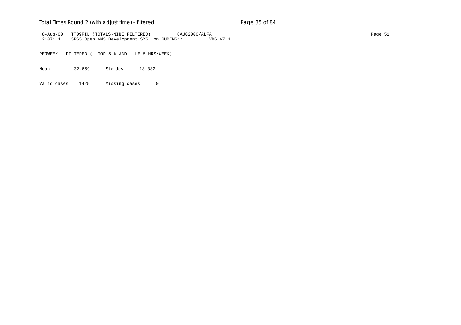## Total Times Round 2 (with adjust time) - *filtered* entitled and page 35 of 84

 8-Aug-00 TT09FIL (TOTALS-NINE FILTERED) 8AUG2000/ALFA Page 51 12:07:11 SPSS Open VMS Development SYS on RUBENS:: VMS V7.1

PERWEEK FILTERED (- TOP 5 % AND - LE 5 HRS/WEEK)

Mean 32.659 Std dev 18.382

Valid cases 1425 Missing cases 0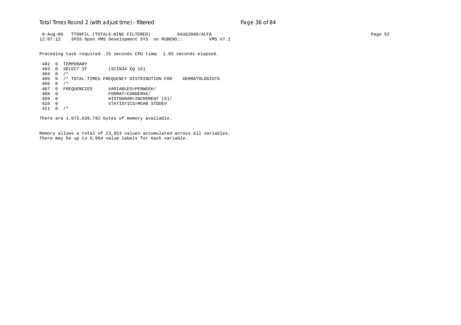### Total Times Round 2 (with adjust time) - *filtered* entitled and page 36 of 84

 8-Aug-00 TT09FIL (TOTALS-NINE FILTERED) 8AUG2000/ALFA Page 52 12:07:12 SPSS Open VMS Development SYS on RUBENS:: VMS V7.1

Preceding task required .25 seconds CPU time; 1.95 seconds elapsed.

```
402 0 TEMPORARY
                  (SCIN34 EQ 15)
404 0 /*
405 0 /* TOTAL TIMES FREQUENCY DISTRIBUTION FOR DERMATOLOGISTS
406 0 /*
407 0 FREQUENCIES VARIABLES=PERWEEK/<br>408 0 FORMAT=CONDENSE/
408 0 FORMAT=CONDENSE/
409 0 HISTOGRAM=INCREMENT (5)/
410 0 STATISTICS=MEAN STDDEV
411 0 /*
```
There are 1,073,639,792 bytes of memory available.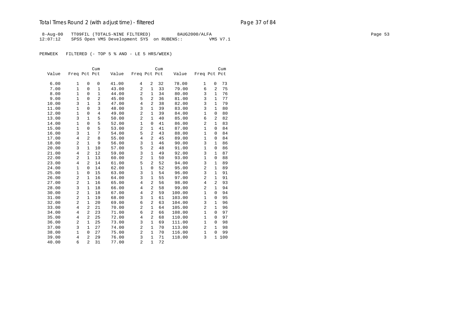# Total Times Round 2 (with adjust time) - *filtered* entitled and page 37 of 84

 8-Aug-00 TT09FIL (TOTALS-NINE FILTERED) 8AUG2000/ALFA Page 53 12:07:12 SPSS Open VMS Development SYS on RUBENS:: VMS V7.1

PERWEEK FILTERED (- TOP 5 % AND - LE 5 HRS/WEEK)

|       |                |                | Cum            |       |                |                | Cum |        |                |                | Cum |
|-------|----------------|----------------|----------------|-------|----------------|----------------|-----|--------|----------------|----------------|-----|
| Value | Freq Pct Pct   |                |                | Value | Freq Pct Pct   |                |     | Value  | Freq Pct Pct   |                |     |
|       |                |                |                |       |                |                |     |        |                |                |     |
| 6.00  | 1              | 0              | 0              | 41.00 | 4              | 2              | 32  | 78.00  | $\mathbf{1}$   | $\mathbf 0$    | 73  |
| 7.00  | $\mathbf{1}$   | $\Omega$       | $\mathbf{1}$   | 43.00 | 2              | $\mathbf{1}$   | 33  | 79.00  | 6              | 2              | 75  |
| 8.00  | $\mathbf{1}$   | $\Omega$       | $\mathbf{1}$   | 44.00 | 2              | $\mathbf{1}$   | 34  | 80.00  | 3              | $\mathbf{1}$   | 76  |
| 9.00  | $\mathbf 1$    | $\mathbf 0$    | 2              | 45.00 | 5              | $\overline{a}$ | 36  | 81.00  | 3              | $\mathbf{1}$   | 77  |
| 10.00 | 3              | $\mathbf{1}$   | 3              | 47.00 | $\overline{4}$ | $\overline{2}$ | 38  | 82.00  | 3              | $\mathbf{1}$   | 79  |
| 11.00 | $\mathbf{1}$   | $\Omega$       | 3              | 48.00 | 3              | $\mathbf{1}$   | 39  | 83.00  | 3              | $\mathbf{1}$   | 80  |
| 12.00 | 1              | $\mathbf 0$    | $\overline{4}$ | 49.00 | $\overline{c}$ | $\mathbf{1}$   | 39  | 84.00  | $\mathbf{1}$   | $\mathbf 0$    | 80  |
| 13.00 | 3              | $\mathbf{1}$   | 5              | 50.00 | $\overline{c}$ | 1              | 40  | 85.00  | 6              | 2              | 82  |
| 14.00 | $\mathbf{1}$   | $\mathbf 0$    | 5              | 52.00 | $\mathbf{1}$   | $\mathbf 0$    | 41  | 86.00  | 2              | $\mathbf{1}$   | 83  |
| 15.00 | $\mathbf{1}$   | $\mathbf 0$    | 5              | 53.00 | $\overline{c}$ | $\mathbf{1}$   | 41  | 87.00  | $\mathbf{1}$   | $\mathbf 0$    | 84  |
| 16.00 | 3              | $\mathbf{1}$   | 7              | 54.00 | 5              | $\overline{2}$ | 43  | 88.00  | $\mathbf{1}$   | $\Omega$       | 84  |
| 17.00 | $\overline{4}$ | $\overline{2}$ | 8              | 55.00 | $\overline{4}$ | $\overline{2}$ | 45  | 89.00  | 1              | $\mathbf 0$    | 84  |
| 18.00 | $\overline{2}$ | $\mathbf{1}$   | 9              | 56.00 | 3              | $\mathbf{1}$   | 46  | 90.00  | 3              | $\mathbf{1}$   | 86  |
| 20.00 | 3              | $\mathbf{1}$   | 10             | 57.00 | 5              | $\overline{2}$ | 48  | 91.00  | 1              | $\mathbf 0$    | 86  |
| 21.00 | $\overline{4}$ | 2              | 12             | 59.00 | 3              | $\mathbf{1}$   | 49  | 92.00  | 3              | $\mathbf{1}$   | 87  |
| 22.00 | 2              | $\mathbf{1}$   | 13             | 60.00 | $\overline{c}$ | $\mathbf{1}$   | 50  | 93.00  | 1              | $\mathbf 0$    | 88  |
| 23.00 | $\overline{4}$ | $\overline{a}$ | 14             | 61.00 | 5              | $\overline{2}$ | 52  | 94.00  | 3              | $\mathbf{1}$   | 89  |
| 24.00 | $\mathbf{1}$   | 0              | 14             | 62.00 | $\mathbf{1}$   | $\mathbf 0$    | 52  | 95.00  | 2              | $\mathbf{1}$   | 89  |
| 25.00 | 1              | $\mathbf 0$    | 15             | 63.00 | 3              | $\mathbf 1$    | 54  | 96.00  | 3              | $\mathbf{1}$   | 91  |
| 26.00 | 2              | $\mathbf{1}$   | 16             | 64.00 | 3              | $\mathbf{1}$   | 55  | 97.00  | $\overline{2}$ | $\mathbf{1}$   | 91  |
| 27.00 | 2              | $\mathbf{1}$   | 16             | 65.00 | $\overline{4}$ | $\overline{2}$ | 56  | 98.00  | $\overline{4}$ | $\overline{a}$ | 93  |
| 28.00 | 3              | $\mathbf{1}$   | 18             | 66.00 | $\overline{4}$ | $\overline{2}$ | 58  | 99.00  | 2              | $\mathbf{1}$   | 94  |
| 30.00 | $\overline{2}$ | 1              | 18             | 67.00 | $\overline{4}$ | $\overline{2}$ | 59  | 100.00 | $\mathbf{1}$   | $\Omega$       | 94  |
| 31.00 | $\overline{2}$ | $\mathbf{1}$   | 19             | 68.00 | 3              | $\mathbf{1}$   | 61  | 103.00 | 1              | 0              | 95  |
| 32.00 | 2              | $\mathbf{1}$   | 20             | 69.00 | 6              | $\overline{2}$ | 63  | 104.00 | 3              | $\mathbf{1}$   | 96  |
| 33.00 | $\overline{4}$ | 2              | 21             | 70.00 | $\overline{a}$ | $\mathbf{1}$   | 64  | 105.00 | 2              | $\mathbf{1}$   | 96  |
| 34.00 | $\overline{4}$ | $\overline{a}$ | 23             | 71.00 | 6              | 2              | 66  | 108.00 | $\mathbf{1}$   | 0              | 97  |
| 35.00 | 4              | $\overline{a}$ | 25             | 72.00 | $\overline{4}$ | $\overline{2}$ | 68  | 110.00 | 1              | 0              | 97  |
| 36.00 | 2              | $\mathbf{1}$   | 25             | 73.00 | 3              | $\mathbf{1}$   | 69  | 111.00 | $\mathbf 1$    | $\mathbf 0$    | 98  |
| 37.00 | 3              | $\mathbf{1}$   | 27             | 74.00 | $\overline{2}$ | $\mathbf{1}$   | 70  | 113.00 | $\overline{a}$ | $\mathbf{1}$   | 98  |
| 38.00 | $\mathbf{1}$   | $\mathbf{0}$   | 27             | 75.00 | $\overline{a}$ | $\mathbf{1}$   | 70  | 116.00 | $\mathbf{1}$   | $\mathbf 0$    | 99  |
| 39.00 | $\overline{4}$ | $\overline{2}$ | 29             | 76.00 | 3              | $\mathbf{1}$   | 71  | 118.00 | 3              | $\mathbf{1}$   | 100 |
| 40.00 | 6              | $\overline{a}$ | 31             | 77.00 | $\overline{a}$ | $\mathbf{1}$   | 72  |        |                |                |     |
|       |                |                |                |       |                |                |     |        |                |                |     |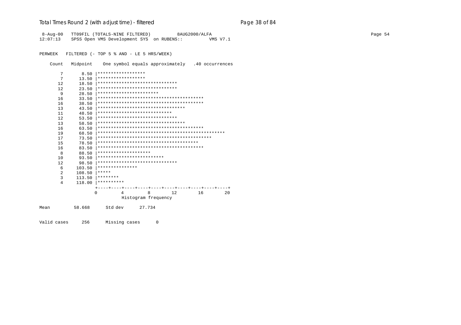# Total Times Round 2 (with adjust time) - *filtered* end and page 28 of 84

 8-Aug-00 TT09FIL (TOTALS-NINE FILTERED) 8AUG2000/ALFA Page 54 12:07:13 SPSS Open VMS Development SYS on RUBENS:: VMS V7.1

PERWEEK FILTERED (- TOP 5 % AND - LE 5 HRS/WEEK)

Count Midpoint One symbol equals approximately .40 occurrences

| 7    | 8.50     | ******************                |
|------|----------|-----------------------------------|
| 7    | 13.50    | ******************                |
| 12.  | 18.50    | ******************************    |
| 12.  | 23.50    | ******************************    |
| 9    | 28.50    | ***********************           |
| 16   | 33.50    |                                   |
| 16   | 38.50    |                                   |
| 13   | 43.50    | ********************************* |
| 11   | 48.50    | ****************************      |
| 12.  | 53.50    | ******************************    |
| 13   | 58.50    | ********************************* |
| 16   | 63.50    |                                   |
| 19   | 68.50    |                                   |
| 17   | 73.50    |                                   |
| 15   | 78.50    |                                   |
| 16   | 83.50    |                                   |
| 8    | 88.50    | ********************              |
| 10   | 93.50    | *************************         |
| 12   | 98.50    | ******************************    |
| 6    | 103.50   | ***************                   |
| 2    | 108.50   | *****                             |
| 3    | 113.50   | ********                          |
| 4    | 118.00   | **********                        |
|      |          |                                   |
|      | $\Omega$ | 16<br>8<br>12<br>20<br>4          |
|      |          | Histogram frequency               |
| Mean | 58.668   | Std dev<br>27.734                 |
|      |          |                                   |

Valid cases 256 Missing cases 0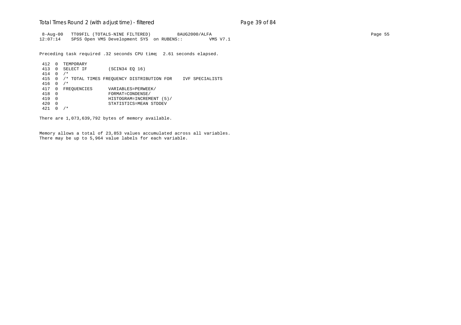### Total Times Round 2 (with adjust time) - *filtered* entitled and page 39 of 84

 8-Aug-00 TT09FIL (TOTALS-NINE FILTERED) 8AUG2000/ALFA Page 55 12:07:14 SPSS Open VMS Development SYS on RUBENS:: VMS V7.1

Preceding task required .32 seconds CPU time; 2.61 seconds elapsed.

412 0 TEMPORARY<br>413 0 SELECT IF (SCIN34 EQ 16) 414 0 /\* 415 0 /\* TOTAL TIMES FREQUENCY DISTRIBUTION FOR IVF SPECIALISTS 416 0 /\* 417 0 FREQUENCIES VARIABLES=PERWEEK/<br>418 0 FORMAT=CONDENSE/ 418 0 FORMAT=CONDENSE/ 419 0 HISTOGRAM=INCREMENT (5)/ 420 0 STATISTICS=MEAN STDDEV 421 0 /\*

There are 1,073,639,792 bytes of memory available.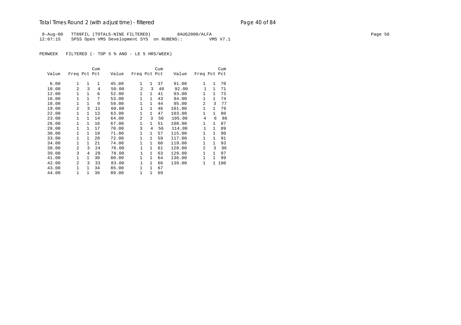# Total Times Round 2 (with adjust time) - *filtered* end and page 40 of 84

8-Aug-00 TT09FIL (TOTALS-NINE FILTERED) 8AUG2000/ALFA Page 56 Page 56 Page 56 12:07:15 SPSS Open VMS Development SYS on RUBENS:: VMS V7.1

PERWEEK FILTERED (- TOP 5 % AND - LE 5 HRS/WEEK)

|       |                |              | Cum            |       |                |              | Cum |        |                |              | Cum |
|-------|----------------|--------------|----------------|-------|----------------|--------------|-----|--------|----------------|--------------|-----|
| Value | Freq Pct Pct   |              |                | Value | Freq Pct Pct   |              |     | Value  | Freq Pct Pct   |              |     |
| 6.00  | $\mathbf{1}$   | $\mathbf{1}$ | $\mathbf{1}$   | 45.00 | $\mathbf{1}$   | $\mathbf{1}$ | 37  | 91.00  | $\mathbf{1}$   | $\mathbf{1}$ | 70  |
| 10.00 | 2              | 3            | $\overline{4}$ | 50.00 | 2              | 3            | 40  | 92.00  | $\mathbf{1}$   | $\mathbf{1}$ | 71  |
| 12.00 | 1              | 1            | 6              | 52.00 | 1              | $\mathbf{1}$ | 41  | 93.00  | 1              | $\mathbf{1}$ | 73  |
| 16.00 | $\mathbf{1}$   | $\mathbf{1}$ | 7              | 53.00 | $\mathbf{1}$   | $\mathbf{1}$ | 43  | 94.00  | $\mathbf{1}$   | $\mathbf{1}$ | 74  |
| 18.00 | 1              | 1            | 9              | 59.00 | $\mathbf{1}$   | $\mathbf{1}$ | 44  | 95.00  | $\overline{a}$ | 3            | 77  |
| 19.00 | $\overline{a}$ | 3            | 11             | 60.00 | 1              | $\mathbf{1}$ | 46  | 101.00 | $\mathbf{1}$   | $\mathbf{1}$ | 79  |
| 22.00 | 1              | 1            | 13             | 63.00 | $\mathbf{1}$   | $\mathbf{1}$ | 47  | 103.00 | $\mathbf{1}$   | $\mathbf{1}$ | 80  |
| 23.00 | $\mathbf{1}$   | 1            | 14             | 64.00 | $\overline{2}$ | 3            | 50  | 105.00 | 4              | 6            | 86  |
| 26.00 | $\mathbf{1}$   | 1            | 16             | 67.00 | 1              | $\mathbf{1}$ | 51  | 108.00 | $\mathbf{1}$   | 1            | 87  |
| 28.00 | $\mathbf{1}$   | 1            | 17             | 70.00 | 3              | 4            | 56  | 114.00 | $\mathbf{1}$   | $\mathbf{1}$ | 89  |
| 30.00 | 1              | $\mathbf{1}$ | 19             | 71.00 | 1              | 1            | 57  | 115.00 | $\mathbf{1}$   | $\mathbf{1}$ | 90  |
| 33.00 | $\mathbf{1}$   | $\mathbf{1}$ | 20             | 72.00 | 1              | $\mathbf{1}$ | 59  | 117.00 | $\mathbf{1}$   | $\mathbf{1}$ | 91  |
| 34.00 | $\mathbf{1}$   | 1            | 21             | 74.00 | $\mathbf{1}$   | $\mathbf{1}$ | 60  | 119.00 | $\mathbf{1}$   | $\mathbf{1}$ | 93  |
| 38.00 | $\overline{a}$ | 3            | 24             | 76.00 | 1              | $\mathbf{1}$ | 61  | 128.00 | $\overline{a}$ | 3            | 96  |
| 39.00 | 3              | 4            | 29             | 78.00 | $\mathbf{1}$   | $\mathbf{1}$ | 63  | 129.00 | $\mathbf{1}$   | $\mathbf{1}$ | 97  |
| 41.00 | $\mathbf{1}$   | $\mathbf{1}$ | 30             | 80.00 | $\mathbf{1}$   | $\mathbf{1}$ | 64  | 136.00 | $\mathbf{1}$   | $\mathbf{1}$ | 99  |
| 42.00 | $\overline{a}$ | 3            | 33             | 83.00 | 1              | $\mathbf{1}$ | 66  | 139.00 | 1              | $\mathbf{1}$ | 100 |
| 43.00 | $\mathbf{1}$   | 1            | 34             | 85.00 | 1              | $\mathbf{1}$ | 67  |        |                |              |     |
| 44.00 | 1              | 1            | 36             | 89.00 | $\mathbf{1}$   | 1            | 69  |        |                |              |     |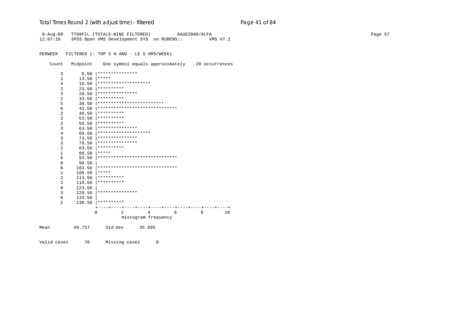#### Total Times Round 2 (with adjust time) - *filtered* entitled and page 41 of 84

 8-Aug-00 TT09FIL (TOTALS-NINE FILTERED) 8AUG2000/ALFA Page 57 12:07:16 SPSS Open VMS Development SYS on RUBENS:: VMS V7.1 PERWEEK FILTERED (- TOP 5 % AND - LE 5 HRS/WEEK) Count Midpoint One symbol equals approximately .20 occurrences 3 8.50 |\*\*\*\*\*\*\*\*\*\*\*\*\*\*\*  $13.50$  \*\*\*\*\* 4 18.50 |\*\*\*\*\*\*\*\*\*\*\*\*\*\*\*\*\*\*\*\* 2 23.50  $**********$ <br>3 28.50 \*\*\*\*\*\*\*\*\*\*\* 3 28.50  $********************$ <br>2 33.50  $***********$ 2  $33.50$   $***********$ <br>5  $38.50$   $***********$  5 38.50 |\*\*\*\*\*\*\*\*\*\*\*\*\*\*\*\*\*\*\*\*\*\*\*\*\* 6 43.50 |\*\*\*\*\*\*\*\*\*\*\*\*\*\*\*\*\*\*\*\*\*\*\*\*\*\*\*\*\*\* 2 48.50 |\*\*\*\*\*\*\*\*\*\* 2  $53.50$   $**********$ 2  $58.50$   $**********$ <br>3 63.50  $**********$  3 63.50 |\*\*\*\*\*\*\*\*\*\*\*\*\*\*\* 4 68.50 |\*\*\*\*\*\*\*\*\*\*\*\*\*\*\*\*\*\*\*\* 3 73.50 |\*\*\*\*\*\*\*\*\*\*\*\*\*\*\* 3 78.50  $********************$ <br>2 83.50  $***********$ 2 83.50  $***********$ <br>1 88.50  $********$ 88.50 |\*\*\*\*\* 6 93.50 |\*\*\*\*\*\*\*\*\*\*\*\*\*\*\*\*\*\*\*\*\*\*\*\*\*\*\*\*\*\* 0 98.50 | 6 103.50 |\*\*\*\*\*\*\*\*\*\*\*\*\*\*\*\*\*\*\*\*\*\*\*\*\*\*\*\*\*\* 1 108.50 |\*\*\*\*\* 2 113.50  $**********$ <br>2 118.50  $***********$ 2 118.50  $***********$  $\begin{array}{cc} 0 & 123.50 \\ 3 & 128.50 \end{array}$ 3 128.50  $************************$  $\begin{array}{cc} 0 & 133.50 \\ 2 & 138.50 \end{array}$  2 138.50 |\*\*\*\*\*\*\*\*\*\* +----+----+----+----+----+----+----+----+----+----+ 0 2 4 6 8 10 Histogram frequency Mean 66.757 Std dev 35.895

Valid cases 70 Missing cases 0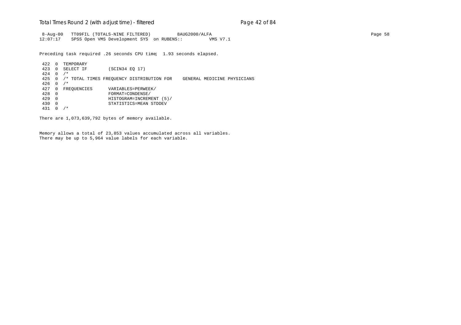### Total Times Round 2 (with adjust time) - *filtered* entitled and page 42 of 84

 8-Aug-00 TT09FIL (TOTALS-NINE FILTERED) 8AUG2000/ALFA Page 58 12:07:17 SPSS Open VMS Development SYS on RUBENS:: VMS V7.1

Preceding task required .26 seconds CPU time; 1.93 seconds elapsed.

422 0 TEMPORARY<br>423 0 SELECT IF (SCIN34 EQ 17) 424 0 /\* 425 0 /\* TOTAL TIMES FREQUENCY DISTRIBUTION FOR GENERAL MEDICINE PHYSICIANS 426 0 /\* 427 0 FREQUENCIES VARIABLES=PERWEEK/<br>428 0 FORMAT=CONDENSE/ 428 0 FORMAT=CONDENSE/ 429 0 HISTOGRAM=INCREMENT (5)/ 430 0 STATISTICS=MEAN STDDEV 431 0 /\*

There are 1,073,639,792 bytes of memory available.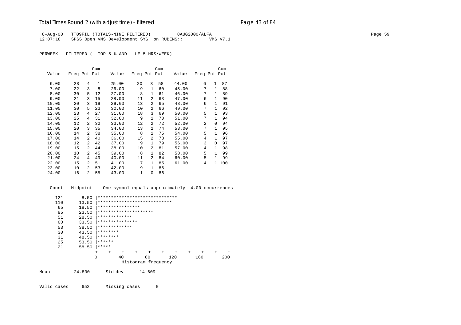# Total Times Round 2 (with adjust time) - *filtered* entitled and page 43 of 84

 8-Aug-00 TT09FIL (TOTALS-NINE FILTERED) 8AUG2000/ALFA Page 59 12:07:18 SPSS Open VMS Development SYS on RUBENS:: VMS V7.1

PERWEEK FILTERED (- TOP 5 % AND - LE 5 HRS/WEEK)

|       |              |                | Cum |       |              |                | Cum |       |                |              | Cum |
|-------|--------------|----------------|-----|-------|--------------|----------------|-----|-------|----------------|--------------|-----|
| Value | Freq Pct Pct |                |     | Value | Freq Pct Pct |                |     | Value | Freq Pct Pct   |              |     |
|       |              |                |     |       |              |                |     |       |                |              |     |
| 6.00  | 28           | 4              | 4   | 25.00 | 20           | 3              | 58  | 44.00 | 6              | $\mathbf{1}$ | 87  |
| 7.00  | 22           | 3              | 8   | 26.00 | 9            | $\mathbf{1}$   | 60  | 45.00 | 7              | $\mathbf{1}$ | 88  |
| 8.00  | 30           | 5              | 12  | 27.00 | 8            | 1              | 61  | 46.00 | 7              | $\mathbf{1}$ | 89  |
| 9.00  | 21           | 3              | 15  | 28.00 | 11           | 2              | 63  | 47.00 | 6              | $\mathbf{1}$ | 90  |
| 10.00 | 20           | 3              | 19  | 29.00 | 13           | 2              | 65  | 48.00 | 6              | $\mathbf{1}$ | 91  |
| 11.00 | 30           | 5              | 23  | 30.00 | 10           | $\overline{a}$ | 66  | 49.00 | 7              | $\mathbf{1}$ | 92  |
| 12.00 | 23           | 4              | 27  | 31.00 | 18           | 3              | 69  | 50.00 | 5              | 1            | 93  |
| 13.00 | 25           | 4              | 31  | 32.00 | 9            | $\mathbf{1}$   | 70  | 51.00 | 7              | $\mathbf{1}$ | 94  |
| 14.00 | 12           | 2              | 32  | 33.00 | 12           | 2              | 72  | 52.00 | $\mathfrak{D}$ | $\Omega$     | 94  |
| 15.00 | 20           | 3              | 35  | 34.00 | 13           | 2              | 74  | 53.00 | 7              | 1            | 95  |
| 16.00 | 14           | $\overline{2}$ | 38  | 35.00 | 8            | $\mathbf{1}$   | 75  | 54.00 | 5              | $\mathbf{1}$ | 96  |
| 17.00 | 14           | $\overline{2}$ | 40  | 36.00 | 15           | 2              | 78  | 55.00 | 4              | $\mathbf{1}$ | 97  |
| 18.00 | 12           | 2              | 42  | 37.00 | 9            | $\mathbf{1}$   | 79  | 56.00 | 3              | 0            | 97  |
| 19.00 | 15           | $\mathcal{L}$  | 44  | 38.00 | 10           | $\overline{a}$ | 81  | 57.00 | 4              | 1            | 98  |
| 20.00 | 10           | $\mathcal{L}$  | 45  | 39.00 | 8            | $\mathbf{1}$   | 82  | 58.00 | 5              | $\mathbf{1}$ | 99  |
| 21.00 | 24           | 4              | 49  | 40.00 | 11           | $\overline{a}$ | 84  | 60.00 | 5              | 1            | 99  |
| 22.00 | 15           | 2              | 51  | 41.00 | 7            | $\mathbf{1}$   | 85  | 61.00 | 4              | $\mathbf{1}$ | 100 |
| 23.00 | 10           | $\mathcal{L}$  | 53  | 42.00 | 9            | $\mathbf{1}$   | 86  |       |                |              |     |
| 24.00 | 16           | $\overline{2}$ | 55  | 43.00 | $\mathbf{1}$ | 0              | 86  |       |                |              |     |

| Count       | Midpoint | One symbol equals approximately 4.00 occurrences |
|-------------|----------|--------------------------------------------------|
| 121         | 8.50     | ******************************                   |
| 110         | 13.50    | ****************************                     |
| 65          | 18.50    | ****************                                 |
| 85          | 23.50    | *********************                            |
| 51          | 28.50    | *************                                    |
| 60          | 33.50    | ***************                                  |
| 53          | 38.50    | *************                                    |
| 30          | 43.50    | ********                                         |
| 31          | 48.50    | ********                                         |
| 25          | 53.50    | ******                                           |
| 21          | 58.50    | *****                                            |
|             |          |                                                  |
|             |          | 80<br>40<br>160<br>200<br>$\Omega$<br>120        |
|             |          | Histogram frequency                              |
|             |          |                                                  |
| Mean        | 24.830   | Std dev<br>14.609                                |
|             |          |                                                  |
|             |          |                                                  |
| Valid cases | 652      | Missing cases<br>0                               |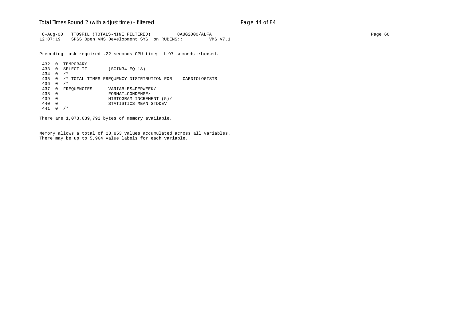### Total Times Round 2 (with adjust time) - *filtered* entitled and page 44 of 84

 8-Aug-00 TT09FIL (TOTALS-NINE FILTERED) 8AUG2000/ALFA Page 60 12:07:19 SPSS Open VMS Development SYS on RUBENS:: VMS V7.1

Preceding task required .22 seconds CPU time; 1.97 seconds elapsed.

```
432 0 TEMPORARY<br>433 0 SELECT IF
                   (SCIN34 EQ 18)
434 0 /*
435 0 /* TOTAL TIMES FREQUENCY DISTRIBUTION FOR CARDIOLOGISTS
436 0 /*
437 0 FREQUENCIES VARIABLES=PERWEEK/<br>438 0 FORMAT=CONDENSE/
438 0 FORMAT=CONDENSE/
439 0 HISTOGRAM=INCREMENT (5)/
440 0 STATISTICS=MEAN STDDEV
441 0 /*
```
There are 1,073,639,792 bytes of memory available.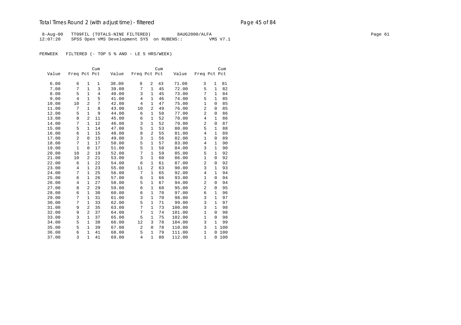# Total Times Round 2 (with adjust time) - *filtered* end and page 45 of 84

8-Aug-00 TT09FIL (TOTALS-NINE FILTERED) 8AUG2000/ALFA Page 61 Page 61 12:07:20 SPSS Open VMS Development SYS on RUBENS:: VMS V7.1

PERWEEK FILTERED (- TOP 5 % AND - LE 5 HRS/WEEK)

|       |                |                | Cum            |       |                |                | Cum |        |                |              | Cum |
|-------|----------------|----------------|----------------|-------|----------------|----------------|-----|--------|----------------|--------------|-----|
| Value | Freq Pct Pct   |                |                | Value | Freq Pct Pct   |                |     | Value  | Freq Pct Pct   |              |     |
|       |                |                |                |       |                |                |     |        |                |              |     |
| 6.00  | 6              | 1              | 1              | 38.00 | 9              | 2              | 43  | 71.00  | 3              | $\mathbf{1}$ | 81  |
| 7.00  | 7              | $\mathbf{1}$   | 3              | 39.00 | 7              | $\mathbf{1}$   | 45  | 72.00  | 5              | $\mathbf{1}$ | 82  |
| 8.00  | 5              | $\mathbf{1}$   | $\overline{4}$ | 40.00 | 3              | $\mathbf{1}$   | 45  | 73.00  | 7              | $\mathbf{1}$ | 84  |
| 9.00  | 4              | $\mathbf{1}$   | 5              | 41.00 | $\overline{4}$ | 1              | 46  | 74.00  | 5              | 1            | 85  |
| 10.00 | 10             | $\overline{2}$ | 7              | 42.00 | $\overline{4}$ | $\mathbf{1}$   | 47  | 75.00  | $\mathbf{1}$   | 0            | 85  |
| 11.00 | 7              | $\mathbf{1}$   | 8              | 43.00 | 10             | $\overline{2}$ | 49  | 76.00  | $\overline{c}$ | 0            | 85  |
| 12.00 | 5              | $\mathbf{1}$   | 9              | 44.00 | 6              | 1              | 50  | 77.00  | 2              | $\mathbf 0$  | 86  |
| 13.00 | 8              | $\overline{2}$ | 11             | 45.00 | 6              | 1              | 52  | 78.00  | 4              | $\mathbf{1}$ | 86  |
| 14.00 | 7              | $\mathbf{1}$   | 12             | 46.00 | 3              | $\mathbf{1}$   | 52  | 79.00  | $\overline{2}$ | $\mathbf 0$  | 87  |
| 15.00 | 5              | $\mathbf{1}$   | 14             | 47.00 | 5              | $\mathbf{1}$   | 53  | 80.00  | 5              | $\mathbf{1}$ | 88  |
| 16.00 | 6              | $\mathbf{1}$   | 15             | 48.00 | 8              | $\overline{2}$ | 55  | 81.00  | $\overline{4}$ | $\mathbf{1}$ | 89  |
| 17.00 | $\overline{2}$ | $\mathbf 0$    | 15             | 49.00 | 3              | $\mathbf{1}$   | 56  | 82.00  | $\mathbf{1}$   | $\mathbf 0$  | 89  |
| 18.00 | 7              | $\mathbf{1}$   | 17             | 50.00 | 5              | $\mathbf{1}$   | 57  | 83.00  | 4              | $\mathbf 1$  | 90  |
| 19.00 | $\mathbf{1}$   | $\mathbf{0}$   | 17             | 51.00 | 5              | $\mathbf{1}$   | 58  | 84.00  | 3              | $\mathbf{1}$ | 90  |
| 20.00 | 10             | $\overline{a}$ | 19             | 52.00 | 7              | $\mathbf{1}$   | 59  | 85.00  | 5              | $\mathbf{1}$ | 92  |
| 21.00 | 10             | $\overline{a}$ | 21             | 53.00 | 3              | $\mathbf{1}$   | 60  | 86.00  | $\mathbf{1}$   | $\mathbf 0$  | 92  |
| 22.00 | 6              | $\mathbf{1}$   | 22             | 54.00 | 6              | $\mathbf{1}$   | 61  | 87.00  | $\overline{a}$ | $\mathbf 0$  | 92  |
| 23.00 | $\overline{4}$ | $\mathbf{1}$   | 23             | 55.00 | 11             | $\overline{2}$ | 63  | 90.00  | 3              | $\mathbf{1}$ | 93  |
| 24.00 | 7              | $\mathbf{1}$   | 25             | 56.00 | 7              | $\mathbf{1}$   | 65  | 92.00  | 4              | $\mathbf{1}$ | 94  |
| 25.00 | 6              | 1              | 26             | 57.00 | 6              | $\mathbf{1}$   | 66  | 93.00  | 1              | $\mathbf 0$  | 94  |
| 26.00 | 4              | 1              | 27             | 58.00 | 5              | 1              | 67  | 94.00  | $\overline{a}$ | 0            | 94  |
| 27.00 | 8              | $\overline{a}$ | 29             | 59.00 | 6              | $\mathbf{1}$   | 68  | 95.00  | 2              | $\mathbf 0$  | 95  |
| 28.00 | 6              | $\mathbf{1}$   | 30             | 60.00 | 6              | $\mathbf{1}$   | 70  | 97.00  | 6              | 1            | 96  |
| 29.00 | 7              | $\mathbf{1}$   | 31             | 61.00 | 3              | $\mathbf{1}$   | 70  | 98.00  | 3              | $\mathbf{1}$ | 97  |
| 30.00 | 7              | $\mathbf{1}$   | 33             | 62.00 | 5              | $\mathbf{1}$   | 71  | 99.00  | 3              | $\mathbf{1}$ | 97  |
| 31.00 | 9              | $\overline{a}$ | 35             | 63.00 | 7              | $\mathbf{1}$   | 73  | 100.00 | 3              | $\mathbf{1}$ | 98  |
| 32.00 | 9              | $\overline{a}$ | 37             | 64.00 | 7              | $\mathbf{1}$   | 74  | 101.00 | $\mathbf{1}$   | $\mathbf 0$  | 98  |
| 33.00 | 3              | $\mathbf{1}$   | 37             | 65.00 | 5              | 1              | 75  | 102.00 | $\mathbf{1}$   | 0            | 98  |
| 34.00 | 5              | $\mathbf{1}$   | 38             | 66.00 | 12             | 3              | 78  | 104.00 | 3              | $\mathbf{1}$ | 99  |
| 35.00 | 5              | $\mathbf{1}$   | 39             | 67.00 | 2              | $\mathbf 0$    | 78  | 110.00 | 3              | 1            | 100 |
| 36.00 | 6              | $\mathbf{1}$   | 41             | 68.00 | 5              | $\mathbf{1}$   | 79  | 111.00 | $\mathbf{1}$   | 0            | 100 |
| 37.00 | 3              | $\mathbf{1}$   | 41             | 69.00 | $\overline{4}$ | $\mathbf{1}$   | 80  | 112.00 | $\mathbf{1}$   | 0            | 100 |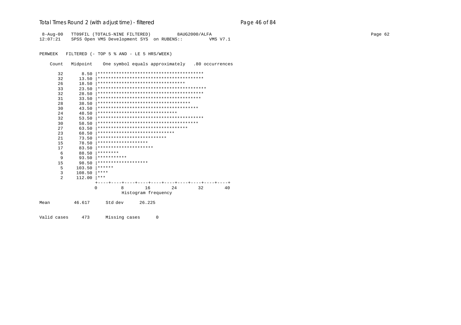## Total Times Round 2 (with adjust time) - *filtered* end and pay and a page 46 of 84

8-Aug-00 TT09FIL (TOTALS-NINE FILTERED) 8AUG2000/ALFA Page 62 12:07:21 SPSS Open VMS Development SYS on RUBENS:: VMS V7.1

PERWEEK FILTERED (- TOP 5 % AND - LE 5 HRS/WEEK)

Count Midpoint One symbol equals approximately .80 occurrences

|      | 32  | 8.50   |                                     |              |                     |    |                                            |    |
|------|-----|--------|-------------------------------------|--------------|---------------------|----|--------------------------------------------|----|
|      | 32  | 13.50  |                                     |              |                     |    |                                            |    |
|      | 26  | 18.50  | *********************************   |              |                     |    |                                            |    |
|      | 33  | 23.50  |                                     |              |                     |    |                                            |    |
|      | 32  | 28.50  |                                     |              |                     |    |                                            |    |
|      | 31  | 33.50  |                                     |              |                     |    |                                            |    |
|      | 28  | 38.50  | *********************************** |              |                     |    |                                            |    |
|      | 30  | 43.50  |                                     |              |                     |    |                                            |    |
|      | 2.4 | 48.50  | ******************************      |              |                     |    |                                            |    |
|      | 32  | 53.50  |                                     |              |                     |    |                                            |    |
|      | 30  | 58.50  |                                     |              |                     |    |                                            |    |
|      | 27  | 63.50  | **********************************  |              |                     |    |                                            |    |
|      | 23  | 68.50  | *****************************       |              |                     |    |                                            |    |
|      | 21  | 73.50  | **************************          |              |                     |    |                                            |    |
|      | 15  | 78.50  | *******************                 |              |                     |    |                                            |    |
|      | 17  | 83.50  | *********************               |              |                     |    |                                            |    |
|      | 6   | 88.50  | ********                            |              |                     |    |                                            |    |
|      | 9   | 93.50  | ***********                         |              |                     |    |                                            |    |
|      | 15  | 98.50  | *******************                 |              |                     |    |                                            |    |
|      | 5   | 103.50 | ******                              |              |                     |    |                                            |    |
|      | 3   | 108.50 | ****                                |              |                     |    |                                            |    |
|      | 2   | 112.00 | ***                                 |              |                     |    |                                            |    |
|      |     |        |                                     |              |                     |    | ---+----+----+----+----+----+----+----+--- |    |
|      |     |        | $\Omega$                            | <sup>8</sup> | 16                  | 24 | 32                                         | 40 |
|      |     |        |                                     |              | Histogram frequency |    |                                            |    |
| Mean |     | 46.617 | Std dev                             |              | 26.225              |    |                                            |    |
|      |     |        |                                     |              |                     |    |                                            |    |

Valid cases 473 Missing cases 0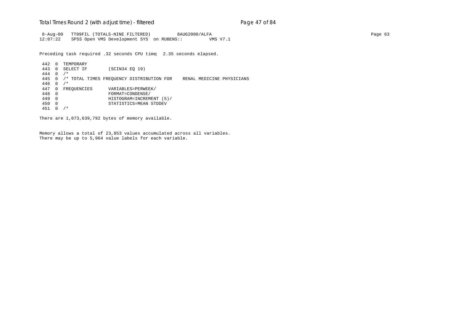### Total Times Round 2 (with adjust time) - *filtered* entitled and page 47 of 84

 8-Aug-00 TT09FIL (TOTALS-NINE FILTERED) 8AUG2000/ALFA Page 63 12:07:22 SPSS Open VMS Development SYS on RUBENS:: VMS V7.1

Preceding task required .32 seconds CPU time; 2.35 seconds elapsed.

442 0 TEMPORARY<br>443 0 SELECT IF (SCIN34 EQ 19) 444 0 /\* 445 0 /\* TOTAL TIMES FREQUENCY DISTRIBUTION FOR RENAL MEDICINE PHYSICIANS 446 0 /\* 447 0 FREQUENCIES VARIABLES=PERWEEK/<br>448 0 FORMAT=CONDENSE/ 448 0 FORMAT=CONDENSE/ 449 0 HISTOGRAM=INCREMENT (5)/ 450 0 STATISTICS=MEAN STDDEV 451 0 /\*

There are 1,073,639,792 bytes of memory available.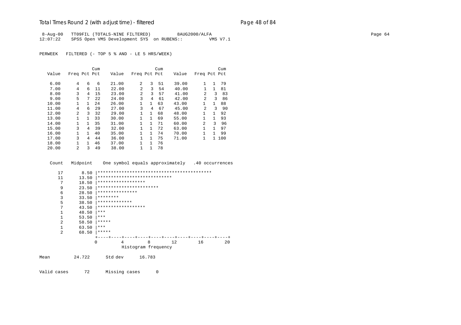### Total Times Round 2 (with adjust time) - *filtered* entitled and page 48 of 84

 8-Aug-00 TT09FIL (TOTALS-NINE FILTERED) 8AUG2000/ALFA Page 64 12:07:22 SPSS Open VMS Development SYS on RUBENS:: VMS V7.1

PERWEEK FILTERED (- TOP 5 % AND - LE 5 HRS/WEEK)

|       |                |              | Cum  |       |                |              | Cum |       |                |              | Cum   |
|-------|----------------|--------------|------|-------|----------------|--------------|-----|-------|----------------|--------------|-------|
| Value | Freq Pct Pct   |              |      | Value | Freq Pct Pct   |              |     | Value | Freq Pct Pct   |              |       |
|       |                |              |      |       |                |              |     |       |                |              |       |
| 6.00  | 4              | 6            | 6    | 21.00 | $\overline{a}$ | 3            | 51  | 39.00 |                | $\mathbf{1}$ | 79    |
| 7.00  | 4              | 6            | 11   | 22.00 | 2              | 3            | 54  | 40.00 |                | $\mathbf{1}$ | 81    |
| 8.00  | 3              | 4            | 15   | 23.00 | $\overline{a}$ | 3            | 57  | 41.00 | $\mathfrak{D}$ | 3            | 83    |
| 9.00  | 5              | 7            | 2.2. | 24.00 | 3              | 4            | 61  | 42.00 | $\mathfrak{D}$ | 3            | 86    |
| 10.00 | $\mathbf{1}$   | 1            | 24   | 26.00 | $\mathbf{1}$   | $\mathbf{1}$ | 63  | 43.00 | 1              | $\mathbf{1}$ | 88    |
| 11.00 | 4              | 6            | 29   | 27.00 | 3              | 4            | 67  | 45.00 | $\mathfrak{D}$ | २            | 90    |
| 12.00 | $\overline{a}$ | 3            | 32   | 29.00 | $\mathbf{1}$   | $\mathbf{1}$ | 68  | 48.00 | 1              | $\mathbf{1}$ | 92    |
| 13.00 | $\mathbf{1}$   | $\mathbf{1}$ | 33   | 30.00 | $\mathbf{1}$   | $\mathbf{1}$ | 69  | 55.00 | 1              | $\mathbf{1}$ | 93    |
| 14.00 | 1              | 1            | 35   | 31.00 | 1              | 1            | 71  | 60.00 | $\mathfrak{D}$ | ζ            | 96    |
| 15.00 | 3              | 4            | 39   | 32.00 | $\mathbf{1}$   | $\mathbf{1}$ | 72  | 63.00 | 1              | 1            | 97    |
| 16.00 | 1              | $\mathbf{1}$ | 40   | 35.00 | $\mathbf{1}$   | $\mathbf{1}$ | 74  | 70.00 | 1              | $\mathbf{1}$ | 99    |
| 17.00 | 3              | 4            | 44   | 36.00 | $\mathbf{1}$   | $\mathbf{1}$ | 75  | 71.00 | 1              |              | 1 100 |
| 18.00 | $\mathbf{1}$   | $\mathbf{1}$ | 46   | 37.00 | $\mathbf{1}$   | $\mathbf{1}$ | 76  |       |                |              |       |
| 20.00 | $\overline{a}$ | 3            | 49   | 38.00 | 1              | 1            | 78  |       |                |              |       |

Count Midpoint One symbol equals approximately .40 occurrences

```
 17 8.50 |*******************************************
        11 13.50 |****************************
          7 18.50 |******************
         9 23.50 |************************<br>6 28.50 |****************
         6 28.50 ************************3 33.50 ********<br>5 38.50 ********** 5 38.50 |*************
         7 43.50 |******************
        \begin{array}{ccc} 1 & 48.50 & \ast \ast \ 1 & 53.50 & \ast \ast \ast \end{array}\begin{array}{ccc} 1 & 53.50 & {***} \\ 2 & 58.50 & {***} \end{array} 2 58.50 |*****
        1 63.50 *2 68.50 **** +----+----+----+----+----+----+----+----+----+----+
                        0 4 8 12 16 20
                                   Histogram frequency
Mean 24.722 Std dev 16.783
```
Valid cases 72 Missing cases 0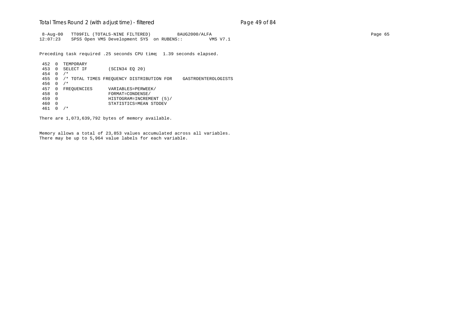### Total Times Round 2 (with adjust time) - *filtered* entitled and page 49 of 84

 8-Aug-00 TT09FIL (TOTALS-NINE FILTERED) 8AUG2000/ALFA Page 65 12:07:23 SPSS Open VMS Development SYS on RUBENS:: VMS V7.1

Preceding task required .25 seconds CPU time; 1.39 seconds elapsed.

452 0 TEMPORARY<br>453 0 SELECT IF (SCIN34 EQ 20) 454 0 /\* 455 0 /\* TOTAL TIMES FREQUENCY DISTRIBUTION FOR GASTROENTEROLOGISTS 456 0 /\* 457 0 FREQUENCIES VARIABLES=PERWEEK/<br>458 0 FORMAT=CONDENSE/ 458 0 FORMAT=CONDENSE/ 459 0 HISTOGRAM=INCREMENT (5)/ 460 0 STATISTICS=MEAN STDDEV 461 0 /\*

There are 1,073,639,792 bytes of memory available.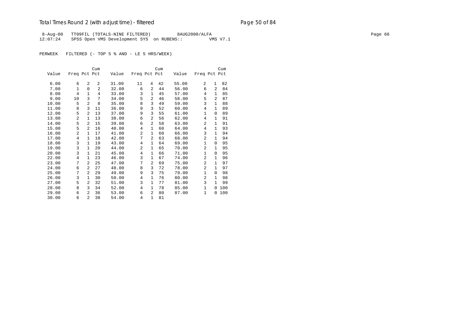# Total Times Round 2 (with adjust time) - *filtered* end and page 50 of 84

 8-Aug-00 TT09FIL (TOTALS-NINE FILTERED) 8AUG2000/ALFA Page 66 12:07:24 SPSS Open VMS Development SYS on RUBENS:: VMS V7.1

PERWEEK FILTERED (- TOP 5 % AND - LE 5 HRS/WEEK)

|       |                |                | Cum            |       |                |                | Cum |       |                |                | Cum |
|-------|----------------|----------------|----------------|-------|----------------|----------------|-----|-------|----------------|----------------|-----|
| Value | Freq Pct Pct   |                |                | Value | Freq Pct Pct   |                |     | Value | Freq Pct Pct   |                |     |
|       |                |                |                |       |                |                |     |       |                |                |     |
| 6.00  | 6              | 2              | 2              | 31.00 | 11             | 4              | 42  | 55.00 | 2              | 1              | 82  |
| 7.00  | $\mathbf{1}$   | $\Omega$       | $\overline{a}$ | 32.00 | 6              | $\overline{a}$ | 44  | 56.00 | 6              | 2              | 84  |
| 8.00  | 4              | $\mathbf{1}$   | 4              | 33.00 | 3              | $\mathbf{1}$   | 45  | 57.00 | 4              | $\mathbf{1}$   | 85  |
| 9.00  | 10             | 3              | 7              | 34.00 | 5              | 2              | 46  | 58.00 | 5              | $\overline{a}$ | 87  |
| 10.00 | 5              | 2              | 8              | 35.00 | 8              | 3              | 49  | 59.00 | 3              | $\mathbf{1}$   | 88  |
| 11.00 | 8              | 3              | 11             | 36.00 | 9              | 3              | 52  | 60.00 | 4              | 1              | 89  |
| 12.00 | 5              | $\overline{a}$ | 13             | 37.00 | 9              | 3              | 55  | 61.00 | $\mathbf{1}$   | 0              | 89  |
| 13.00 | 2              | $\mathbf{1}$   | 13             | 38.00 | 6              | 2              | 56  | 62.00 | 4              | $\mathbf{1}$   | 91  |
| 14.00 | 5              | $\overline{2}$ | 15             | 39.00 | 6              | $\overline{a}$ | 58  | 63.00 | $\overline{2}$ | $\mathbf{1}$   | 91  |
| 15.00 | 5              | 2              | 16             | 40.00 | 4              | $\mathbf{1}$   | 60  | 64.00 | 4              | 1              | 93  |
| 16.00 | 2              | $\mathbf{1}$   | 17             | 41.00 | $\overline{2}$ | $\mathbf{1}$   | 60  | 66.00 | 3              | $\mathbf{1}$   | 94  |
| 17.00 | $\overline{4}$ | $\mathbf{1}$   | 18             | 42.00 | 7              | $\overline{2}$ | 63  | 68.00 | $\overline{2}$ | $\mathbf{1}$   | 94  |
| 18.00 | 3              | $\mathbf{1}$   | 19             | 43.00 | 4              | $\mathbf{1}$   | 64  | 69.00 | $\mathbf{1}$   | $\Omega$       | 95  |
| 19.00 | 3              | 1              | 20             | 44.00 | $\overline{2}$ | $\mathbf{1}$   | 65  | 70.00 | $\overline{2}$ | $\mathbf{1}$   | 95  |
| 20.00 | 3              | 1              | 21             | 45.00 | 4              | 1              | 66  | 71.00 | $\mathbf 1$    | 0              | 95  |
| 22.00 | 4              | $\mathbf{1}$   | 23             | 46.00 | 3              | $\mathbf{1}$   | 67  | 74.00 | $\overline{2}$ | $\mathbf{1}$   | 96  |
| 23.00 | 7              | 2              | 25             | 47.00 | 7              | 2              | 69  | 75.00 | 2              | $\mathbf{1}$   | 97  |
| 24.00 | 6              | 2              | 27             | 48.00 | 8              | 3              | 72  | 78.00 | $\overline{2}$ | $\mathbf{1}$   | 97  |
| 25.00 | 7              | $\overline{a}$ | 29             | 49.00 | 9              | 3              | 75  | 79.00 | 1              | 0              | 98  |
| 26.00 | 3              | $\mathbf{1}$   | 30             | 50.00 | $\overline{4}$ | $\mathbf{1}$   | 76  | 80.00 | $\overline{2}$ | $\mathbf{1}$   | 98  |
| 27.00 | 5              | $\overline{2}$ | 32             | 51.00 | 3              | $\mathbf{1}$   | 77  | 81.00 | 3              | $\mathbf{1}$   | 99  |
| 28.00 | 8              | 3              | 34             | 52.00 | 4              | $\mathbf{1}$   | 78  | 85.00 | 1              | 0              | 100 |
| 29.00 | 6              | 2              | 36             | 53.00 | 6              | 2              | 80  | 87.00 | 1              | 0              | 100 |
| 30.00 | 6              | $\overline{a}$ | 38             | 54.00 | 4              | $\mathbf{1}$   | 81  |       |                |                |     |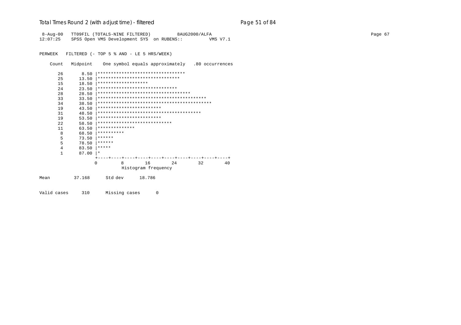# Total Times Round 2 (with adjust time) - *filtered* entitled and page 51 of 84

8-Aug-00 TT09FIL (TOTALS-NINE FILTERED) 8AUG2000/ALFA Page 67 12:07:25 SPSS Open VMS Development SYS on RUBENS:: VMS V7.1

PERWEEK FILTERED (- TOP 5 % AND - LE 5 HRS/WEEK)

Count Midpoint One symbol equals approximately .80 occurrences

|      | 26           | 8.50   | *********************************    |              |                     |        |  |     |  |    |  |    |
|------|--------------|--------|--------------------------------------|--------------|---------------------|--------|--|-----|--|----|--|----|
|      | 25           | 13.50  | *******************************      |              |                     |        |  |     |  |    |  |    |
|      | 15           | 18.50  | *******************                  |              |                     |        |  |     |  |    |  |    |
|      | 24           | 23.50  | ******************************       |              |                     |        |  |     |  |    |  |    |
|      | 28           | 28.50  | ************************************ |              |                     |        |  |     |  |    |  |    |
|      | 33           | 33.50  |                                      |              |                     |        |  |     |  |    |  |    |
|      | 34           | 38.50  |                                      |              |                     |        |  |     |  |    |  |    |
|      | 19           | 43.50  | ************************             |              |                     |        |  |     |  |    |  |    |
|      | 31           | 48.50  |                                      |              |                     |        |  |     |  |    |  |    |
|      | 19           | 53.50  | ************************             |              |                     |        |  |     |  |    |  |    |
|      | 2.2          | 58.50  | ****************************         |              |                     |        |  |     |  |    |  |    |
|      | 11           | 63.50  | **************                       |              |                     |        |  |     |  |    |  |    |
|      | 8            | 68.50  | **********                           |              |                     |        |  |     |  |    |  |    |
|      | 5            | 73.50  | ******                               |              |                     |        |  |     |  |    |  |    |
|      | 5            | 78.50  | ******                               |              |                     |        |  |     |  |    |  |    |
|      | 4            | 83.50  | *****                                |              |                     |        |  |     |  |    |  |    |
|      | $\mathbf{1}$ | 87.00  | $\star$                              |              |                     |        |  |     |  |    |  |    |
|      |              |        |                                      |              |                     |        |  |     |  |    |  |    |
|      |              |        | <sup>0</sup>                         | <sup>8</sup> |                     | 16     |  | 2.4 |  | 32 |  | 40 |
|      |              |        |                                      |              | Histogram frequency |        |  |     |  |    |  |    |
| Mean |              | 37.168 | Std dev                              |              |                     | 18.786 |  |     |  |    |  |    |
|      |              |        |                                      |              |                     |        |  |     |  |    |  |    |

Valid cases 310 Missing cases 0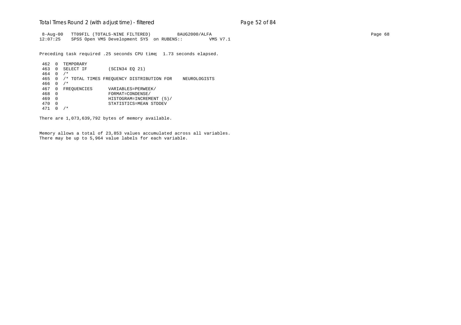### Total Times Round 2 (with adjust time) - *filtered* entitled and page 52 of 84

 8-Aug-00 TT09FIL (TOTALS-NINE FILTERED) 8AUG2000/ALFA Page 68 12:07:25 SPSS Open VMS Development SYS on RUBENS:: VMS V7.1

Preceding task required .25 seconds CPU time; 1.73 seconds elapsed.

```
462 0 TEMPORARY
                  (SCIN34 EQ 21)
464 0 /*
465 0 /* TOTAL TIMES FREQUENCY DISTRIBUTION FOR NEUROLOGISTS
466 0 /*
467 0 FREQUENCIES VARIABLES=PERWEEK/<br>468 0 FORMAT=CONDENSE/
468 0 FORMAT=CONDENSE/
469 0 HISTOGRAM=INCREMENT (5)/
470 0 STATISTICS=MEAN STDDEV
471 0 /*
```
There are 1,073,639,792 bytes of memory available.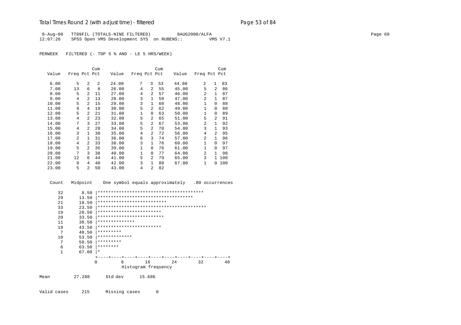## Total Times Round 2 (with adjust time) - *filtered* entitled and page 53 of 84

8-Aug-00 TT09FIL (TOTALS-NINE FILTERED) 8AUG2000/ALFA Page 69 12:07:26 SPSS Open VMS Development SYS on RUBENS:: VMS V7.1

PERWEEK FILTERED (- TOP 5 % AND - LE 5 HRS/WEEK)

|       |                |                | Cum |       |              |                | Cum |       |                |                | Cum |
|-------|----------------|----------------|-----|-------|--------------|----------------|-----|-------|----------------|----------------|-----|
| Value | Freq Pct Pct   |                |     | Value | Freq Pct Pct |                |     | Value | Freq Pct Pct   |                |     |
|       |                |                |     |       |              |                |     |       |                |                |     |
| 6.00  | 5              | $\mathfrak{D}$ | 2   | 24.00 | 7            | 3              | 53  | 44.00 | 2              | $\mathbf{1}$   | 83  |
| 7.00  | 13             | 6              | 8   | 26.00 | 4            | 2              | 55  | 45.00 | 5              | 2              | 86  |
| 8.00  | 5              | $\overline{a}$ | 11  | 27.00 | 4            | 2              | 57  | 46.00 | $\mathfrak{D}$ | $\mathbf{1}$   | 87  |
| 9.00  | 4              | $\mathfrak{D}$ | 13  | 28.00 | 3            | $\mathbf{1}$   | 59  | 47.00 | $\mathfrak{D}$ | $\mathbf{1}$   | 87  |
| 10.00 | 5              | $\mathfrak{D}$ | 15  | 29.00 | 3            | $\mathbf{1}$   | 60  | 48.00 | $\mathbf{1}$   | $\Omega$       | 88  |
| 11.00 | 9              | 4              | 19  | 30.00 | 5            | $\overline{a}$ | 62  | 49.00 | $\mathbf{1}$   | 0              | 88  |
| 12.00 | 5              | 2              | 21  | 31.00 | 1            | $\Omega$       | 63  | 50.00 | 1              | $\Omega$       | 89  |
| 13.00 | 4              | 2              | 23  | 32.00 | 5            | $\overline{a}$ | 65  | 51.00 | 5              | $\mathfrak{D}$ | 91  |
| 14.00 | 7              | ζ              | 27  | 33.00 | 5            | $\overline{a}$ | 67  | 53.00 | $\overline{a}$ | 1              | 92  |
| 15.00 | 4              | $\mathfrak{D}$ | 28  | 34.00 | 5            | $\overline{a}$ | 70  | 54.00 | 3              | 1              | 93  |
| 16.00 | 3              | 1              | 30  | 35.00 | 4            | $\overline{a}$ | 72  | 56.00 | 4              | $\mathfrak{D}$ | 95  |
| 17.00 | $\overline{2}$ | 1              | 31  | 36.00 | 6            | 3              | 74  | 57.00 | $\mathfrak{D}$ | 1              | 96  |
| 18.00 | 4              | 2              | 33  | 38.00 | 3            | $\mathbf{1}$   | 76  | 60.00 | $\mathbf{1}$   | $\Omega$       | 97  |
| 19.00 | 5              | $\mathfrak{D}$ | 35  | 39.00 | 1            | $\Omega$       | 76  | 61.00 | $\mathbf{1}$   | $\Omega$       | 97  |
| 20.00 | 7              | 3              | 38  | 40.00 | $\mathbf{1}$ | $\Omega$       | 77  | 64.00 | $\overline{a}$ | 1              | 98  |
| 21.00 | 12             | 6              | 44  | 41.00 | 5            | $\overline{2}$ | 79  | 65.00 | 3              | 1.             | 100 |
| 22.00 | 9              | 4              | 48  | 42.00 | 3            | $\mathbf{1}$   | 80  | 67.00 | 1              | 0              | 100 |
| 23.00 | 5              | $\mathfrak{D}$ | 50  | 43.00 | 4            | 2              | 82  |       |                |                |     |

Count Midpoint One symbol equals approximately .80 occurrences

| 32   | 8.50   |                            |   |                     |                                      |    |    |
|------|--------|----------------------------|---|---------------------|--------------------------------------|----|----|
| 29   | 13.50  |                            |   |                     | ************************************ |    |    |
| 21   | 18.50  | ************************** |   |                     |                                      |    |    |
| 33   | 23.50  |                            |   |                     |                                      |    |    |
| 19   | 28.50  | ************************   |   |                     |                                      |    |    |
| 20   | 33.50  | *************************  |   |                     |                                      |    |    |
| 11   | 38.50  | **************             |   |                     |                                      |    |    |
| 19   | 43.50  | ************************   |   |                     |                                      |    |    |
| 7    | 48.50  | *********                  |   |                     |                                      |    |    |
| 10   | 53.50  | *************              |   |                     |                                      |    |    |
| 7    | 58.50  | *********                  |   |                     |                                      |    |    |
| 6    | 63.50  | ********                   |   |                     |                                      |    |    |
|      | 67.00  | $\star$                    |   |                     |                                      |    |    |
|      |        |                            |   |                     |                                      |    |    |
|      |        | 0                          | 8 | 16                  | 2.4                                  | 32 | 40 |
|      |        |                            |   | Histogram frequency |                                      |    |    |
| Mean | 27.288 | Std dev                    |   | 15.686              |                                      |    |    |

Valid cases 215 Missing cases 0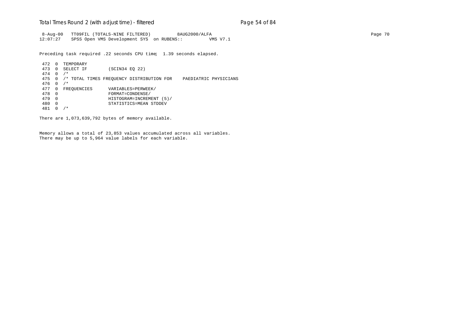### Total Times Round 2 (with adjust time) - *filtered* entitled and page 54 of 84

 8-Aug-00 TT09FIL (TOTALS-NINE FILTERED) 8AUG2000/ALFA Page 70 12:07:27 SPSS Open VMS Development SYS on RUBENS:: VMS V7.1

Preceding task required .22 seconds CPU time; 1.39 seconds elapsed.

472 0 TEMPORARY<br>473 0 SELECT IF (SCIN34 EQ 22) 474 0 /\* 475 0 /\* TOTAL TIMES FREQUENCY DISTRIBUTION FOR PAEDIATRIC PHYSICIANS 476 0 /\* 477 0 FREQUENCIES VARIABLES=PERWEEK/<br>478 0 FORMAT=CONDENSE/ 478 0 FORMAT=CONDENSE/ 479 0 HISTOGRAM=INCREMENT (5)/ 480 0 STATISTICS=MEAN STDDEV 481 0 /\*

There are 1,073,639,792 bytes of memory available.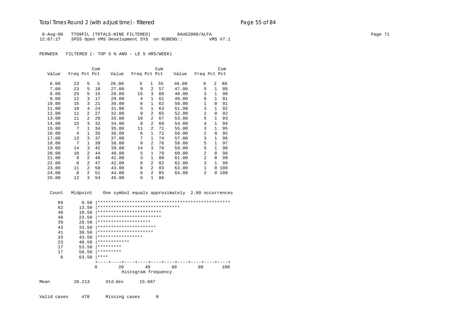## Total Times Round 2 (with adjust time) - *filtered* entitled and page 55 of 84

 8-Aug-00 TT09FIL (TOTALS-NINE FILTERED) 8AUG2000/ALFA Page 71 12:07:27 SPSS Open VMS Development SYS on RUBENS:: VMS V7.1

PERWEEK FILTERED (- TOP 5 % AND - LE 5 HRS/WEEK)

|       |              |              | Cum |       |                |                | Cum |       |                |                | Cum |
|-------|--------------|--------------|-----|-------|----------------|----------------|-----|-------|----------------|----------------|-----|
| Value | Freq Pct Pct |              |     | Value | Freq Pct Pct   |                |     | Value | Freq Pct Pct   |                |     |
|       |              |              |     |       |                |                |     |       |                |                |     |
| 6.00  | 23           | 5            | 5   | 26.00 | 5              | $\mathbf{1}$   | 55  | 46.00 | 8              | $\overline{a}$ | 88  |
| 7.00  | 23           | 5            | 10  | 27.00 | 9              | 2              | 57  | 47.00 | 5              | $\mathbf{1}$   | 89  |
| 8.00  | 25           | 5            | 15  | 28.00 | 15             | 3              | 60  | 48.00 | 3              | $\mathbf{1}$   | 90  |
| 9.00  | 12           | 3            | 17  | 29.00 | $\overline{4}$ | 1              | 61  | 49.00 | 6              | $\mathbf{1}$   | 91  |
| 10.00 | 16           | 3            | 21  | 30.00 | 6              | $\mathbf{1}$   | 62  | 50.00 | 1              | $\Omega$       | 91  |
| 11.00 | 18           | 4            | 24  | 31.00 | 5              | $\mathbf{1}$   | 63  | 51.00 | 3              | $\mathbf{1}$   | 92  |
| 12.00 | 11           | 2            | 27  | 32.00 | 9              | $\overline{a}$ | 65  | 52.00 | $\overline{a}$ | $\Omega$       | 92  |
| 13.00 | 11           | 2            | 29  | 33.00 | 10             | $\overline{a}$ | 67  | 53.00 | 5              | $\mathbf{1}$   | 93  |
| 14.00 | 15           | 3            | 32  | 34.00 | 8              | $\overline{a}$ | 69  | 54.00 | 4              | $\mathbf{1}$   | 94  |
| 15.00 | 7            | $\mathbf{1}$ | 34  | 35.00 | 11             | 2              | 71  | 55.00 | 3              | $\mathbf{1}$   | 95  |
| 16.00 | 4            | $\mathbf{1}$ | 35  | 36.00 | 6              | $\mathbf{1}$   | 72  | 56.00 | $\mathfrak{D}$ | $\Omega$       | 95  |
| 17.00 | 13           | 3            | 37  | 37.00 | 7              | $\mathbf{1}$   | 74  | 57.00 | 3              | 1              | 96  |
| 18.00 | 7            | 1            | 39  | 38.00 | 9              | 2              | 76  | 58.00 | 5              | 1              | 97  |
| 19.00 | 14           | 3            | 42  | 39.00 | 14             | 3              | 78  | 59.00 | 5              | $\mathbf{1}$   | 98  |
| 20.00 | 10           | 2            | 44  | 40.00 | 5              | $\mathbf{1}$   | 79  | 60.00 | $\mathfrak{D}$ | $\Omega$       | 98  |
| 21.00 | 9            | 2            | 46  | 41.00 | 3              | $\mathbf{1}$   | 80  | 61.00 | $\overline{a}$ | $\Omega$       | 99  |
| 22.00 | 8            | 2            | 47  | 42.00 | 8              | 2              | 82  | 62.00 | 3              | $\mathbf{1}$   | 99  |
| 23.00 | 11           | 2            | 50  | 43.00 | 8              | 2              | 83  | 63.00 | $\mathbf{1}$   | $\Omega$       | 100 |
| 24.00 | 8            | 2            | 51  | 44.00 | 8              | $\overline{a}$ | 85  | 64.00 | $\overline{a}$ | 0              | 100 |
| 25.00 | 12           | 3            | 54  | 45.00 | 6              | 1              | 86  |       |                |                |     |

Count Midpoint One symbol equals approximately 2.00 occurrences

| 99   | 8.50   |                                 |                     |    |    |     |
|------|--------|---------------------------------|---------------------|----|----|-----|
| 62   | 13.50  | ******************************* |                     |    |    |     |
| 48   | 18.50  | ************************        |                     |    |    |     |
| 48   | 23.50  | ************************        |                     |    |    |     |
| 39   | 28.50  | ********************            |                     |    |    |     |
| 43   | 33.50  | **********************          |                     |    |    |     |
| 41   | 38.50  | *********************           |                     |    |    |     |
| 33   | 43.50  | *****************               |                     |    |    |     |
| 23   | 48.50  | ************                    |                     |    |    |     |
| 17   | 53.50  | *********                       |                     |    |    |     |
| 17   | 58.50  | *********                       |                     |    |    |     |
| 8    | 63.50  | ****                            |                     |    |    |     |
|      |        |                                 |                     |    |    |     |
|      |        | 20<br>0                         | 40                  | 60 | 80 | 100 |
|      |        |                                 | Histogram frequency |    |    |     |
| Mean | 26.213 | Std dev                         | 15.687              |    |    |     |

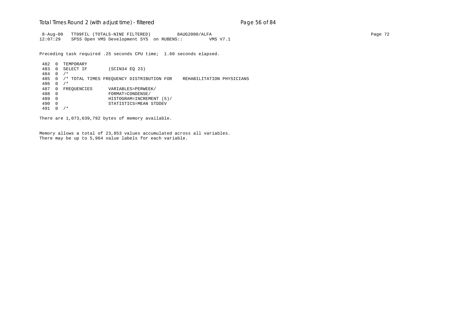### Total Times Round 2 (with adjust time) - *filtered* entitled and page 56 of 84

 8-Aug-00 TT09FIL (TOTALS-NINE FILTERED) 8AUG2000/ALFA Page 72 12:07:29 SPSS Open VMS Development SYS on RUBENS:: VMS V7.1

Preceding task required .25 seconds CPU time; 1.60 seconds elapsed.

 482 0 TEMPORARY (SCIN34 EQ 23) 484 0 /\* 485 0 /\* TOTAL TIMES FREQUENCY DISTRIBUTION FOR REHABILITATION PHYSICIANS 486 0 /\* 487 0 FREQUENCIES VARIABLES=PERWEEK/<br>488 0 FORMAT=CONDENSE/ 488 0 FORMAT=CONDENSE/ 489 0 HISTOGRAM=INCREMENT (5)/ 490 0 STATISTICS=MEAN STDDEV 491 0 /\*

There are 1,073,639,792 bytes of memory available.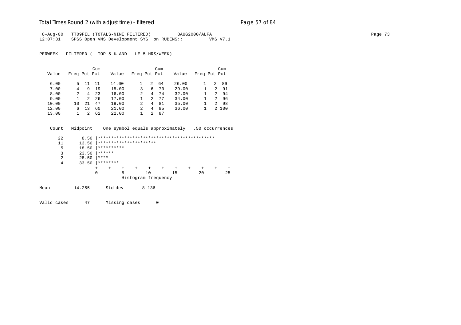## Total Times Round 2 (with adjust time) - *filtered* entitled and page 57 of 84

8-Aug-00 TT09FIL (TOTALS-NINE FILTERED) 8AUG2000/ALFA Page 73 12:07:31 SPSS Open VMS Development SYS on RUBENS:: VMS V7.1

PERWEEK FILTERED (- TOP 5 % AND - LE 5 HRS/WEEK)

|       |               |    | Cum |       |               |                | Cum |       |              |                | Cum   |
|-------|---------------|----|-----|-------|---------------|----------------|-----|-------|--------------|----------------|-------|
| Value | Freq Pct Pct  |    |     | Value | Freq Pct Pct  |                |     | Value | Freq Pct Pct |                |       |
| 6.00  | 5.            | 11 | 11  | 14.00 |               | 2              | 64  | 26.00 |              | 2              | 89    |
| 7.00  | 4             | 9  | 19  | 15.00 | 3             | 6              | 70  | 29.00 |              | $\mathcal{L}$  | 91    |
| 8.00  | $\mathcal{L}$ | 4  | 23  | 16.00 | 2             | 4              | 74  | 32.00 |              | $\overline{2}$ | -94   |
| 9.00  |               | 2  | 26  | 17.00 |               | 2              | 77  | 34.00 |              | 2              | 96    |
| 10.00 | 10            | 21 | 47  | 19.00 | 2             | 4              | 81  | 35.00 |              | 2              | 98    |
| 12.00 | 6             | 13 | 60  | 21.00 | $\mathcal{L}$ | 4              | 85  | 36.00 |              |                | 2 100 |
| 13.00 |               |    | 62  | 22.00 |               | $\mathfrak{D}$ | 87  |       |              |                |       |

Count Midpoint One symbol equals approximately .50 occurrences

|      | 22 | 8.50   |            |   |                                 |    |    |    |
|------|----|--------|------------|---|---------------------------------|----|----|----|
|      | 11 | 13.50  |            |   | **********************          |    |    |    |
|      | 5  | 18.50  | ********** |   |                                 |    |    |    |
|      | 3  | 23.50  | ******     |   |                                 |    |    |    |
|      | 2  | 28.50  | ****       |   |                                 |    |    |    |
|      | 4  | 33.50  | ********   |   |                                 |    |    |    |
|      |    |        |            |   | +----+----+----+----+----+----+ |    |    |    |
|      |    |        | 0          | 5 | 10                              | 15 | 20 | 25 |
|      |    |        |            |   | Histogram frequency             |    |    |    |
| Mean |    | 14.255 | Std dev    |   | 8.136                           |    |    |    |

Valid cases 47 Missing cases 0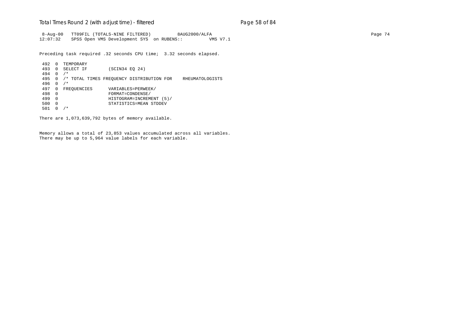### Total Times Round 2 (with adjust time) - *filtered* entitled and page 58 of 84

 8-Aug-00 TT09FIL (TOTALS-NINE FILTERED) 8AUG2000/ALFA Page 74 12:07:32 SPSS Open VMS Development SYS on RUBENS:: VMS V7.1

Preceding task required .32 seconds CPU time; 3.32 seconds elapsed.

492 0 TEMPORARY<br>493 0 SELECT IF (SCIN34 EQ 24) 494 0 /\* 495 0 /\* TOTAL TIMES FREQUENCY DISTRIBUTION FOR RHEUMATOLOGISTS 496 0 /\* 497 0 FREQUENCIES VARIABLES=PERWEEK/<br>498 0 FORMAT=CONDENSE/ 498 0 FORMAT=CONDENSE/ 499 0 HISTOGRAM=INCREMENT (5)/ 500 0 STATISTICS=MEAN STDDEV 501 0 /\*

There are 1,073,639,792 bytes of memory available.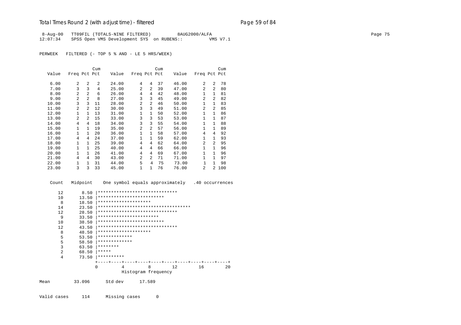## Total Times Round 2 (with adjust time) - *filtered* entitled and page 59 of 84

8-Aug-00 TT09FIL (TOTALS-NINE FILTERED) 8AUG2000/ALFA Page 75 12:07:34 SPSS Open VMS Development SYS on RUBENS:: VMS V7.1

PERWEEK FILTERED (- TOP 5 % AND - LE 5 HRS/WEEK)

|       |                |                | Cum |       |                |                | Cum |       |                |                | Cum |
|-------|----------------|----------------|-----|-------|----------------|----------------|-----|-------|----------------|----------------|-----|
| Value | Freq Pct Pct   |                |     | Value | Freq Pct Pct   |                |     | Value | Freq Pct Pct   |                |     |
| 6.00  | 2              | 2              | 2   | 24.00 | 4              | 4              | 37  | 46.00 | $\mathfrak{D}$ | $\mathfrak{D}$ | 78  |
| 7.00  | 3              | 3              | 4   | 25.00 | $\mathfrak{D}$ | $\overline{a}$ | 39  | 47.00 | $\overline{a}$ | $\overline{2}$ | 80  |
| 8.00  | 2              | $\overline{a}$ | 6   | 26.00 | 4              | 4              | 42  | 48.00 | $\mathbf{1}$   | 1              | 81  |
| 9.00  | $\overline{a}$ | $\mathfrak{D}$ | 8   | 27.00 | 3              | 3              | 45  | 49.00 | $\overline{a}$ | $\mathfrak{D}$ | 82  |
| 10.00 | 3              | 3              | 11  | 28.00 | $\mathfrak{D}$ | 2              | 46  | 50.00 | $\mathbf{1}$   | $\mathbf{1}$   | 83  |
| 11.00 | 2              | 2              | 12  | 30.00 | 3              | 3              | 49  | 51.00 | $\mathfrak{D}$ | $\mathfrak{D}$ | 85  |
| 12.00 | 1              | 1              | 13  | 31.00 | 1              | $\mathbf{1}$   | 50  | 52.00 | 1              | 1              | 86  |
| 13.00 | $\mathfrak{D}$ | $\mathfrak{D}$ | 15  | 33.00 | 3              | 3              | 53  | 53.00 | $\mathbf{1}$   | $\mathbf{1}$   | 87  |
| 14.00 | 4              | 4              | 18  | 34.00 | 3              | 3              | 55  | 54.00 | $\mathbf{1}$   | $\mathbf{1}$   | 88  |
| 15.00 | $\mathbf{1}$   | $\mathbf{1}$   | 19  | 35.00 | $\overline{2}$ | $\overline{a}$ | 57  | 56.00 | $\mathbf{1}$   | $\mathbf{1}$   | 89  |
| 16.00 | $\mathbf{1}$   | 1              | 20  | 36.00 | 1              | $\mathbf{1}$   | 58  | 57.00 | 4              | 4              | 92  |
| 17.00 | 4              | 4              | 24  | 37.00 | 1              | $\mathbf{1}$   | 59  | 62.00 | $\mathbf{1}$   | $\mathbf{1}$   | 93  |
| 18.00 | 1              | $\mathbf{1}$   | 25  | 39.00 | 4              | 4              | 62  | 64.00 | $\mathfrak{D}$ | $\overline{a}$ | 95  |
| 19.00 | $\mathbf{1}$   | $\mathbf{1}$   | 25  | 40.00 | 4              | 4              | 66  | 66.00 | $\mathbf{1}$   | $\mathbf{1}$   | 96  |
| 20.00 | 1              | $\mathbf{1}$   | 26  | 41.00 | 4              | 4              | 69  | 67.00 | 1              | $\mathbf{1}$   | 96  |
| 21.00 | 4              | 4              | 30  | 43.00 | $\overline{a}$ | $\overline{a}$ | 71  | 71.00 | 1              | $\mathbf{1}$   | 97  |
| 22.00 | 1              | 1              | 31  | 44.00 | 5              | 4              | 75  | 73.00 | $\mathbf{1}$   | $\mathbf{1}$   | 98  |
| 23.00 | 3              | 3              | 33  | 45.00 | 1              | 1              | 76  | 76.00 | $\mathfrak{D}$ | $\overline{2}$ | 100 |

Count Midpoint One symbol equals approximately .40 occurrences

| 12             | 8.50   |                      | ******************************              |    |    |    |
|----------------|--------|----------------------|---------------------------------------------|----|----|----|
| 10             | 13.50  |                      | *************************                   |    |    |    |
| 8              | 18.50  | ******************** |                                             |    |    |    |
| 14             | 23.50  |                      | ***********************************         |    |    |    |
| 12             | 28.50  |                      | ******************************              |    |    |    |
| 9              | 33.50  |                      | ***********************                     |    |    |    |
| 10             | 38.50  |                      | *************************                   |    |    |    |
| 12             | 43.50  |                      | ******************************              |    |    |    |
| 8              | 48.50  | ******************** |                                             |    |    |    |
| 5              | 53.50  | *************        |                                             |    |    |    |
| 5              | 58.50  | *************        |                                             |    |    |    |
| 3              | 63.50  | ********             |                                             |    |    |    |
| $\overline{a}$ | 68.50  | *****                |                                             |    |    |    |
| 4              | 73.50  | **********           |                                             |    |    |    |
|                |        |                      | ----+----+----+----+----+----+----+----+--- |    |    |    |
|                |        | 0<br>4               | 8                                           | 12 | 16 | 20 |
|                |        |                      | Histogram frequency                         |    |    |    |
| Mean           | 33.096 | Std dev              | 17.589                                      |    |    |    |

Valid cases 114 Missing cases 0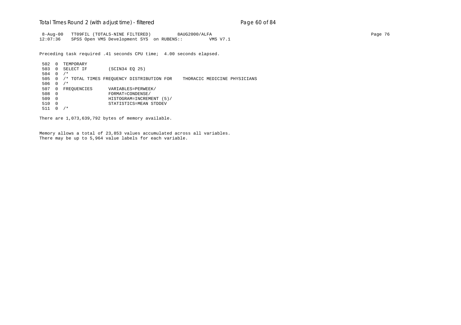### Total Times Round 2 (with adjust time) - *filtered* end and page 60 of 84

 8-Aug-00 TT09FIL (TOTALS-NINE FILTERED) 8AUG2000/ALFA Page 76 12:07:36 SPSS Open VMS Development SYS on RUBENS:: VMS V7.1

Preceding task required .41 seconds CPU time; 4.00 seconds elapsed.

502 0 TEMPORARY<br>503 0 SELECT IF (SCIN34 EQ 25) 504 0 /\* 505 0 /\* TOTAL TIMES FREQUENCY DISTRIBUTION FOR THORACIC MEDICINE PHYSICIANS 506 0 /\* 507 0 FREQUENCIES VARIABLES=PERWEEK/ 508 0 FORMAT=CONDENSE/ 509 0 HISTOGRAM=INCREMENT (5)/ 510 0 STATISTICS=MEAN STDDEV 511 0 /\*

There are 1,073,639,792 bytes of memory available.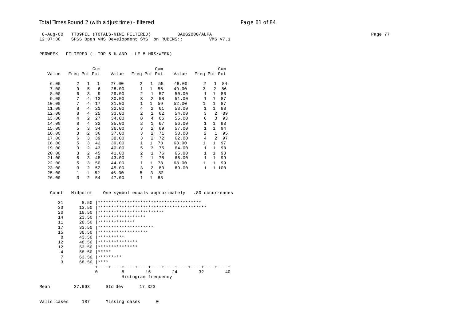#### Total Times Round 2 (with adjust time) - *filtered* Page 61 of 84

8-Aug-00 TT09FIL (TOTALS-NINE FILTERED) 8AUG2000/ALFA Page 77 12:07:38 SPSS Open VMS Development SYS on RUBENS:: VMS V7.1

PERWEEK FILTERED (- TOP 5 % AND - LE 5 HRS/WEEK)

|       |              |                | Cum |       |                |                | Cum |       |                |                | Cum |
|-------|--------------|----------------|-----|-------|----------------|----------------|-----|-------|----------------|----------------|-----|
| Value | Freq Pct Pct |                |     | Value | Freq Pct Pct   |                |     | Value | Freq Pct Pct   |                |     |
| 6.00  | 2            | $\mathbf{1}$   | 1   | 27.00 | 2              | $\mathbf{1}$   | 55  | 48.00 | 2              | 1              | 84  |
| 7.00  | 9            | 5              | 6   | 28.00 | $\mathbf 1$    | $\mathbf{1}$   | 56  | 49.00 | 3              | $\mathfrak{D}$ | 86  |
| 8.00  | 6            | 3              | 9   | 29.00 | $\overline{a}$ | 1              | 57  | 50.00 | 1              | $\mathbf{1}$   | 86  |
| 9.00  | 7            | 4              | 13  | 30.00 | 3              | $\overline{2}$ | 58  | 51.00 | $\mathbf{1}$   | $\mathbf{1}$   | 87  |
| 10.00 | 7            | 4              | 17  | 31.00 | $\mathbf 1$    | 1              | 59  | 52.00 | 1              | 1              | 87  |
| 11.00 | 8            | 4              | 21  | 32.00 | 4              | 2              | 61  | 53.00 | 1              | $\mathbf{1}$   | 88  |
| 12.00 | 8            | 4              | 25  | 33.00 | 2              | $\mathbf{1}$   | 62  | 54.00 | 3              | $\overline{2}$ | 89  |
| 13.00 | 4            | $\overline{a}$ | 27  | 34.00 | 8              | $\overline{4}$ | 66  | 55.00 | 6              | 3              | 93  |
| 14.00 | 8            | 4              | 32  | 35.00 | $\overline{a}$ | 1              | 67  | 56.00 | 1              | $\mathbf{1}$   | 93  |
| 15.00 | 5            | 3              | 34  | 36.00 | 3              | $\mathfrak{D}$ | 69  | 57.00 | $\mathbf{1}$   | $\mathbf{1}$   | 94  |
| 16.00 | 3            | $\overline{a}$ | 36  | 37.00 | 3              | 2              | 71  | 58.00 | $\overline{2}$ | $\mathbf{1}$   | 95  |
| 17.00 | 6            | 3              | 39  | 38.00 | 3              | $\overline{a}$ | 72  | 62.00 | $\overline{4}$ | $\mathfrak{D}$ | 97  |
| 18.00 | 5            | 3              | 42  | 39.00 | $\mathbf 1$    | 1              | 73  | 63.00 | 1              | $\mathbf{1}$   | 97  |
| 19.00 | 3            | $\overline{2}$ | 43  | 40.00 | 5              | 3              | 75  | 64.00 | $\mathbf{1}$   | 1              | 98  |
| 20.00 | 3            | $\overline{a}$ | 45  | 41.00 | $\overline{a}$ | $\mathbf{1}$   | 76  | 65.00 | $\mathbf{1}$   | $\mathbf{1}$   | 98  |
| 21.00 | 5            | 3              | 48  | 43.00 | 2              | 1              | 78  | 66.00 | $\mathbf{1}$   | 1              | 99  |
| 22.00 | 5            | 3              | 50  | 44.00 | $\mathbf{1}$   | $\mathbf{1}$   | 78  | 68.00 | 1              | $\mathbf{1}$   | 99  |
| 23.00 | 3            | $\overline{a}$ | 52  | 45.00 | 3              | $\overline{a}$ | 80  | 69.00 | $\mathbf{1}$   | $\mathbf{1}$   | 100 |
| 25.00 | 1            | $\mathbf{1}$   | 52  | 46.00 | 5              | 3              | 82  |       |                |                |     |
| 26.00 | 3            | 2              | 54  | 47.00 | 1              | $\mathbf{1}$   | 83  |       |                |                |     |

 Count Midpoint One symbol equals approximately .80 occurrences 31 8.50 |\*\*\*\*\*\*\*\*\*\*\*\*\*\*\*\*\*\*\*\*\*\*\*\*\*\*\*\*\*\*\*\*\*\*\*\*\*\*\* 33 13.50 |\*\*\*\*\*\*\*\*\*\*\*\*\*\*\*\*\*\*\*\*\*\*\*\*\*\*\*\*\*\*\*\*\*\*\*\*\*\*\*\*\* 20 18.50 \*\*\*\*\*\*\*\*\*\*\*\*\*\*\*\*\*\*\*\*\*\*\*\*\*\*\*\*\*<br>14 23.50 \*\*\*\*\*\*\*\*\*\*\*\*\*\*\*\*\*\*\*\*\*\*\*\*\*\*\*\*\*\*\*\* 14 23.50 |\*\*\*\*\*\*\*\*\*\*\*\*\*\*\*\*\*\* 11 28.50  $*********************$ <br>17 33.50 \*\*\*\*\*\*\*\*\*\*\*\*\*\*\* 17 33.50 |\*\*\*\*\*\*\*\*\*\*\*\*\*\*\*\*\*\*\*\*\* 15 38.50 |\*\*\*\*\*\*\*\*\*\*\*\*\*\*\*\*\*\*\* 8  $43.50$   $***********$ <br>12  $48.50$   $***********$  12 48.50 |\*\*\*\*\*\*\*\*\*\*\*\*\*\*\*  $\begin{array}{ccc} 12 & 53.50 \end{array}$  | \*\*\*\*\*\*\*\*\*\*\*\*\*\*\*\*\*\*\* 4  $58.50$   $****$ <br>7  $63.50$   $****$ 7 63.50  $*********$ <br>3 68.50 \*\*\*\*  $68.50$  |\*\*\*\* +----+----+----+----+----+----+----+----+----+----+ 0 8 16 24 32 40 Histogram frequency Mean 27.963 Std dev 17.323 Valid cases 187 Missing cases 0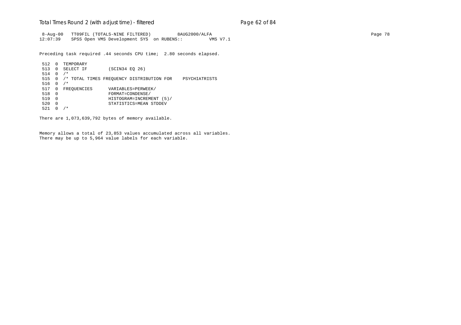### Total Times Round 2 (with adjust time) - *filtered* entitled and page 62 of 84

 8-Aug-00 TT09FIL (TOTALS-NINE FILTERED) 8AUG2000/ALFA Page 78 12:07:39 SPSS Open VMS Development SYS on RUBENS:: VMS V7.1

Preceding task required .44 seconds CPU time; 2.80 seconds elapsed.

512 0 TEMPORARY<br>513 0 SELECT IF (SCIN34 EQ 26) 514 0 /\* 515 0 /\* TOTAL TIMES FREQUENCY DISTRIBUTION FOR PSYCHIATRISTS 516 0 /\* 517 0 FREQUENCIES VARIABLES=PERWEEK/<br>518 0 FORMAT=CONDENSE/ 518 0 FORMAT=CONDENSE/ 519 0 HISTOGRAM=INCREMENT (5)/ 520 0 STATISTICS=MEAN STDDEV 521 0 /\*

There are 1,073,639,792 bytes of memory available.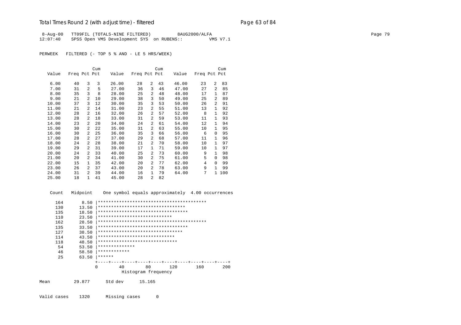### Total Times Round 2 (with adjust time) - *filtered* entitled and page 63 of 84

 8-Aug-00 TT09FIL (TOTALS-NINE FILTERED) 8AUG2000/ALFA Page 79 12:07:40 SPSS Open VMS Development SYS on RUBENS:: VMS V7.1

PERWEEK FILTERED (- TOP 5 % AND - LE 5 HRS/WEEK)

|       |              |                | Cum |       |              |                | Cum |       |              |                | Cum |
|-------|--------------|----------------|-----|-------|--------------|----------------|-----|-------|--------------|----------------|-----|
| Value | Freq Pct Pct |                |     | Value | Freq Pct Pct |                |     | Value | Freq Pct Pct |                |     |
|       |              |                |     |       |              |                |     |       |              |                |     |
| 6.00  | 40           | 3              | 3   | 26.00 | 28           | 2              | 43  | 46.00 | 23           | $\overline{a}$ | 83  |
| 7.00  | 31           | $\overline{a}$ | 5   | 27.00 | 36           | 3              | 46  | 47.00 | 27           | 2              | 85  |
| 8.00  | 35           | 3              | 8   | 28.00 | 25           | 2              | 48  | 48.00 | 17           | $\mathbf{1}$   | 87  |
| 9.00  | 21           | $\overline{a}$ | 10  | 29.00 | 38           | 3              | 50  | 49.00 | 25           | $\overline{a}$ | 89  |
| 10.00 | 37           | 3              | 12  | 30.00 | 35           | 3              | 53  | 50.00 | 26           | $\overline{a}$ | 91  |
| 11.00 | 21           | 2              | 14  | 31.00 | 23           | 2              | 55  | 51.00 | 13           | 1              | 92  |
| 12.00 | 28           | $\overline{a}$ | 16  | 32.00 | 26           | 2              | 57  | 52.00 | 8            | $\mathbf{1}$   | 92  |
| 13.00 | 28           | $\overline{a}$ | 18  | 33.00 | 31           | $\overline{a}$ | 59  | 53.00 | 11           | $\mathbf{1}$   | 93  |
| 14.00 | 23           | 2              | 20  | 34.00 | 24           | 2              | 61  | 54.00 | 12           | $\mathbf{1}$   | 94  |
| 15.00 | 30           | $\overline{a}$ | 22  | 35.00 | 31           | 2              | 63  | 55.00 | 10           | $\mathbf{1}$   | 95  |
| 16.00 | 30           | $\overline{a}$ | 25  | 36.00 | 35           | 3              | 66  | 56.00 | 6            | $\Omega$       | 95  |
| 17.00 | 28           | $\overline{a}$ | 27  | 37.00 | 29           | 2              | 68  | 57.00 | 11           | $\mathbf{1}$   | 96  |
| 18.00 | 24           | 2              | 28  | 38.00 | 21           | 2              | 70  | 58.00 | 10           | 1              | 97  |
| 19.00 | 29           | $\overline{a}$ | 31  | 39.00 | 17           | 1              | 71  | 59.00 | 10           | $\mathbf{1}$   | 97  |
| 20.00 | 24           | 2              | 33  | 40.00 | 25           | 2              | 73  | 60.00 | 9            | $\mathbf{1}$   | 98  |
| 21.00 | 20           | $\overline{a}$ | 34  | 41.00 | 30           | $\overline{a}$ | 75  | 61.00 | 5            | $\Omega$       | 98  |
| 22.00 | 15           | 1              | 35  | 42.00 | 20           | 2              | 77  | 62.00 | 4            | 0              | 99  |
| 23.00 | 26           | 2              | 37  | 43.00 | 20           | 2              | 78  | 63.00 | 9            | 1              | 99  |
| 24.00 | 31           | 2              | 39  | 44.00 | 16           | $\mathbf{1}$   | 79  | 64.00 | 7            | 1              | 100 |
| 25.00 | 18           | $\mathbf{1}$   | 41  | 45.00 | 28           | 2              | 82  |       |              |                |     |

 Count Midpoint One symbol equals approximately 4.00 occurrences 164 8.50 |\*\*\*\*\*\*\*\*\*\*\*\*\*\*\*\*\*\*\*\*\*\*\*\*\*\*\*\*\*\*\*\*\*\*\*\*\*\*\*\*\* 130 13.50 |\*\*\*\*\*\*\*\*\*\*\*\*\*\*\*\*\*\*\*\*\*\*\*\*\*\*\*\*\*\*\*\*\* 135 18.50 |\*\*\*\*\*\*\*\*\*\*\*\*\*\*\*\*\*\*\*\*\*\*\*\*\*\*\*\*\*\*\*\*\*\*

| ∸◡  | 10.JU |                                    |    |                     |     |     |     |
|-----|-------|------------------------------------|----|---------------------|-----|-----|-----|
| 110 | 23.50 | ****************************       |    |                     |     |     |     |
| 162 | 28.50 |                                    |    |                     |     |     |     |
| 135 | 33.50 | ********************************** |    |                     |     |     |     |
| 127 | 38.50 | ********************************   |    |                     |     |     |     |
| 114 | 43.50 | *****************************      |    |                     |     |     |     |
| 118 | 48.50 | ******************************     |    |                     |     |     |     |
| 54  | 53.50 | **************                     |    |                     |     |     |     |
| 46  | 58.50 | ************                       |    |                     |     |     |     |
| 25  | 63.50 | ******                             |    |                     |     |     |     |
|     |       |                                    |    |                     |     |     |     |
|     |       | 0                                  | 40 | 80                  | 120 | 160 | 200 |
|     |       |                                    |    | Histogram frequency |     |     |     |
|     |       |                                    |    |                     |     |     |     |

Mean 29.877 Std dev 15.165

Valid cases 1320 Missing cases 0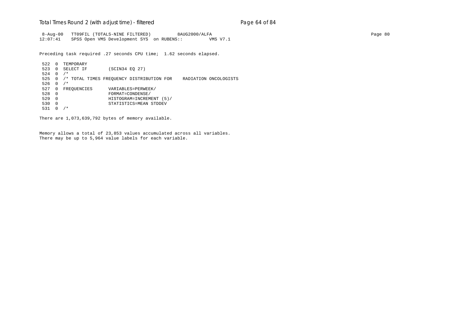### Total Times Round 2 (with adjust time) - *filtered* end and page 64 of 84

 8-Aug-00 TT09FIL (TOTALS-NINE FILTERED) 8AUG2000/ALFA Page 80 12:07:41 SPSS Open VMS Development SYS on RUBENS:: VMS V7.1

Preceding task required .27 seconds CPU time; 1.62 seconds elapsed.

522 0 TEMPORARY<br>523 0 SELECT IF (SCIN34 EQ 27) 524 0 /\* 525 0 /\* TOTAL TIMES FREQUENCY DISTRIBUTION FOR RADIATION ONCOLOGISTS 526 0  $/*$  527 0 FREQUENCIES VARIABLES=PERWEEK/ 528 0 FORMAT=CONDENSE/ 529 0 HISTOGRAM=INCREMENT (5)/ 530 0 STATISTICS=MEAN STDDEV 531 0 /\*

There are 1,073,639,792 bytes of memory available.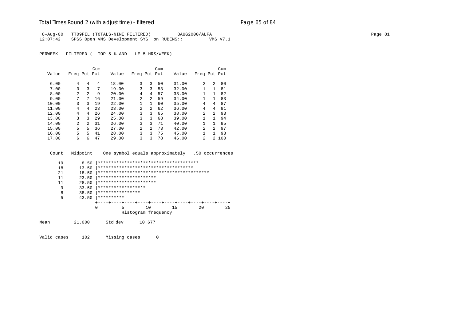# Total Times Round 2 (with adjust time) - *filtered* end and page 65 of 84

 8-Aug-00 TT09FIL (TOTALS-NINE FILTERED) 8AUG2000/ALFA Page 81 12:07:42 SPSS Open VMS Development SYS on RUBENS:: VMS V7.1

PERWEEK FILTERED (- TOP 5 % AND - LE 5 HRS/WEEK)

|       |                |                | Cum |       |              |                | Cum |       |                |                | Cum   |
|-------|----------------|----------------|-----|-------|--------------|----------------|-----|-------|----------------|----------------|-------|
| Value | Freq Pct Pct   |                |     | Value | Freq Pct Pct |                |     | Value | Freq Pct Pct   |                |       |
|       |                |                |     |       |              |                |     |       |                |                |       |
| 6.00  | 4              | 4              | 4   | 18.00 | 3            | 3              | 50  | 31.00 | 2              | $\mathfrak{D}$ | 80    |
| 7.00  | 3              | 3              | 7   | 19.00 | 3            | ζ              | 53  | 32.00 |                | 1              | 81    |
| 8.00  | $\mathfrak{D}$ | 2              | 9   | 20.00 | 4            | 4              | 57  | 33.00 |                | 1              | 82    |
| 9.00  | 7              | 7              | 16  | 21.00 | 2            | $\overline{a}$ | 59  | 34.00 |                | 1              | 83    |
| 10.00 | 3              | 3              | 19  | 22.00 |              | $\mathbf{1}$   | 60  | 35.00 | 4              | 4              | 87    |
| 11.00 | 4              | 4              | 23  | 23.00 | 2            | $\overline{a}$ | 62  | 36.00 | 4              | 4              | 91    |
| 12.00 | 4              | 4              | 26  | 24.00 | 3            | 3              | 65  | 38.00 | 2              | $\overline{a}$ | 93    |
| 13.00 | 3              | 3              | 29  | 25.00 | 3            | 3              | 68  | 39.00 | 1              | 1.             | 94    |
| 14.00 | $\mathfrak{D}$ | $\mathfrak{D}$ | 31  | 26.00 | 3            | ζ              | 71  | 40.00 |                | 1              | 95    |
| 15.00 | 5              | 5              | 36  | 27.00 | 2            | $\overline{2}$ | 73  | 42.00 | $\mathfrak{D}$ | $\mathcal{L}$  | 97    |
| 16.00 | 5              | 5              | 41  | 28.00 | 3            | 3              | 75  | 45.00 |                | 1              | 98    |
| 17.00 | 6              | 6              | 47  | 29.00 | 3            | 3              | 78  | 46.00 | 2              |                | 2,100 |

| Count | Midpoint |                        |        | One symbol equals approximately      |     | .50 occurrences |
|-------|----------|------------------------|--------|--------------------------------------|-----|-----------------|
| 19    | 8.50     |                        |        |                                      |     |                 |
| 18    | 13.50    |                        |        | ************************************ |     |                 |
| 21    | 18.50    |                        |        |                                      |     |                 |
| 11    | 23.50    | ********************** |        |                                      |     |                 |
| 11    | 28.50    | ********************** |        |                                      |     |                 |
| 9     | 33.50    | ******************     |        |                                      |     |                 |
| 8     | 38.50    | ****************       |        |                                      |     |                 |
| 5     | 43.50    | **********             |        |                                      |     |                 |
|       |          |                        |        |                                      |     |                 |
|       |          | 5<br>$\Omega$          | 10     | 15                                   | 2.0 | 25              |
|       |          |                        |        | Histogram frequency                  |     |                 |
| Mean  | 21.000   | Std dev                | 10.677 |                                      |     |                 |

Valid cases 102 Missing cases 0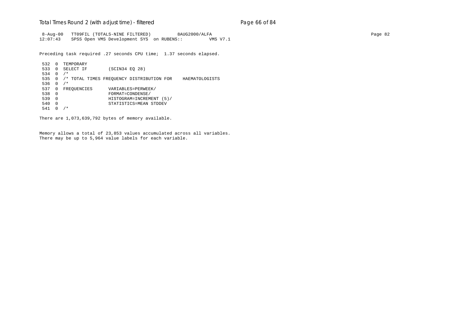### Total Times Round 2 (with adjust time) - *filtered* entitled and page 66 of 84

 8-Aug-00 TT09FIL (TOTALS-NINE FILTERED) 8AUG2000/ALFA Page 82 12:07:43 SPSS Open VMS Development SYS on RUBENS:: VMS V7.1

Preceding task required .27 seconds CPU time; 1.37 seconds elapsed.

```
532 0 TEMPORARY<br>533 0 SELECT IF
                  (SCIN34 EQ 28)
 534 0 /*
 535 0 /* TOTAL TIMES FREQUENCY DISTRIBUTION FOR HAEMATOLOGISTS
 536 0 /*
 537 0 FREQUENCIES VARIABLES=PERWEEK/
 538 0 FORMAT=CONDENSE/
 539 0 HISTOGRAM=INCREMENT (5)/
 540 0 STATISTICS=MEAN STDDEV
 541 0 /*
```
There are 1,073,639,792 bytes of memory available.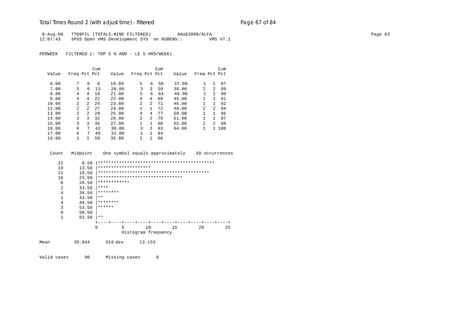# Total Times Round 2 (with adjust time) - *filtered* end and page 67 of 84

 8-Aug-00 TT09FIL (TOTALS-NINE FILTERED) 8AUG2000/ALFA Page 83 12:07:43 SPSS Open VMS Development SYS on RUBENS:: VMS V7.1

PERWEEK FILTERED (- TOP 5 % AND - LE 5 HRS/WEEK)

|       |                |                | Cum  |       |                |                | Cum |       |              |               | Cum   |
|-------|----------------|----------------|------|-------|----------------|----------------|-----|-------|--------------|---------------|-------|
| Value | Freq Pct Pct   |                |      | Value | Freq Pct Pct   |                |     | Value | Freq Pct Pct |               |       |
|       |                |                |      |       |                |                |     |       |              |               |       |
| 6.00  | 7              | 8              | 8    | 19.00 | 5              | 6              | 56  | 37.00 |              |               | 87    |
| 7.00  | 5              | 6              | 13   | 20.00 | 3              | 3              | 59  | 38.00 | 2            | $2^{1}$       | 89    |
| 8.00  | 4              | 4              | 18   | 21.00 | 5              | 6              | 64  | 40.00 |              | 1             | 90    |
| 9.00  | 4              | 4              | 2.2. | 22.00 | 4              | 4              | 69  | 45.00 | 1            | 1             | 91    |
| 10.00 | $\mathfrak{D}$ | $\mathcal{L}$  | 2.4  | 23.00 | $\mathfrak{D}$ | $\overline{a}$ | 71  | 46.00 |              | 1.            | 92    |
| 11.00 | $\mathfrak{D}$ | $\mathfrak{D}$ | 27   | 24.00 | 1              | 1              | 72  | 48.00 | 2            | $2^{1}$       | 94    |
| 13.00 | $\overline{a}$ | $\mathfrak{D}$ | 29   | 25.00 | 4              | 4              | 77  | 50.00 |              | 1             | 96    |
| 14.00 | 3              | 3              | 32   | 26.00 | $\overline{2}$ | $\overline{a}$ | 79  | 51.00 | 1            | 1.            | 97    |
| 15.00 | 3              | 3              | 36   | 27.00 |                | $\mathbf{1}$   | 80  | 55.00 | 2            | $\mathcal{L}$ | 99    |
| 16.00 | 6              | 7              | 42   | 30.00 | 3              | 3              | 83  | 64.00 |              |               | 1 100 |
| 17.00 | 6              | 7              | 49   | 32.00 |                | $\mathbf{1}$   | 84  |       |              |               |       |
| 18.00 |                |                | 50   | 35.00 |                | 1              | 86  |       |              |               |       |

|      | Count          | Midpoint |                                  |                     | One symbol equals approximately |    | .50 occurrences |    |
|------|----------------|----------|----------------------------------|---------------------|---------------------------------|----|-----------------|----|
|      | 22             | 8.50     |                                  |                     |                                 |    |                 |    |
|      | 10             | 13.50    | ********************             |                     |                                 |    |                 |    |
|      | 21             | 18.50    |                                  |                     |                                 |    |                 |    |
|      | 16             | 23.50    | ******************************** |                     |                                 |    |                 |    |
|      | 6              | 28.50    | ************                     |                     |                                 |    |                 |    |
|      | $\overline{2}$ | 33.50    | ****                             |                     |                                 |    |                 |    |
|      | 4              | 38.50    | ********                         |                     |                                 |    |                 |    |
|      | 1              | 43.50    | $***$                            |                     |                                 |    |                 |    |
|      | 4              | 48.50    | ********                         |                     |                                 |    |                 |    |
|      | 3              | 53.50    | ******                           |                     |                                 |    |                 |    |
|      | 0              | 58.50    |                                  |                     |                                 |    |                 |    |
|      | 1              | 63.50    | $* *$                            |                     |                                 |    |                 |    |
|      |                |          |                                  |                     | -+----+----+---+----+-          |    |                 |    |
|      |                |          | 5<br><sup>0</sup>                | 10                  | 15                              | 20 |                 | 25 |
|      |                |          |                                  | Histogram frequency |                                 |    |                 |    |
| Mean |                | 20.944   | Std dev                          | 13.153              |                                 |    |                 |    |
|      |                |          |                                  |                     |                                 |    |                 |    |

Valid cases 90 Missing cases 0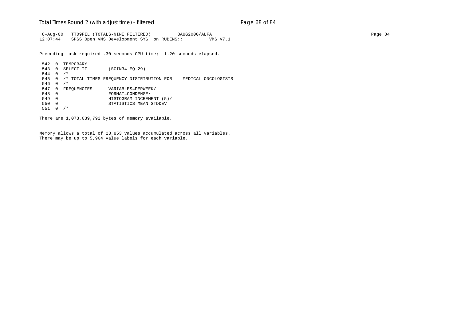### Total Times Round 2 (with adjust time) - *filtered* entitled and page 68 of 84

 8-Aug-00 TT09FIL (TOTALS-NINE FILTERED) 8AUG2000/ALFA Page 84 12:07:44 SPSS Open VMS Development SYS on RUBENS:: VMS V7.1

Preceding task required .30 seconds CPU time; 1.20 seconds elapsed.

542 0 TEMPORARY<br>543 0 SELECT IF (SCIN34 EQ 29) 544 0 /\* 545 0 /\* TOTAL TIMES FREQUENCY DISTRIBUTION FOR MEDICAL ONCOLOGISTS 546 0 /\* 547 0 FREQUENCIES VARIABLES=PERWEEK/<br>548 0 FORMAT=CONDENSE/ 548 0 FORMAT=CONDENSE/ 549 0 HISTOGRAM=INCREMENT (5)/ 550 0 STATISTICS=MEAN STDDEV 551 0 /\*

There are 1,073,639,792 bytes of memory available.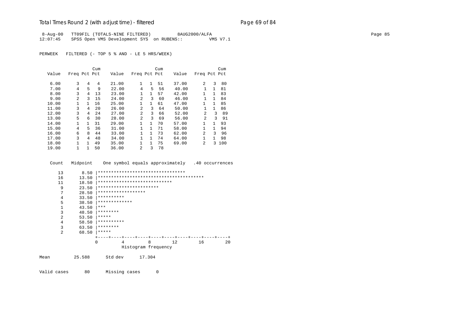## Total Times Round 2 (with adjust time) - *filtered* entitled and page 69 of 84

8-Aug-00 TT09FIL (TOTALS-NINE FILTERED) 8AUG2000/ALFA Page 85 12:07:45 SPSS Open VMS Development SYS on RUBENS:: VMS V7.1

PERWEEK FILTERED (- TOP 5 % AND - LE 5 HRS/WEEK)

|       |                |   | Cum |       |                |              | Cum |       |                |              | Cum |
|-------|----------------|---|-----|-------|----------------|--------------|-----|-------|----------------|--------------|-----|
| Value | Freq Pct Pct   |   |     | Value | Freq Pct Pct   |              |     | Value | Freq Pct Pct   |              |     |
|       |                |   |     |       |                |              |     |       |                |              |     |
| 6.00  | 3              | 4 | 4   | 21.00 | $\mathbf{1}$   | 1            | 51  | 37.00 | 2              | 3            | 80  |
| 7.00  | 4              | 5 | 9   | 22.00 | 4              | 5            | 56  | 40.00 |                | $\mathbf{1}$ | 81  |
| 8.00  | 3              | 4 | 13  | 23.00 | 1              | $\mathbf{1}$ | 57  | 42.00 | 1              | $\mathbf{1}$ | 83  |
| 9.00  | $\overline{a}$ | ζ | 15  | 24.00 | 2              | 3            | 60  | 46.00 | 1              | $\mathbf{1}$ | 84  |
| 10.00 |                | 1 | 16  | 25.00 | $\mathbf{1}$   | $\mathbf{1}$ | 61  | 47.00 | $\mathbf{1}$   | 1.           | 85  |
| 11.00 | 3              | 4 | 20  | 26.00 | $\overline{2}$ | 3            | 64  | 50.00 |                | $\mathbf{1}$ | 86  |
| 12.00 | 3              | 4 | 24  | 27.00 | $\mathfrak{D}$ | 3            | 66  | 52.00 | $\mathfrak{D}$ | 3            | 89  |
| 13.00 | 5              | 6 | 30  | 28.00 | $\mathfrak{D}$ | 3            | 69  | 56.00 | $\overline{c}$ | 3            | 91  |
| 14.00 | 1.             | 1 | 31  | 29.00 | $\mathbf{1}$   | $\mathbf{1}$ | 70  | 57.00 | 1              | 1            | 93  |
| 15.00 | 4              | 5 | 36  | 31.00 | $\mathbf{1}$   | 1            | 71  | 58.00 | 1              | 1            | 94  |
| 16.00 | 6              | 8 | 44  | 33.00 | $\mathbf{1}$   | $\mathbf{1}$ | 73  | 62.00 | 2              | 3            | 96  |
| 17.00 | 3              | 4 | 48  | 34.00 | $\mathbf{1}$   | $\mathbf{1}$ | 74  | 64.00 | 1              | 1.           | 98  |
| 18.00 | 1              | 1 | 49  | 35.00 | $\mathbf{1}$   | $\mathbf{1}$ | 75  | 69.00 | $\mathfrak{D}$ | 3            | 100 |
| 19.00 |                |   | 50  | 36.00 | $\mathfrak{D}$ | 3            | 78  |       |                |              |     |

Count Midpoint One symbol equals approximately .40 occurrences

| 13             | 8.50   | ********************************* |                     |         |    |    |
|----------------|--------|-----------------------------------|---------------------|---------|----|----|
| 16             | 13.50  |                                   |                     |         |    |    |
| 11             | 18.50  | ****************************      |                     |         |    |    |
| 9              | 23.50  | ***********************           |                     |         |    |    |
| 7              | 28.50  | ******************                |                     |         |    |    |
| 4              | 33.50  | **********                        |                     |         |    |    |
| 5              | 38.50  | *************                     |                     |         |    |    |
| 1              | 43.50  | ***                               |                     |         |    |    |
| 3              | 48.50  | ********                          |                     |         |    |    |
| $\overline{2}$ | 53.50  | *****                             |                     |         |    |    |
| 4              | 58.50  | **********                        |                     |         |    |    |
| 3              | 63.50  | ********                          |                     |         |    |    |
| $\mathfrak{D}$ | 68.50  | *****                             |                     |         |    |    |
|                |        |                                   | ---+----+----+-     | $- + -$ |    |    |
|                |        | 4<br>0                            | 8                   | 12      | 16 | 20 |
|                |        |                                   | Histogram frequency |         |    |    |
| Mean           | 25.588 | Std dev                           | 17.304              |         |    |    |

Valid cases 80 Missing cases 0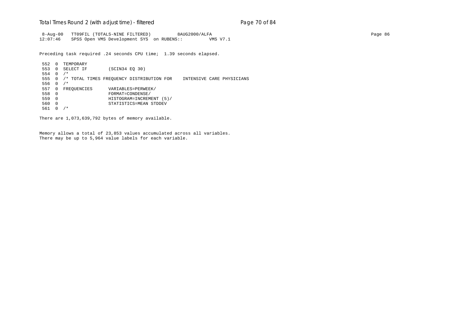### Total Times Round 2 (with adjust time) - *filtered* entitled and page 70 of 84

 8-Aug-00 TT09FIL (TOTALS-NINE FILTERED) 8AUG2000/ALFA Page 86 12:07:46 SPSS Open VMS Development SYS on RUBENS:: VMS V7.1

Preceding task required .24 seconds CPU time; 1.39 seconds elapsed.

552 0 TEMPORARY<br>553 0 SELECT IF (SCIN34 EQ 30) 554 0 /\* 555 0 /\* TOTAL TIMES FREQUENCY DISTRIBUTION FOR INTENSIVE CARE PHYSICIANS 556 0 /\* 557 0 FREQUENCIES VARIABLES=PERWEEK/ 558 0 FORMAT=CONDENSE/ 559 0 HISTOGRAM=INCREMENT (5)/ 560 0 STATISTICS=MEAN STDDEV 561 0 /\*

There are 1,073,639,792 bytes of memory available.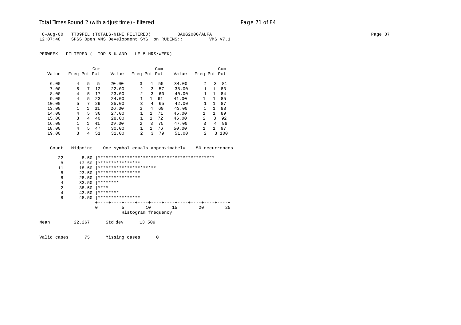### Total Times Round 2 (with adjust time) - *filtered* entitled and page 71 of 84

8-Aug-00 TT09FIL (TOTALS-NINE FILTERED) 8AUG2000/ALFA Page 87 12:07:48 SPSS Open VMS Development SYS on RUBENS:: VMS V7.1

PERWEEK FILTERED (- TOP 5 % AND - LE 5 HRS/WEEK)

|       |              |    | Cum |       |                |              | Cum |       |                |              | Cum |
|-------|--------------|----|-----|-------|----------------|--------------|-----|-------|----------------|--------------|-----|
| Value | Freq Pct Pct |    |     | Value | Freq Pct Pct   |              |     | Value | Freq Pct Pct   |              |     |
|       |              |    |     |       |                |              |     |       |                |              |     |
| 6.00  | 4            | 5  | 5   | 20.00 | 3              | 4            | 55  | 34.00 | $\mathfrak{D}$ | 3            | 81  |
| 7.00  | 5            | 7  | 12  | 22.00 | $\mathfrak{D}$ | 3            | 57  | 38.00 |                | $\mathbf{1}$ | 83  |
| 8.00  | 4            | 5  | 17  | 23.00 | $\overline{a}$ | 3            | 60  | 40.00 |                | $\mathbf{1}$ | 84  |
| 9.00  | 4            | 5  | 23  | 24.00 |                | $\mathbf{1}$ | 61  | 41.00 |                | 1            | 85  |
| 10.00 | 5            | 7  | 29  | 25.00 | 3              | 4            | 65  | 42.00 |                | 1            | 87  |
| 13.00 |              | 1. | 31  | 26.00 | 3              | 4            | 69  | 43.00 |                | 1            | 88  |
| 14.00 | 4            | 5  | 36  | 27.00 |                | 1            | 71  | 45.00 |                | 1            | 89  |
| 15.00 | 3            | 4  | 40  | 28.00 | 1              | 1            | 72  | 46.00 | $\overline{a}$ | 3            | 92  |
| 16.00 |              |    | 41  | 29.00 | $\overline{a}$ | 3            | 75  | 47.00 | 3              | 4            | 96  |
| 18.00 | 4            | 5  | 47  | 30.00 |                |              | 76  | 50.00 |                | 1            | 97  |
| 19.00 | ζ            | 4  | 51  | 31.00 | 2              | 3            | 79  | 51.00 | $\mathfrak{D}$ | 3.           | 100 |

| 22   | 8.50   |                        |                           |    |          |     |
|------|--------|------------------------|---------------------------|----|----------|-----|
| 8    | 13.50  | ****************       |                           |    |          |     |
| 11   | 18.50  | ********************** |                           |    |          |     |
| 8    | 23.50  | ****************       |                           |    |          |     |
| 8    | 28.50  | ****************       |                           |    |          |     |
| 4    | 33.50  | ********               |                           |    |          |     |
| 2    | 38.50  | ****                   |                           |    |          |     |
| 4    | 43.50  | ********               |                           |    |          |     |
| 8    | 48.50  | ****************       |                           |    |          |     |
|      |        |                        | ---+----+----+----+----+- |    | $--++--$ |     |
|      |        | $\mathbf 0$<br>5       | 10                        | 15 | 20       | 2.5 |
|      |        |                        | Histogram frequency       |    |          |     |
| Mean | 22.267 | Std dev                | 13.509                    |    |          |     |

Count Midpoint One symbol equals approximately .50 occurrences

Valid cases 75 Missing cases 0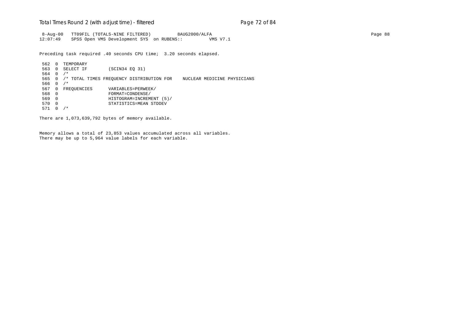## Total Times Round 2 (with adjust time) - *filtered* entitled and page 72 of 84

 8-Aug-00 TT09FIL (TOTALS-NINE FILTERED) 8AUG2000/ALFA Page 88 12:07:49 SPSS Open VMS Development SYS on RUBENS:: VMS V7.1

Preceding task required .40 seconds CPU time; 3.20 seconds elapsed.

562 0 TEMPORARY<br>563 0 SELECT IF (SCIN34 EQ 31) 564 0 /\* 565 0 /\* TOTAL TIMES FREQUENCY DISTRIBUTION FOR NUCLEAR MEDICINE PHYSICIANS 566 0 /\* 567 0 FREQUENCIES VARIABLES=PERWEEK/ 568 0 FORMAT=CONDENSE/ 569 0 HISTOGRAM=INCREMENT (5)/ 570 0 STATISTICS=MEAN STDDEV 571 0 /\*

There are 1,073,639,792 bytes of memory available.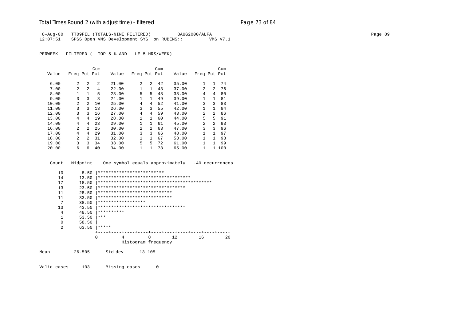# Total Times Round 2 (with adjust time) - *filtered* entitled and page 73 of 84

8-Aug-00 TT09FIL (TOTALS-NINE FILTERED) 8AUG2000/ALFA Page 89 12:07:51 SPSS Open VMS Development SYS on RUBENS:: VMS V7.1

PERWEEK FILTERED (- TOP 5 % AND - LE 5 HRS/WEEK)

|       |                |                | Cum            |       |              |                | Cum |       |                |                | Cum |
|-------|----------------|----------------|----------------|-------|--------------|----------------|-----|-------|----------------|----------------|-----|
| Value | Freq Pct Pct   |                |                | Value | Freq Pct Pct |                |     | Value | Freq Pct Pct   |                |     |
|       |                |                |                |       |              |                |     |       |                |                |     |
| 6.00  | 2              | 2              | $\mathfrak{D}$ | 21.00 | 2            | 2              | 42  | 35.00 | $\mathbf{1}$   | 1              | 74  |
| 7.00  | $\mathfrak{D}$ | 2              | 4              | 22.00 | 1            | $\mathbf{1}$   | 43  | 37.00 | 2              | $\mathfrak{D}$ | 76  |
| 8.00  | 1              | $\mathbf{1}$   | 5              | 23.00 | 5            | 5              | 48  | 38.00 | 4              | 4              | 80  |
| 9.00  | 3              | 3              | 8              | 24.00 | 1            | $\mathbf{1}$   | 49  | 39.00 | $\mathbf{1}$   | 1              | 81  |
| 10.00 | $\mathfrak{D}$ | $\mathfrak{D}$ | 10             | 25.00 | 4            | 4              | 52  | 41.00 | 3              | 3              | 83  |
| 11.00 | 3              | 3              | 13             | 26.00 | 3            | 3              | 55  | 42.00 | $\mathbf{1}$   | $\mathbf{1}$   | 84  |
| 12.00 | 3              | 3              | 16             | 27.00 | 4            | 4              | 59  | 43.00 | 2              | $\mathfrak{D}$ | 86  |
| 13.00 | 4              | 4              | 19             | 28.00 | 1            | $\mathbf{1}$   | 60  | 44.00 | 5              | 5              | 91  |
| 14.00 | 4              | 4              | 23             | 29.00 | 1            | $\mathbf{1}$   | 61  | 45.00 | $\mathfrak{D}$ | $\mathfrak{D}$ | 93  |
| 16.00 | $\overline{a}$ | 2              | 25             | 30.00 | 2            | $\overline{a}$ | 63  | 47.00 | 3              | ζ              | 96  |
| 17.00 | 4              | 4              | 29             | 31.00 | 3            | 3              | 66  | 48.00 | $\mathbf{1}$   | 1              | 97  |
| 18.00 | $\overline{a}$ | $\mathfrak{D}$ | 31             | 32.00 | 1            | $\mathbf{1}$   | 67  | 53.00 | $\mathbf{1}$   | 1              | 98  |
| 19.00 | 3              | 3              | 34             | 33.00 | 5            | 5              | 72  | 61.00 | $\mathbf{1}$   | 1              | 99  |
| 20.00 | 6              | 6              | 40             | 34.00 | 1            | 1              | 73  | 65.00 |                | $\mathbf{1}$   | 100 |

Count Midpoint One symbol equals approximately .40 occurrences

| 10             | 8.50   | *************************           |                     |        |    |    |    |
|----------------|--------|-------------------------------------|---------------------|--------|----|----|----|
| 14             | 13.50  | *********************************** |                     |        |    |    |    |
| 17             | 18.50  |                                     |                     |        |    |    |    |
| 13             | 23.50  | *********************************   |                     |        |    |    |    |
| 11             | 28.50  | ****************************        |                     |        |    |    |    |
| 11             | 33.50  | ****************************        |                     |        |    |    |    |
| 7              | 38.50  | ******************                  |                     |        |    |    |    |
| 13             | 43.50  | *********************************   |                     |        |    |    |    |
| 4              | 48.50  | **********                          |                     |        |    |    |    |
| 1              | 53.50  | ***                                 |                     |        |    |    |    |
| $\Omega$       | 58.50  |                                     |                     |        |    |    |    |
| $\overline{2}$ | 63.50  | *****                               |                     |        |    |    |    |
|                |        |                                     |                     |        |    |    |    |
|                |        | 4<br>0                              |                     | 8      | 12 | 16 | 20 |
|                |        |                                     | Histogram frequency |        |    |    |    |
| Mean           | 26.505 | Std dev                             |                     | 13.105 |    |    |    |

Valid cases 103 Missing cases 0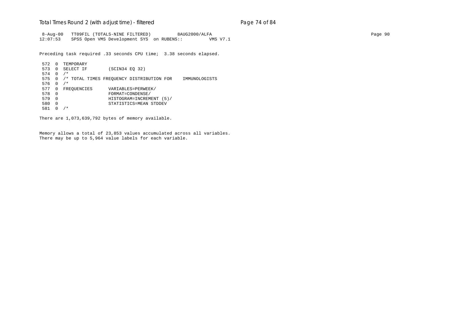## Total Times Round 2 (with adjust time) - *filtered* entitled and page 74 of 84

 8-Aug-00 TT09FIL (TOTALS-NINE FILTERED) 8AUG2000/ALFA Page 90 12:07:53 SPSS Open VMS Development SYS on RUBENS:: VMS V7.1

Preceding task required .33 seconds CPU time; 3.38 seconds elapsed.

```
572 0 TEMPORARY<br>573 0 SELECT IF
                  (SCIN34 EQ 32)
 574 0 /*
 575 0 /* TOTAL TIMES FREQUENCY DISTRIBUTION FOR IMMUNOLOGISTS
 576 0 /*
 577 0 FREQUENCIES VARIABLES=PERWEEK/
 578 0 FORMAT=CONDENSE/
 579 0 HISTOGRAM=INCREMENT (5)/
 580 0 STATISTICS=MEAN STDDEV
 581 0 /*
```
There are 1,073,639,792 bytes of memory available.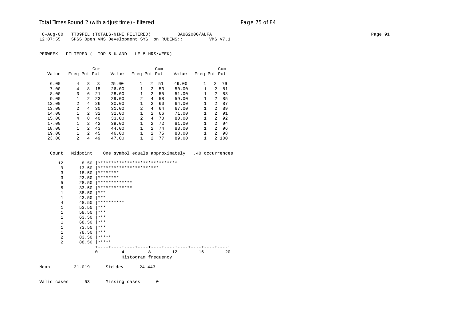## Total Times Round 2 (with adjust time) - *filtered* Page 75 of 84

 8-Aug-00 TT09FIL (TOTALS-NINE FILTERED) 8AUG2000/ALFA Page 91 12:07:55 SPSS Open VMS Development SYS on RUBENS:: VMS V7.1

PERWEEK FILTERED (- TOP 5 % AND - LE 5 HRS/WEEK)

|       |                |                | Cum |       |                |                | Cum |       |              |                | Cum |
|-------|----------------|----------------|-----|-------|----------------|----------------|-----|-------|--------------|----------------|-----|
| Value | Freq Pct Pct   |                |     | Value | Freq Pct Pct   |                |     | Value | Freq Pct Pct |                |     |
|       |                |                |     |       |                |                |     |       |              |                |     |
| 6.00  | 4              | 8              | 8   | 25.00 | 1              | 2              | 51  | 49.00 | 1            | $\overline{a}$ | 79  |
| 7.00  | 4              | 8              | 15  | 26.00 | 1              | 2              | 53  | 50.00 |              | $\mathcal{L}$  | 81  |
| 8.00  | 3              | 6              | 21  | 28.00 | 1              | $\overline{2}$ | 55  | 51.00 |              | 2              | 83  |
| 9.00  | 1              | $\mathfrak{D}$ | 23  | 29.00 | $\mathfrak{D}$ | 4              | 58  | 59.00 |              | $\mathcal{L}$  | 85  |
| 12.00 | $\mathfrak{D}$ | 4              | 26  | 30.00 | 1              | $\overline{2}$ | 60  | 64.00 |              | $\mathfrak{D}$ | 87  |
| 13.00 | $\mathfrak{D}$ | 4              | 30  | 31.00 | 2              | 4              | 64  | 67.00 |              | $\mathfrak{D}$ | 89  |
| 14.00 |                | $\overline{2}$ | 32  | 32.00 | 1              | $\overline{2}$ | 66  | 71.00 |              | $\mathcal{L}$  | 91  |
| 15.00 | 4              | 8              | 40  | 33.00 | 2              | 4              | 70  | 80.00 |              | $\mathcal{L}$  | 92  |
| 17.00 |                | $\mathfrak{D}$ | 42  | 39.00 | 1              | $\overline{2}$ | 72  | 81.00 |              | $\mathcal{L}$  | 94  |
| 18.00 | 1              | $\mathcal{P}$  | 43  | 44.00 | 1              | $\mathfrak{D}$ | 74  | 83.00 | $\mathbf{1}$ | $\mathcal{P}$  | 96  |
| 19.00 |                | $\mathfrak{D}$ | 45  | 46.00 | 1              | $\overline{2}$ | 75  | 88.00 |              | $\mathfrak{D}$ | 98  |
| 23.00 | $\mathfrak{D}$ | 4              | 49  | 47.00 | 1              | $\mathfrak{D}$ | 77  | 89.00 |              | $\mathcal{L}$  | 100 |

 Count Midpoint One symbol equals approximately .40 occurrences 12 8.50 |\*\*\*\*\*\*\*\*\*\*\*\*\*\*\*\*\*\*\*\*\*\*\*\*\*\*\*\*\*\* 9 13.50 |\*\*\*\*\*\*\*\*\*\*\*\*\*\*\*\*\*\*\*\*\*\*\* 3 18.50  $********$ 3 23.50  $********$ <br>5 28.50  $********$ 5 28.50  $****************$ 5 33.50  $*****************$ <br>1 38.50  $***$  $\begin{array}{ccc} 1 & 38.50 & \ast \ast \ast \\ 1 & 43.50 & \ast \ast \ast \end{array}$  $43.50$   $***$ 4 48.50  $***********$ <br>1 53.50 \*\*\*  $\begin{array}{ccc} 1 & 53.50 & \ast \ast \ast \\ 1 & 58.50 & \ast \ast \ast \end{array}$  $\begin{array}{ccc} 1 & 58.50 & {***} \\ 1 & 63.50 & {***} \end{array}$  $\begin{array}{ccc} 1 & 63.50 & \text{***} \\ 1 & 68.50 & \text{***} \end{array}$  $\begin{array}{ccc} 1 & 68.50 & \ast \ast \ast \\ 1 & 73.50 & \ast \ast \ast \end{array}$  $\begin{array}{ccc} 1 & 73.50 & *** \\ 1 & 78.50 & *** \end{array}$  $78.50$   $***$  $2 \t 83.50 \t \times \t \cdot \t \cdot \t \cdot$ 2  $88.50$  \*\*\*\*\* +----+----+----+----+----+----+----+----+----+----+ 0 4 8 12 16 20 Histogram frequency Mean 31.019 Std dev 24.443

Valid cases 53 Missing cases 0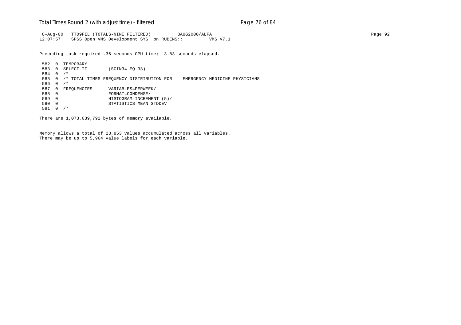## Total Times Round 2 (with adjust time) - *filtered* entitled and page 76 of 84

 8-Aug-00 TT09FIL (TOTALS-NINE FILTERED) 8AUG2000/ALFA Page 92 12:07:57 SPSS Open VMS Development SYS on RUBENS:: VMS V7.1

Preceding task required .36 seconds CPU time; 3.83 seconds elapsed.

582 0 TEMPORARY<br>583 0 SELECT IF (SCIN34 EQ 33) 584 0 /\* 585 0 /\* TOTAL TIMES FREQUENCY DISTRIBUTION FOR EMERGENCY MEDICINE PHYSICIANS 586 0 /\* 587 0 FREQUENCIES VARIABLES=PERWEEK/ 588 0 FORMAT=CONDENSE/ 589 0 HISTOGRAM=INCREMENT (5)/ 590 0 STATISTICS=MEAN STDDEV 591 0 /\*

There are 1,073,639,792 bytes of memory available.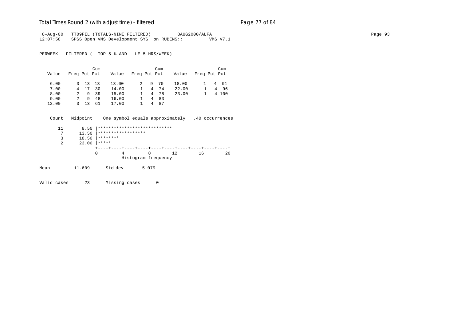## Total Times Round 2 (with adjust time) - *filtered* Page 77 of 84

 8-Aug-00 TT09FIL (TOTALS-NINE FILTERED) 8AUG2000/ALFA Page 93 12:07:58 SPSS Open VMS Development SYS on RUBENS:: VMS V7.1

PERWEEK FILTERED (- TOP 5 % AND - LE 5 HRS/WEEK)

|       |              |         | Cum  |       |              |    | Cum  |       |              | Cum   |
|-------|--------------|---------|------|-------|--------------|----|------|-------|--------------|-------|
| Value | Freq Pct Pct |         |      | Value | Freq Pct Pct |    |      | Value | Freq Pct Pct |       |
| 6.00  |              | 3 13 13 |      | 13.00 |              | 9. | 70   | 18.00 |              | 4 91  |
| 7.00  |              | 4 17    | 30   | 14.00 |              |    | 4 74 | 22.00 |              | 4 96  |
| 8.00  | 2            |         | 9 39 | 15.00 |              |    | 4 78 | 23.00 |              | 4 100 |
| 9.00  | 2.           | 9       | 48   | 16.00 |              | 4  | 83   |       |              |       |
| 12.00 | २            | 13      | 61   | 17.00 |              | 4  | 87   |       |              |       |

Count Midpoint One symbol equals approximately .40 occurrences

|      | 11 | 8.50   | **************************** |                     |    |    |    |
|------|----|--------|------------------------------|---------------------|----|----|----|
|      | 7  | 13.50  | ******************           |                     |    |    |    |
|      | 3  | 18.50  | ********                     |                     |    |    |    |
|      | 2  | 23.00  | *****                        |                     |    |    |    |
|      |    |        |                              |                     |    |    |    |
|      |    | 0      |                              | 8                   | 12 | 16 | 20 |
|      |    |        |                              | Histogram frequency |    |    |    |
| Mean |    | 11.609 | Std dev                      | 5.079               |    |    |    |
|      |    |        |                              |                     |    |    |    |

Valid cases 23 Missing cases 0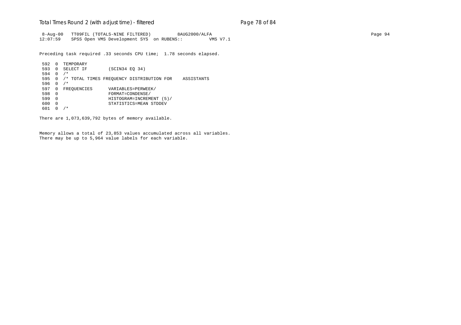## Total Times Round 2 (with adjust time) - *filtered* entitled and page 78 of 84

 8-Aug-00 TT09FIL (TOTALS-NINE FILTERED) 8AUG2000/ALFA Page 94 12:07:59 SPSS Open VMS Development SYS on RUBENS:: VMS V7.1

Preceding task required .33 seconds CPU time; 1.78 seconds elapsed.

```
592 0 TEMPORARY<br>593 0 SELECT IF
                    (SCIN34 EQ 34)
 594 0 /*
 595 0 /* TOTAL TIMES FREQUENCY DISTRIBUTION FOR ASSISTANTS
 596 0 /*
597 0 FREQUENCIES VARIABLES=PERWEEK/<br>598 0 FORMAT=CONDENSE/
 598 0 FORMAT=CONDENSE/
 599 0 HISTOGRAM=INCREMENT (5)/
 600 0 STATISTICS=MEAN STDDEV
 601 0 /*
```
There are 1,073,639,792 bytes of memory available.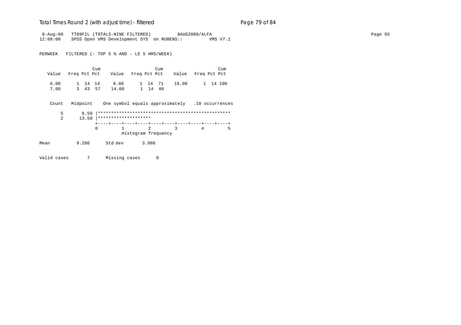## Total Times Round 2 (with adjust time) - *filtered* entitled and page 79 of 84

 8-Aug-00 TT09FIL (TOTALS-NINE FILTERED) 8AUG2000/ALFA Page 95 12:08:00 SPSS Open VMS Development SYS on RUBENS:: VMS V7.1

PERWEEK FILTERED (- TOP 5 % AND - LE 5 HRS/WEEK)

|      |         | Cum |       |         | Cum |                                                          | Cum      |
|------|---------|-----|-------|---------|-----|----------------------------------------------------------|----------|
|      |         |     |       |         |     | Value Freq Pct Pct Value Freq Pct Pct Value Freq Pct Pct |          |
|      |         |     |       |         |     |                                                          |          |
| 6.00 | 1 14 14 |     | 8.00  | 1 14 71 |     | 16.00                                                    | 1 14 100 |
| 7.00 | 3 43 57 |     | 14.00 | 1 14 86 |     |                                                          |          |

Count Midpoint One symbol equals approximately .10 occurrences

|      | 8.50<br>5  |                              |                     |  |  |
|------|------------|------------------------------|---------------------|--|--|
|      | 13.50<br>2 | <b>  *******************</b> |                     |  |  |
|      |            |                              |                     |  |  |
|      |            |                              | $\sim$ 2 3          |  |  |
|      |            |                              | Histogram frequency |  |  |
| Mean | 9.286      | Std dev                      | 3.988               |  |  |

- 
- Valid cases 7 Missing cases 0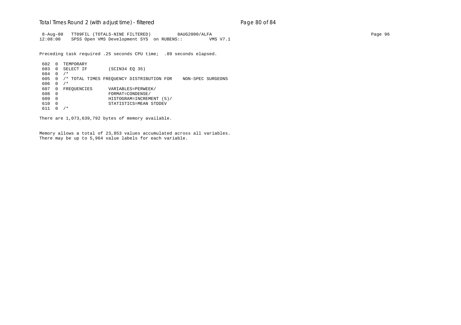## Total Times Round 2 (with adjust time) - *filtered* end and page 80 of 84

 8-Aug-00 TT09FIL (TOTALS-NINE FILTERED) 8AUG2000/ALFA Page 96 12:08:00 SPSS Open VMS Development SYS on RUBENS:: VMS V7.1

Preceding task required .25 seconds CPU time; .89 seconds elapsed.

 602 0 TEMPORARY (SCIN34 EQ 35) 604 0 /\* 605 0 /\* TOTAL TIMES FREQUENCY DISTRIBUTION FOR NON-SPEC SURGEONS 606 0 /\* 607 0 FREQUENCIES VARIABLES=PERWEEK/ 608 0 FORMAT=CONDENSE/ 609 0 HISTOGRAM=INCREMENT (5)/ 610 0 STATISTICS=MEAN STDDEV 611 0 /\*

There are 1,073,639,792 bytes of memory available.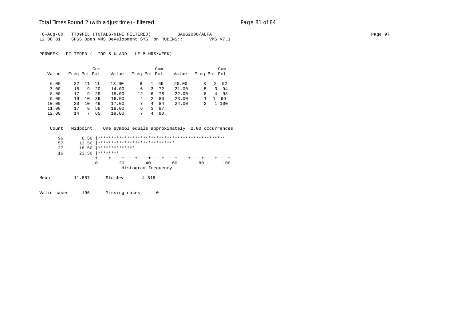## Total Times Round 2 (with adjust time) - *filtered* entitled and page 81 of 84

8-Aug-00 TT09FIL (TOTALS-NINE FILTERED) 8AUG2000/ALFA Page 97 12:08:01 SPSS Open VMS Development SYS on RUBENS:: VMS V7.1

PERWEEK FILTERED (- TOP 5 % AND - LE 5 HRS/WEEK)

|       |              |    | Cum |       |              |   | Cum |       |              |   | Cum  |
|-------|--------------|----|-----|-------|--------------|---|-----|-------|--------------|---|------|
| Value | Freq Pct Pct |    |     | Value | Freq Pct Pct |   |     | Value | Freq Pct Pct |   |      |
| 6.00  | 2.2.         | 11 | 11  | 13.00 | 8            | 4 | 69  | 20.00 |              | 2 | - 92 |
| 7.00  | 18           | 9  | 20  | 14.00 | 6            | 3 | 72  | 21.00 | 5            | 3 | 94   |
| 8.00  | 17           | 9  | 29  | 15.00 | 12           | 6 | 78  | 22.00 | 8            |   | 4 98 |
| 9.00  | 19           | 10 | 39  | 16.00 | 4            | 2 | 80  | 23.00 |              |   | 99   |
| 10.00 | $20 \sigma$  | 10 | 49  | 17.00 |              | 4 | 84  | 24.00 |              | 1 | 100  |
| 11.00 | 17           | 9  | 58  | 18.00 | 6            | 3 | 87  |       |              |   |      |
| 12.00 | 14           |    | 65  | 19.00 | 7            | 4 | 90  |       |              |   |      |

Count Midpoint One symbol equals approximately 2.00 occurrences

| 96<br>8.50  |                               |                     |    |    |     |
|-------------|-------------------------------|---------------------|----|----|-----|
| 13.50<br>57 | ***************************** |                     |    |    |     |
| 18.50<br>27 | **************                |                     |    |    |     |
| 23.50<br>16 | ********                      |                     |    |    |     |
|             |                               |                     |    |    |     |
|             | 20                            | 40                  | 60 | 80 | 100 |
|             |                               | Histogram frequency |    |    |     |

Mean 11.857 Std dev 4.816

Valid cases 196 Missing cases 0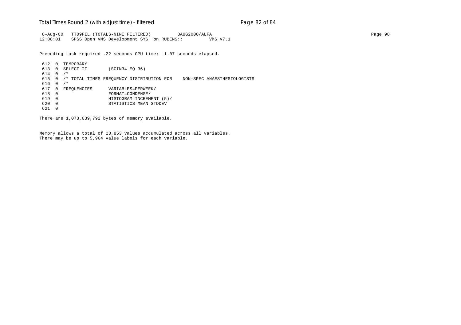## Total Times Round 2 (with adjust time) - *filtered* example 2 and Rage 82 of 84

 8-Aug-00 TT09FIL (TOTALS-NINE FILTERED) 8AUG2000/ALFA Page 98 12:08:01 SPSS Open VMS Development SYS on RUBENS:: VMS V7.1

Preceding task required .22 seconds CPU time; 1.07 seconds elapsed.

612 0 TEMPORARY<br>613 0 SELECT IF (SCIN34 EQ 36) 614 0 /\* 615 0 /\* TOTAL TIMES FREQUENCY DISTRIBUTION FOR NON-SPEC ANAESTHESIOLOGISTS 616 0 /\* 617 0 FREQUENCIES VARIABLES=PERWEEK/<br>618 0 FORMAT=CONDENSE/ 618 0 FORMAT=CONDENSE/ 619 0 HISTOGRAM=INCREMENT (5)/ 620 0 STATISTICS=MEAN STDDEV 621 0

There are 1,073,639,792 bytes of memory available.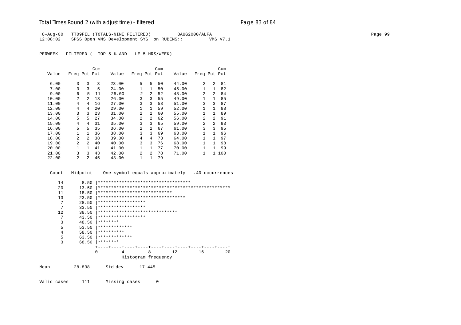# Total Times Round 2 (with adjust time) - *filtered* example 20 and 2 and 2 and 84

8-Aug-00 TT09FIL (TOTALS-NINE FILTERED) 8AUG2000/ALFA Page 99 12:08:02 SPSS Open VMS Development SYS on RUBENS:: VMS V7.1

PERWEEK FILTERED (- TOP 5 % AND - LE 5 HRS/WEEK)

|       |                |                | Cum |       |                |                | Cum |       |                |                | Cum |
|-------|----------------|----------------|-----|-------|----------------|----------------|-----|-------|----------------|----------------|-----|
| Value | Freq Pct Pct   |                |     | Value | Freq Pct Pct   |                |     | Value | Freq Pct Pct   |                |     |
|       |                |                |     |       |                |                |     |       |                |                |     |
| 6.00  | 3              | 3              | 3   | 23.00 | 5              | 5              | 50  | 44.00 | $\mathfrak{D}$ | $\mathfrak{D}$ | 81  |
| 7.00  | 3              | 3              | 5   | 24.00 | 1              | $\mathbf{1}$   | 50  | 45.00 |                | $\mathbf{1}$   | 82  |
| 9.00  | 6              | 5              | 11  | 25.00 | $\overline{2}$ | $\mathfrak{D}$ | 52  | 48.00 | $\mathfrak{D}$ | $\mathfrak{D}$ | 84  |
| 10.00 | $\overline{a}$ | $\mathcal{L}$  | 13  | 26.00 | 3              | 3              | 55  | 49.00 |                | 1              | 85  |
| 11.00 | 4              | 4              | 16  | 27.00 | 3              | 3              | 58  | 51.00 | 3              | 3              | 87  |
| 12.00 | 4              | 4              | 20  | 29.00 | $\mathbf{1}$   | $\mathbf{1}$   | 59  | 52.00 | 1              | 1              | 88  |
| 13.00 | 3              | 3              | 23  | 31.00 | $\overline{a}$ | $\overline{a}$ | 60  | 55.00 | 1              | $\mathbf{1}$   | 89  |
| 14.00 | 5              | 5.             | 27  | 34.00 | 2              | $\mathfrak{D}$ | 62  | 56.00 | $\mathfrak{D}$ | $\mathfrak{D}$ | 91  |
| 15.00 | 4              | 4              | 31  | 35.00 | 3              | 3              | 65  | 59.00 | $\mathfrak{D}$ | $\mathcal{L}$  | 93  |
| 16.00 | 5              | 5              | 35  | 36.00 | 2              | $\mathfrak{D}$ | 67  | 61.00 | 3              | ζ              | 95  |
| 17.00 | 1              |                | 36  | 38.00 | 3              | 3              | 69  | 63.00 |                | 1              | 96  |
| 18.00 | $\mathfrak{D}$ | $\mathfrak{D}$ | 38  | 39.00 | 4              | 4              | 73  | 64.00 |                | 1              | 97  |
| 19.00 | $\overline{a}$ | $\mathfrak{D}$ | 40  | 40.00 | 3              | 3              | 76  | 68.00 |                | 1              | 98  |
| 20.00 | $\mathbf{1}$   |                | 41  | 41.00 | $\mathbf{1}$   | $\mathbf{1}$   | 77  | 70.00 |                | 1              | 99  |
| 21.00 | 3              | 3              | 43  | 42.00 | $\overline{2}$ | $\mathfrak{D}$ | 78  | 71.00 | 1              | $\mathbf{1}$   | 100 |
| 22.00 | $\overline{a}$ | $\mathfrak{D}$ | 45  | 43.00 | 1              | 1              | 79  |       |                |                |     |

Count Midpoint One symbol equals approximately .40 occurrences

| 14   | 8.50   | *********************************** |                     |    |    |    |
|------|--------|-------------------------------------|---------------------|----|----|----|
| 20   | 13.50  |                                     |                     |    |    |    |
| 11   | 18.50  | ****************************        |                     |    |    |    |
| 13   | 23.50  | *********************************   |                     |    |    |    |
| 7    | 28.50  | ******************                  |                     |    |    |    |
| 7    | 33.50  | ******************                  |                     |    |    |    |
| 12   | 38.50  | ******************************      |                     |    |    |    |
| 7    | 43.50  | ******************                  |                     |    |    |    |
| 3    | 48.50  | ********                            |                     |    |    |    |
| 5    | 53.50  | *************                       |                     |    |    |    |
| 4    | 58.50  | **********                          |                     |    |    |    |
| 5    | 63.50  | *************                       |                     |    |    |    |
| 3    | 68.50  | ********                            |                     |    |    |    |
|      |        |                                     |                     |    |    |    |
|      |        | <sup>0</sup><br>4                   | 8                   | 12 | 16 | 20 |
|      |        |                                     | Histogram frequency |    |    |    |
| Mean | 28.838 | Std dev                             | 17.445              |    |    |    |
|      |        |                                     |                     |    |    |    |

Valid cases 111 Missing cases 0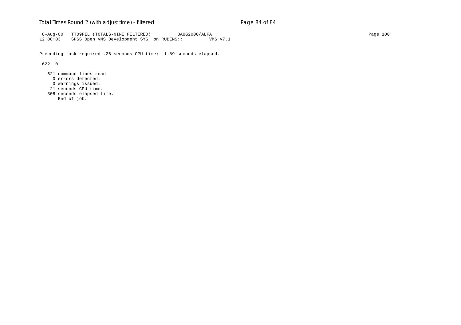## Total Times Round 2 (with adjust time) - *filtered* example 20 and 2 and 84 of 84

 8-Aug-00 TT09FIL (TOTALS-NINE FILTERED) 8AUG2000/ALFA Page 100 12:08:03 SPSS Open VMS Development SYS on RUBENS:: VMS V7.1

Preceding task required .26 seconds CPU time; 1.89 seconds elapsed.

622 0

 621 command lines read. 0 errors detected. 0 warnings issued. 21 seconds CPU time. 308 seconds elapsed time. End of job.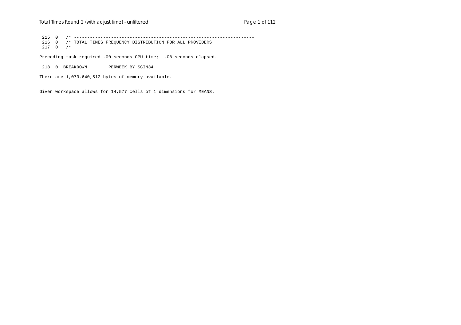215 0 /\* -------------------------------------------------------------------- 216 0 /\* TOTAL TIMES FREQUENCY DISTRIBUTION FOR ALL PROVIDERS 217 0 /\*

Preceding task required .00 seconds CPU time; .08 seconds elapsed.

218 0 BREAKDOWN PERWEEK BY SCIN34

There are 1,073,640,512 bytes of memory available.

Given workspace allows for 14,577 cells of 1 dimensions for MEANS.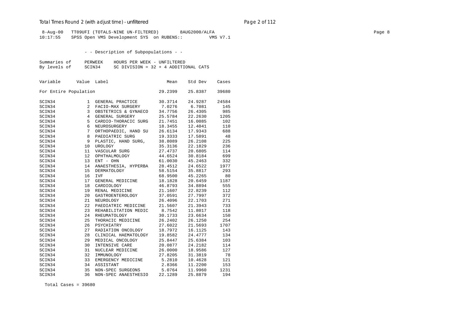## Total Times Round 2 (with adjust time) - *unfiltered* example 2 page 2 of 112

 8-Aug-00 TT09UFI (TOTALS-NINE UN-FILTERED) 8AUG2000/ALFA Page 8 10:17:55 SPSS Open VMS Development SYS on RUBENS::

- - Description of Subpopulations - -

| Summaries of | PERWEEK | HOURS PER WEEK - UNFILTERED            |
|--------------|---------|----------------------------------------|
| By levels of | SCIN34  | SC DIVISION = $32 + 4$ ADDITIONAL CATS |

| Variable              | Value          | Label                | Mean    | Std Dev | Cases |
|-----------------------|----------------|----------------------|---------|---------|-------|
| For Entire Population |                |                      | 29.2399 | 25.8387 | 39680 |
| SCIN34                | 1              | GENERAL PRACTICE     | 30.3714 | 24.9287 | 24584 |
| SCIN34                | 2              | FACIO-MAX SURGERY    | 7.0276  | 6.7081  | 145   |
| SCIN34                | 3              | OBSTETRICS & GYNAECO | 34.7756 | 26.4305 | 985   |
| SCIN34                | $\overline{4}$ | GENERAL SURGERY      | 25.5784 | 22.2630 | 1205  |
| SCIN34                | 5              | CARDIO-THORACIC SURG | 21.7451 | 16.0085 | 102   |
| SCIN34                | 6              | NEUROSURGERY         | 18.3455 | 12.4041 | 110   |
| SCIN34                | 7              | ORTHOPAEDIC, HAND SU | 26.6134 | 17.9343 | 688   |
| SCIN34                | 8              | PAEDIATRIC SURG      | 19.3333 | 17.5891 | 48    |
| SCIN34                | 9              | PLASTIC, HAND SURG,  | 38.8089 | 26.2108 | 225   |
| SCIN34                | 10             | UROLOGY              | 35.3136 | 22.1829 | 236   |
| SCIN34                | 11             | VASCULAR SURG        | 27.4737 | 20.6805 | 114   |
| SCIN34                | 12             | OPHTHALMOLOGY        | 44.6524 | 30.8184 | 699   |
| SCIN34                | 13             | ENT - OHN            | 61.0030 | 45.2463 | 332   |
| SCIN34                | 14             | ANAESTHESIA, HYPERBA | 28.4512 | 24.6522 | 1977  |
| SCIN34                | 15             | <b>DERMATOLOGY</b>   | 58.5154 | 35.8817 | 293   |
| SCIN34                | 16             | <b>IVF</b>           | 68.9500 | 45.2265 | 80    |
| SCIN34                | 17             | GENERAL MEDICINE     | 18.1828 | 20.6459 | 1187  |
| SCIN34                | 18             | CARDIOLOGY           | 46.8793 | 34.8894 | 555   |
| SCIN34                | 19             | RENAL MEDICINE       | 21.1607 | 22.8239 | 112   |
| SCIN34                | 20             | GASTROENTEROLOGY     | 37.0591 | 27.7997 | 372   |
| SCIN34                | 21             | NEUROLOGY            | 26.4096 | 22.1703 | 271   |
| SCIN34                | 22             | PAEDIATRIC MEDICINE  | 21.5607 | 21.3943 | 733   |
| SCIN34                | 23             | REHABILITATION MEDIC | 8.7542  | 11.8017 | 118   |
| SCIN34                | 24             | RHEUMATOLOGY         | 30.1733 | 23.6634 | 150   |
| SCIN34                | 25             | THORACIC MEDICINE    | 26.2402 | 26.1250 | 254   |
| SCIN34                | 26             | PSYCHIATRY           | 27.6022 | 21.5693 | 1707  |
| SCIN34                | 27             | RADIATION ONCOLOGY   | 18.7972 | 16.1125 | 143   |
| SCIN34                | 28             | CLINICAL HAEMATOLOGY | 19.8582 | 24.4777 | 134   |
| SCIN34                | 29             | MEDICAL ONCOLOGY     | 25.8447 | 25.6384 | 103   |
| SCIN34                | 30             | INTENSIVE CARE       | 20.0877 | 24.2182 | 114   |
| SCIN34                | 31             | NUCLEAR MEDICINE     | 26.0000 | 18.9586 | 127   |
| SCIN34                | 32             | IMMUNOLOGY           | 27.8205 | 31.3819 | 78    |
| SCIN34                | 33             | EMERGENCY MEDICINE   | 5.2810  | 10.4628 | 121   |
| SCIN34                | 34             | ASSISTANT            | 2.8366  | 11,2200 | 153   |
| SCIN34                | 35             | NON-SPEC SURGEONS    | 5.0764  | 11.9960 | 1231  |
| SCIN34                | 36             | NON-SPEC ANAESTHESIO | 22.1289 | 25.8879 | 194   |

Total Cases = 39680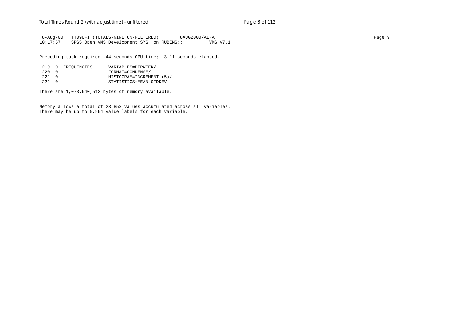8-Aug-00 TT09UFI (TOTALS-NINE UN-FILTERED) 8AUG2000/ALFA<br>10:17:57 SPSS Open VMS Development SYS on RUBENS:: VMS V7.1 SPSS Open VMS Development SYS on RUBENS::

Preceding task required .44 seconds CPU time; 3.11 seconds elapsed.

|        | 219 0 FREOUENCIES | VARIABLES=PERWEEK/       |
|--------|-------------------|--------------------------|
| 2.20 0 |                   | FORMAT=CONDENSE/         |
| 221 O  |                   | HISTOGRAM=INCREMENT (5)/ |
| 222 O  |                   | STATISTICS=MEAN STDDEV   |

There are 1,073,640,512 bytes of memory available.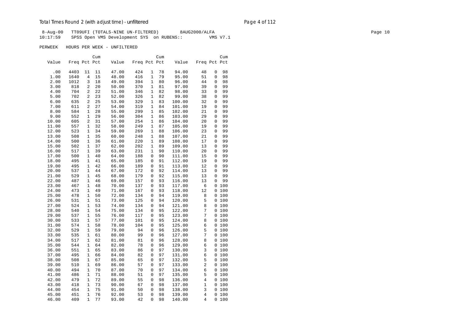8-Aug-00 TT09UFI (TOTALS-NINE UN-FILTERED) 8AUG2000/ALFA Page 10 10:17:59 SPSS Open VMS Development SYS on RUBENS:: VMS V7.1

|       |              |              | Cum |       |              |              | Cum |        |                         |              | Cum   |
|-------|--------------|--------------|-----|-------|--------------|--------------|-----|--------|-------------------------|--------------|-------|
| Value | Freq Pct Pct |              |     | Value | Freq Pct Pct |              |     | Value  | Freq Pct Pct            |              |       |
| .00   | 4403         | 11           | 11  | 47.00 | 424          | 1            | 78  | 94.00  | 48                      | 0            | 98    |
| 1.00  | 1640         | 4            | 15  | 48.00 | 416          | 1            | 79  | 95.00  | 51                      | 0            | 98    |
| 2.00  | 1012         | 3            | 18  | 49.00 | 394          | 1            | 80  | 96.00  | 44                      | 0            | 98    |
| 3.00  | 818          | 2            | 20  | 50.00 | 370          | 1            | 81  | 97.00  | 39                      | 0            | 99    |
| 4.00  | 704          | 2            | 22  | 51.00 | 346          | 1            | 82  | 98.00  | 33                      | 0            | 99    |
| 5.00  | 702          | 2            | 23  | 52.00 | 326          | 1            | 82  | 99.00  | 38                      | 0            | 99    |
| 6.00  | 635          | 2            | 25  | 53.00 | 329          | 1            | 83  | 100.00 | 32                      | 0            | 99    |
| 7.00  | 611          | 2            | 27  | 54.00 | 319          | 1            | 84  | 101.00 | 19                      | 0            | 99    |
| 8.00  | 584          | 1            | 28  | 55.00 | 299          | 1            | 85  | 102.00 | 21                      | 0            | 99    |
| 9.00  | 552          | 1            | 29  | 56.00 | 304          | 1            | 86  | 103.00 | 29                      | 0            | 99    |
| 10.00 | 605          | 2            | 31  | 57.00 | 254          | 1            | 86  | 104.00 | 20                      | 0            | 99    |
| 11.00 | 557          | 1            | 32  | 58.00 | 249          | 1            | 87  | 105.00 | 19                      | 0            | 99    |
| 12.00 | 523          | 1            | 34  | 59.00 | 269          | 1            | 88  | 106.00 | 23                      | 0            | 99    |
| 13.00 | 508          | 1            | 35  | 60.00 | 248          | 1            | 88  | 107.00 | 21                      | 0            | 99    |
| 14.00 | 500          | 1            | 36  | 61.00 | 220          | 1            | 89  | 108.00 | 17                      | 0            | 99    |
| 15.00 | 502          | $\mathbf{1}$ | 37  | 62.00 | 202          | 1            | 89  | 109.00 | 13                      | 0            | 99    |
| 16.00 | 517          | $\mathbf{1}$ | 39  | 63.00 | 231          | $\mathbf{1}$ | 90  | 110.00 | 20                      | 0            | 99    |
| 17.00 | 500          | 1            | 40  | 64.00 | 188          | 0            | 90  | 111.00 | 15                      | 0            | 99    |
| 18.00 | 495          | 1            | 41  | 65.00 | 185          | 0            | 91  | 112.00 | 19                      | 0            | 99    |
| 19.00 | 495          | $\mathbf{1}$ | 42  | 66.00 | 189          | 0            | 91  | 113.00 | 12                      | 0            | 99    |
| 20.00 | 537          | 1            | 44  | 67.00 | 172          | 0            | 92  | 114.00 | 13                      | 0            | 99    |
| 21.00 | 529          | 1            | 45  | 68.00 | 179          | 0            | 92  | 115.00 | 13                      | 0            | 99    |
| 22.00 | 487          | 1            | 46  | 69.00 | 157          | 0            | 93  | 116.00 | 13                      | 0            | 99    |
| 23.00 | 467          | $\mathbf{1}$ | 48  | 70.00 | 137          | 0            | 93  | 117.00 | 6                       |              | 0 100 |
| 24.00 | 473          | $\mathbf{1}$ | 49  | 71.00 | 167          | 0            | 93  | 118.00 | 12                      | $\mathbf{0}$ | 100   |
| 25.00 | 478          | $\mathbf{1}$ | 50  | 72.00 | 134          | 0            | 94  | 119.00 | 8                       |              | 0100  |
| 26.00 | 531          | $\mathbf{1}$ | 51  | 73.00 | 125          | 0            | 94  | 120.00 | 5                       |              | 0 100 |
| 27.00 | 524          | 1            | 53  | 74.00 | 134          | 0            | 94  | 121.00 | 8                       |              | 0 100 |
| 28.00 | 540          | 1            | 54  | 75.00 | 134          | 0            | 95  | 122.00 | 7                       |              | 0 100 |
| 29.00 | 537          | 1            | 55  | 76.00 | 117          | 0            | 95  | 123.00 | 7                       |              | 0 100 |
| 30.00 | 533          | 1            | 57  | 77.00 | 101          | 0            | 95  | 124.00 | 8                       |              | 0 100 |
| 31.00 | 574          | 1            | 58  | 78.00 | 104          | 0            | 95  | 125.00 | 6                       |              | 0100  |
| 32.00 | 529          | 1            | 59  | 79.00 | 94           | 0            | 96  | 126.00 | 5                       |              | 0 100 |
| 33.00 | 535          | $\mathbf{1}$ | 61  | 80.00 | 99           | 0            | 96  | 127.00 | 7                       |              | 0100  |
| 34.00 | 517          | 1            | 62  | 81.00 | 81           | 0            | 96  | 128.00 | 8                       |              | 0 100 |
| 35.00 | 544          | $\mathbf{1}$ | 64  | 82.00 | 78           | 0            | 96  | 129.00 | 6                       |              | 0100  |
| 36.00 | 551          | $\mathbf{1}$ | 65  | 83.00 | 86           | 0            | 97  | 130.00 | 3                       |              | 0 100 |
| 37.00 | 495          | 1            | 66  | 84.00 | 82           | 0            | 97  | 131.00 | 6                       |              | 0100  |
| 38.00 | 508          | 1            | 67  | 85.00 | 65           | 0            | 97  | 132.00 | 5                       |              | 0 100 |
| 39.00 | 510          | 1            | 69  | 86.00 | 57           | 0            | 97  | 133.00 | $\overline{\mathbf{c}}$ |              | 0 100 |
| 40.00 | 494          | 1            | 70  | 87.00 | 70           | 0            | 97  | 134.00 | 6                       |              | 0 100 |
| 41.00 | 486          | 1            | 71  | 88.00 | 51           | 0            | 97  | 135.00 | 5                       |              | 0 100 |
| 42.00 | 479          | 1            | 72  | 89.00 | 55           | 0            | 98  | 136.00 | 4                       |              | 0 100 |
| 43.00 | 418          | 1            | 73  | 90.00 | 67           | 0            | 98  | 137.00 | 1                       | $\mathbf{0}$ | 100   |
| 44.00 | 454          | $\mathbf{1}$ | 75  | 91.00 | 50           | 0            | 98  | 138.00 | 3                       |              | 0 100 |
| 45.00 | 451          | $\mathbf{1}$ | 76  | 92.00 | 53           | 0            | 98  | 139.00 | $\overline{4}$          | 0            | 100   |
| 46.00 | 409          | $\mathbf{1}$ | 77  | 93.00 | 42           | 0            | 98  | 140.00 | 4                       | 0            | 100   |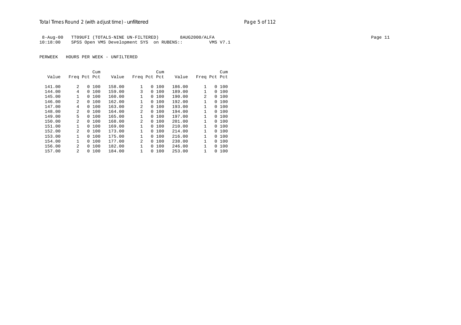|          | 8-Aug-00 TT09UFI (TOTALS-NINE UN-FILTERED) | 8AUG2000/ALFA | Page 11 |
|----------|--------------------------------------------|---------------|---------|
| 10:18:00 | SPSS Open VMS Development SYS on RUBENS::  | VMS V7.1      |         |

|        |                |          | Cum |        |              |   | Cum |        |              |          | Cum |
|--------|----------------|----------|-----|--------|--------------|---|-----|--------|--------------|----------|-----|
| Value  | Freq Pct Pct   |          |     | Value  | Freq Pct Pct |   |     | Value  | Freq Pct Pct |          |     |
|        |                |          |     |        |              |   |     |        |              |          |     |
| 141.00 | $\overline{a}$ | 0        | 100 | 158.00 | $\mathbf{1}$ | 0 | 100 | 186.00 | 1            | 0        | 100 |
| 144.00 | 4              | $\Omega$ | 100 | 159.00 | 3            | 0 | 100 | 189.00 |              | $\Omega$ | 100 |
| 145.00 | 1              | 0        | 100 | 160.00 | 1            | 0 | 100 | 190.00 | 2            | 0        | 100 |
| 146.00 | $\mathfrak{D}$ | 0        | 100 | 162.00 | 1            | 0 | 100 | 192.00 | 1            | $\Omega$ | 100 |
| 147.00 | 4              | 0        | 100 | 163.00 | 2            | 0 | 100 | 193.00 |              | 0        | 100 |
| 148.00 | $\mathfrak{D}$ | 0        | 100 | 164.00 | 2            | 0 | 100 | 194.00 | 1            | 0        | 100 |
| 149.00 | 5              | $\Omega$ | 100 | 165.00 | 1            | 0 | 100 | 197.00 | 1            | 0        | 100 |
| 150.00 | $\mathfrak{D}$ | $\Omega$ | 100 | 168.00 | 2            | 0 | 100 | 201.00 | 1            | $\Omega$ | 100 |
| 151.00 | 1              | $\Omega$ | 100 | 169.00 | 1            | 0 | 100 | 210.00 | $\mathbf{1}$ | 0        | 100 |
| 152.00 | $\mathfrak{D}$ | 0        | 100 | 173.00 | 1            | 0 | 100 | 214.00 |              | 0        | 100 |
| 153.00 | 1              | 0        | 100 | 175.00 | $\mathbf{1}$ | 0 | 100 | 216.00 | 1            | 0        | 100 |
| 154.00 | 1              | $\Omega$ | 100 | 177.00 | 2            | 0 | 100 | 238.00 | 1            | $\Omega$ | 100 |
| 156.00 | $\mathfrak{D}$ | 0        | 100 | 182.00 | 1            | 0 | 100 | 246.00 |              | 0        | 100 |
| 157.00 | $\mathfrak{D}$ | 0        | 100 | 184.00 | 1            | 0 | 100 | 253.00 |              | 0        | 100 |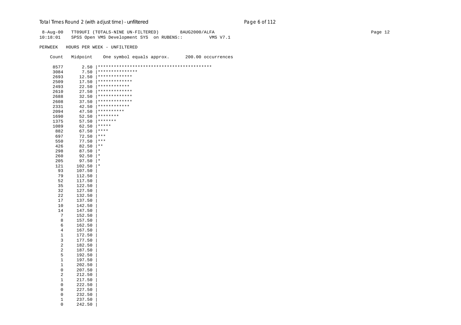| $8 - Aug - 00$<br>10:18:01  |                        | TT09UFI (TOTALS-NINE UN-FILTERED)<br>8AUG2000/ALFA<br>SPSS Open VMS Development SYS on RUBENS::<br>VMS V7.1 | Page 12 |
|-----------------------------|------------------------|-------------------------------------------------------------------------------------------------------------|---------|
| PERWEEK                     |                        | HOURS PER WEEK - UNFILTERED                                                                                 |         |
| Count                       | Midpoint               | One symbol equals approx.<br>200.00 occurrences                                                             |         |
| 8577                        |                        | ******************************<br>$2.50$   ************                                                     |         |
| 3084                        |                        | 7.50 $*****************$                                                                                    |         |
| 2693                        |                        | $12.50$  *************                                                                                      |         |
| 2509                        | 17.50                  | *************                                                                                               |         |
| 2493                        | 22.50                  | ************                                                                                                |         |
| 2610                        | 27.50                  | *************                                                                                               |         |
| 2688                        | 32.50                  | *************                                                                                               |         |
| 2608                        | 37.50                  | *************                                                                                               |         |
| 2331                        | 42.50                  | ************                                                                                                |         |
| 2094                        | 47.50                  | $************$                                                                                              |         |
| 1690                        | 52.50                  | $*********$                                                                                                 |         |
| 1375                        | 57.50                  | $*******$                                                                                                   |         |
| 1089                        | 62.50 $****$           | $***$                                                                                                       |         |
| 882<br>697                  | 67.50<br>$72.50$   *** |                                                                                                             |         |
| 550                         | $77.50$ ***            |                                                                                                             |         |
| 426                         | 82.50                  | $\star$ $\star$                                                                                             |         |
| 298                         | 87.50                  | $\star$                                                                                                     |         |
| 260                         | 92.50                  | $\star$                                                                                                     |         |
| 205                         | 97.50                  | $\star$                                                                                                     |         |
| 121                         | 102.50                 | $\star$                                                                                                     |         |
| 93                          | 107.50                 |                                                                                                             |         |
| 79                          | 112.50                 |                                                                                                             |         |
| 52                          | 117.50                 |                                                                                                             |         |
| 35                          | 122.50                 |                                                                                                             |         |
| 32<br>22                    | 127.50<br>132.50       |                                                                                                             |         |
| 17                          | 137.50                 |                                                                                                             |         |
| 10                          | 142.50                 |                                                                                                             |         |
| 14                          | 147.50                 |                                                                                                             |         |
| $7\phantom{.0}$             | 152.50                 |                                                                                                             |         |
| 8                           | 157.50                 |                                                                                                             |         |
| $\epsilon$                  | 162.50                 |                                                                                                             |         |
| $\overline{4}$              | 167.50                 |                                                                                                             |         |
| $\mathbf{1}$                | 172.50                 |                                                                                                             |         |
| 3                           | 177.50                 |                                                                                                             |         |
| $\sqrt{2}$                  | 182.50                 |                                                                                                             |         |
| $\sqrt{2}$<br>$\mathsf S$   | 187.50<br>192.50       |                                                                                                             |         |
| $\mathbf{1}$                | 197.50                 |                                                                                                             |         |
| $\mathbf{1}$                | 202.50                 |                                                                                                             |         |
| $\mathsf{O}\xspace$         | 207.50                 |                                                                                                             |         |
| 2                           | 212.50                 |                                                                                                             |         |
| $\mathbf{1}$                | 217.50                 |                                                                                                             |         |
| $\mathsf 0$                 | 222.50                 |                                                                                                             |         |
| $\mathsf{O}\xspace$         | 227.50                 |                                                                                                             |         |
| $\mathsf 0$                 | 232.50                 |                                                                                                             |         |
| $\mathbf{1}$<br>$\mathbf 0$ | 237.50<br>242.50       |                                                                                                             |         |
|                             |                        |                                                                                                             |         |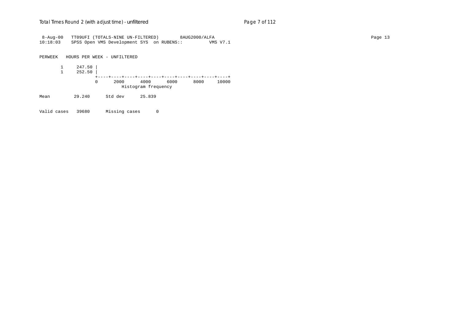| 8-Aug-00 |        |        | TT09UFI (TOTALS-NINE UN-FILTERED)         |                     |      | 8AUG2000/ALFA |          |  |  | Page 13 |
|----------|--------|--------|-------------------------------------------|---------------------|------|---------------|----------|--|--|---------|
| 10:18:03 |        |        | SPSS Open VMS Development SYS on RUBENS:: |                     |      |               | VMS V7.1 |  |  |         |
|          |        |        |                                           |                     |      |               |          |  |  |         |
|          |        |        |                                           |                     |      |               |          |  |  |         |
| PERWEEK  |        |        | HOURS PER WEEK - UNFILTERED               |                     |      |               |          |  |  |         |
|          |        |        |                                           |                     |      |               |          |  |  |         |
|          |        | 247.50 |                                           |                     |      |               |          |  |  |         |
|          |        |        |                                           |                     |      |               |          |  |  |         |
|          |        | 252.50 |                                           |                     |      |               |          |  |  |         |
|          |        |        |                                           |                     |      |               |          |  |  |         |
|          |        | 0      | 2000                                      | 4000                | 6000 | 8000          | 10000    |  |  |         |
|          |        |        |                                           | Histogram frequency |      |               |          |  |  |         |
| Mean     | 29.240 |        | Std dev                                   | 25.839              |      |               |          |  |  |         |
|          |        |        |                                           |                     |      |               |          |  |  |         |
|          |        |        |                                           |                     |      |               |          |  |  |         |

Valid cases 39680 Missing cases 0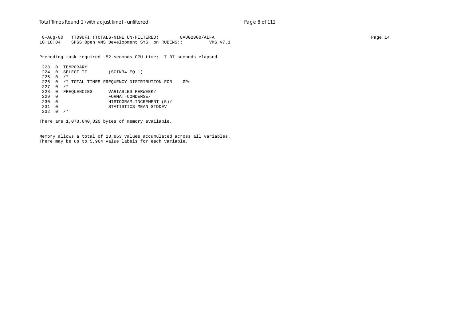8-Aug-00 TT09UFI (TOTALS-NINE UN-FILTERED) 8AUG2000/ALFA Page 14 10:18:04 SPSS Open VMS Development SYS on RUBENS:: VMS V7.1

Preceding task required .52 seconds CPU time; 7.07 seconds elapsed.

 223 0 TEMPORARY 224 0 SELECT IF (SCIN34 EQ 1)  $225 \t 0 / *$  226 0 /\* TOTAL TIMES FREQUENCY DISTRIBUTION FOR GPs 227 0 /\* 228 0 FREQUENCIES VARIABLES=PERWEEK/<br>229 0 FORMAT=CONDENSE/ 229 0 FORMAT=CONDENSE/ 230 0 HISTOGRAM=INCREMENT (5)/ 231 0 STATISTICS=MEAN STDDEV  $232 \t0 / *$ 

There are 1,073,640,320 bytes of memory available.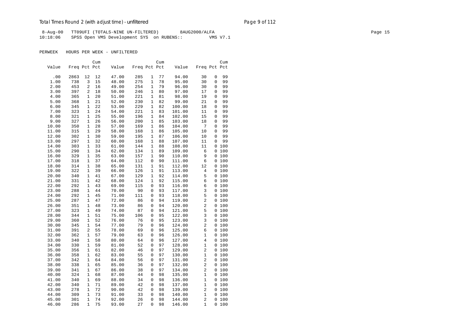8-Aug-00 TT09UFI (TOTALS-NINE UN-FILTERED) 8AUG2000/ALFA Page 15 10:18:06 SPSS Open VMS Development SYS on RUBENS:: VMS V7.1

|       |              |                | Cum |       |              |              | Cum |        |                |                | Cum   |
|-------|--------------|----------------|-----|-------|--------------|--------------|-----|--------|----------------|----------------|-------|
| Value | Freq Pct Pct |                |     | Value | Freq Pct Pct |              |     | Value  | Freq Pct Pct   |                |       |
|       |              |                |     |       |              |              |     |        |                |                |       |
| .00   | 2863         | 12             | 12  | 47.00 | 285          | 1            | 77  | 94.00  | 30             | 0              | 99    |
| 1.00  | 738          | 3              | 15  | 48.00 | 275          | $\mathbf{1}$ | 78  | 95.00  | 30             | 0              | 99    |
| 2.00  | 453          | 2              | 16  | 49.00 | 254          | $\mathbf{1}$ | 79  | 96.00  | 30             | 0              | 99    |
| 3.00  | 397          | $\overline{2}$ | 18  | 50.00 | 246          | $\mathbf{1}$ | 80  | 97.00  | 17             | 0              | 99    |
| 4.00  | 365          | $\mathbf{1}$   | 20  | 51.00 | 221          | 1            | 81  | 98.00  | 19             | 0              | 99    |
| 5.00  | 368          | 1              | 21  | 52.00 | 230          | 1            | 82  | 99.00  | 21             | 0              | 99    |
| 6.00  | 345          | $\mathbf{1}$   | 22  | 53.00 | 229          | 1            | 82  | 100.00 | 18             | 0              | 99    |
| 7.00  | 323          | $\mathbf{1}$   | 24  | 54.00 | 221          | 1            | 83  | 101.00 | 11             | 0              | 99    |
| 8.00  | 321          | $\mathbf{1}$   | 25  | 55.00 | 196          | $\mathbf{1}$ | 84  | 102.00 | 15             | 0              | 99    |
| 9.00  | 327          | $\mathbf{1}$   | 26  | 56.00 | 200          | $\mathbf{1}$ | 85  | 103.00 | 18             | 0              | 99    |
| 10.00 | 350          | $\mathbf{1}$   | 28  | 57.00 | 169          | $\mathbf{1}$ | 86  | 104.00 | 7              | 0              | 99    |
| 11.00 | 315          | $\mathbf{1}$   | 29  | 58.00 | 168          | $\mathbf 1$  | 86  | 105.00 | 10             | 0              | 99    |
| 12.00 | 302          | 1              | 30  | 59.00 | 195          | 1            | 87  | 106.00 | 10             | 0              | 99    |
| 13.00 | 297          | $\mathbf{1}$   | 32  | 60.00 | 168          | $\mathbf{1}$ | 88  | 107.00 | 11             | 0              | 99    |
| 14.00 | 303          | $\mathbf{1}$   | 33  | 61.00 | 144          | 1            | 88  | 108.00 | 11             |                | 0100  |
| 15.00 | 290          | $\mathbf{1}$   | 34  | 62.00 | 134          | $\mathbf{1}$ | 89  | 109.00 | 6              | 0              | 100   |
| 16.00 | 329          | $\mathbf{1}$   | 35  | 63.00 | 157          | $\mathbf{1}$ | 90  | 110.00 | 9              | $\mathbf{0}$   | 100   |
| 17.00 | 318          | $\mathbf{1}$   | 37  | 64.00 | 112          | 0            | 90  | 111.00 | 6              |                | 0 100 |
| 18.00 | 314          | $\mathbf{1}$   | 38  | 65.00 | 131          | $\mathbf{1}$ | 91  | 112.00 | 12             |                | 0 100 |
| 19.00 | 322          | 1              | 39  | 66.00 | 126          | 1            | 91  | 113.00 | 4              |                | 0 100 |
| 20.00 | 340          | $\mathbf{1}$   | 41  | 67.00 | 129          | 1            | 92  | 114.00 | 5              | $\overline{0}$ | 100   |
| 21.00 | 331          | $\mathbf{1}$   | 42  | 68.00 | 124          | $\mathbf{1}$ | 92  | 115.00 | 6              |                | 0 100 |
| 22.00 | 292          | $\mathbf{1}$   | 43  | 69.00 | 115          | 0            | 93  | 116.00 | 6              |                | 0 100 |
| 23.00 | 288          | $\mathbf{1}$   | 44  | 70.00 | 90           | 0            | 93  | 117.00 | 3              |                | 0 100 |
| 24.00 | 292          | $\mathbf{1}$   | 45  | 71.00 | 111          | 0            | 93  | 118.00 | 5              |                | 0 100 |
| 25.00 | 287          | $\mathbf{1}$   | 47  | 72.00 | 86           | 0            | 94  | 119.00 | 2              |                | 0 100 |
| 26.00 | 351          | $\mathbf{1}$   | 48  | 73.00 | 86           | 0            | 94  | 120.00 | 2              |                | 0 100 |
| 27.00 | 323          | $\mathbf{1}$   | 49  | 74.00 | 87           | 0            | 94  | 121.00 | 5              |                | 0 100 |
| 28.00 | 344          | $\mathbf{1}$   | 51  | 75.00 | 106          | 0            | 95  | 122.00 | 3              |                | 0 100 |
| 29.00 | 360          | $\mathbf{1}$   | 52  | 76.00 | 76           | 0            | 95  | 123.00 | 3              |                | 0 100 |
| 30.00 | 345          | $\mathbf{1}$   | 54  | 77.00 | 79           | 0            | 96  | 124.00 | 2              | $\mathbf{0}$   | 100   |
| 31.00 | 391          | $\overline{2}$ | 55  | 78.00 | 69           | 0            | 96  | 125.00 | 6              |                | 0 100 |
| 32.00 | 362          | $\mathbf{1}$   | 57  | 79.00 | 63           | 0            | 96  | 126.00 | 1              |                | 0 100 |
| 33.00 | 340          | $\mathbf{1}$   | 58  | 80.00 | 64           | 0            | 96  | 127.00 | 4              |                | 0 100 |
| 34.00 | 330          | $\mathbf{1}$   | 59  | 81.00 | 52           | 0            | 97  | 128.00 | 1              |                | 0 100 |
| 35.00 | 356          | $\mathbf{1}$   | 61  | 82.00 | 46           | 0            | 97  | 129.00 | 2              | 0              | 100   |
| 36.00 | 358          | $\mathbf{1}$   | 62  | 83.00 | 55           | 0            | 97  | 130.00 | 1              |                | 0 100 |
| 37.00 | 342          | $\mathbf{1}$   | 64  | 84.00 | 56           | 0            | 97  | 131.00 | 2              |                | 0 100 |
| 38.00 | 338          | $\mathbf{1}$   | 65  | 85.00 | 36           | 0            | 97  | 132.00 | 2              |                | 0 100 |
| 39.00 | 341          | $\mathbf{1}$   | 67  | 86.00 | 38           | $\Omega$     | 97  | 134.00 | $\overline{2}$ |                | 0 100 |
| 40.00 | 324          | 1              | 68  | 87.00 | 44           | 0            | 98  | 135.00 | 1              |                | 0 100 |
| 41.00 | 340          | $\mathbf{1}$   | 69  | 88.00 | 34           | 0            | 98  | 136.00 | 1              |                | 0 100 |
| 42.00 | 340          | $\mathbf{1}$   | 71  | 89.00 | 42           | 0            | 98  | 137.00 | 1              |                | 0 100 |
| 43.00 | 278          | $\mathbf{1}$   | 72  | 90.00 | 42           | 0            | 98  | 139.00 | 2              | $\mathbf{0}$   | 100   |
| 44.00 | 309          | $\mathbf{1}$   | 73  | 91.00 | 33           | 0            | 98  | 140.00 | 1              | 0              | 100   |
| 45.00 | 301          | $\mathbf{1}$   | 74  | 92.00 | 26           | 0            | 98  | 144.00 | $\overline{2}$ | 0              | 100   |
| 46.00 | 286          | $\mathbf{1}$   | 75  | 93.00 | 27           | $\Omega$     | 98  | 146.00 | $\mathbf{1}$   |                | 0100  |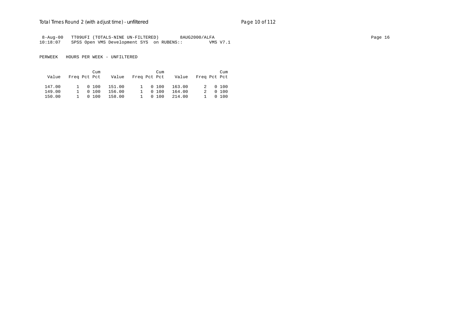|          | 8-Aug-00 TT09UFI (TOTALS-NINE UN-FILTERED) | 8AUG2000/ALFA | Page 16 |
|----------|--------------------------------------------|---------------|---------|
| 10:18:07 | SPSS Open VMS Development SYS on RUBENS::  | VMS V7.1      |         |

| Value  | Freq Pct Pct |         | Cum     | Value Freg Pct Pct |         | Cum    | Value Freq Pct Pct |   | Cum     |
|--------|--------------|---------|---------|--------------------|---------|--------|--------------------|---|---------|
| 147.00 |              |         | 1 0 100 | 151.00             | 1 0 100 |        | 163.00             |   | 2 0 100 |
| 149.00 |              | 1 0 100 |         | 156.00             |         | 0, 100 | 164.00             | 2 | 0, 100  |
| 150.00 |              | 1 0 100 |         | 158.00             |         | 0, 100 | 214.00             |   | 0, 100  |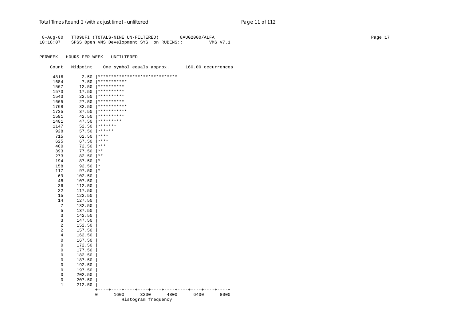8-Aug-00 TT09UFI (TOTALS-NINE UN-FILTERED) 8AUG2000/ALFA Page 17 10:18:07 SPSS Open VMS Development SYS on RUBENS:: VMS V7.1

| ******************************<br>4816<br>2.50<br>*********** |      |      |
|---------------------------------------------------------------|------|------|
|                                                               |      |      |
| 7.50<br>1684                                                  |      |      |
| **********<br>1567<br>12.50                                   |      |      |
| **********<br>1573<br>17.50                                   |      |      |
| **********<br>1543<br>22.50                                   |      |      |
| **********<br>1665<br>27.50                                   |      |      |
| ***********<br>1768<br>32.50                                  |      |      |
| ***********<br>1735<br>37.50                                  |      |      |
| **********<br>1591<br>42.50                                   |      |      |
| *********<br>1401<br>47.50                                    |      |      |
| *******<br>52.50<br>1147                                      |      |      |
| ******<br>928<br>57.50                                        |      |      |
| $***$<br>715<br>62.50                                         |      |      |
| $***$<br>625<br>67.50                                         |      |      |
| $***$<br>460<br>72.50                                         |      |      |
| 393<br>$***$<br>77.50                                         |      |      |
| $***$<br>273<br>82.50                                         |      |      |
| 194<br>87.50<br>$^\ast$                                       |      |      |
| 158<br>92.50<br>$^\star$                                      |      |      |
| 117<br>97.50<br>$^\star$                                      |      |      |
| 69<br>102.50                                                  |      |      |
| 48<br>107.50                                                  |      |      |
| 36<br>112.50                                                  |      |      |
| 22<br>117.50                                                  |      |      |
| 15<br>122.50                                                  |      |      |
| 14<br>127.50                                                  |      |      |
| 7<br>132.50                                                   |      |      |
| 5<br>137.50                                                   |      |      |
| 3<br>142.50                                                   |      |      |
| 3<br>147.50                                                   |      |      |
| $\overline{c}$<br>152.50                                      |      |      |
| 2<br>157.50                                                   |      |      |
| 4<br>162.50                                                   |      |      |
| 0<br>167.50                                                   |      |      |
| 0<br>172.50                                                   |      |      |
| 0<br>177.50                                                   |      |      |
| 0<br>182.50                                                   |      |      |
| 0<br>187.50                                                   |      |      |
| 0<br>192.50                                                   |      |      |
| 0<br>197.50                                                   |      |      |
| 0<br>202.50                                                   |      |      |
| 0<br>207.50                                                   |      |      |
| 1<br>212.50                                                   |      |      |
| $\pm$<br>0<br>1600<br>3200<br>4800                            | 6400 | 8000 |
| Histogram frequency                                           |      |      |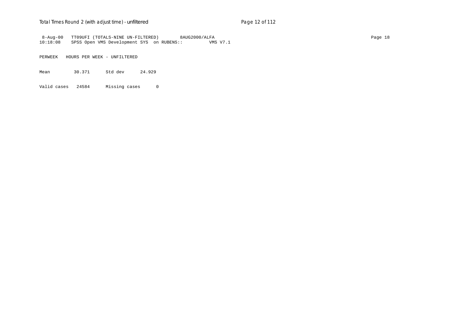## Total Times Round 2 (with adjust time) - *unfiltered* example 2 and 2 of 112

 8-Aug-00 TT09UFI (TOTALS-NINE UN-FILTERED) 8AUG2000/ALFA Page 18 10:18:08 SPSS Open VMS Development SYS on RUBENS::

PERWEEK HOURS PER WEEK - UNFILTERED

Mean 30.371 Std dev 24.929

Valid cases 24584 Missing cases 0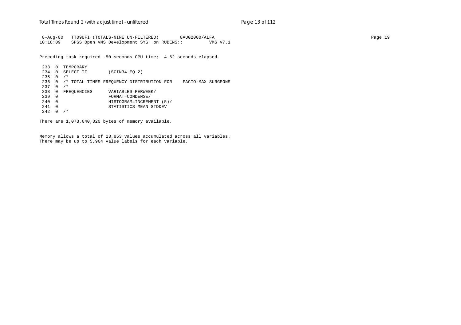8-Aug-00 TT09UFI (TOTALS-NINE UN-FILTERED) 8AUG2000/ALFA Page 19 10:18:09 SPSS Open VMS Development SYS on RUBENS:: VMS V7.1

Preceding task required .50 seconds CPU time; 4.62 seconds elapsed.

 233 0 TEMPORARY 234 0 SELECT IF (SCIN34 EQ 2)  $235 \t 0 / *$  236 0 /\* TOTAL TIMES FREQUENCY DISTRIBUTION FOR FACIO-MAX SURGEONS 237 0 /\* 238 0 FREQUENCIES VARIABLES=PERWEEK/<br>239 0 FORMAT=CONDENSE/ 239 0 FORMAT=CONDENSE/ 240 0 HISTOGRAM=INCREMENT (5)/ 241 0 STATISTICS=MEAN STDDEV  $242 \t0 \t/*$ 

There are 1,073,640,320 bytes of memory available.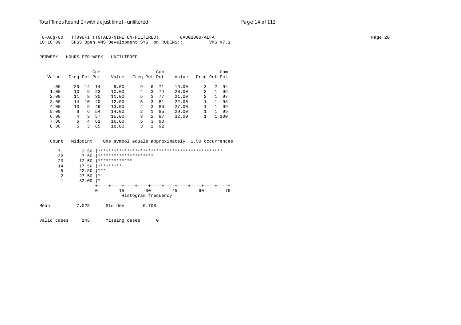|          | 8-Aug-00 TT09UFI (TOTALS-NINE UN-FILTERED) | 8AUG2000/ALFA | Page 20 |
|----------|--------------------------------------------|---------------|---------|
| 10:18:09 | SPSS Open VMS Development SYS on RUBENS::  | VMS V7.1      |         |

PERWEEK HOURS PER WEEK - UNFILTERED

|       |              |    | Cum |       |                |               | Cum |       |                |              | Cum |
|-------|--------------|----|-----|-------|----------------|---------------|-----|-------|----------------|--------------|-----|
| Value | Freq Pct Pct |    |     | Value | Freq Pct Pct   |               |     | Value | Freq Pct Pct   |              |     |
|       |              |    |     |       |                |               |     |       |                |              |     |
| .00   | 20           | 14 | 14  | 9.00  | 9              | 6             | 71  | 19.00 | 3              | 2            | 94  |
| 1.00  | 13           | 9  | 23  | 10.00 | 4              | 3             | 74  | 20.00 | 2              |              | 96  |
| 2.00  | 11           | 8  | 30  | 11.00 | 5              | 3             | 77  | 21.00 | $\overline{2}$ |              | 97  |
| 3.00  | 14           | 10 | 40  | 12.00 | 5.             | 3             | 81  | 22.00 |                |              | 98  |
| 4.00  | 13           | 9  | 49  | 13.00 | 4              | 3             | 83  | 27.00 |                | 1.           | 99  |
| 5.00  | 8            | 6  | 54  | 14.00 | $\overline{a}$ | 1.            | 85  | 29.00 |                |              | 99  |
| 6.00  | 4            | 3  | 57  | 15.00 | 3              | $\mathcal{L}$ | 87  | 32.00 |                | $\mathbf{1}$ | 100 |
| 7.00  | 6            | 4  | 61  | 16.00 | 5.             | 3             | 90  |       |                |              |     |
| 8.00  | 5            | 3  | 65  | 18.00 | 3              | 2             | 92  |       |                |              |     |

|      | Count          | Midpoint |           |               |                       |       | One symbol equals approximately 1.50 occurrences |    |  |    |  |  |
|------|----------------|----------|-----------|---------------|-----------------------|-------|--------------------------------------------------|----|--|----|--|--|
|      | 71             | 2.50     |           |               |                       |       |                                                  |    |  |    |  |  |
|      | 32             | 7.50     |           |               | ********************* |       |                                                  |    |  |    |  |  |
|      | 20             | 12.50    |           | ************* |                       |       |                                                  |    |  |    |  |  |
|      | 14             | 17.50    | ********* |               |                       |       |                                                  |    |  |    |  |  |
|      | 5              | 22.50    | ***       |               |                       |       |                                                  |    |  |    |  |  |
|      | $\overline{2}$ | 27.50    | $\star$   |               |                       |       |                                                  |    |  |    |  |  |
|      | 1              | 32.00    | $\star$   |               |                       |       |                                                  |    |  |    |  |  |
|      |                |          |           |               |                       |       | ---+----+----+----+----+----+----+               |    |  |    |  |  |
|      |                |          | $\Omega$  | 15            | 30                    |       | 45                                               | 60 |  | 75 |  |  |
|      |                |          |           |               | Histogram frequency   |       |                                                  |    |  |    |  |  |
| Mean |                | 7.028    |           | Std dev       |                       | 6.708 |                                                  |    |  |    |  |  |
|      |                |          |           |               |                       |       |                                                  |    |  |    |  |  |

Valid cases 145 Missing cases 0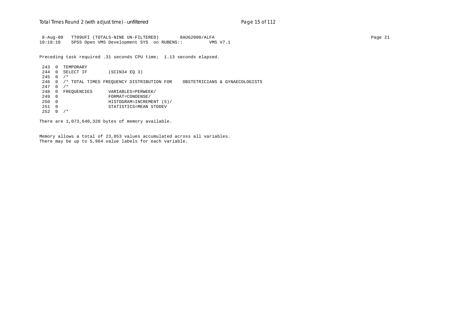8-Aug-00 TT09UFI (TOTALS-NINE UN-FILTERED) 8AUG2000/ALFA Page 21 10:18:10 SPSS Open VMS Development SYS on RUBENS:: VMS V7.1

Preceding task required .31 seconds CPU time; 1.13 seconds elapsed.

 243 0 TEMPORARY 244 0 SELECT IF (SCIN34 EQ 3)  $245 \t0 \t/*$  246 0 /\* TOTAL TIMES FREQUENCY DISTRIBUTION FOR OBSTETRICIANS & GYNAECOLOGISTS 247 0 /\* 248 0 FREQUENCIES VARIABLES=PERWEEK/<br>249 0 FORMAT=CONDENSE/ 249 0 FORMAT=CONDENSE/ 250 0 HISTOGRAM=INCREMENT (5)/ 251 0 STATISTICS=MEAN STDDEV  $252 \t0 / *$ 

There are 1,073,640,320 bytes of memory available.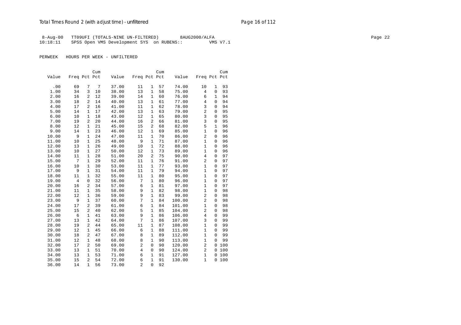8-Aug-00 TT09UFI (TOTALS-NINE UN-FILTERED) 8AUG2000/ALFA Page 22 10:18:11 SPSS Open VMS Development SYS on RUBENS:: VMS V7.1

|       |                |                | Cum |       |                |                | Cum |        |                |              | Cum |
|-------|----------------|----------------|-----|-------|----------------|----------------|-----|--------|----------------|--------------|-----|
| Value | Freq Pct Pct   |                |     | Value | Freq Pct Pct   |                |     | Value  | Freq Pct Pct   |              |     |
|       | 69             |                | 7   | 37.00 | 11             |                | 57  | 74.00  | 10             | $\mathbf 1$  | 93  |
| .00   |                | 7              |     |       |                | 1              |     |        |                | 0            |     |
| 1.00  | 34             | 3              | 10  | 38.00 | 13             | 1              | 58  | 75.00  | 4              |              | 93  |
| 2.00  | 16             | 2              | 12  | 39.00 | 14             | 1              | 60  | 76.00  | 6              | $\mathbf{1}$ | 94  |
| 3.00  | 18             | 2              | 14  | 40.00 | 13             | $\mathbf{1}$   | 61  | 77.00  | $\overline{4}$ | 0            | 94  |
| 4.00  | 17             | 2              | 16  | 41.00 | 11             | $\mathbf{1}$   | 62  | 78.00  | 3              | $\Omega$     | 94  |
| 5.00  | 14             | $\mathbf{1}$   | 17  | 42.00 | 13             | $\mathbf{1}$   | 63  | 79.00  | $\overline{2}$ | 0            | 95  |
| 6.00  | 10             | $\mathbf{1}$   | 18  | 43.00 | 12             | $\mathbf{1}$   | 65  | 80.00  | 3              | $\Omega$     | 95  |
| 7.00  | 19             | $\overline{2}$ | 20  | 44.00 | 16             | 2              | 66  | 81.00  | 3              | 0            | 95  |
| 8.00  | 12             | $\mathbf{1}$   | 21  | 45.00 | 15             | 2              | 68  | 82.00  | 5              | $\mathbf{1}$ | 96  |
| 9.00  | 14             | 1              | 23  | 46.00 | 12             | 1              | 69  | 85.00  | $\mathbf{1}$   | 0            | 96  |
| 10.00 | 9              | $\mathbf{1}$   | 24  | 47.00 | 11             | $\mathbf{1}$   | 70  | 86.00  | $\overline{a}$ | $\Omega$     | 96  |
| 11.00 | 10             | $\mathbf{1}$   | 25  | 48.00 | 9              | $\mathbf{1}$   | 71  | 87.00  | $\mathbf{1}$   | 0            | 96  |
| 12.00 | 13             | $\mathbf{1}$   | 26  | 49.00 | 10             | $\mathbf{1}$   | 72  | 88.00  | $\mathbf{1}$   | $\Omega$     | 96  |
| 13.00 | 10             | $\mathbf{1}$   | 27  | 50.00 | 12             | $\mathbf{1}$   | 73  | 89.00  | $\mathbf{1}$   | 0            | 96  |
| 14.00 | 11             | $1\,$          | 28  | 51.00 | 20             | $\overline{c}$ | 75  | 90.00  | $\overline{4}$ | 0            | 97  |
| 15.00 | 7              | $\mathbf{1}$   | 29  | 52.00 | 11             | 1              | 76  | 91.00  | 2              | 0            | 97  |
| 16.00 | 10             | 1              | 30  | 53.00 | 11             | $\mathbf{1}$   | 77  | 93.00  | $\mathbf{1}$   | 0            | 97  |
| 17.00 | 9              | $\mathbf{1}$   | 31  | 54.00 | 11             | 1              | 79  | 94.00  | 1              | $\Omega$     | 97  |
| 18.00 | 11             | $\mathbf{1}$   | 32  | 55.00 | 11             | $\mathbf{1}$   | 80  | 95.00  | $\mathbf{1}$   | $\Omega$     | 97  |
| 19.00 | $\overline{4}$ | $\mathbf 0$    | 32  | 56.00 | 7              | $\mathbf{1}$   | 80  | 96.00  | $\mathbf{1}$   | 0            | 97  |
| 20.00 | 16             | $\overline{2}$ | 34  | 57.00 | 6              | $\mathbf{1}$   | 81  | 97.00  | $\mathbf{1}$   | $\mathbf 0$  | 97  |
| 21.00 | 11             | $\mathbf{1}$   | 35  | 58.00 | 9              | $\mathbf{1}$   | 82  | 98.00  | $\mathbf{1}$   | $\mathbf 0$  | 98  |
| 22.00 | 12             | $\mathbf{1}$   | 36  | 59.00 | 9              | $\mathbf{1}$   | 83  | 99.00  | 2              | $\Omega$     | 98  |
| 23.00 | 9              | $\mathbf{1}$   | 37  | 60.00 | 7              | $\mathbf{1}$   | 84  | 100.00 | $\overline{2}$ | 0            | 98  |
| 24.00 | 17             | $\overline{a}$ | 39  | 61.00 | 6              | $\mathbf{1}$   | 84  | 101.00 | 1              | $\Omega$     | 98  |
| 25.00 | 15             | $\overline{a}$ | 40  | 62.00 | 5              | $\mathbf{1}$   | 85  | 104.00 | 2              | $\Omega$     | 98  |
| 26.00 | 6              | $\mathbf{1}$   | 41  | 63.00 | 9              | $\mathbf{1}$   | 86  | 106.00 | $\overline{4}$ | 0            | 99  |
| 27.00 | 13             | $\mathbf{1}$   | 42  | 64.00 | 7              | $\mathbf{1}$   | 86  | 107.00 | 3              | 0            | 99  |
| 28.00 | 19             | $\overline{2}$ | 44  | 65.00 | 11             | $\mathbf{1}$   | 87  | 108.00 | $\mathbf{1}$   | 0            | 99  |
| 29.00 | 12             | $\mathbf{1}$   | 45  | 66.00 | 6              | $\mathbf{1}$   | 88  | 111.00 | $\mathbf{1}$   | 0            | 99  |
| 30.00 | 18             | 2              | 47  | 67.00 | 8              | $\mathbf{1}$   | 89  | 112.00 | $\mathbf{1}$   | $\Omega$     | 99  |
| 31.00 | 12             | $\mathbf{1}$   | 48  | 68.00 | 8              | $\mathbf{1}$   | 90  | 113.00 | $\mathbf{1}$   | 0            | 99  |
| 32.00 | 17             | $\overline{2}$ | 50  | 69.00 | $\overline{c}$ | $\mathbf 0$    | 90  | 120.00 | 2              | $\Omega$     | 100 |
| 33.00 | 13             | $\mathbf{1}$   | 51  | 70.00 | $\overline{4}$ | $\mathbf 0$    | 90  | 124.00 | 2              | 0            | 100 |
| 34.00 | 13             | $\mathbf{1}$   | 53  | 71.00 | 6              | 1              | 91  | 127.00 | $\mathbf{1}$   | 0            | 100 |
| 35.00 | 15             | $\overline{2}$ | 54  | 72.00 | 6              | $\mathbf{1}$   | 91  | 130.00 | $\mathbf{1}$   | 0            | 100 |
| 36.00 | 14             | $\mathbf{1}$   | 56  | 73.00 | 2              | $\Omega$       | 92  |        |                |              |     |
|       |                |                |     |       |                |                |     |        |                |              |     |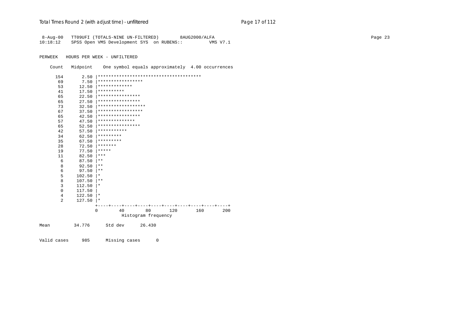8-Aug-00 TT09UFI (TOTALS-NINE UN-FILTERED) 8AUG2000/ALFA Page 23 10:18:12 SPSS Open VMS Development SYS on RUBENS::

PERWEEK HOURS PER WEEK - UNFILTERED

Count Midpoint One symbol equals approximately 4.00 occurrences

| 154            | 2.50   |                                 |    |                     |     |     |     |
|----------------|--------|---------------------------------|----|---------------------|-----|-----|-----|
| 69             | 7.50   | *****************               |    |                     |     |     |     |
| 53             | 12.50  | *************                   |    |                     |     |     |     |
| 41             | 17.50  | **********                      |    |                     |     |     |     |
| 65             | 22.50  | * * * * * * * * * * * * * * * * |    |                     |     |     |     |
| 65             | 27.50  | ****************                |    |                     |     |     |     |
| 73             | 32.50  | ******************              |    |                     |     |     |     |
| 67             | 37.50  | *****************               |    |                     |     |     |     |
| 65             | 42.50  | ****************                |    |                     |     |     |     |
| 57             | 47.50  | **************                  |    |                     |     |     |     |
| 65             | 52.50  | * * * * * * * * * * * * * * * * |    |                     |     |     |     |
| 42             | 57.50  | ***********                     |    |                     |     |     |     |
| 34             | 62.50  | *********                       |    |                     |     |     |     |
| 35             | 67.50  | *********                       |    |                     |     |     |     |
| 28             | 72.50  | *******                         |    |                     |     |     |     |
| 19             | 77.50  | *****                           |    |                     |     |     |     |
| 11             | 82.50  | ***                             |    |                     |     |     |     |
| 6              | 87.50  | $***$                           |    |                     |     |     |     |
| 8              | 92.50  | $***$                           |    |                     |     |     |     |
| 6              | 97.50  | $***$                           |    |                     |     |     |     |
| 5              | 102.50 | $^\star$                        |    |                     |     |     |     |
| 8              | 107.50 | $***$                           |    |                     |     |     |     |
| 3              | 112.50 | $^\star$                        |    |                     |     |     |     |
| $\Omega$       | 117.50 |                                 |    |                     |     |     |     |
| 4              | 122.50 | $\star$                         |    |                     |     |     |     |
| $\overline{2}$ | 127.50 | $^\star$                        |    |                     |     |     |     |
|                |        | $\Omega$                        | 40 | 80                  | 120 | 160 | 200 |
|                |        |                                 |    | Histogram frequency |     |     |     |
|                |        |                                 |    |                     |     |     |     |
| Mean           | 34.776 | Std dev                         |    | 26.430              |     |     |     |

Valid cases 985 Missing cases 0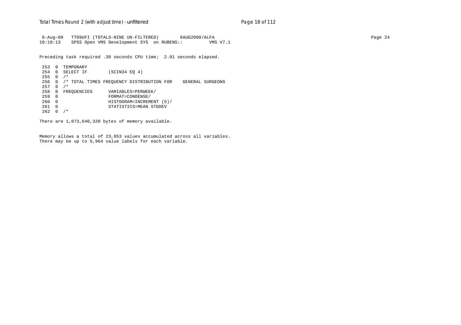8-Aug-00 TT09UFI (TOTALS-NINE UN-FILTERED) 8AUG2000/ALFA Page 24 10:18:13 SPSS Open VMS Development SYS on RUBENS:: VMS V7.1

Preceding task required .30 seconds CPU time; 2.91 seconds elapsed.

 253 0 TEMPORARY 254 0 SELECT IF (SCIN34 EQ 4)  $255 \t0 \t/$  256 0 /\* TOTAL TIMES FREQUENCY DISTRIBUTION FOR GENERAL SURGEONS 257 0 /\* 258 0 FREQUENCIES VARIABLES=PERWEEK/<br>259 0 FORMAT=CONDENSE/ 259 0 FORMAT=CONDENSE/ 260 0 HISTOGRAM=INCREMENT (5)/ 261 0 STATISTICS=MEAN STDDEV  $262 \t 0 / *$ 

There are 1,073,640,320 bytes of memory available.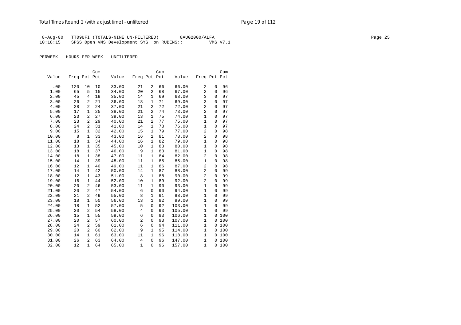8-Aug-00 TT09UFI (TOTALS-NINE UN-FILTERED) 8AUG2000/ALFA Page 25 Page 25 10:18:15 SPSS Open VMS Development SYS on RUBENS:: VMS V7.1

|       |              |                | Cum |       |              |              | Cum |        |              |              | Cum |
|-------|--------------|----------------|-----|-------|--------------|--------------|-----|--------|--------------|--------------|-----|
| Value | Freq Pct Pct |                |     | Value | Freq Pct Pct |              |     | Value  | Freq Pct Pct |              |     |
|       |              |                |     |       |              |              |     |        |              |              |     |
| .00   | 120          | 10             | 10  | 33.00 | 21           | 2            | 66  | 66.00  | 2            | 0            | 96  |
| 1.00  | 65           | 5              | 15  | 34.00 | 20           | 2            | 68  | 67.00  | 2            | 0            | 96  |
| 2.00  | 45           | 4              | 19  | 35.00 | 14           | 1            | 69  | 68.00  | 3            | 0            | 97  |
| 3.00  | 26           | 2              | 21  | 36.00 | 18           | 1            | 71  | 69.00  | 3            | 0            | 97  |
| 4.00  | 28           | 2              | 24  | 37.00 | 21           | 2            | 72  | 72.00  | 2            | 0            | 97  |
| 5.00  | 17           | 1              | 25  | 38.00 | 21           | 2            | 74  | 73.00  | 2            | 0            | 97  |
| 6.00  | 23           | 2              | 27  | 39.00 | 13           | 1            | 75  | 74.00  | $\mathbf{1}$ | 0            | 97  |
| 7.00  | 23           | 2              | 29  | 40.00 | 21           | 2            | 77  | 75.00  | $\mathbf{1}$ | 0            | 97  |
| 8.00  | 24           | 2              | 31  | 41.00 | 14           | 1            | 78  | 76.00  | $\mathbf{1}$ | 0            | 97  |
| 9.00  | 15           | $\mathbf{1}$   | 32  | 42.00 | 15           | $\mathbf 1$  | 79  | 77.00  | 2            | 0            | 98  |
| 10.00 | 8            | 1              | 33  | 43.00 | 16           | 1            | 81  | 78.00  | 2            | 0            | 98  |
| 11.00 | 18           | 1              | 34  | 44.00 | 16           | 1            | 82  | 79.00  | $\mathbf{1}$ | 0            | 98  |
| 12.00 | 13           | $\mathbf{1}$   | 35  | 45.00 | 10           | 1            | 83  | 80.00  | $\mathbf{1}$ | 0            | 98  |
| 13.00 | 18           | $\mathbf{1}$   | 37  | 46.00 | 9            | 1            | 83  | 81.00  | $\mathbf{1}$ | 0            | 98  |
| 14.00 | 18           | 1              | 38  | 47.00 | 11           | 1            | 84  | 82.00  | 2            | 0            | 98  |
| 15.00 | 14           | $\mathbf{1}$   | 39  | 48.00 | 11           | 1            | 85  | 85.00  | 1            | 0            | 98  |
| 16.00 | 12           | $\mathbf{1}$   | 40  | 49.00 | 11           | 1            | 86  | 87.00  | 2            | 0            | 98  |
| 17.00 | 14           | 1              | 42  | 50.00 | 14           | 1            | 87  | 88.00  | 2            | 0            | 99  |
| 18.00 | 12           | $\mathbf{1}$   | 43  | 51.00 | 8            | $\mathbf 1$  | 88  | 90.00  | 2            | 0            | 99  |
| 19.00 | 16           | $\mathbf{1}$   | 44  | 52.00 | 10           | $\mathbf{1}$ | 89  | 92.00  | 2            | 0            | 99  |
| 20.00 | 20           | $\overline{a}$ | 46  | 53.00 | 11           | $\mathbf{1}$ | 90  | 93.00  | $\mathbf{1}$ | 0            | 99  |
| 21.00 | 20           | 2              | 47  | 54.00 | 6            | $\mathbf 0$  | 90  | 94.00  | $\mathbf{1}$ | 0            | 99  |
| 22.00 | 21           | $\overline{a}$ | 49  | 55.00 | 8            | $\mathbf{1}$ | 91  | 98.00  | $\mathbf{1}$ | 0            | 99  |
| 23.00 | 18           | 1              | 50  | 56.00 | 13           | 1            | 92  | 99.00  | $\mathbf 1$  | 0            | 99  |
| 24.00 | 18           | 1              | 52  | 57.00 | 5            | 0            | 92  | 103.00 | $\mathbf{1}$ | $\Omega$     | 99  |
| 25.00 | 20           | 2              | 54  | 58.00 | 4            | 0            | 93  | 105.00 | $\mathbf{1}$ | $\Omega$     | 99  |
| 26.00 | 15           | $\mathbf{1}$   | 55  | 59.00 | 6            | 0            | 93  | 106.00 | $\mathbf{1}$ | 0            | 100 |
| 27.00 | 20           | 2              | 57  | 60.00 | 2            | 0            | 93  | 107.00 | $\mathbf{1}$ | 0            | 100 |
| 28.00 | 24           | $\overline{a}$ | 59  | 61.00 | 6            | 0            | 94  | 111.00 | $\mathbf{1}$ | 0            | 100 |
| 29.00 | 20           | $\overline{a}$ | 60  | 62.00 | 9            | $\mathbf{1}$ | 95  | 114.00 | $\mathbf{1}$ | $\mathbf 0$  | 100 |
| 30.00 | 14           | $\mathbf{1}$   | 61  | 63.00 | 11           | 1            | 96  | 118.00 | $\mathbf{1}$ | $\mathbf 0$  | 100 |
| 31.00 | 26           | $\overline{2}$ | 63  | 64.00 | 4            | $\mathbf 0$  | 96  | 147.00 | $\mathbf{1}$ | $\mathbf 0$  | 100 |
| 32.00 | 12           | $\mathbf{1}$   | 64  | 65.00 | $\mathbf{1}$ | $\mathbf 0$  | 96  | 157.00 | $\mathbf{1}$ | $\mathbf{0}$ | 100 |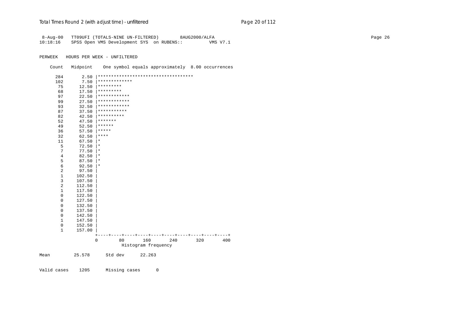# Total Times Round 2 (with adjust time) - *unfiltered* example 20 page 20 of 112

| $8 - Aug - 00$             |                  | TT09UFI (TOTALS-NINE UN-FILTERED)                                                     |     | 8AUG2000/ALFA |          |  | Page 26 |
|----------------------------|------------------|---------------------------------------------------------------------------------------|-----|---------------|----------|--|---------|
| 10:18:16                   |                  | SPSS Open VMS Development SYS on RUBENS::                                             |     |               | VMS V7.1 |  |         |
|                            |                  |                                                                                       |     |               |          |  |         |
| PERWEEK                    |                  | HOURS PER WEEK - UNFILTERED                                                           |     |               |          |  |         |
| Count                      | Midpoint         | One symbol equals approximately 8.00 occurrences                                      |     |               |          |  |         |
| 284                        | 2.50             | ************************************                                                  |     |               |          |  |         |
| 102                        | 7.50             | *************                                                                         |     |               |          |  |         |
| 75                         | 12.50            | *********                                                                             |     |               |          |  |         |
| 68                         | 17.50            | *********                                                                             |     |               |          |  |         |
| 97                         | 22.50            | ************                                                                          |     |               |          |  |         |
| 99                         | 27.50            | ************                                                                          |     |               |          |  |         |
| 93                         | 32.50            | ************                                                                          |     |               |          |  |         |
| 87                         | 37.50            | ***********<br>**********                                                             |     |               |          |  |         |
| 82<br>52                   | 42.50<br>47.50   | *******                                                                               |     |               |          |  |         |
| 49                         | 52.50            | $******$                                                                              |     |               |          |  |         |
| 36                         | 57.50            | $***$ * * *                                                                           |     |               |          |  |         |
| 32                         | 62.50            | $***$                                                                                 |     |               |          |  |         |
| 11                         | 67.50            | $\star$                                                                               |     |               |          |  |         |
| 5                          | 72.50            | $\star$                                                                               |     |               |          |  |         |
| $\overline{7}$             | 77.50            | $\star$                                                                               |     |               |          |  |         |
| $4\,$                      | 82.50            | $\star$                                                                               |     |               |          |  |         |
| 5                          | $87.50$  *       |                                                                                       |     |               |          |  |         |
| $\epsilon$                 | 92.50            | $\star$                                                                               |     |               |          |  |         |
| $\sqrt{2}$                 | 97.50            |                                                                                       |     |               |          |  |         |
| $\mathbf{1}$               | 102.50           |                                                                                       |     |               |          |  |         |
| $\mathbf{3}$               | 107.50           |                                                                                       |     |               |          |  |         |
| $\boldsymbol{2}$           | 112.50           |                                                                                       |     |               |          |  |         |
| $\mathbf{1}$               | 117.50           |                                                                                       |     |               |          |  |         |
| $\mathsf 0$<br>$\mathbf 0$ | 122.50<br>127.50 |                                                                                       |     |               |          |  |         |
| 0                          | 132.50           |                                                                                       |     |               |          |  |         |
| $\mathbf 0$                | 137.50           |                                                                                       |     |               |          |  |         |
| $\mathbf 0$                | 142.50           |                                                                                       |     |               |          |  |         |
| $\mathbf{1}$               | 147.50           |                                                                                       |     |               |          |  |         |
| $\mathbf 0$                | 152.50           |                                                                                       |     |               |          |  |         |
| $\mathbf{1}$               | 157.00           |                                                                                       |     |               |          |  |         |
|                            |                  | ----+----+----+----+----+----+----+----+<br>$+ - - - - +$<br>$\mathbf 0$<br>160<br>80 | 240 | 320           | 400      |  |         |
|                            |                  | Histogram frequency                                                                   |     |               |          |  |         |
| Mean                       | 25.578           | Std dev<br>22.263                                                                     |     |               |          |  |         |
|                            |                  |                                                                                       |     |               |          |  |         |

Valid cases 1205 Missing cases 0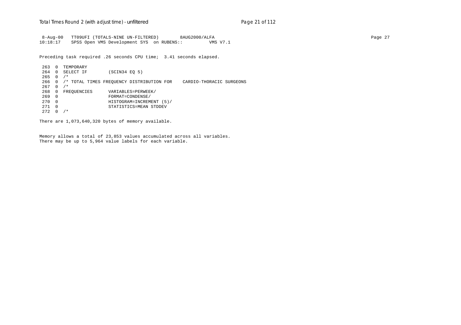8-Aug-00 TT09UFI (TOTALS-NINE UN-FILTERED) 8AUG2000/ALFA Page 27 10:18:17 SPSS Open VMS Development SYS on RUBENS:: VMS V7.1

Preceding task required .26 seconds CPU time; 3.41 seconds elapsed.

 263 0 TEMPORARY 264 0 SELECT IF (SCIN34 EQ 5)  $265 \t 0 / *$  266 0 /\* TOTAL TIMES FREQUENCY DISTRIBUTION FOR CARDIO-THORACIC SURGEONS 267 0 /\* 268 0 FREQUENCIES VARIABLES=PERWEEK/<br>269 0 FORMAT=CONDENSE/ 269 0 FORMAT=CONDENSE/ 270 0 HISTOGRAM=INCREMENT (5)/ 271 0 STATISTICS=MEAN STDDEV  $272 \t0/$ 

There are 1,073,640,320 bytes of memory available.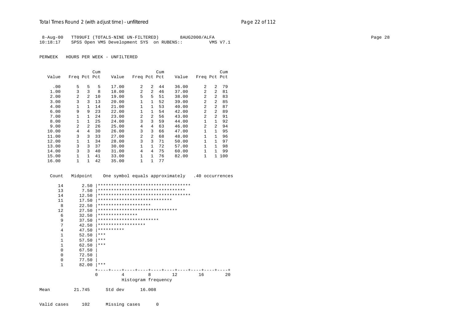# Total Times Round 2 (with adjust time) - *unfiltered* example 22 of 112

|          | 8-Aug-00 TT09UFI (TOTALS-NINE UN-FILTERED) | 8AUG2000/ALFA | Page 28 |
|----------|--------------------------------------------|---------------|---------|
| 10:18:17 | SPSS Open VMS Development SYS on RUBENS::  | VMS V7.1      |         |

|       |              |                | Cum |       |              |                | Cum |       |                |                | Cum |
|-------|--------------|----------------|-----|-------|--------------|----------------|-----|-------|----------------|----------------|-----|
| Value | Freq Pct Pct |                |     | Value | Freq Pct Pct |                |     | Value | Freq Pct Pct   |                |     |
|       |              |                |     |       |              |                |     |       |                |                |     |
| .00   | 5            | 5              | 5   | 17.00 | 2            | $\mathfrak{D}$ | 44  | 36.00 | 2              | $\mathfrak{D}$ | 79  |
| 1.00  | 3            | 3              | 8   | 18.00 | 2            | $\mathfrak{D}$ | 46  | 37.00 | $\overline{a}$ | $\mathfrak{D}$ | 81  |
| 2.00  | 2            | $\overline{a}$ | 10  | 19.00 | 5            | 5              | 51  | 38.00 | $\mathfrak{D}$ | $\overline{2}$ | 83  |
| 3.00  | 3            | ζ              | 13  | 20.00 | $\mathbf 1$  | $\mathbf{1}$   | 52  | 39.00 | $\mathfrak{D}$ | $\mathcal{L}$  | 85  |
| 4.00  | 1            | 1              | 14  | 21.00 | 1            | $\mathbf{1}$   | 53  | 40.00 | $\mathfrak{D}$ | $\mathcal{L}$  | 87  |
| 6.00  | 9            | 9              | 23  | 22.00 | $\mathbf 1$  | 1              | 54  | 42.00 | $\overline{a}$ | $\overline{a}$ | 89  |
| 7.00  | 1            | $\mathbf{1}$   | 24  | 23.00 | 2            | $\overline{a}$ | 56  | 43.00 | 2              | $\mathcal{L}$  | 91  |
| 8.00  | 1            | $\mathbf{1}$   | 25  | 24.00 | 3            | 3              | 59  | 44.00 | $\mathbf{1}$   | $\mathbf{1}$   | 92  |
| 9.00  | 2            | $\overline{a}$ | 26  | 25.00 | 4            | 4              | 63  | 46.00 | $\mathfrak{D}$ | 2              | 94  |
| 10.00 | 4            | 4              | 30  | 26.00 | 3            | 3              | 66  | 47.00 | $\mathbf{1}$   | 1              | 95  |
| 11.00 | 3            | ζ              | 33  | 27.00 | 2            | $\overline{a}$ | 68  | 48.00 | 1              | 1              | 96  |
| 12.00 | $\mathbf{1}$ |                | 34  | 28.00 | 3            | 3              | 71  | 50.00 | $\mathbf{1}$   | 1              | 97  |
| 13.00 | 3            | ζ              | 37  | 30.00 | 1            | $\mathbf{1}$   | 72  | 57.00 | $\mathbf{1}$   | 1              | 98  |
| 14.00 | 3            | ζ              | 40  | 31.00 | 4            | 4              | 75  | 60.00 | 1              | 1.             | 99  |
| 15.00 | 1            | 1.             | 41  | 33.00 | 1            | $\mathbf{1}$   | 76  | 82.00 | 1              | $\mathbf{1}$   | 100 |
| 16.00 | 1            |                | 42  | 35.00 | 1            | 1              | 77  |       |                |                |     |

|      | Count        |        |                                      |   |                                |   |                                      |    | Midpoint One symbol equals approximately .40 occurrences |
|------|--------------|--------|--------------------------------------|---|--------------------------------|---|--------------------------------------|----|----------------------------------------------------------|
|      | 14           | 2.50   |                                      |   |                                |   | ************************************ |    |                                                          |
|      | 13           | 7.50   |                                      |   |                                |   | *********************************    |    |                                                          |
|      | 14           | 12.50  | ************************************ |   |                                |   |                                      |    |                                                          |
|      | 11           | 17.50  | ****************************         |   |                                |   |                                      |    |                                                          |
|      | 8            | 22.50  | ********************                 |   |                                |   |                                      |    |                                                          |
|      | 12           | 27.50  |                                      |   | ****************************** |   |                                      |    |                                                          |
|      | 6            | 32.50  | ***************                      |   |                                |   |                                      |    |                                                          |
|      | 9            | 37.50  | ***********************              |   |                                |   |                                      |    |                                                          |
|      | 7            | 42.50  | ******************                   |   |                                |   |                                      |    |                                                          |
|      | 4            | 47.50  | **********                           |   |                                |   |                                      |    |                                                          |
|      | $\mathbf{1}$ | 52.50  | ***                                  |   |                                |   |                                      |    |                                                          |
|      | $\mathbf{1}$ | 57.50  | ***                                  |   |                                |   |                                      |    |                                                          |
|      | $\mathbf{1}$ | 62.50  | ***                                  |   |                                |   |                                      |    |                                                          |
|      | 0            | 67.50  |                                      |   |                                |   |                                      |    |                                                          |
|      | 0            | 72.50  |                                      |   |                                |   |                                      |    |                                                          |
|      | 0            | 77.50  |                                      |   |                                |   |                                      |    |                                                          |
|      | 1            | 82.00  | ***                                  |   |                                |   |                                      |    |                                                          |
|      |              |        |                                      |   |                                |   |                                      |    |                                                          |
|      |              |        | $\Omega$                             | 4 |                                | 8 | 12                                   | 16 | 20                                                       |
|      |              |        |                                      |   | Histogram frequency            |   |                                      |    |                                                          |
| Mean |              | 21.745 | Std dev                              |   | 16.008                         |   |                                      |    |                                                          |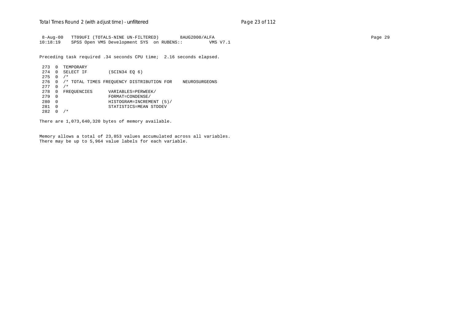8-Aug-00 TT09UFI (TOTALS-NINE UN-FILTERED) 8AUG2000/ALFA Page 29 10:18:19 SPSS Open VMS Development SYS on RUBENS:: VMS V7.1

Preceding task required .34 seconds CPU time; 2.16 seconds elapsed.

 273 0 TEMPORARY 274 0 SELECT IF (SCIN34 EQ 6)  $275 \t 0 / *$  276 0 /\* TOTAL TIMES FREQUENCY DISTRIBUTION FOR NEUROSURGEONS 277 0 /\* 278 0 FREQUENCIES VARIABLES=PERWEEK/<br>279 0 FORMAT=CONDENSE/ 279 0 FORMAT=CONDENSE/ 280 0 HISTOGRAM=INCREMENT (5)/ 281 0 STATISTICS=MEAN STDDEV 282 0 /\*

There are 1,073,640,320 bytes of memory available.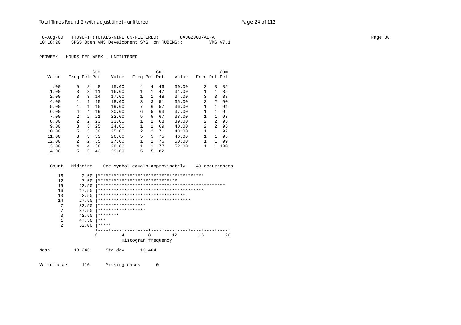| 8-Aug-00 |  | TT09UFI (TOTALS-NINE UN-FILTERED)         |  | 8AUG2000/ALFA |          |
|----------|--|-------------------------------------------|--|---------------|----------|
| 10:18:20 |  | SPSS Open VMS Development SYS on RUBENS:: |  |               | VMS V7.1 |

PERWEEK HOURS PER WEEK - UNFILTERED

|       |                |                | Cum |       |              |                | Cum |       |                |              | Cum |
|-------|----------------|----------------|-----|-------|--------------|----------------|-----|-------|----------------|--------------|-----|
| Value | Freq Pct Pct   |                |     | Value | Freq Pct Pct |                |     | Value | Freq Pct Pct   |              |     |
| .00   | 9              | 8              | 8   | 15.00 | 4            | 4              | 46  | 30.00 | 3              | 3            | 85  |
| 1.00  | 3              | 3              | 11  | 16.00 | 1            | $\mathbf{1}$   | 47  | 31.00 |                | 1            | 85  |
| 2.00  | 3              | 3              | 14  | 17.00 | 1            | $\mathbf{1}$   | 48  | 34.00 | 3              | 3            | 88  |
| 4.00  | 1              | 1              | 15  | 18.00 | 3            | 3              | 51  | 35.00 | 2              | 2            | 90  |
| 5.00  | $\mathbf{1}$   |                | 15  | 19.00 | 7            | 6              | 57  | 36.00 | $\mathbf{1}$   | 1            | 91  |
| 6.00  | 4              | 4              | 19  | 20.00 | 6            | 5              | 63  | 37.00 | 1              | 1            | 92  |
| 7.00  | $\mathfrak{D}$ | $\overline{a}$ | 21  | 22.00 | 5            | 5              | 67  | 38.00 | 1              | 1            | 93  |
| 8.00  | $\mathfrak{D}$ | $\mathfrak{D}$ | 23  | 23.00 | 1            | $\mathbf{1}$   | 68  | 39.00 | $\overline{2}$ | 2            | 95  |
| 9.00  | 3              | ζ              | 25  | 24.00 | 1            | 1              | 69  | 40.00 | $\overline{c}$ | 2            | 96  |
| 10.00 | 5              | 5.             | 30  | 25.00 | 2            | $\mathfrak{D}$ | 71  | 43.00 | 1              | 1            | 97  |
| 11.00 | 3              | 3              | 33  | 26.00 | 5            | 5              | 75  | 46.00 | 1              | $\mathbf{1}$ | 98  |
| 12.00 | $\overline{2}$ | $\mathfrak{D}$ | 35  | 27.00 | 1            | 1.             | 76  | 50.00 | 1              | 1            | 99  |
| 13.00 | 4              | 4              | 38  | 28.00 | 1            |                | 77  | 52.00 | 1              | $\mathbf{1}$ | 100 |
| 14.00 | 5              | 5.             | 43  | 29.00 | 5            | 5              | 82  |       |                |              |     |

Count Midpoint One symbol equals approximately .40 occurrences

| 16             | 2.50  |                                     |   |                     |    |    |
|----------------|-------|-------------------------------------|---|---------------------|----|----|
| 12             | 7.50  | ******************************      |   |                     |    |    |
| 19             | 12.50 |                                     |   |                     |    |    |
| 16             | 17.50 |                                     |   |                     |    |    |
| 13             | 22.50 | *********************************   |   |                     |    |    |
| 14             | 27.50 | *********************************** |   |                     |    |    |
| 7              | 32.50 | ******************                  |   |                     |    |    |
| 7              | 37.50 | ******************                  |   |                     |    |    |
| 3              | 42.50 | ********                            |   |                     |    |    |
|                | 47.50 | $* * *$                             |   |                     |    |    |
| $\overline{2}$ | 52.00 | *****                               |   |                     |    |    |
|                |       |                                     |   |                     |    |    |
|                | 0     | 4                                   | 8 | 12.                 | 16 | 20 |
|                |       |                                     |   | Histogram frequency |    |    |
|                |       |                                     |   |                     |    |    |

18.345 Std dev 12.404 Mean

Valid cases 110 Missing cases  $\mathbb O$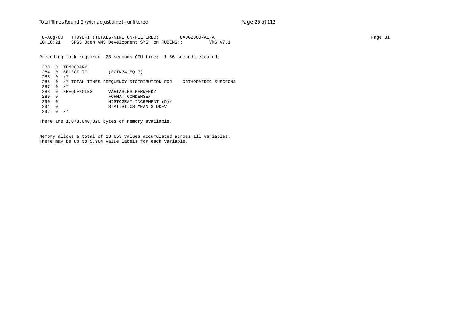8-Aug-00 TT09UFI (TOTALS-NINE UN-FILTERED) 8AUG2000/ALFA Page 31 10:18:21 SPSS Open VMS Development SYS on RUBENS:: VMS V7.1

Preceding task required .28 seconds CPU time; 1.56 seconds elapsed.

 283 0 TEMPORARY 284 0 SELECT IF (SCIN34 EQ 7) 285 0 /\* 286 0 /\* TOTAL TIMES FREQUENCY DISTRIBUTION FOR ORTHOPAEDIC SURGEONS 287 0 /\* 288 0 FREQUENCIES VARIABLES=PERWEEK/<br>289 0 FORMAT=CONDENSE/ 289 0 FORMAT=CONDENSE/ 290 0 HISTOGRAM=INCREMENT (5)/ 291 0 STATISTICS=MEAN STDDEV  $292 \t0 / *$ 

There are 1,073,640,320 bytes of memory available.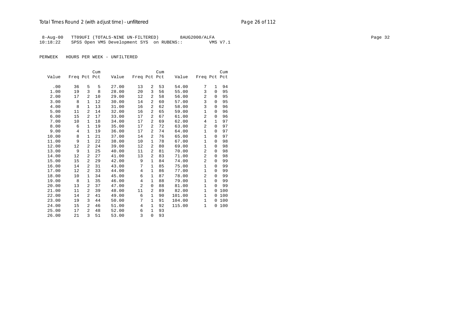## Total Times Round 2 (with adjust time) - *unfiltered* example 20 page 26 of 112

 8-Aug-00 TT09UFI (TOTALS-NINE UN-FILTERED) 8AUG2000/ALFA Page 32 10:18:22 SPSS Open VMS Development SYS on RUBENS:: VMS V7.1

|       |              |                | Cum |       |                |                | Cum |        |                |              | Cum |
|-------|--------------|----------------|-----|-------|----------------|----------------|-----|--------|----------------|--------------|-----|
| Value | Freq Pct Pct |                |     | Value | Freq Pct Pct   |                |     | Value  | Freq Pct Pct   |              |     |
|       |              |                |     |       |                |                |     |        |                |              |     |
| .00   | 36           | 5              | 5   | 27.00 | 13             | 2              | 53  | 54.00  | 7              | $\mathbf{1}$ | 94  |
| 1.00  | 19           | 3              | 8   | 28.00 | 20             | 3              | 56  | 55.00  | 3              | $\Omega$     | 95  |
| 2.00  | 17           | 2              | 10  | 29.00 | 12             | 2              | 58  | 56.00  | 2              | $\Omega$     | 95  |
| 3.00  | 8            | $\mathbf{1}$   | 12  | 30.00 | 14             | $\overline{a}$ | 60  | 57.00  | 3              | $\Omega$     | 95  |
| 4.00  | 8            | $\mathbf{1}$   | 13  | 31.00 | 16             | 2              | 62  | 58.00  | 3              | $\Omega$     | 96  |
| 5.00  | 11           | 2              | 14  | 32.00 | 16             | 2              | 65  | 59.00  | $\mathbf{1}$   | $\Omega$     | 96  |
| 6.00  | 15           | 2              | 17  | 33.00 | 17             | $\overline{a}$ | 67  | 61.00  | 2              | 0            | 96  |
| 7.00  | 10           | $\mathbf{1}$   | 18  | 34.00 | 17             | $\overline{a}$ | 69  | 62.00  | 4              | $\mathbf{1}$ | 97  |
| 8.00  | 6            | $\mathbf{1}$   | 19  | 35.00 | 17             | $\overline{a}$ | 72  | 63.00  | 2              | $\Omega$     | 97  |
| 9.00  | 4            | $\mathbf{1}$   | 19  | 36.00 | 17             | $\overline{a}$ | 74  | 64.00  | $\mathbf{1}$   | $\Omega$     | 97  |
| 10.00 | 8            | $\mathbf{1}$   | 21  | 37.00 | 14             | 2              | 76  | 65.00  | $\mathbf{1}$   | $\Omega$     | 97  |
| 11.00 | 9            | $\mathbf{1}$   | 22  | 38.00 | 10             | $\mathbf{1}$   | 78  | 67.00  | $\mathbf{1}$   | $\Omega$     | 98  |
| 12.00 | 12           | 2              | 24  | 39.00 | 12             | 2              | 80  | 69.00  | $\mathbf{1}$   | $\Omega$     | 98  |
| 13.00 | 9            | $\mathbf{1}$   | 25  | 40.00 | 11             | $\overline{a}$ | 81  | 70.00  | 2              | $\Omega$     | 98  |
| 14.00 | 12           | 2              | 27  | 41.00 | 13             | $\overline{a}$ | 83  | 71.00  | 2              | $\Omega$     | 98  |
| 15.00 | 15           | $\overline{a}$ | 29  | 42.00 | 9              | 1              | 84  | 74.00  | $\overline{2}$ | $\Omega$     | 99  |
| 16.00 | 14           | 2              | 31  | 43.00 | 7              | $\mathbf{1}$   | 85  | 75.00  | $\mathbf{1}$   | $\mathbf 0$  | 99  |
| 17.00 | 12           | $\overline{2}$ | 33  | 44.00 | 4              | 1              | 86  | 77.00  | $\mathbf{1}$   | $\Omega$     | 99  |
| 18.00 | 10           | $\mathbf{1}$   | 34  | 45.00 | 6              | $\mathbf{1}$   | 87  | 78.00  | 2              | $\Omega$     | 99  |
| 19.00 | 8            | $\mathbf{1}$   | 35  | 46.00 | 4              | 1              | 88  | 79.00  | $\mathbf{1}$   | $\Omega$     | 99  |
| 20.00 | 13           | 2              | 37  | 47.00 | $\overline{2}$ | 0              | 88  | 81.00  | $\mathbf{1}$   | $\Omega$     | 99  |
| 21.00 | 11           | $\overline{a}$ | 39  | 48.00 | 11             | $\overline{a}$ | 89  | 82.00  | $\mathbf{1}$   | $\Omega$     | 100 |
| 22.00 | 14           | 2              | 41  | 49.00 | 6              | $\mathbf{1}$   | 90  | 101.00 | $\mathbf{1}$   | 0            | 100 |
| 23.00 | 19           | 3              | 44  | 50.00 | 7              | 1              | 91  | 104.00 | $\mathbf{1}$   | $\Omega$     | 100 |
| 24.00 | 15           | 2              | 46  | 51.00 | 4              | $\mathbf{1}$   | 92  | 115.00 | $\mathbf{1}$   | 0            | 100 |
| 25.00 | 17           | $\overline{a}$ | 48  | 52.00 | 6              | 1              | 93  |        |                |              |     |
| 26.00 | 21           | 3              | 51  | 53.00 | 3              | $\mathbf 0$    | 93  |        |                |              |     |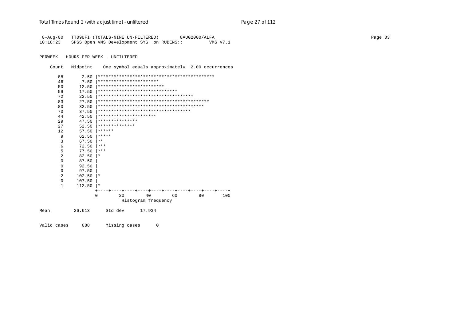| 8-Aug-00<br>10:18:23 |          | TT09UFI (TOTALS-NINE UN-FILTERED)<br>SPSS Open VMS Development SYS on RUBENS:: |                     |    | 8AUG2000/ALFA | VMS V7.1 |
|----------------------|----------|--------------------------------------------------------------------------------|---------------------|----|---------------|----------|
|                      |          |                                                                                |                     |    |               |          |
| PERWEEK              |          | HOURS PER WEEK - UNFILTERED                                                    |                     |    |               |          |
| Count                | Midpoint | One symbol equals approximately 2.00 occurrences                               |                     |    |               |          |
| 88                   | 2.50     |                                                                                |                     |    |               |          |
| 46                   | 7.50     | ***********************                                                        |                     |    |               |          |
| 50                   | 12.50    | *************************                                                      |                     |    |               |          |
| 59                   | 17.50    | ******************************                                                 |                     |    |               |          |
| 72                   | 22.50    | ************************************                                           |                     |    |               |          |
| 83                   | 27.50    |                                                                                |                     |    |               |          |
| 80                   | 32.50    |                                                                                |                     |    |               |          |
| 70                   | 37.50    | ************************************                                           |                     |    |               |          |
| 44                   | 42.50    | **********************                                                         |                     |    |               |          |
| 29                   | 47.50    | ***************                                                                |                     |    |               |          |
| 27                   | 52.50    | **************                                                                 |                     |    |               |          |
| 12                   | 57.50    | ******                                                                         |                     |    |               |          |
| 9                    | 62.50    | *****                                                                          |                     |    |               |          |
| $\overline{3}$       | 67.50    | $***$                                                                          |                     |    |               |          |
| 6                    | 72.50    | ***                                                                            |                     |    |               |          |
| 5                    | 77.50    | ***                                                                            |                     |    |               |          |
| $\overline{2}$       | 82.50    | *                                                                              |                     |    |               |          |
| $\Omega$             | 87.50    |                                                                                |                     |    |               |          |
| 0                    | 92.50    |                                                                                |                     |    |               |          |
| 0                    | 97.50    |                                                                                |                     |    |               |          |
| $\mathfrak{D}$       | 102.50   | $^\star$                                                                       |                     |    |               |          |
| $\Omega$             | 107.50   |                                                                                |                     |    |               |          |
| $\mathbf{1}$         | 112.50   | $^\star$                                                                       |                     |    |               |          |
|                      |          | 2.0<br>0                                                                       | 40                  | 60 | 80            | 100      |
|                      |          |                                                                                | Histogram frequency |    |               |          |
|                      |          |                                                                                |                     |    |               |          |
| Mean                 | 26.613   | Std dev                                                                        | 17.934              |    |               |          |
|                      |          |                                                                                |                     |    |               |          |

Valid cases 688 Missing cases  $\mathsf{O}$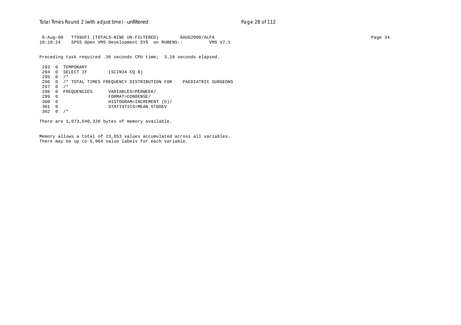8-Aug-00 TT09UFI (TOTALS-NINE UN-FILTERED) 8AUG2000/ALFA Page 34 10:18:24 SPSS Open VMS Development SYS on RUBENS:: VMS V7.1

Preceding task required .36 seconds CPU time; 3.18 seconds elapsed.

 293 0 TEMPORARY 294 0 SELECT IF (SCIN34 EQ 8) 295 0 /\* 296 0 /\* TOTAL TIMES FREQUENCY DISTRIBUTION FOR PAEDIATRIC SURGEONS 297 0 /\* 298 0 FREQUENCIES VARIABLES=PERWEEK/<br>299 0 FORMAT=CONDENSE/ 299 0 FORMAT=CONDENSE/ 300 0 HISTOGRAM=INCREMENT (5)/ 301 0 STATISTICS=MEAN STDDEV 302 0 /\*

There are 1,073,640,320 bytes of memory available.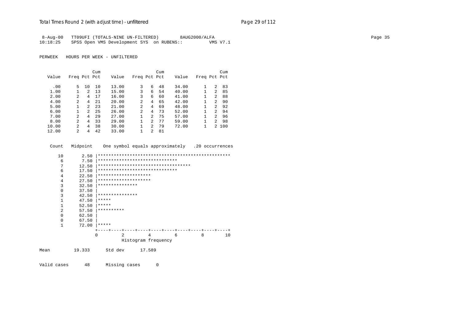| 8-Aug-00 | TT09UFI (TOTALS-NINE UN-FILTERED)         |  | 8AUG2000/ALFA |          |
|----------|-------------------------------------------|--|---------------|----------|
| 10:18:25 | SPSS Open VMS Development SYS on RUBENS:: |  |               | VMS V7.1 |

PERWEEK HOURS PER WEEK - UNFILTERED

|       |                |                | Cum |       |              |                | Cum |       |              |                | Cum   |
|-------|----------------|----------------|-----|-------|--------------|----------------|-----|-------|--------------|----------------|-------|
| Value | Freq Pct Pct   |                |     | Value | Freq Pct Pct |                |     | Value | Freq Pct Pct |                |       |
|       |                |                |     |       |              |                |     |       |              |                |       |
| .00   | 5              | 10             | 10  | 13.00 | 3            | 6              | 48  | 34.00 |              | 2              | 83    |
| 1.00  |                | 2              | 13  | 15.00 | 3            | 6              | 54  | 40.00 |              | 2              | 85    |
| 2.00  | $\overline{a}$ | 4              | 17  | 16.00 | 3            | 6              | 60  | 41.00 | 1            | 2              | 88    |
| 4.00  | 2              | 4              | 21  | 20.00 | 2            | 4              | 65  | 42.00 |              | $\mathcal{L}$  | 90    |
| 5.00  |                | $\mathfrak{D}$ | 23  | 21.00 | 2            | 4              | 69  | 48.00 | 1            | $\mathfrak{D}$ | 92    |
| 6.00  |                | $\mathfrak{D}$ | 25  | 26.00 | 2            | 4              | 73  | 52.00 |              | $\mathcal{L}$  | 94    |
| 7.00  | 2              | 4              | 29  | 27.00 |              | $2^{1}$        | 75  | 57.00 |              | $\overline{2}$ | 96    |
| 8.00  | $\mathfrak{D}$ | 4              | 33  | 29.00 |              | $\mathfrak{D}$ | 77  | 59.00 | 1            | $\mathcal{L}$  | 98    |
| 10.00 | 2              | 4              | 38  | 30.00 |              | 2              | 79  | 72.00 |              |                | 2 100 |
| 12.00 | $\mathfrak{D}$ | 4              | 42  | 33.00 |              | 2              | 81  |       |              |                |       |

| Count                                                                                                | Midpoint                                                                                                        |                              |                                    |                                              | One symbol equals approximately .20 occurrences                                                         |   |   |    |
|------------------------------------------------------------------------------------------------------|-----------------------------------------------------------------------------------------------------------------|------------------------------|------------------------------------|----------------------------------------------|---------------------------------------------------------------------------------------------------------|---|---|----|
| 10<br>6<br>7<br>6<br>4<br>4<br>3<br>$\Omega$<br>3<br>1<br>$\mathbf{1}$<br>$\mathfrak{D}$<br>$\Omega$ | 2.50<br>7.50<br>12.50<br>17.50<br>22.50<br>27.50<br>32.50<br>37.50<br>42.50<br>47.50<br>52.50<br>57.50<br>62.50 | *****<br>*****<br>********** | ***************<br>*************** | ********************<br>******************** | ******************************<br>***********************************<br>****************************** |   |   |    |
| 0<br>1                                                                                               | 67.50<br>72.00                                                                                                  | *****                        |                                    |                                              |                                                                                                         |   |   |    |
| Mean                                                                                                 | 19.333                                                                                                          | 0                            | 2<br>Std dev                       | 17.589                                       | 4<br>Histogram frequency                                                                                | 6 | 8 | 10 |

Valid cases 48 Missing cases  $\mathbb O$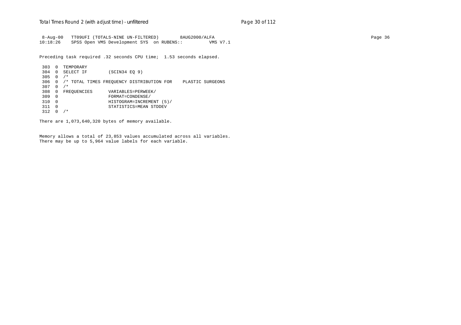8-Aug-00 TT09UFI (TOTALS-NINE UN-FILTERED) 8AUG2000/ALFA Page 36 10:18:26 SPSS Open VMS Development SYS on RUBENS:: VMS V7.1

Preceding task required .32 seconds CPU time; 1.53 seconds elapsed.

 303 0 TEMPORARY 304 0 SELECT IF (SCIN34 EQ 9) 305 0 /\* 306 0 /\* TOTAL TIMES FREQUENCY DISTRIBUTION FOR PLASTIC SURGEONS 307 0 /\* 308 0 FREQUENCIES VARIABLES=PERWEEK/<br>309 0 FORMAT=CONDENSE/ 309 0 FORMAT=CONDENSE/ 310 0 HISTOGRAM=INCREMENT (5)/ 311 0 STATISTICS=MEAN STDDEV 312 0 /\*

There are 1,073,640,320 bytes of memory available.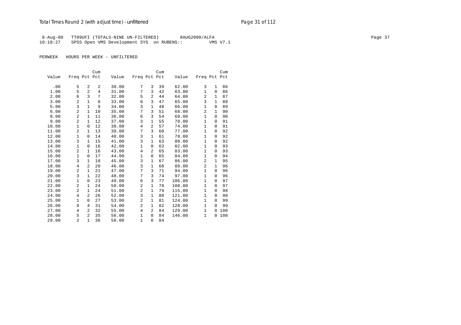## Total Times Round 2 (with adjust time) - *unfiltered* example 20 and 2 and 2 and 2 and 2 and 2 and 2 and 2 and 2 and 2 and 2 and 2 and 2 and 2 and 2 and 2 and 2 and 2 and 2 and 2 and 2 and 2 and 2 and 2 and 2 and 2 and 2 a

8-Aug-00 TT09UFI (TOTALS-NINE UN-FILTERED) 8AUG2000/ALFA Page 37 10:18:27 SPSS Open VMS Development SYS on RUBENS:: VMS V7.1

|       |                |                | Cum |       |                |                | Cum |        |                |              | Cum |
|-------|----------------|----------------|-----|-------|----------------|----------------|-----|--------|----------------|--------------|-----|
| Value | Freq Pct Pct   |                |     | Value | Freq Pct Pct   |                |     | Value  | Freq Pct Pct   |              |     |
|       |                |                |     |       |                |                |     |        |                |              |     |
| .00   | 5              | 2              | 2   | 30.00 | 7              | 3              | 39  | 62.00  | 3              | $\mathbf{1}$ | 86  |
| 1.00  | 5              | $\overline{a}$ | 4   | 31.00 | 7              | 3              | 42  | 63.00  | $\mathbf{1}$   | $\mathbf 0$  | 86  |
| 2.00  | 6              | 3              | 7   | 32.00 | 5              | $\overline{a}$ | 44  | 64.00  | 2              | 1            | 87  |
| 3.00  | 2              | $\mathbf{1}$   | 8   | 33.00 | 6              | 3              | 47  | 65.00  | 3              | 1            | 88  |
| 5.00  | 3              | $\mathbf{1}$   | 9   | 34.00 | 3              | 1              | 48  | 66.00  | 1              | $\Omega$     | 89  |
| 6.00  | $\overline{2}$ | $\mathbf{1}$   | 10  | 35.00 | 7              | 3              | 51  | 68.00  | 2              | 1            | 90  |
| 8.00  | $\overline{c}$ | $\mathbf{1}$   | 11  | 36.00 | 6              | 3              | 54  | 69.00  | $\mathbf{1}$   | $\Omega$     | 90  |
| 9.00  | $\overline{a}$ | $\mathbf{1}$   | 12  | 37.00 | 3              | $\mathbf{1}$   | 55  | 70.00  | $\mathbf{1}$   | $\Omega$     | 91  |
| 10.00 | 1              | 0              | 12  | 38.00 | $\overline{4}$ | 2              | 57  | 74.00  | $\mathbf{1}$   | $\Omega$     | 91  |
| 11.00 | $\overline{2}$ | 1              | 13  | 39.00 | 7              | 3              | 60  | 77.00  | 1              | 0            | 92  |
| 12.00 | 1              | 0              | 14  | 40.00 | 3              | 1              | 61  | 78.00  | 1              | 0            | 92  |
| 13.00 | 3              | $\mathbf{1}$   | 15  | 41.00 | 3              | $\mathbf{1}$   | 63  | 80.00  | $\mathbf{1}$   | $\Omega$     | 92  |
| 14.00 | 1              | $\Omega$       | 16  | 42.00 | $\mathbf 1$    | $\Omega$       | 63  | 82.00  | $\mathbf{1}$   | $\Omega$     | 93  |
| 15.00 | $\overline{2}$ | $\mathbf{1}$   | 16  | 43.00 | 4              | $\overline{a}$ | 65  | 83.00  | $\mathbf{1}$   | $\mathbf 0$  | 93  |
| 16.00 | 1              | $\Omega$       | 17  | 44.00 | 1              | 0              | 65  | 84.00  | 1              | $\Omega$     | 94  |
| 17.00 | 3              | $\mathbf{1}$   | 18  | 45.00 | 3              | $\mathbf{1}$   | 67  | 86.00  | $\overline{2}$ | 1            | 95  |
| 18.00 | 4              | $\overline{a}$ | 20  | 46.00 | 3              | $\mathbf{1}$   | 68  | 89.00  | 2              | 1            | 96  |
| 19.00 | $\overline{a}$ | $\mathbf{1}$   | 21  | 47.00 | 7              | 3              | 71  | 94.00  | $\mathbf{1}$   | 0            | 96  |
| 20.00 | 3              | $\mathbf{1}$   | 22  | 48.00 | 7              | 3              | 74  | 97.00  | $\mathbf{1}$   | $\Omega$     | 96  |
| 21.00 | $\mathbf{1}$   | 0              | 23  | 49.00 | 6              | 3              | 77  | 106.00 | $\mathbf{1}$   | $\Omega$     | 97  |
| 22.00 | $\overline{a}$ | $\mathbf{1}$   | 24  | 50.00 | 2              | 1              | 78  | 108.00 | $\mathbf{1}$   | $\Omega$     | 97  |
| 23.00 | $\overline{a}$ | $\mathbf{1}$   | 24  | 51.00 | 2              | $\mathbf{1}$   | 79  | 115.00 | $\mathbf{1}$   | $\Omega$     | 98  |
| 24.00 | 4              | 2              | 26  | 52.00 | 3              | 1              | 80  | 121.00 | $\mathbf{1}$   | 0            | 98  |
| 25.00 | 1              | $\Omega$       | 27  | 53.00 | $\overline{c}$ | 1              | 81  | 124.00 | 1              | $\Omega$     | 99  |
| 26.00 | 9              | 4              | 31  | 54.00 | $\overline{a}$ | $\mathbf{1}$   | 82  | 128.00 | $\mathbf{1}$   | $\Omega$     | 99  |
| 27.00 | 4              | 2              | 32  | 55.00 | $\overline{4}$ | $\overline{a}$ | 84  | 129.00 | $\mathbf{1}$   | 0            | 100 |
| 28.00 | 5              | 2              | 35  | 56.00 | 1              | $\Omega$       | 84  | 146.00 | $\mathbf{1}$   | 0            | 100 |
| 29.00 | $\overline{a}$ | $\mathbf{1}$   | 36  | 58.00 | $\mathbf{1}$   | $\Omega$       | 84  |        |                |              |     |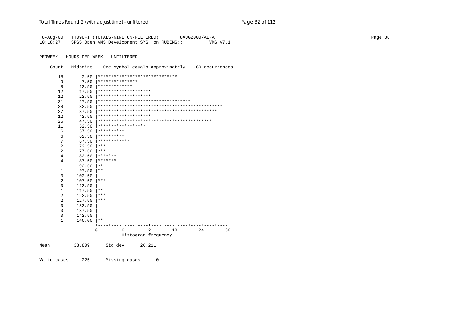| 8-Aug-00            |                  | TT09UFI (TOTALS-NINE UN-FILTERED)               |                     |    | 8AUG2000/ALFA |          |
|---------------------|------------------|-------------------------------------------------|---------------------|----|---------------|----------|
| 10:18:27            |                  | SPSS Open VMS Development SYS on RUBENS::       |                     |    |               | VMS V7.1 |
|                     |                  |                                                 |                     |    |               |          |
| PERWEEK             |                  | HOURS PER WEEK - UNFILTERED                     |                     |    |               |          |
|                     |                  |                                                 |                     |    |               |          |
| Count               | Midpoint         | One symbol equals approximately .60 occurrences |                     |    |               |          |
| 18                  | 2.50             | ******************************                  |                     |    |               |          |
| 9                   | 7.50             | ***************                                 |                     |    |               |          |
| 8                   | 12.50            | *************                                   |                     |    |               |          |
| 12                  | 17.50            | ********************                            |                     |    |               |          |
| 12                  | 22.50            | ********************                            |                     |    |               |          |
| 21                  | 27.50            | ***********************************             |                     |    |               |          |
| 28                  | 32.50            |                                                 |                     |    |               |          |
| 27                  | 37.50            |                                                 |                     |    |               |          |
| 12                  | 42.50            | ********************                            |                     |    |               |          |
| 26                  | 47.50            |                                                 |                     |    |               |          |
| 11                  | 52.50            | ******************                              |                     |    |               |          |
| 6                   | 57.50            | **********                                      |                     |    |               |          |
| 6                   | 62.50            | **********                                      |                     |    |               |          |
| 7                   | 67.50            | ************                                    |                     |    |               |          |
| 2                   | 72.50            | $***$                                           |                     |    |               |          |
| 2                   | 77.50            | ***                                             |                     |    |               |          |
| 4                   | 82.50            | *******                                         |                     |    |               |          |
| 4                   | 87.50            | *******                                         |                     |    |               |          |
| $\mathbf{1}$        | 92.50            | $\star\star$<br>$* *$                           |                     |    |               |          |
| 1                   | 97.50            |                                                 |                     |    |               |          |
| $\mathbf{0}$        | 102.50           | $***$                                           |                     |    |               |          |
| $\overline{a}$<br>0 | 107.50<br>112.50 |                                                 |                     |    |               |          |
| $\mathbf{1}$        | 117.50           | $\star$ $\star$                                 |                     |    |               |          |
| $\overline{a}$      | 122.50           | $***$                                           |                     |    |               |          |
| $\mathfrak{D}$      | 127.50           | $***$                                           |                     |    |               |          |
| $\Omega$            | 132.50           |                                                 |                     |    |               |          |
| 0                   | 137.50           |                                                 |                     |    |               |          |
| 0                   | 142.50           |                                                 |                     |    |               |          |
| $\mathbf{1}$        | 146.00           | $***$                                           |                     |    |               |          |
|                     |                  |                                                 |                     |    |               |          |
|                     |                  | 6<br><sup>0</sup>                               | 12                  | 18 | 24            | 30       |
|                     |                  |                                                 | Histogram frequency |    |               |          |
|                     |                  |                                                 |                     |    |               |          |
| Mean                | 38.809           | Std dev                                         | 26.211              |    |               |          |
|                     |                  |                                                 |                     |    |               |          |
|                     |                  |                                                 |                     |    |               |          |

Valid cases 225 Missing cases  $\mathbb O$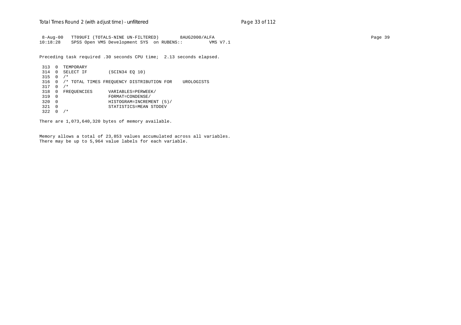8-Aug-00 TT09UFI (TOTALS-NINE UN-FILTERED) 8AUG2000/ALFA Page 39 10:18:28 SPSS Open VMS Development SYS on RUBENS:: VMS V7.1

Preceding task required .30 seconds CPU time; 2.13 seconds elapsed.

 313 0 TEMPORARY 314 0 SELECT IF (SCIN34 EQ 10)  $315 \t 0 / *$  316 0 /\* TOTAL TIMES FREQUENCY DISTRIBUTION FOR UROLOGISTS 317 0 /\* 318 0 FREQUENCIES VARIABLES=PERWEEK/<br>319 0 FORMAT=CONDENSE/ 319 0 FORMAT=CONDENSE/ 320 0 HISTOGRAM=INCREMENT (5)/ 321 0 STATISTICS=MEAN STDDEV  $322 \t0 / *$ 

There are 1,073,640,320 bytes of memory available.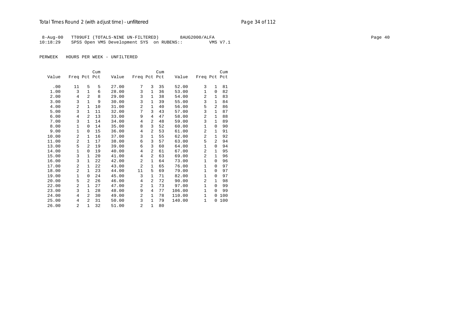## Total Times Round 2 (with adjust time) - *unfiltered* example 20 and 2 and 2 and 2 and 2 and 2 and 2 and 2 and 2 and 2 and 2 and 2 and 2 and 2 and 2 and 2 and 2 and 2 and 2 and 2 and 2 and 2 and 2 and 2 and 2 and 2 and 2 a

 8-Aug-00 TT09UFI (TOTALS-NINE UN-FILTERED) 8AUG2000/ALFA Page 40 10:18:29 SPSS Open VMS Development SYS on RUBENS::

| Freq Pct Pct   |                                       |                                                                               |
|----------------|---------------------------------------|-------------------------------------------------------------------------------|
|                |                                       |                                                                               |
|                |                                       |                                                                               |
|                |                                       | 81                                                                            |
|                |                                       | 82                                                                            |
|                |                                       | 83                                                                            |
|                |                                       | 84                                                                            |
|                |                                       | 86                                                                            |
|                |                                       | 87                                                                            |
| $\overline{a}$ | $\mathbf{1}$                          | 88                                                                            |
| 3              | $\mathbf{1}$                          | 89                                                                            |
| 1              | 0                                     | 90                                                                            |
| 2              | $\mathbf{1}$                          | 91                                                                            |
| $\overline{a}$ | $\mathbf{1}$                          | 92                                                                            |
| 5              | 2                                     | 94                                                                            |
| $\mathbf{1}$   | $\Omega$                              | 94                                                                            |
| $\overline{a}$ | $\mathbf{1}$                          | 95                                                                            |
| $\overline{a}$ | $\mathbf{1}$                          | 96                                                                            |
| $\mathbf{1}$   | $\Omega$                              | 96                                                                            |
| 1              | $\Omega$                              | 97                                                                            |
| 1              | $\Omega$                              | 97                                                                            |
| 1              | $\Omega$                              | 97                                                                            |
| 2              | $\mathbf{1}$                          | 98                                                                            |
| 1              | $\Omega$                              | 99                                                                            |
| 1              | $\Omega$                              | 99                                                                            |
| $\mathbf{1}$   | 0                                     | 100                                                                           |
| $\mathbf{1}$   | 0                                     | 100                                                                           |
|                |                                       |                                                                               |
|                | 3<br>$\mathbf{1}$<br>2<br>3<br>5<br>3 | $\mathbf{1}$<br>$\Omega$<br>$\mathbf{1}$<br>$\mathbf{1}$<br>2<br>$\mathbf{1}$ |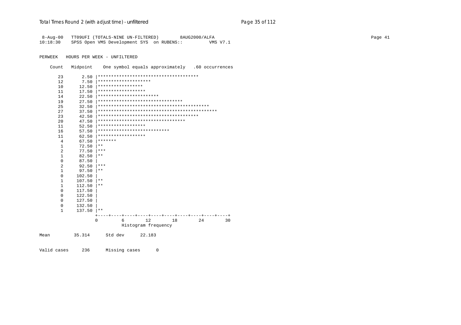| $8 - Aug - 00$<br>10:18:30 | SPSS Open VMS Development SYS on RUBENS:: |                                   |                     |    | TT09UFI (TOTALS-NINE UN-FILTERED) 8AUG2000/ALFA |    | <b>VMS V7.1</b> |
|----------------------------|-------------------------------------------|-----------------------------------|---------------------|----|-------------------------------------------------|----|-----------------|
| PERWEEK                    | HOURS PER WEEK - UNFILTERED               |                                   |                     |    |                                                 |    |                 |
| Count                      | Midpoint                                  |                                   |                     |    | One symbol equals approximately .60 occurrences |    |                 |
| 23                         | 2.50                                      |                                   |                     |    | **************************************          |    |                 |
| 12                         | 7.50                                      | ********************              |                     |    |                                                 |    |                 |
| 10                         | 12.50                                     | *****************                 |                     |    |                                                 |    |                 |
| 11                         | 17.50                                     | ******************                |                     |    |                                                 |    |                 |
| 14                         | 22.50                                     | ***********************           |                     |    |                                                 |    |                 |
| 19                         | 27.50                                     | ********************************  |                     |    |                                                 |    |                 |
| 25                         | 32.50                                     |                                   |                     |    |                                                 |    |                 |
| 27                         | 37.50                                     |                                   |                     |    |                                                 |    |                 |
| 23                         | 42.50                                     |                                   |                     |    |                                                 |    |                 |
| 20                         | 47.50                                     | ********************************* |                     |    |                                                 |    |                 |
| 11                         | 52.50                                     | ******************                |                     |    |                                                 |    |                 |
| 16                         | 57.50                                     | ***************************       |                     |    |                                                 |    |                 |
| 11                         | 62.50                                     | ******************                |                     |    |                                                 |    |                 |
| 4                          | 67.50                                     | *******                           |                     |    |                                                 |    |                 |
| 1                          | 72.50                                     | $***$                             |                     |    |                                                 |    |                 |
| 2                          | 77.50                                     | ***                               |                     |    |                                                 |    |                 |
| $\mathbf{1}$               | 82.50                                     | $***$                             |                     |    |                                                 |    |                 |
| $\Omega$                   | 87.50                                     |                                   |                     |    |                                                 |    |                 |
| $\overline{a}$             | 92.50                                     | ***                               |                     |    |                                                 |    |                 |
| $\mathbf{1}$               | 97.50                                     | $***$                             |                     |    |                                                 |    |                 |
| 0                          | 102.50                                    |                                   |                     |    |                                                 |    |                 |
| 1                          | 107.50                                    | $* *$                             |                     |    |                                                 |    |                 |
| $\mathbf{1}$               | 112.50                                    | $***$                             |                     |    |                                                 |    |                 |
| $\Omega$                   | 117.50                                    |                                   |                     |    |                                                 |    |                 |
| $\Omega$                   | 122.50                                    |                                   |                     |    |                                                 |    |                 |
| $\Omega$                   | 127.50                                    |                                   |                     |    |                                                 |    |                 |
| 0                          | 132.50                                    |                                   |                     |    |                                                 |    |                 |
| $\mathbf{1}$               | 137.50                                    | $* *$                             |                     |    |                                                 |    |                 |
|                            |                                           |                                   |                     |    |                                                 |    |                 |
|                            | $\Omega$                                  |                                   | 6                   | 12 | 18                                              | 24 | 30              |
|                            |                                           |                                   | Histogram frequency |    |                                                 |    |                 |

35.314 Std dev 22.183 Mean

Valid cases 236 Missing cases  $\mathsf 0$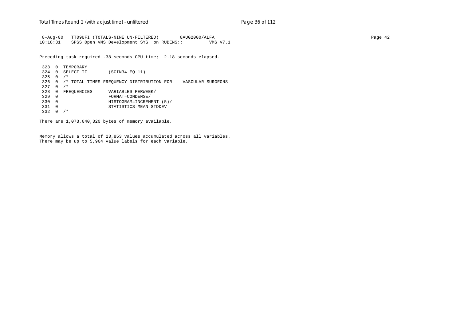8-Aug-00 TT09UFI (TOTALS-NINE UN-FILTERED) 8AUG2000/ALFA Page 42 10:18:31 SPSS Open VMS Development SYS on RUBENS:: VMS V7.1

Preceding task required .38 seconds CPU time; 2.18 seconds elapsed.

 323 0 TEMPORARY 324 0 SELECT IF (SCIN34 EQ 11)  $325 \t 0 / *$  326 0 /\* TOTAL TIMES FREQUENCY DISTRIBUTION FOR VASCULAR SURGEONS 327 0 /\* 328 0 FREQUENCIES VARIABLES=PERWEEK/<br>329 0 FORMAT=CONDENSE/ 329 0 FORMAT=CONDENSE/ 330 0 HISTOGRAM=INCREMENT (5)/ 331 0 STATISTICS=MEAN STDDEV 332 0 /\*

There are 1,073,640,320 bytes of memory available.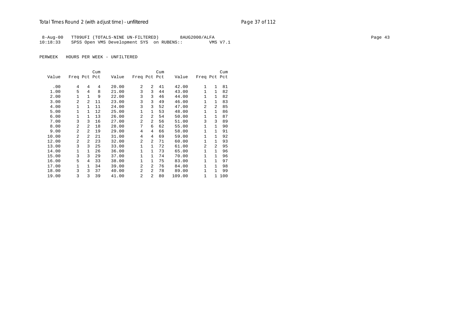## Total Times Round 2 (with adjust time) - *unfiltered* example 20 and 2 and 2 and 2 and 2 and 2 and 2 and 2 and 2 and 2 and 2 and 2 and 2 and 2 and 2 and 2 and 2 and 2 and 2 and 2 and 2 and 2 and 2 and 2 and 2 and 2 and 2 a

8-Aug-00 TT09UFI (TOTALS-NINE UN-FILTERED) 8AUG2000/ALFA Page 43 10:18:33 SPSS Open VMS Development SYS on RUBENS:: VMS V7.1

|       |                |                | Cum |       |                |                | Cum |        |                |                | Cum |
|-------|----------------|----------------|-----|-------|----------------|----------------|-----|--------|----------------|----------------|-----|
| Value | Freq Pct Pct   |                |     | Value | Freq Pct Pct   |                |     | Value  | Freq Pct Pct   |                |     |
|       |                |                |     |       |                |                |     |        |                |                |     |
| .00   | 4              | 4              | 4   | 20.00 | $\overline{a}$ | $\overline{a}$ | 41  | 42.00  | $\mathbf{1}$   | $\mathbf{1}$   | 81  |
| 1.00  | 5              | 4              | 8   | 21.00 | 3              | 3              | 44  | 43.00  | $\mathbf{1}$   | $\mathbf{1}$   | 82  |
| 2.00  | 1              | 1              | 9   | 22.00 | 3              | 3              | 46  | 44.00  | 1              | 1              | 82  |
| 3.00  | 2              | $\overline{a}$ | 11  | 23.00 | 3              | 3              | 49  | 46.00  | 1              | $\mathbf{1}$   | 83  |
| 4.00  | 1              | $\mathbf{1}$   | 11  | 24.00 | 3              | 3              | 52  | 47.00  | $\overline{a}$ | $\mathfrak{D}$ | 85  |
| 5.00  | 1              | $\mathbf{1}$   | 12  | 25.00 | 1              | 1              | 53  | 48.00  | $\mathbf{1}$   | $\mathbf{1}$   | 86  |
| 6.00  | 1              | $\mathbf{1}$   | 13  | 26.00 | 2              | $\overline{2}$ | 54  | 50.00  | 1              | $\mathbf{1}$   | 87  |
| 7.00  | 3              | 3              | 16  | 27.00 | $\overline{a}$ | $\overline{a}$ | 56  | 51.00  | 3              | 3              | 89  |
| 8.00  | 2              | $\overline{a}$ | 18  | 28.00 | 7              | 6              | 62  | 55.00  | $\mathbf{1}$   | $\mathbf{1}$   | 90  |
| 9.00  | $\mathfrak{D}$ | $\overline{a}$ | 19  | 29.00 | 4              | 4              | 66  | 58.00  | $\mathbf{1}$   | 1              | 91  |
| 10.00 | 2              | $\overline{a}$ | 21  | 31.00 | 4              | 4              | 69  | 59.00  | 1              | $\mathbf{1}$   | 92  |
| 12.00 | $\mathfrak{D}$ | $\overline{a}$ | 23  | 32.00 | 2              | $\overline{a}$ | 71  | 60.00  | 1              | 1              | 93  |
| 13.00 | 3              | 3              | 25  | 33.00 | $\mathbf{1}$   | 1              | 72  | 61.00  | $\overline{a}$ | 2              | 95  |
| 14.00 | 1              | $\mathbf{1}$   | 26  | 36.00 | 1              | 1              | 73  | 65.00  | $\mathbf{1}$   | $\mathbf{1}$   | 96  |
| 15.00 | 3              | 3              | 29  | 37.00 | 1              | 1              | 74  | 70.00  | $\mathbf{1}$   | $\mathbf{1}$   | 96  |
| 16.00 | 5              | 4              | 33  | 38.00 | $\mathbf{1}$   | 1              | 75  | 83.00  | $\mathbf{1}$   | $\mathbf{1}$   | 97  |
| 17.00 | 1              | $\mathbf{1}$   | 34  | 39.00 | 2              | $\overline{2}$ | 76  | 84.00  | $\mathbf{1}$   | $\mathbf{1}$   | 98  |
| 18.00 | 3              | 3              | 37  | 40.00 | 2              | 2              | 78  | 89.00  | 1              | $\mathbf{1}$   | 99  |
| 19.00 | 3              | 3              | 39  | 41.00 | 2              | $\overline{a}$ | 80  | 109.00 | $\mathbf{1}$   | $\mathbf{1}$   | 100 |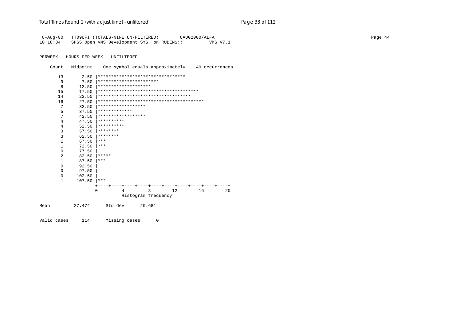|              |        | 8-Aug-00 TT09UFI (TOTALS-NINE UN-FILTERED) 8AUG2000/ALFA<br>10:18:34 SPSS Open VMS Development SYS on RUBENS:: |                     |    |    | VMS V7.1 |
|--------------|--------|----------------------------------------------------------------------------------------------------------------|---------------------|----|----|----------|
| PERWEEK      |        | HOURS PER WEEK - UNFILTERED                                                                                    |                     |    |    |          |
| Count        |        | Midpoint One symbol equals approximately .40 occurrences                                                       |                     |    |    |          |
| 13           | 2.50   | *********************************                                                                              |                     |    |    |          |
| 9            | 7.50   | ***********************                                                                                        |                     |    |    |          |
| 8            | 12.50  | ********************                                                                                           |                     |    |    |          |
| 15           | 17.50  |                                                                                                                |                     |    |    |          |
| 14           | 22.50  | ************************************                                                                           |                     |    |    |          |
| 16           | 27.50  |                                                                                                                |                     |    |    |          |
| 7            | 32.50  | ******************                                                                                             |                     |    |    |          |
| 5            | 37.50  | *************                                                                                                  |                     |    |    |          |
| 7            | 42.50  | ******************                                                                                             |                     |    |    |          |
| 4            | 47.50  | **********                                                                                                     |                     |    |    |          |
| 4            | 52.50  | **********                                                                                                     |                     |    |    |          |
| 3            | 57.50  | ********                                                                                                       |                     |    |    |          |
| 3            | 62.50  | ********                                                                                                       |                     |    |    |          |
| $\mathbf{1}$ | 67.50  | ***                                                                                                            |                     |    |    |          |
| $\mathbf{1}$ | 72.50  | ***                                                                                                            |                     |    |    |          |
| $\mathbf{0}$ | 77.50  |                                                                                                                |                     |    |    |          |
| 2            | 82.50  | $* * * * * *$                                                                                                  |                     |    |    |          |
| $\mathbf{1}$ | 87.50  | $ ***$                                                                                                         |                     |    |    |          |
| $\mathbf{0}$ | 92.50  |                                                                                                                |                     |    |    |          |
| 0            | 97.50  |                                                                                                                |                     |    |    |          |
| 0            | 102.50 |                                                                                                                |                     |    |    |          |
| 1            | 107.50 | $+ * * *$                                                                                                      |                     |    |    |          |
|              |        |                                                                                                                |                     |    |    |          |
|              |        | 0<br>4                                                                                                         | 8                   | 12 | 16 | 20       |
|              |        |                                                                                                                | Histogram frequency |    |    |          |
| Mean         | 27.474 | Std dev 20.681                                                                                                 |                     |    |    |          |

Valid cases 114 Missing cases 0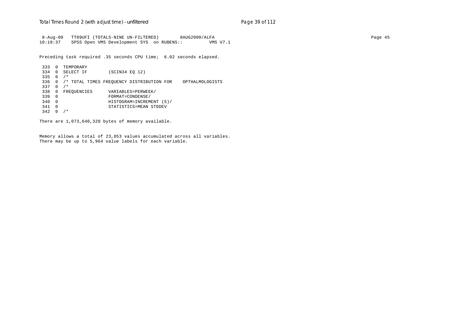8-Aug-00 TT09UFI (TOTALS-NINE UN-FILTERED) 8AUG2000/ALFA Page 45 10:18:37 SPSS Open VMS Development SYS on RUBENS:: VMS V7.1

Preceding task required .35 seconds CPU time; 6.02 seconds elapsed.

 333 0 TEMPORARY 334 0 SELECT IF (SCIN34 EQ 12) 335 0 /\* 336 0 /\* TOTAL TIMES FREQUENCY DISTRIBUTION FOR OPTHALMOLOGISTS 337 0 /\* 338 0 FREQUENCIES VARIABLES=PERWEEK/<br>339 0 FORMAT=CONDENSE/ 339 0 FORMAT=CONDENSE/ 340 0 HISTOGRAM=INCREMENT (5)/ 341 0 STATISTICS=MEAN STDDEV  $342 \t0 \t/*$ 

There are 1,073,640,320 bytes of memory available.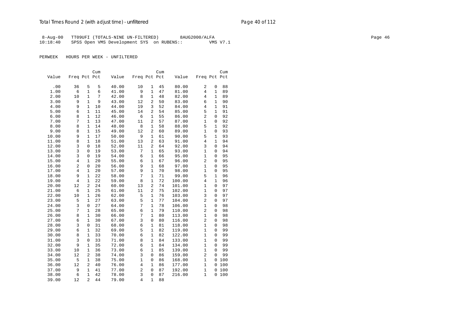## Total Times Round 2 (with adjust time) - *unfiltered* example 2 and 2 and 2 and 2 and 2 and 2 and 2 and 2 and 2 and 2 and 2 and 2 and 2 and 2 and 2 and 2 and 2 and 2 and 2 and 2 and 2 and 2 and 2 and 2 and 2 and 2 and 2 an

8-Aug-00 TT09UFI (TOTALS-NINE UN-FILTERED) 8AUG2000/ALFA Page 46 10:18:40 SPSS Open VMS Development SYS on RUBENS:: VMS V7.1

|       |                |                   | Cum      |                |                |                     | Cum      |                |                |                   | Cum      |
|-------|----------------|-------------------|----------|----------------|----------------|---------------------|----------|----------------|----------------|-------------------|----------|
| Value | Freq Pct Pct   |                   |          | Value          | Freq Pct Pct   |                     |          | Value          | Freq Pct Pct   |                   |          |
| .00   | 36             | 5                 | 5        |                |                |                     |          |                | 2              |                   |          |
| 1.00  | 6              | $\mathbf{1}$      | 6        | 40.00<br>41.00 | 10<br>9        | 1<br>$\mathbf{1}$   | 45<br>47 | 80.00<br>81.00 | $\overline{4}$ | 0<br>$\mathbf{1}$ | 88<br>89 |
| 2.00  | 10             | 1                 | 7        | 42.00          | 8              | 1                   | 48       | 82.00          | 4              | $\mathbf{1}$      | 89       |
| 3.00  | 9              | 1                 | 9        | 43.00          | 12             | 2                   | 50       | 83.00          | 6              | $\mathbf{1}$      | 90       |
|       | 9              |                   |          |                |                | 3                   | 52       |                | $\overline{4}$ | $\mathbf{1}$      |          |
| 4.00  | 6              | 1<br>$\mathbf{1}$ | 10<br>11 | 44.00          | 19<br>14       | $\overline{a}$      | 54       | 84.00          | 5              | $\mathbf{1}$      | 91<br>91 |
| 5.00  |                |                   |          | 45.00          |                |                     |          | 85.00          | $\overline{2}$ |                   | 92       |
| 6.00  | 8<br>7         | 1<br>$\mathbf{1}$ | 12<br>13 | 46.00          | 6              | 1<br>$\overline{2}$ | 55<br>57 | 86.00          |                | 0                 | 92       |
| 7.00  |                |                   |          | 47.00          | 11             |                     |          | 87.00          | 1              | 0<br>$\mathbf{1}$ |          |
| 8.00  | 8              | 1                 | 14       | 48.00          | 8              | 1<br>$\overline{2}$ | 58       | 88.00          | 5              |                   | 92       |
| 9.00  | 8<br>9         | $\mathbf{1}$      | 15       | 49.00          | 12             |                     | 60       | 89.00          | $\mathbf{1}$   | 0                 | 93       |
| 10.00 |                | 1                 | 17       | 50.00          | 9              | 1                   | 61       | 90.00          | 5              | 1                 | 93       |
| 11.00 | 8              | 1                 | 18       | 51.00          | 13             | 2                   | 63       | 91.00          | 4              | 1                 | 94       |
| 12.00 | 3              | 0                 | 18       | 52.00          | 11             | $\overline{2}$      | 64       | 92.00          | 3              | 0                 | 94       |
| 13.00 | 3              | 0                 | 19       | 53.00          | 7              | 1                   | 65       | 93.00          | $\mathbf{1}$   | 0                 | 94       |
| 14.00 | 3              | 0                 | 19       | 54.00          | 6              | 1                   | 66       | 95.00          | $\mathbf{1}$   | 0                 | 95       |
| 15.00 | $\overline{4}$ | 1                 | 20       | 55.00          | 6              | 1                   | 67       | 96.00          | 2              | $\Omega$          | 95       |
| 16.00 | $\overline{2}$ | 0                 | 20       | 56.00          | 9              | $\mathbf{1}$        | 68       | 97.00          | $\mathbf{1}$   | 0                 | 95       |
| 17.00 | 4              | $\mathbf{1}$      | 20       | 57.00          | 9              | 1                   | 70       | 98.00          | $\mathbf{1}$   | 0                 | 95       |
| 18.00 | 9              | $\mathbf{1}$      | 22       | 58.00          | 7              | 1                   | 71       | 99.00          | 5              | $\mathbf{1}$      | 96       |
| 19.00 | 4              | $\mathbf{1}$      | 22       | 59.00          | 8              | 1                   | 72       | 100.00         | $\overline{4}$ | $\mathbf{1}$      | 96       |
| 20.00 | 12             | $\overline{a}$    | 24       | 60.00          | 13             | $\overline{c}$      | 74       | 101.00         | $\mathbf{1}$   | $\Omega$          | 97       |
| 21.00 | 6              | 1                 | 25       | 61.00          | 11             | $\overline{a}$      | 75       | 102.00         | $\mathbf{1}$   | $\Omega$          | 97       |
| 22.00 | 10             | $\mathbf{1}$      | 26       | 62.00          | 5              | $\mathbf{1}$        | 76       | 103.00         | 3              | 0                 | 97       |
| 23.00 | 5              | 1                 | 27       | 63.00          | 5              | 1                   | 77       | 104.00         | $\overline{c}$ | 0                 | 97       |
| 24.00 | 3              | 0                 | 27       | 64.00          | 7              | $\mathbf{1}$        | 78       | 106.00         | $\mathbf{1}$   | 0                 | 98       |
| 25.00 | 7              | 1                 | 28       | 65.00          | 6              | $\mathbf{1}$        | 79       | 110.00         | 2              | $\Omega$          | 98       |
| 26.00 | 8              | 1                 | 30       | 66.00          | 7              | 1                   | 80       | 113.00         | $\mathbf{1}$   | 0                 | 98       |
| 27.00 | 6              | $\mathbf{1}$      | 30       | 67.00          | 3              | 0                   | 80       | 116.00         | 2              | 0                 | 98       |
| 28.00 | 3              | 0                 | 31       | 68.00          | 6              | $\mathbf{1}$        | 81       | 118.00         | $\mathbf{1}$   | 0                 | 98       |
| 29.00 | 6              | $\mathbf{1}$      | 32       | 69.00          | 5              | $\mathbf{1}$        | 82       | 119.00         | $\mathbf{1}$   | 0                 | 99       |
| 30.00 | 8              | 1                 | 33       | 70.00          | 6              | 1                   | 82       | 122.00         | $\mathbf{1}$   | 0                 | 99       |
| 31.00 | $\overline{3}$ | 0                 | 33       | 71.00          | 8              | 1                   | 84       | 133.00         | 1              | $\Omega$          | 99       |
| 32.00 | 9              | $\mathbf{1}$      | 35       | 72.00          | 6              | $\mathbf{1}$        | 84       | 134.00         | $\mathbf{1}$   | 0                 | 99       |
| 33.00 | 10             | $\mathbf{1}$      | 36       | 73.00          | 6              | $\mathbf{1}$        | 85       | 139.00         | $\mathbf{1}$   | 0                 | 99       |
| 34.00 | 12             | 2                 | 38       | 74.00          | 3              | 0                   | 86       | 159.00         | 2              | 0                 | 99       |
| 35.00 | 5              | 1                 | 38       | 75.00          | $\mathbf{1}$   | 0                   | 86       | 168.00         | 1              | $\mathbf{0}$      | 100      |
| 36.00 | 12             | $\overline{2}$    | 40       | 76.00          | 4              | $\mathbf{1}$        | 86       | 177.00         | $\mathbf{1}$   | 0                 | 100      |
| 37.00 | 9              | $\mathbf{1}$      | 41       | 77.00          | $\overline{2}$ | 0                   | 87       | 192.00         | $\mathbf{1}$   | 0                 | 100      |
| 38.00 | 6              | $\mathbf{1}$      | 42       | 78.00          | 3              | $\mathbf 0$         | 87       | 216.00         | 1              | 0                 | 100      |
| 39.00 | 12             | $\overline{a}$    | 44       | 79.00          | 4              | $\mathbf{1}$        | 88       |                |                |                   |          |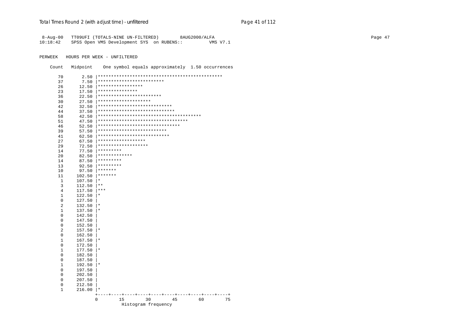| 8-Aug-00 |  | TT09UFI (TOTALS-NINE UN-FILTERED)         | 8AUG2000/ALFA |  |          |
|----------|--|-------------------------------------------|---------------|--|----------|
| 10:18:42 |  | SPSS Open VMS Development SYS on RUBENS:: |               |  | VMS V7.1 |

PERWEEK HOURS PER WEEK - UNFILTERED

Count Midpoint One symbol equals approximately 1.50 occurrences

| 70           | 2.50             | *************************          |    |
|--------------|------------------|------------------------------------|----|
| 37           | 7.50             | *****************                  |    |
| 26           | 12.50            | ***************                    |    |
| 23           | 17.50            | ************************           |    |
| 36<br>30     | 22.50<br>27.50   | ********************               |    |
| 42           | 32.50            | ****************************       |    |
| 44           | 37.50            | *****************************      |    |
| 58           | 42.50            |                                    |    |
| 51           | 47.50            | ********************************** |    |
| 46           | 52.50            | *******************************    |    |
| 39           | 57.50            | **************************         |    |
| 41           | 62.50            | ***************************        |    |
| 27           | 67.50            | ******************                 |    |
| 29           | 72.50            | *******************                |    |
| 14           | 77.50            | *********                          |    |
| 20           | 82.50            | *************                      |    |
| 14           | 87.50            | *********                          |    |
| 13           | 92.50            | *********                          |    |
| 10           | 97.50            | *******                            |    |
| 11           | 102.50           | *******                            |    |
| 1            | 107.50           | $^\star$                           |    |
| 3            | 112.50           | $* *$                              |    |
| 4            | 117.50           | $***$                              |    |
| 1            | 122.50           | $^\ast$                            |    |
| 0            | 127.50           |                                    |    |
| 2            | 132.50           | $^\star$                           |    |
| 1            | 137.50           | $^\star$                           |    |
| 0            | 142.50           |                                    |    |
| 0            | 147.50           |                                    |    |
| 0            | 152.50           |                                    |    |
| 2            | 157.50           | $\star$                            |    |
| 0            | 162.50           |                                    |    |
| 1            | 167.50           | $^\star$                           |    |
| 0            | 172.50           |                                    |    |
| 1            | 177.50           | $\star$                            |    |
| 0            | 182.50           |                                    |    |
| 0            | 187.50           | $\star$                            |    |
| $\mathbf{1}$ | 192.50           |                                    |    |
| 0<br>0       | 197.50<br>202.50 |                                    |    |
| 0            | 207.50           |                                    |    |
| 0            | 212.50           |                                    |    |
| 1            | 216.00           |                                    |    |
|              |                  |                                    |    |
|              |                  | 15<br>30<br>45<br>60<br>0          | 75 |
|              |                  | Histogram frequency                |    |
|              |                  |                                    |    |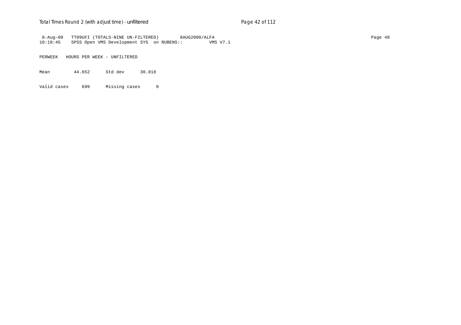#### Total Times Round 2 (with adjust time) - *unfiltered* example 2 and 2 of 112

8-Aug-00 TT09UFI (TOTALS-NINE UN-FILTERED) 8AUG2000/ALFA<br>10:18:45 SPSS Open VMS Development SYS on RUBENS:: VMS V7.1  $10:18:45$  SPSS Open VMS Development SYS on RUBENS::

PERWEEK HOURS PER WEEK - UNFILTERED

Mean 44.652 Std dev 30.818

Valid cases 699 Missing cases 0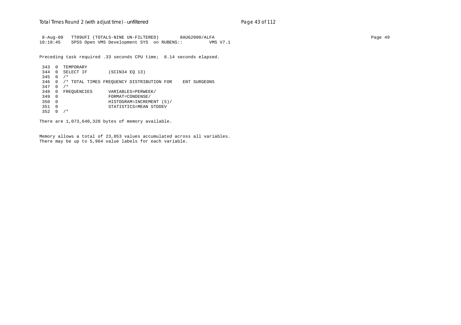8-Aug-00 TT09UFI (TOTALS-NINE UN-FILTERED) 8AUG2000/ALFA Page 49 10:18:45 SPSS Open VMS Development SYS on RUBENS:: VMS V7.1

Preceding task required .33 seconds CPU time; 8.14 seconds elapsed.

```
 343 0 TEMPORARY
 344 0 SELECT IF (SCIN34 EQ 13)
345 \quad 0 \quad /*
 346 0 /* TOTAL TIMES FREQUENCY DISTRIBUTION FOR ENT SURGEONS
 347 0 /*
348 0 FREQUENCIES VARIABLES=PERWEEK/<br>349 0 FORMAT=CONDENSE/
 349 0 FORMAT=CONDENSE/
 350 0 HISTOGRAM=INCREMENT (5)/
 351 0 STATISTICS=MEAN STDDEV
 352 0 /*
```
There are 1,073,640,320 bytes of memory available.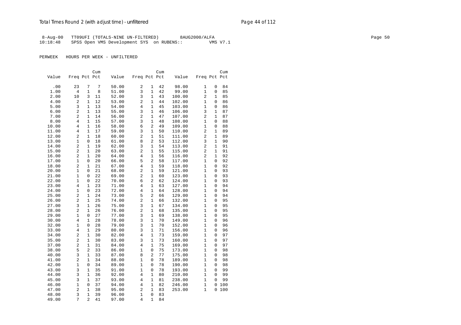## Total Times Round 2 (with adjust time) - *unfiltered* example 2 and 2 and 2 and 2 and 2 and 2 and 2 and 2 and 2 and 2 and 2 and 2 and 2 and 2 and 2 and 2 and 2 and 2 and 2 and 2 and 2 and 2 and 2 and 2 and 2 and 2 and 2 an

 8-Aug-00 TT09UFI (TOTALS-NINE UN-FILTERED) 8AUG2000/ALFA Page 50 10:18:48 SPSS Open VMS Development SYS on RUBENS:: VMS V7.1

|       |                         |              | Cum |       |                |                | Cum |        |                |              | Cum |  |
|-------|-------------------------|--------------|-----|-------|----------------|----------------|-----|--------|----------------|--------------|-----|--|
| Value | Freq Pct Pct            |              |     | Value | Freq Pct Pct   |                |     | Value  | Freq Pct Pct   |              |     |  |
| .00   | 23                      | 7            | 7   | 50.00 | 2              | 1              | 42  | 98.00  | 1              | 0            | 84  |  |
| 1.00  | 4                       | 1            | 8   | 51.00 | 3              | 1              | 42  | 99.00  | 1              | 0            | 85  |  |
| 2.00  | 10                      | 3            | 11  | 52.00 | 3              | $\mathbf{1}$   | 43  | 100.00 | $\overline{2}$ | $\mathbf 1$  | 85  |  |
| 4.00  | $\overline{\mathbf{c}}$ | $\mathbf{1}$ | 12  | 53.00 | 2              | 1              | 44  | 102.00 | 1              | 0            | 86  |  |
| 5.00  | 3                       | $\mathbf{1}$ | 13  | 54.00 | 4              | $\mathbf{1}$   | 45  | 103.00 | $\mathbf{1}$   | 0            | 86  |  |
| 6.00  | 2                       | $\mathbf{1}$ | 13  | 55.00 | 3              | $\mathbf{1}$   | 46  | 106.00 | 3              | $\mathbf 1$  | 87  |  |
| 7.00  | 2                       | $\mathbf{1}$ | 14  | 56.00 | $\overline{a}$ | 1              | 47  | 107.00 | 2              | $\mathbf 1$  | 87  |  |
| 8.00  | 4                       | $\mathbf{1}$ | 15  | 57.00 | 3              | $\mathbf{1}$   | 48  | 108.00 | 1              | $\Omega$     | 88  |  |
| 10.00 | 4                       | $\mathbf{1}$ | 16  | 58.00 | 6              | $\overline{a}$ | 49  | 109.00 | 1              | 0            | 88  |  |
| 11.00 | 4                       | $\mathbf 1$  | 17  | 59.00 | 3              | $\mathbf{1}$   | 50  | 110.00 | 2              | 1            | 89  |  |
| 12.00 | 2                       | $\mathbf{1}$ | 18  | 60.00 | $\overline{2}$ | 1              | 51  | 111.00 | $\overline{2}$ | 1            | 89  |  |
| 13.00 | 1                       | 0            | 18  | 61.00 | 8              | $\overline{2}$ | 53  | 112.00 | 3              | $\mathbf 1$  | 90  |  |
| 14.00 | $\overline{2}$          | $\mathbf{1}$ | 19  | 62.00 | 3              | 1              | 54  | 113.00 | $\overline{2}$ | $\mathbf{1}$ | 91  |  |
| 15.00 | 2                       | $\mathbf{1}$ | 20  | 63.00 | 2              | 1              | 55  | 115.00 | 2              | $\mathbf 1$  | 91  |  |
| 16.00 | $\overline{c}$          | $\mathbf{1}$ | 20  | 64.00 | 4              | $\mathbf{1}$   | 56  | 116.00 | 2              | 1            | 92  |  |
| 17.00 | 1                       | $\mathbf 0$  | 20  | 66.00 | 5              | 2              | 58  | 117.00 | 1              | $\Omega$     | 92  |  |
| 18.00 | 2                       | $\mathbf{1}$ | 21  | 67.00 | 4              | 1              | 59  | 118.00 | 1              | 0            | 92  |  |
| 20.00 | 1                       | $\mathbf 0$  | 21  | 68.00 | 2              | $\mathbf{1}$   | 59  | 121.00 | 1              | 0            | 93  |  |
| 21.00 | 1                       | 0            | 22  | 69.00 | 2              | 1              | 60  | 123.00 | 1              | 0            | 93  |  |
| 22.00 | $\mathbf{1}$            | $\mathbf 0$  | 22  | 70.00 | 6              | $\overline{a}$ | 62  | 124.00 | $\mathbf{1}$   | 0            | 93  |  |
| 23.00 | 4                       | $\mathbf{1}$ | 23  | 71.00 | 4              | 1              | 63  | 127.00 | 1              | 0            | 94  |  |
| 24.00 | 1                       | 0            | 23  | 72.00 | 4              | $\mathbf{1}$   | 64  | 128.00 | 1              | 0            | 94  |  |
| 25.00 | 2                       | $\mathbf{1}$ | 24  | 73.00 | 5              | 2              | 66  | 129.00 | 1              | 0            | 94  |  |
| 26.00 | 2                       | $\mathbf{1}$ | 25  | 74.00 | 2              | 1              | 66  | 132.00 | 1              | 0            | 95  |  |
| 27.00 | 3                       | $\mathbf{1}$ | 26  | 75.00 | 3              | $\mathbf{1}$   | 67  | 134.00 | 1              | 0            | 95  |  |
| 28.00 | 2                       | $\mathbf{1}$ | 26  | 76.00 | $\overline{a}$ | 1              | 68  | 135.00 | 1              | 0            | 95  |  |
| 29.00 | 1                       | 0            | 27  | 77.00 | 3              | 1              | 69  | 138.00 | 1              | 0            | 95  |  |
| 30.00 | $\overline{4}$          | $\mathbf{1}$ | 28  | 78.00 | 3              | 1              | 70  | 149.00 | 1              | 0            | 96  |  |
| 32.00 | 1                       | 0            | 28  | 79.00 | 3              | 1              | 70  | 152.00 | 1              | 0            | 96  |  |
| 33.00 | $\overline{4}$          | $\mathbf{1}$ | 29  | 80.00 | 3              | $\mathbf{1}$   | 71  | 156.00 | 1              | $\Omega$     | 96  |  |
| 34.00 | 2                       | $\mathbf{1}$ | 30  | 82.00 | 4              | 1              | 73  | 159.00 | 1              | 0            | 97  |  |
| 35.00 | 2                       | $\mathbf{1}$ | 30  | 83.00 | 3              | 1              | 73  | 160.00 | 1              | 0            | 97  |  |
| 37.00 | 2                       | $\mathbf{1}$ | 31  | 84.00 | 4              | 1              | 75  | 169.00 | 1              | 0            | 97  |  |
| 38.00 | 5                       | 2            | 33  | 86.00 | 1              | 0              | 75  | 173.00 | 1              | 0            | 98  |  |
| 40.00 | 3                       | $\mathbf{1}$ | 33  | 87.00 | 8              | $\overline{a}$ | 77  | 175.00 | $\mathbf{1}$   | $\Omega$     | 98  |  |
| 41.00 | 2                       | $\mathbf{1}$ | 34  | 88.00 | 1              | 0              | 78  | 189.00 | 1              | $\Omega$     | 98  |  |
| 42.00 | 1                       | $\mathbf 0$  | 34  | 89.00 | 1              | 0              | 78  | 190.00 | 1              | 0            | 98  |  |
| 43.00 | 3                       | $\mathbf{1}$ | 35  | 91.00 | 1              | 0              | 78  | 193.00 | 1              | 0            | 99  |  |
| 44.00 | 3                       | $\mathbf{1}$ | 36  | 92.00 | 4              | 1              | 80  | 210.00 | 1              | 0            | 99  |  |
| 45.00 | 3                       | $\mathbf{1}$ | 37  | 93.00 | $\overline{4}$ | $\mathbf{1}$   | 81  | 238.00 | $\mathbf{1}$   | 0            | 99  |  |
| 46.00 | 1                       | $\mathbf 0$  | 37  | 94.00 | 4              | 1              | 82  | 246.00 | 1              | 0            | 100 |  |
| 47.00 | $\overline{c}$          | $\mathbf{1}$ | 38  | 95.00 | 2              | 1              | 83  | 253.00 | 1              | 0            | 100 |  |
| 48.00 | 3                       | $\mathbf{1}$ | 39  | 96.00 | 1              | 0              | 83  |        |                |              |     |  |
| 49.00 | 7                       | 2            | 41  | 97.00 | 4              | 1              | 84  |        |                |              |     |  |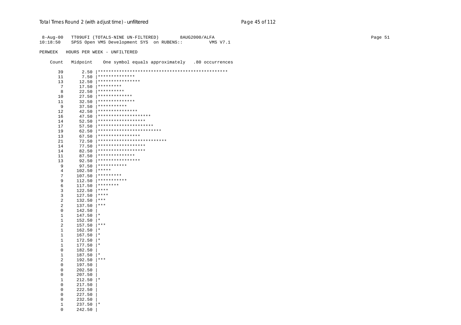| $8 - Aug - 00$ |          | TT09UFI (TOTALS-NINE UN-FILTERED)<br>8AUG2000/ALFA    |
|----------------|----------|-------------------------------------------------------|
| 10:18:50       |          | VMS V7.1<br>SPSS Open VMS Development SYS on RUBENS:: |
|                |          |                                                       |
| PERWEEK        |          | HOURS PER WEEK - UNFILTERED                           |
|                |          |                                                       |
| Count          | Midpoint | One symbol equals approximately .80 occurrences       |
|                |          |                                                       |
| 39             |          |                                                       |
| 11             | 7.50     | **************                                        |
| 13             | 12.50    | ****************                                      |
| 7              | 17.50    | $**********$                                          |
| 8              | 22.50    | $**********$                                          |
| 10             | 27.50    | *************                                         |
| 11             | 32.50    | **************                                        |
| 9              | 37.50    | ***********                                           |
| 12             | 42.50    | ***************                                       |
| 16             | 47.50    | ********************                                  |
| 14             | 52.50    | ******************                                    |
| 17             | 57.50    | *********************                                 |
|                |          | ************************                              |
| 19             | 62.50    | ****************                                      |
| 13             | 67.50    |                                                       |
| 21             |          | ******************                                    |
| 14             | 77.50    | ******************                                    |
| 14             | 82.50    | **************                                        |
| 11             | 87.50    | ****************                                      |
| 13             | 92.50    |                                                       |
| 9              | 97.50    | ***********<br>$ ******$                              |
| 4              | 102.50   |                                                       |
| 7              | 107.50   | $**********$                                          |
| 9              | 112.50   | $*************$                                       |
| 6              | 117.50   | $*******$                                             |
| 3              | 122.50   | $ ***$                                                |
| 3              | 127.50   | $ ***$                                                |
| 2              | 132.50   | $ ***$                                                |
| 2              | 137.50   | $ ***$                                                |
| 0              | 142.50   |                                                       |
| $\mathbf{1}$   | 147.50   | $\vert *$                                             |
| 1              | 152.50   | $\vert *$                                             |
| 2              | 157.50   | $ ***$                                                |
| $\mathbf{1}$   | 162.50   | ∣ *                                                   |
| $\mathbf{1}$   | 167.50   | $\vert *$                                             |
| $\mathbf{1}$   | 172.50   | $\vert *$                                             |
| 1              | 177.50   | $ *$                                                  |
| 0              | 182.50   |                                                       |
| $\mathbf{1}$   | 187.50   | $\vert *$                                             |
| 2              | 192.50   | $ ***$                                                |
| 0              | 197.50   |                                                       |
| 0              | 202.50   |                                                       |
| 0              | 207.50   |                                                       |
| 1              | 212.50   | $\vert *$                                             |
| 0              | 217.50   |                                                       |
| 0              | 222.50   |                                                       |
| 0              | 227.50   |                                                       |
| 0              | 232.50   |                                                       |
| 1              | 237.50   | $\vert$ *                                             |
| 0              | 242.50   |                                                       |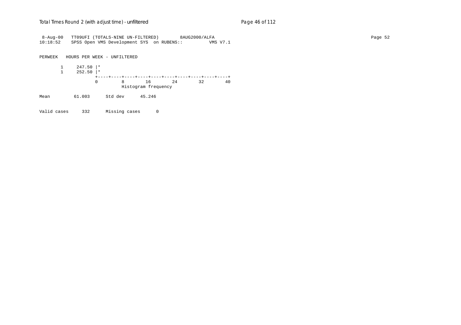#### Total Times Round 2 (with adjust time) - *unfiltered* example 2 and 2 and 2 and 2 and 2 and 2 and 2 and 2 and 2 and 2 and 2 and 2 and 2 and 2 and 2 and 2 and 2 and 2 and 2 and 2 and 2 and 2 and 2 and 2 and 2 and 2 and 2 an

8-Aug-00 TT09UFI (TOTALS-NINE UN-FILTERED) 8AUG2000/ALFA Page 52 10:18:52 SPSS Open VMS Development SYS on RUBENS:: VMS V7.1 PERWEEK HOURS PER WEEK - UNFILTERED 1 247.50 |\*  $\frac{1}{1}$  252.50  $*$  +----+----+----+----+----+----+----+----+----+----+ 0 8 16 24 32 40 Histogram frequency Mean 61.003 Std dev 45.246

Valid cases 332 Missing cases 0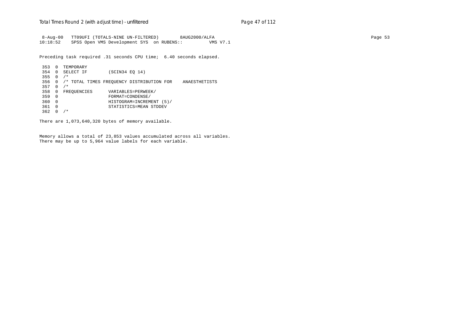8-Aug-00 TT09UFI (TOTALS-NINE UN-FILTERED) 8AUG2000/ALFA Page 53 10:18:52 SPSS Open VMS Development SYS on RUBENS:: VMS V7.1

Preceding task required .31 seconds CPU time; 6.40 seconds elapsed.

 353 0 TEMPORARY 354 0 SELECT IF (SCIN34 EQ 14) 355 0 /\* 356 0 /\* TOTAL TIMES FREQUENCY DISTRIBUTION FOR ANAESTHETISTS 357 0 /\* 358 0 FREQUENCIES VARIABLES=PERWEEK/<br>359 0 FORMAT=CONDENSE/ 359 0 FORMAT=CONDENSE/ 360 0 HISTOGRAM=INCREMENT (5)/ 361 0 STATISTICS=MEAN STDDEV 362 0 /\*

There are 1,073,640,320 bytes of memory available.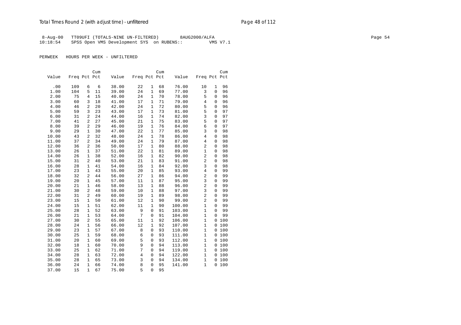## Total Times Round 2 (with adjust time) - *unfiltered* example 2 and 2 and 2 and 2 and 2 and 2 and 2 and 2 and 2 and 2 and 2 and 2 and 2 and 2 and 2 and 2 and 2 and 2 and 2 and 2 and 2 and 2 and 2 and 2 and 2 and 2 and 2 an

 8-Aug-00 TT09UFI (TOTALS-NINE UN-FILTERED) 8AUG2000/ALFA Page 54 10:18:54 SPSS Open VMS Development SYS on RUBENS:: VMS V7.1

|       |              |                | Cum |       |                |              | Cum |        |                |                | Cum   |
|-------|--------------|----------------|-----|-------|----------------|--------------|-----|--------|----------------|----------------|-------|
| Value | Freq Pct Pct |                |     | Value | Freq Pct Pct   |              |     | Value  | Freq Pct Pct   |                |       |
|       |              |                |     |       |                |              |     |        |                |                |       |
| .00   | 109          | 6              | 6   | 38.00 | 22             | 1            | 68  | 76.00  | 10             | 1              | 96    |
| 1.00  | 104          | 5              | 11  | 39.00 | 24             | $\mathbf{1}$ | 69  | 77.00  | 3              | $\mathbf 0$    | 96    |
| 2.00  | 75           | $\overline{4}$ | 15  | 40.00 | 24             | $\mathbf{1}$ | 70  | 78.00  | 5              | 0              | 96    |
| 3.00  | 60           | 3              | 18  | 41.00 | 17             | 1            | 71  | 79.00  | $\overline{4}$ | $\Omega$       | 96    |
| 4.00  | 46           | 2              | 20  | 42.00 | 24             | 1            | 72  | 80.00  | 5              | 0              | 96    |
| 5.00  | 59           | 3              | 23  | 43.00 | 17             | 1            | 73  | 81.00  | 5              | 0              | 97    |
| 6.00  | 31           | 2              | 24  | 44.00 | 16             | 1            | 74  | 82.00  | 3              | 0              | 97    |
| 7.00  | 41           | $\overline{2}$ | 27  | 45.00 | 21             | $\mathbf{1}$ | 75  | 83.00  | 5              | 0              | 97    |
| 8.00  | 39           | $\overline{2}$ | 29  | 46.00 | 19             | $\mathbf{1}$ | 76  | 84.00  | 6              | 0              | 97    |
| 9.00  | 29           | $\mathbf{1}$   | 30  | 47.00 | 22             | $\mathbf{1}$ | 77  | 85.00  | 3              | 0              | 98    |
| 10.00 | 43           | 2              | 32  | 48.00 | 24             | $\mathbf{1}$ | 78  | 86.00  | $\overline{4}$ | 0              | 98    |
| 11.00 | 37           | $\overline{2}$ | 34  | 49.00 | 24             | 1            | 79  | 87.00  | 4              | 0              | 98    |
| 12.00 | 36           | 2              | 36  | 50.00 | 17             | 1            | 80  | 88.00  | $\overline{c}$ | 0              | 98    |
| 13.00 | 26           | $\mathbf{1}$   | 37  | 51.00 | 22             | $\mathbf{1}$ | 81  | 89.00  | $\mathbf{1}$   | 0              | 98    |
| 14.00 | 26           | $\mathbf{1}$   | 38  | 52.00 | 16             | $\mathbf{1}$ | 82  | 90.00  | $\overline{c}$ | 0              | 98    |
| 15.00 | 31           | $\overline{a}$ | 40  | 53.00 | 21             | $\mathbf{1}$ | 83  | 91.00  | $\overline{a}$ | $\Omega$       | 98    |
| 16.00 | 28           | $\mathbf{1}$   | 41  | 54.00 | 16             | 1            | 84  | 92.00  | 3              | 0              | 98    |
| 17.00 | 23           | $\mathbf{1}$   | 43  | 55.00 | 20             | 1            | 85  | 93.00  | $\overline{4}$ | $\Omega$       | 99    |
| 18.00 | 32           | $\overline{2}$ | 44  | 56.00 | 27             | $\mathbf{1}$ | 86  | 94.00  | $\overline{c}$ | 0              | 99    |
| 19.00 | 20           | $\mathbf{1}$   | 45  | 57.00 | 11             | $\mathbf 1$  | 87  | 95.00  | 3              | $\overline{0}$ | 99    |
| 20.00 | 21           | $\mathbf{1}$   | 46  | 58.00 | 13             | $\mathbf{1}$ | 88  | 96.00  | 2              | $\Omega$       | 99    |
| 21.00 | 30           | $\overline{a}$ | 48  | 59.00 | 10             | $\mathbf{1}$ | 88  | 97.00  | 3              | 0              | 99    |
| 22.00 | 31           | $\overline{2}$ | 49  | 60.00 | 19             | 1            | 89  | 98.00  | 2              | $\Omega$       | 99    |
| 23.00 | 15           | $\mathbf{1}$   | 50  | 61.00 | 12             | $\mathbf{1}$ | 90  | 99.00  | $\overline{c}$ | $\Omega$       | 99    |
| 24.00 | 15           | $\mathbf{1}$   | 51  | 62.00 | 11             | $\mathbf{1}$ | 90  | 100.00 | $\mathbf{1}$   | 0              | 99    |
| 25.00 | 28           | $\mathbf{1}$   | 52  | 63.00 | 9              | $\Omega$     | 91  | 103.00 | $\mathbf{1}$   | $\Omega$       | 99    |
| 26.00 | 21           | $\mathbf{1}$   | 53  | 64.00 | 7              | 0            | 91  | 104.00 | $\mathbf{1}$   | $\Omega$       | 99    |
| 27.00 | 30           | $\overline{a}$ | 55  | 65.00 | 11             | $\mathbf{1}$ | 92  | 106.00 | $\mathbf{1}$   |                | 0 100 |
| 28.00 | 24           | $\mathbf{1}$   | 56  | 66.00 | 12             | 1            | 92  | 107.00 | $\mathbf{1}$   | 0              | 100   |
| 29.00 | 23           | $\mathbf{1}$   | 57  | 67.00 | 8              | $\mathbf 0$  | 93  | 110.00 | $\mathbf{1}$   |                | 0 100 |
| 30.00 | 25           | $\mathbf{1}$   | 59  | 68.00 | 6              | $\mathbf 0$  | 93  | 111.00 | $\mathbf{1}$   | 0              | 100   |
| 31.00 | 20           | $\mathbf{1}$   | 60  | 69.00 | 5              | $\mathbf 0$  | 93  | 112.00 | $\mathbf{1}$   |                | 0 100 |
| 32.00 | 18           | $\mathbf{1}$   | 60  | 70.00 | 9              | 0            | 94  | 113.00 | $\mathbf{1}$   |                | 0 100 |
| 33.00 | 25           | $\mathbf{1}$   | 62  | 71.00 | 7              | 0            | 94  | 119.00 | $\mathbf{1}$   | 0              | 100   |
| 34.00 | 28           | $\mathbf{1}$   | 63  | 72.00 | $\overline{4}$ | 0            | 94  | 122.00 | 1              | 0              | 100   |
| 35.00 | 28           | $\mathbf{1}$   | 65  | 73.00 | 3              | $\mathbf 0$  | 94  | 134.00 | $\mathbf{1}$   | 0              | 100   |
| 36.00 | 24           | $\mathbf{1}$   | 66  | 74.00 | 8              | $\mathbf 0$  | 95  | 141.00 | $\mathbf{1}$   | 0              | 100   |
| 37.00 | 15           | $\mathbf{1}$   | 67  | 75.00 | 5              | 0            | 95  |        |                |                |       |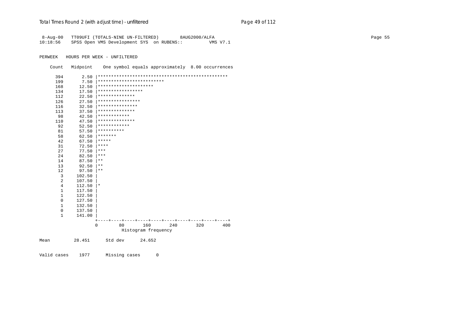# Total Times Round 2 (with adjust time) - *unfiltered* example 20 and 2 and 2 and 2 and 2 and 2 and 2 and 2 and 2 and 2 and 2 and 2 and 2 and 2 and 2 and 2 and 2 and 2 and 2 and 2 and 2 and 2 and 2 and 2 and 2 and 2 and 2 a

| $8 - Aug - 00$ |             | TT09UFI (TOTALS-NINE UN-FILTERED)         |                                                  |     | 8AUG2000/ALFA |          |  | Page 55 |
|----------------|-------------|-------------------------------------------|--------------------------------------------------|-----|---------------|----------|--|---------|
| 10:18:56       |             | SPSS Open VMS Development SYS on RUBENS:: |                                                  |     |               | VMS V7.1 |  |         |
|                |             |                                           |                                                  |     |               |          |  |         |
| PERWEEK        |             | HOURS PER WEEK - UNFILTERED               |                                                  |     |               |          |  |         |
|                |             |                                           |                                                  |     |               |          |  |         |
| Count          | Midpoint    |                                           | One symbol equals approximately 8.00 occurrences |     |               |          |  |         |
| 394            | 2.50        |                                           |                                                  |     |               |          |  |         |
| 199            | 7.50        | *************************                 |                                                  |     |               |          |  |         |
| 168            | 12.50       | *********************                     |                                                  |     |               |          |  |         |
| 134            | 17.50       | *****************                         |                                                  |     |               |          |  |         |
| 112            | 22.50       | **************                            |                                                  |     |               |          |  |         |
| 126            | 27.50       | ****************                          |                                                  |     |               |          |  |         |
| 116            | 32.50       | ***************                           |                                                  |     |               |          |  |         |
| 113            | 37.50       | **************                            |                                                  |     |               |          |  |         |
| 98             | 42.50       | ************                              |                                                  |     |               |          |  |         |
| 110            | 47.50       | **************                            |                                                  |     |               |          |  |         |
| 92             | 52.50       | ************                              |                                                  |     |               |          |  |         |
| 81             | 57.50       | **********                                |                                                  |     |               |          |  |         |
| 58             | 62.50       | *******                                   |                                                  |     |               |          |  |         |
| 42             | 67.50       | *****                                     |                                                  |     |               |          |  |         |
| 31             | 72.50       | $***$ * * *                               |                                                  |     |               |          |  |         |
| 27             | 77.50       | $\star\star\star$                         |                                                  |     |               |          |  |         |
| 24             | 82.50       | $\star\star\star$                         |                                                  |     |               |          |  |         |
| 14             | 87.50       | $\star$ $\star$                           |                                                  |     |               |          |  |         |
| 13             | 92.50       | $\star\star$                              |                                                  |     |               |          |  |         |
| 12             | 97.50       | $***$                                     |                                                  |     |               |          |  |         |
| 3              | 102.50      |                                           |                                                  |     |               |          |  |         |
| 2              | 107.50      |                                           |                                                  |     |               |          |  |         |
| $\overline{4}$ | $112.50$  * |                                           |                                                  |     |               |          |  |         |
| $\mathbf{1}$   | 117.50      |                                           |                                                  |     |               |          |  |         |
| 1              | 122.50      |                                           |                                                  |     |               |          |  |         |
| $\mathsf 0$    | 127.50      |                                           |                                                  |     |               |          |  |         |
| 1              | 132.50      |                                           |                                                  |     |               |          |  |         |
| $\mathbf 0$    | 137.50      |                                           |                                                  |     |               |          |  |         |
| 1              | 141.00      |                                           |                                                  |     |               |          |  |         |
|                |             | 0<br>80                                   | 160                                              | 240 | 320           | 400      |  |         |
|                |             |                                           | Histogram frequency                              |     |               |          |  |         |
| Mean           | 28.451      | Std dev                                   | 24.652                                           |     |               |          |  |         |
|                |             |                                           |                                                  |     |               |          |  |         |

Valid cases 1977 Missing cases 0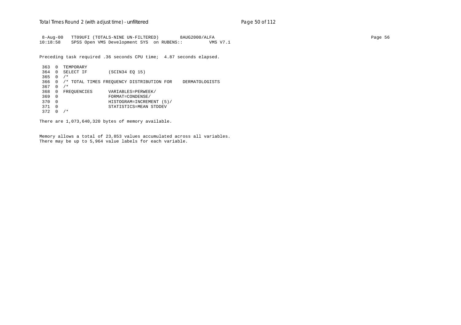8-Aug-00 TT09UFI (TOTALS-NINE UN-FILTERED) 8AUG2000/ALFA Page 56 10:18:58 SPSS Open VMS Development SYS on RUBENS:: VMS V7.1

Preceding task required .36 seconds CPU time; 4.87 seconds elapsed.

 363 0 TEMPORARY 364 0 SELECT IF (SCIN34 EQ 15) 365 0 /\* 366 0 /\* TOTAL TIMES FREQUENCY DISTRIBUTION FOR DERMATOLOGISTS 367 0 /\* 368 0 FREQUENCIES VARIABLES=PERWEEK/ 369 0 FORMAT=CONDENSE/ 370 0 HISTOGRAM=INCREMENT (5)/ 371 0 STATISTICS=MEAN STDDEV 372 0 /\*

There are 1,073,640,320 bytes of memory available.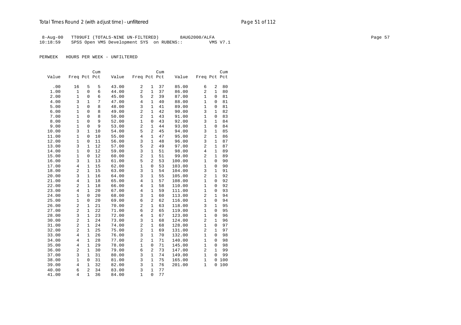## Total Times Round 2 (with adjust time) - *unfiltered* example 2 and 2 and 2 and 2 and 2 and 2 and 2 and 2 and 2 and 2 and 2 and 2 and 2 and 2 and 2 and 2 and 2 and 2 and 2 and 2 and 2 and 2 and 2 and 2 and 2 and 2 and 2 an

 8-Aug-00 TT09UFI (TOTALS-NINE UN-FILTERED) 8AUG2000/ALFA Page 57 10:18:59 SPSS Open VMS Development SYS on RUBENS::

|       |                   |                     | Cum    |       |                     |                   | Cum      |        |                   |               | Cum      |
|-------|-------------------|---------------------|--------|-------|---------------------|-------------------|----------|--------|-------------------|---------------|----------|
| Value | Freq Pct Pct      |                     |        | Value | Freq Pct Pct        |                   |          | Value  | Freq Pct Pct      |               |          |
| .00   | 16                | 5                   | 5      | 43.00 | $\sqrt{2}$          | 1                 | 37       | 85.00  | 6                 | 2             | 80       |
| 1.00  | $\mathbf{1}$      | $\mathbf 0$         | 6      | 44.00 | $\overline{a}$      | $\mathbf{1}$      | 37       | 86.00  | $\overline{2}$    | $\mathbf{1}$  | 80       |
| 2.00  | $\mathbf{1}$      | 0                   | 6      | 45.00 | 5                   | $\overline{a}$    | 39       | 87.00  | $\mathbf{1}$      | 0             | 81       |
| 4.00  | 3                 | $\mathbf{1}$        | 7      | 47.00 | 4                   | $\mathbf{1}$      | 40       | 88.00  | 1                 | 0             | 81       |
|       |                   |                     |        |       |                     |                   |          |        |                   |               |          |
| 5.00  | 1<br>$\mathbf{1}$ | $\Omega$            | 8      | 48.00 | 3<br>$\overline{c}$ | 1<br>$\mathbf{1}$ | 41<br>42 | 89.00  | $\mathbf{1}$<br>3 | 0             | 81<br>82 |
| 6.00  | $\mathbf{1}$      | 0<br>$\overline{0}$ | 8<br>8 | 49.00 | $\overline{a}$      | $\mathbf{1}$      |          | 90.00  | $\mathbf{1}$      | 1<br>$\Omega$ | 83       |
| 7.00  |                   |                     |        | 50.00 |                     |                   | 43       | 91.00  |                   |               |          |
| 8.00  | $\mathbf{1}$      | $\overline{0}$      | 9      | 52.00 | $\mathbf{1}$        | 0                 | 43       | 92.00  | 3                 | $\mathbf{1}$  | 84       |
| 9.00  | $\mathbf{1}$      | $\mathbf 0$         | 9      | 53.00 | $\overline{c}$      | 1                 | 44       | 93.00  | $\mathbf{1}$      | 0             | 84       |
| 10.00 | 3                 | $\mathbf{1}$        | 10     | 54.00 | 5                   | $\overline{a}$    | 45       | 94.00  | 3                 | $\mathbf{1}$  | 85       |
| 11.00 | $\mathbf{1}$      | 0                   | 10     | 55.00 | $\overline{4}$      | $\mathbf{1}$      | 47       | 95.00  | $\overline{2}$    | 1             | 86       |
| 12.00 | $\mathbf{1}$      | $\mathbf 0$         | 11     | 56.00 | 3                   | $\mathbf{1}$      | 48       | 96.00  | 3                 | $\mathbf{1}$  | 87       |
| 13.00 | 3                 | 1                   | 12     | 57.00 | 5                   | $\overline{a}$    | 49       | 97.00  | $\overline{2}$    | $\mathbf{1}$  | 87       |
| 14.00 | 1                 | $\mathbf 0$         | 12     | 59.00 | 3                   | $\mathbf{1}$      | 51       | 98.00  | $\,4$             | $\mathbf 1$   | 89       |
| 15.00 | $\mathbf{1}$      | 0                   | 12     | 60.00 | $\overline{a}$      | $\mathbf{1}$      | 51       | 99.00  | $\overline{2}$    | $\mathbf{1}$  | 89       |
| 16.00 | 3                 | $\mathbf{1}$        | 13     | 61.00 | 5                   | $\overline{a}$    | 53       | 100.00 | $\mathbf{1}$      | 0             | 90       |
| 17.00 | $\overline{4}$    | $\mathbf{1}$        | 15     | 62.00 | $\mathbf{1}$        | $\Omega$          | 53       | 103.00 | $\mathbf{1}$      | $\mathbf 0$   | 90       |
| 18.00 | $\overline{c}$    | $\mathbf{1}$        | 15     | 63.00 | 3                   | 1                 | 54       | 104.00 | 3                 | $\mathbf{1}$  | 91       |
| 20.00 | 3                 | $\mathbf{1}$        | 16     | 64.00 | 3                   | 1                 | 55       | 105.00 | $\overline{2}$    | $\mathbf{1}$  | 92       |
| 21.00 | $\overline{4}$    | $\mathbf{1}$        | 18     | 65.00 | $\overline{4}$      | $\mathbf{1}$      | 57       | 108.00 | $\mathbf{1}$      | $\Omega$      | 92       |
| 22.00 | $\overline{c}$    | $\mathbf{1}$        | 18     | 66.00 | $\overline{4}$      | $\mathbf{1}$      | 58       | 110.00 | $\mathbf{1}$      | 0             | 92       |
| 23.00 | $\overline{4}$    | $\mathbf{1}$        | 20     | 67.00 | $\overline{4}$      | $\mathbf{1}$      | 59       | 111.00 | $\mathbf{1}$      | $\Omega$      | 93       |
| 24.00 | 1                 | 0                   | 20     | 68.00 | 3                   | 1                 | 60       | 113.00 | $\overline{2}$    | 1             | 94       |
| 25.00 | $\mathbf{1}$      | $\mathbf 0$         | 20     | 69.00 | 6                   | $\overline{a}$    | 62       | 116.00 | $\mathbf{1}$      | 0             | 94       |
| 26.00 | $\overline{a}$    | $\mathbf{1}$        | 21     | 70.00 | $\overline{a}$      | $\mathbf{1}$      | 63       | 118.00 | 3                 | $\mathbf{1}$  | 95       |
| 27.00 | $\overline{c}$    | $\mathbf{1}$        | 22     | 71.00 | 6                   | $\overline{a}$    | 65       | 119.00 | $\mathbf{1}$      | 0             | 95       |
| 28.00 | 3                 | $\mathbf{1}$        | 23     | 72.00 | $\overline{4}$      | $\mathbf{1}$      | 67       | 123.00 | $\mathbf{1}$      | $\mathbf 0$   | 96       |
| 30.00 | $\overline{c}$    | $\mathbf{1}$        | 24     | 73.00 | 3                   | 1                 | 68       | 124.00 | $\overline{2}$    | $\mathbf{1}$  | 96       |
| 31.00 | $\overline{a}$    | $\mathbf{1}$        | 24     | 74.00 | $\overline{a}$      | 1                 | 68       | 128.00 | $\mathbf{1}$      | 0             | 97       |
| 32.00 | $\overline{c}$    | $\mathbf{1}$        | 25     | 75.00 | $\overline{a}$      | $\mathbf{1}$      | 69       | 131.00 | $\overline{2}$    | $\mathbf{1}$  | 97       |
| 33.00 | $\overline{4}$    | $\mathbf{1}$        | 26     | 76.00 | 3                   | $\mathbf{1}$      | 70       | 132.00 | $\mathbf{1}$      | 0             | 98       |
| 34.00 | 4                 | $\mathbf{1}$        | 28     | 77.00 | $\overline{a}$      | $\mathbf{1}$      | 71       | 140.00 | $\mathbf{1}$      | $\Omega$      | 98       |
| 35.00 | 4                 | $\mathbf{1}$        | 29     | 78.00 | 1                   | $\Omega$          | 71       | 145.00 | 1                 | 0             | 98       |
| 36.00 | $\overline{a}$    | $\mathbf{1}$        | 30     | 79.00 | 6                   | $\overline{a}$    | 73       | 147.00 | $\overline{2}$    | $\mathbf{1}$  | 99       |
| 37.00 | 3                 | $\mathbf{1}$        | 31     | 80.00 | 3                   | $\mathbf{1}$      | 74       | 149.00 | $\mathbf{1}$      | $\Omega$      | 99       |
| 38.00 | $\mathbf{1}$      | $\mathbf 0$         | 31     | 81.00 | 3                   | $\mathbf{1}$      | 75       | 165.00 | $\mathbf{1}$      | $\mathsf 0$   | 100      |
| 39.00 | 4                 | $\mathbf{1}$        | 32     | 82.00 | 3                   | 1                 | 76       | 201.00 | $\mathbf{1}$      | $\Omega$      | 100      |
| 40.00 | 6                 | $\overline{a}$      | 34     | 83.00 | 3                   | 1                 | 77       |        |                   |               |          |
| 41.00 | $\overline{4}$    | $\mathbf{1}$        | 36     | 84.00 | $\mathbf{1}$        | $\mathbf 0$       | 77       |        |                   |               |          |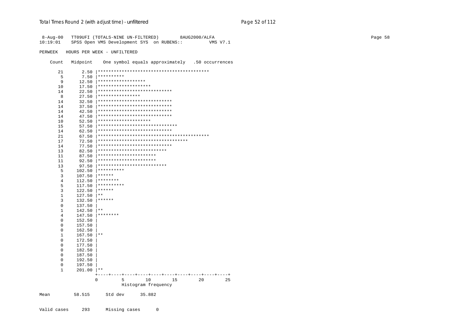| 8-Aug-00<br>10:19:01 |              | TT09UFI (TOTALS-NINE UN-FILTERED) 8AUG2000/ALFA<br>SPSS Open VMS Development SYS on RUBENS::<br><b>VMS V7.1</b> |
|----------------------|--------------|-----------------------------------------------------------------------------------------------------------------|
| PERWEEK              |              | HOURS PER WEEK - UNFILTERED                                                                                     |
| Count                | Midpoint     | One symbol equals approximately .50 occurrences                                                                 |
| 21                   |              |                                                                                                                 |
| 5                    | $7.50$       | **********                                                                                                      |
| 9                    |              | 12.50   *******************                                                                                     |
| 10                   | $17.50$      | ********************                                                                                            |
| 14                   | $22.50$      | ****************************                                                                                    |
| 8                    | 27.50        | ****************                                                                                                |
| 14                   | $32.50$      | ****************************                                                                                    |
| 14                   | $37.50$      | ****************************                                                                                    |
| 14                   | 42.50        | ****************************                                                                                    |
| 14                   | $47.50$      | ****************************                                                                                    |
| 10                   | 52.50        | ********************                                                                                            |
| 15                   | 57.50        | ******************************                                                                                  |
| 14                   | $62.50$      | ****************************                                                                                    |
| 21                   | $67.50$      |                                                                                                                 |
| 17                   | $72.50$      | **********************************                                                                              |
| 14                   | 77.50        | ****************************                                                                                    |
| 13                   | $82.50$      | **************************                                                                                      |
| 11                   | 87.50        | **********************                                                                                          |
| 11                   | 92.50        | **********************                                                                                          |
| 13                   | 97.50 1      | **************************                                                                                      |
| 5                    | 102.50       | **********                                                                                                      |
| 3                    | 107.50       | $* * * * * * *$                                                                                                 |
| 4                    |              | $112.50$ ********                                                                                               |
| 5                    | 117.50       | **********                                                                                                      |
| 3                    | 122.50       | $******$                                                                                                        |
| $\mathbf{1}$         | 127.50       | $\star$ $\star$                                                                                                 |
| 3                    | 132.50       | $******$                                                                                                        |
| $\mathbf{0}$         | 137.50       |                                                                                                                 |
| 1                    | 142.50       | $***$                                                                                                           |
| 4                    | 147.50       | ********                                                                                                        |
| 0                    | 152.50       |                                                                                                                 |
| 0                    | 157.50       |                                                                                                                 |
| 0                    | 162.50       |                                                                                                                 |
| 1                    | 167.50       | $ **$                                                                                                           |
| 0                    | 172.50       |                                                                                                                 |
| 0                    | 177.50       |                                                                                                                 |
| 0                    | 182.50       |                                                                                                                 |
| 0                    | 187.50       |                                                                                                                 |
| 0                    | 192.50       |                                                                                                                 |
| 0                    | 197.50       |                                                                                                                 |
| 1                    | $201.00$  ** |                                                                                                                 |
|                      |              |                                                                                                                 |
|                      |              | $\Omega$<br>5<br>10<br>15<br>20<br>25                                                                           |
|                      |              | Histogram frequency                                                                                             |
| Mean                 | 58.515       | Std dev<br>35.882                                                                                               |
|                      |              |                                                                                                                 |

 $\mathbb O$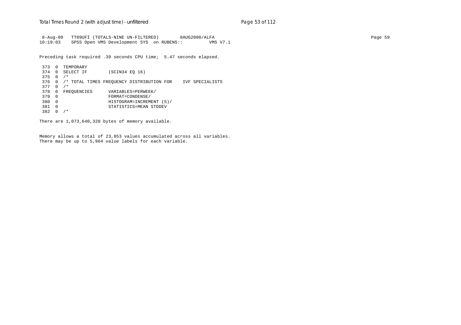8-Aug-00 TT09UFI (TOTALS-NINE UN-FILTERED) 8AUG2000/ALFA Page 59 10:19:03 SPSS Open VMS Development SYS on RUBENS:: VMS V7.1

Preceding task required .39 seconds CPU time; 5.47 seconds elapsed.

 373 0 TEMPORARY 374 0 SELECT IF (SCIN34 EQ 16) 375 0 /\* 376 0 /\* TOTAL TIMES FREQUENCY DISTRIBUTION FOR IVF SPECIALISTS 377 0 /\* 378 0 FREQUENCIES VARIABLES=PERWEEK/<br>379 0 FORMAT=CONDENSE/ 379 0 FORMAT=CONDENSE/ 380 0 HISTOGRAM=INCREMENT (5)/ 381 0 STATISTICS=MEAN STDDEV 382 0 /\*

There are 1,073,640,320 bytes of memory available.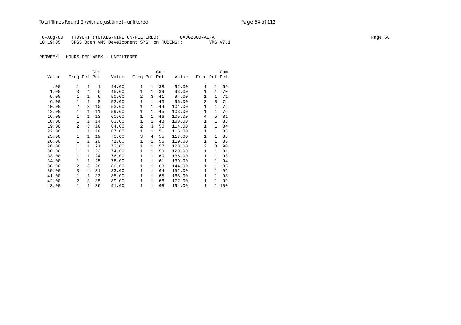## Total Times Round 2 (with adjust time) - *unfiltered* example 2 and 2 and 2 and 2 and 2 and 2 and 2 and 2 and 2 and 2 and 2 and 2 and 2 and 2 and 2 and 2 and 2 and 2 and 2 and 2 and 2 and 2 and 2 and 2 and 2 and 2 and 2 an

 8-Aug-00 TT09UFI (TOTALS-NINE UN-FILTERED) 8AUG2000/ALFA Page 60 10:19:05 SPSS Open VMS Development SYS on RUBENS:: VMS V7.1

|       |                |              | Cum |       |                |              | Cum |        |              |              | Cum   |
|-------|----------------|--------------|-----|-------|----------------|--------------|-----|--------|--------------|--------------|-------|
| Value | Freq Pct Pct   |              |     | Value | Freq Pct Pct   |              |     | Value  | Freq Pct Pct |              |       |
|       | $\mathbf{1}$   | 1            | 1   |       | $\mathbf{1}$   | $\mathbf{1}$ | 38  |        | 1            | 1            |       |
| .00   | 3              | 4            |     | 44.00 | $\mathbf{1}$   | $\mathbf{1}$ |     | 92.00  |              |              | 69    |
| 1.00  |                |              | 5   | 45.00 |                |              | 39  | 93.00  | 1            | $\mathbf 1$  | 70    |
| 5.00  | 1              | $\mathbf{1}$ | 6   | 50.00 | $\overline{2}$ | 3            | 41  | 94.00  | $\mathbf{1}$ | 1            | 71    |
| 6.00  | 1              | $\mathbf{1}$ | 8   | 52.00 | 1              | $\mathbf{1}$ | 43  | 95.00  | 2            | 3            | 74    |
| 10.00 | $\mathfrak{D}$ | 3            | 10  | 53.00 | $\mathbf{1}$   | $\mathbf{1}$ | 44  | 101.00 | $\mathbf{1}$ | $\mathbf{1}$ | 75    |
| 12.00 | 1              | $\mathbf{1}$ | 11  | 59.00 | $\mathbf{1}$   | $\mathbf{1}$ | 45  | 103.00 | 1            | $\mathbf{1}$ | 76    |
| 16.00 | 1              | $\mathbf{1}$ | 13  | 60.00 | $\mathbf{1}$   | $\mathbf{1}$ | 46  | 105.00 | 4            | 5            | 81    |
| 18.00 | 1              | $\mathbf{1}$ | 14  | 63.00 | $\mathbf{1}$   | $\mathbf{1}$ | 48  | 108.00 | $\mathbf{1}$ | 1            | 83    |
| 19.00 | $\overline{a}$ | 3            | 16  | 64.00 | $\overline{2}$ | 3            | 50  | 114.00 | $\mathbf{1}$ | 1            | 84    |
| 22.00 | $\mathbf{1}$   | $\mathbf{1}$ | 18  | 67.00 | $\mathbf{1}$   | $\mathbf{1}$ | 51  | 115.00 | $\mathbf{1}$ | $\mathbf 1$  | 85    |
| 23.00 | 1              | $\mathbf{1}$ | 19  | 70.00 | 3              | 4            | 55  | 117.00 | 1            | 1            | 86    |
| 26.00 | $\mathbf{1}$   | $\mathbf{1}$ | 20  | 71.00 | $\mathbf{1}$   | $\mathbf{1}$ | 56  | 119.00 | $\mathbf{1}$ | 1            | 88    |
| 28.00 | $\mathbf{1}$   | $\mathbf{1}$ | 21  | 72.00 | 1              | $\mathbf{1}$ | 57  | 128.00 | 2            | 3            | 90    |
| 30.00 | 1              | $\mathbf{1}$ | 23  | 74.00 | $\mathbf{1}$   | $\mathbf{1}$ | 59  | 129.00 | 1            | 1            | 91    |
| 33.00 | 1              | $\mathbf{1}$ | 24  | 76.00 | $\mathbf{1}$   | $\mathbf{1}$ | 60  | 136.00 | $\mathbf{1}$ | $\mathbf{1}$ | 93    |
| 34.00 | 1              | 1            | 25  | 78.00 | 1              | $\mathbf{1}$ | 61  | 139.00 | 1            | 1            | 94    |
| 38.00 | $\overline{a}$ | 3            | 28  | 80.00 | $\mathbf 1$    | $\mathbf{1}$ | 63  | 144.00 | $\mathbf{1}$ | $\mathbf 1$  | 95    |
| 39.00 | 3              | 4            | 31  | 83.00 | $\mathbf 1$    | $\mathbf{1}$ | 64  | 152.00 | $\mathbf{1}$ | $\mathbf 1$  | 96    |
| 41.00 | $\mathbf{1}$   | $\mathbf{1}$ | 33  | 85.00 | $\mathbf{1}$   | $\mathbf{1}$ | 65  | 168.00 | 1            | $\mathbf{1}$ | 98    |
| 42.00 | $\overline{a}$ | 3            | 35  | 89.00 | $\mathbf{1}$   | $\mathbf{1}$ | 66  | 177.00 | $\mathbf{1}$ | 1            | 99    |
| 43.00 | $\mathbf{1}$   | 1            | 36  | 91.00 | 1              | 1            | 68  | 194.00 | 1            |              | 1 100 |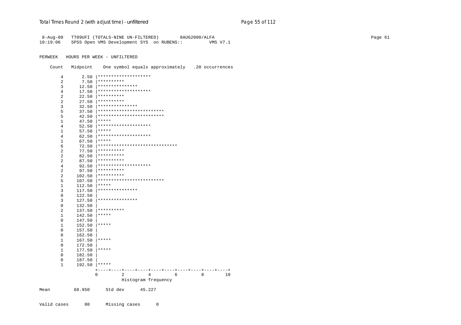| 8-Aug-00<br>10:19:06 |                  | TT09UFI (TOTALS-NINE UN-FILTERED)<br>8AUG2000/ALFA<br>SPSS Open VMS Development SYS on RUBENS::<br>VMS V7.1 |  |
|----------------------|------------------|-------------------------------------------------------------------------------------------------------------|--|
| PERWEEK              |                  | HOURS PER WEEK - UNFILTERED                                                                                 |  |
| Count                | Midpoint         | One symbol equals approximately .20 occurrences                                                             |  |
| $\overline{4}$       |                  | 2.50   *********************                                                                                |  |
| $\overline{2}$       |                  | $7.50$   **********                                                                                         |  |
| 3                    |                  | 12.50   ****************                                                                                    |  |
| $\overline{4}$       |                  |                                                                                                             |  |
| 2                    |                  | $22.50$   **********                                                                                        |  |
| 2                    |                  | $27.50$ **********                                                                                          |  |
| 3                    |                  | $32.50$  ****************                                                                                   |  |
| 5                    |                  |                                                                                                             |  |
| 5                    |                  |                                                                                                             |  |
| $\mathbf{1}$         | $47.50$ *****    |                                                                                                             |  |
| 4                    |                  | 52.50   *********************                                                                               |  |
| 1                    | 57.50   *****    |                                                                                                             |  |
| 4                    |                  | 62.50   *********************                                                                               |  |
| 1                    | $67.50$   *****  |                                                                                                             |  |
| 6                    |                  | 72.50   *******************************                                                                     |  |
| 2                    |                  | $77.50$   **********                                                                                        |  |
| 2                    |                  | 82.50   **********                                                                                          |  |
| 2                    |                  | 87.50   **********                                                                                          |  |
| $\overline{4}$       |                  | 92.50   *********************                                                                               |  |
| 2                    |                  | $97.50$   **********                                                                                        |  |
| 2                    |                  | $102.50$   **********                                                                                       |  |
| 5                    |                  |                                                                                                             |  |
| $\mathbf{1}$         | $112.50$   ***** |                                                                                                             |  |
| 3                    |                  |                                                                                                             |  |
| $\mathbf 0$          | 122.50           |                                                                                                             |  |
| 3                    |                  | 127.50   ***************                                                                                    |  |
| 0                    | 132.50           |                                                                                                             |  |
| $\overline{a}$       |                  | 137.50   **********                                                                                         |  |
| 1                    | 142.50   *****   |                                                                                                             |  |
| 0                    | 147.50           |                                                                                                             |  |
| $\mathbf{1}$         | 152.50           | $ *****$                                                                                                    |  |
| 0                    | 157.50           |                                                                                                             |  |
| 0                    | 162.50           |                                                                                                             |  |
| 1                    | 167.50   *****   |                                                                                                             |  |
| 0                    | 172.50           |                                                                                                             |  |
| 1                    | 177.50   *****   |                                                                                                             |  |
| 0                    | 182.50           |                                                                                                             |  |
| 0                    | 187.50           |                                                                                                             |  |
| 1                    | 192.50   *****   |                                                                                                             |  |
|                      |                  |                                                                                                             |  |
|                      |                  | 0<br>2<br>4<br>6<br>8<br>10<br>Histogram frequency                                                          |  |
| Mean                 | 68.950           | Std dev<br>45.227                                                                                           |  |

Missing cases Valid cases 80  $\mathsf{O}$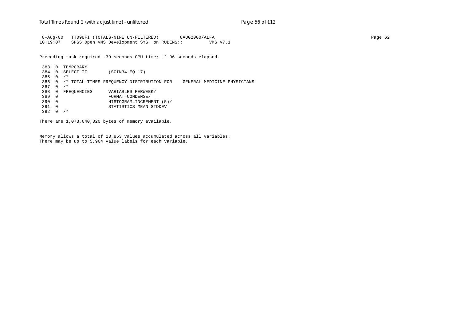8-Aug-00 TT09UFI (TOTALS-NINE UN-FILTERED) 8AUG2000/ALFA Page 62 10:19:07 SPSS Open VMS Development SYS on RUBENS:: VMS V7.1

Preceding task required .39 seconds CPU time; 2.96 seconds elapsed.

 383 0 TEMPORARY 384 0 SELECT IF (SCIN34 EQ 17) 385 0 /\* 386 0 /\* TOTAL TIMES FREQUENCY DISTRIBUTION FOR GENERAL MEDICINE PHYSICIANS 387 0 /\* 388 0 FREQUENCIES VARIABLES=PERWEEK/<br>389 0 FORMAT=CONDENSE/ 389 0 FORMAT=CONDENSE/ 390 0 HISTOGRAM=INCREMENT (5)/ 391 0 STATISTICS=MEAN STDDEV 392 0 /\*

There are 1,073,640,320 bytes of memory available.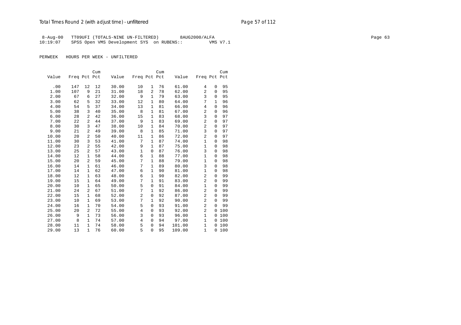## Total Times Round 2 (with adjust time) - *unfiltered* example 20 and 2 and 2 and 2 and 2 and 2 and 2 and 2 and 2 and 2 and 2 and 2 and 2 and 2 and 2 and 2 and 2 and 2 and 2 and 2 and 2 and 2 and 2 and 2 and 2 and 2 and 2 a

8-Aug-00 TT09UFI (TOTALS-NINE UN-FILTERED) 8AUG2000/ALFA Page 63 10:19:07 SPSS Open VMS Development SYS on RUBENS:: VMS V7.1

|       |              |              | Cum |       |                |              | Cum |        |                |              | Cum |
|-------|--------------|--------------|-----|-------|----------------|--------------|-----|--------|----------------|--------------|-----|
| Value | Freq Pct Pct |              |     | Value | Freq Pct Pct   |              |     | Value  | Freq Pct Pct   |              |     |
|       |              |              |     |       |                |              |     |        |                |              |     |
| .00   | 147          | 12           | 12  | 30.00 | 10             | 1            | 76  | 61.00  | 4              | 0            | 95  |
| 1.00  | 107          | 9            | 21  | 31.00 | 18             | 2            | 78  | 62.00  | 2              | 0            | 95  |
| 2.00  | 67           | 6            | 27  | 32.00 | 9              | $\mathbf{1}$ | 79  | 63.00  | 3              | 0            | 95  |
| 3.00  | 62           | 5            | 32  | 33.00 | 12             | $\mathbf{1}$ | 80  | 64.00  | 7              | $\mathbf{1}$ | 96  |
| 4.00  | 54           | 5            | 37  | 34.00 | 13             | 1            | 81  | 66.00  | 4              | $\mathbf 0$  | 96  |
| 5.00  | 38           | 3            | 40  | 35.00 | 8              | 1            | 81  | 67.00  | $\overline{a}$ | 0            | 96  |
| 6.00  | 28           | 2            | 42  | 36.00 | 15             | $\mathbf{1}$ | 83  | 68.00  | 3              | $\Omega$     | 97  |
| 7.00  | 22           | 2            | 44  | 37.00 | 9              | $\mathbf{1}$ | 83  | 69.00  | 2              | 0            | 97  |
| 8.00  | 30           | 3            | 47  | 38.00 | 10             | 1            | 84  | 70.00  | 2              | 0            | 97  |
| 9.00  | 21           | 2            | 49  | 39.00 | 8              | $\mathbf{1}$ | 85  | 71.00  | 3              | 0            | 97  |
| 10.00 | 20           | 2            | 50  | 40.00 | 11             | 1            | 86  | 72.00  | $\overline{a}$ | 0            | 97  |
| 11.00 | 30           | 3            | 53  | 41.00 | 7              | 1            | 87  | 74.00  | $\mathbf{1}$   | $\mathbf 0$  | 98  |
| 12.00 | 23           | 2            | 55  | 42.00 | 9              | $\mathbf{1}$ | 87  | 75.00  | $\mathbf{1}$   | 0            | 98  |
| 13.00 | 25           | 2            | 57  | 43.00 | $\mathbf 1$    | $\mathbf 0$  | 87  | 76.00  | 3              | 0            | 98  |
| 14.00 | 12           | $\mathbf{1}$ | 58  | 44.00 | 6              | $\mathbf{1}$ | 88  | 77.00  | $\mathbf{1}$   | 0            | 98  |
| 15.00 | 20           | 2            | 59  | 45.00 | 7              | $\mathbf{1}$ | 88  | 79.00  | $\mathbf{1}$   | 0            | 98  |
| 16.00 | 14           | $\mathbf{1}$ | 61  | 46.00 | 7              | 1            | 89  | 80.00  | 3              | $\mathbf{0}$ | 98  |
| 17.00 | 14           | $\mathbf{1}$ | 62  | 47.00 | 6              | $\mathbf{1}$ | 90  | 81.00  | $\mathbf{1}$   | 0            | 98  |
| 18.00 | 12           | $\mathbf 1$  | 63  | 48.00 | 6              | $\mathbf{1}$ | 90  | 82.00  | $\overline{2}$ | $\mathbf{0}$ | 99  |
| 19.00 | 15           | $\mathbf{1}$ | 64  | 49.00 | 7              | $\mathbf{1}$ | 91  | 83.00  | $\overline{2}$ | 0            | 99  |
| 20.00 | 10           | $\mathbf{1}$ | 65  | 50.00 | 5              | $\mathbf 0$  | 91  | 84.00  | $\mathbf{1}$   | $\Omega$     | 99  |
| 21.00 | 24           | 2            | 67  | 51.00 | 7              | $\mathbf{1}$ | 92  | 86.00  | 2              | $\mathbf{0}$ | 99  |
| 22.00 | 15           | $\mathbf{1}$ | 68  | 52.00 | $\overline{2}$ | $\mathbf 0$  | 92  | 87.00  | 2              | 0            | 99  |
| 23.00 | 10           | 1            | 69  | 53.00 | 7              | 1            | 92  | 90.00  | 2              | $\mathbf{0}$ | 99  |
| 24.00 | 16           | $\mathbf{1}$ | 70  | 54.00 | 5              | $\mathbf 0$  | 93  | 91.00  | $\overline{a}$ | $\Omega$     | 99  |
| 25.00 | 20           | 2            | 72  | 55.00 | $\overline{4}$ | $\mathbf 0$  | 93  | 92.00  | $\overline{a}$ | 0            | 100 |
| 26.00 | 9            | $\mathbf{1}$ | 73  | 56.00 | 3              | $\mathbf 0$  | 93  | 96.00  | $\mathbf{1}$   | 0            | 100 |
| 27.00 | 8            | 1            | 74  | 57.00 | 4              | 0            | 94  | 97.00  | $\mathbf{1}$   | 0            | 100 |
| 28.00 | 11           | $\mathbf{1}$ | 74  | 58.00 | 5              | $\mathbf 0$  | 94  | 101.00 | $\mathbf{1}$   | $\Omega$     | 100 |
| 29.00 | 13           | $\mathbf{1}$ | 76  | 60.00 | 5              | $\Omega$     | 95  | 109.00 | $\mathbf{1}$   | $\mathbf{0}$ | 100 |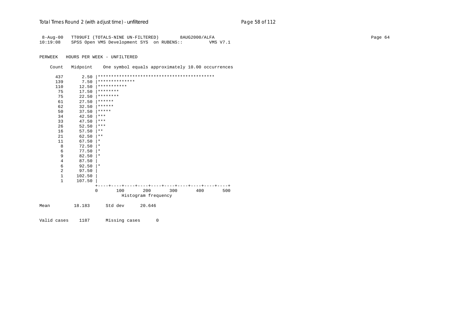# Total Times Round 2 (with adjust time) - *unfiltered* example 20 and 2 and 2 and 2 and 2 and 2 and 2 and 2 and 2 and 2 and 2 and 2 and 2 and 2 and 2 and 2 and 2 and 2 and 2 and 2 and 2 and 2 and 2 and 2 and 2 and 2 and 2 a

| $8 - Aug - 00$<br>10:19:08                                            |                | TT09UFI (TOTALS-NINE UN-FILTERED)<br>SPSS Open VMS Development SYS on RUBENS:: |                                          |  | 8AUG2000/ALFA | VMS V7.1 |  |  |  | Page 64 |
|-----------------------------------------------------------------------|----------------|--------------------------------------------------------------------------------|------------------------------------------|--|---------------|----------|--|--|--|---------|
| PERWEEK                                                               |                | HOURS PER WEEK - UNFILTERED                                                    |                                          |  |               |          |  |  |  |         |
| Count                                                                 | Midpoint       | One symbol equals approximately 10.00 occurrences                              |                                          |  |               |          |  |  |  |         |
| 437                                                                   | 2.50           |                                                                                |                                          |  |               |          |  |  |  |         |
| 139                                                                   | 7.50           | **************                                                                 |                                          |  |               |          |  |  |  |         |
| 110                                                                   | 12.50          | ***********                                                                    |                                          |  |               |          |  |  |  |         |
| 75                                                                    | 17.50          | ********                                                                       |                                          |  |               |          |  |  |  |         |
| 75                                                                    | 22.50          | ********                                                                       |                                          |  |               |          |  |  |  |         |
| 61                                                                    | 27.50          | ******                                                                         |                                          |  |               |          |  |  |  |         |
| 62                                                                    | 32.50          | $* * * * * * *$                                                                |                                          |  |               |          |  |  |  |         |
| 50                                                                    | 37.50          | $* * * * * *$                                                                  |                                          |  |               |          |  |  |  |         |
| 34                                                                    | 42.50          | $***$                                                                          |                                          |  |               |          |  |  |  |         |
| 33                                                                    | 47.50          | $\star\star\star$                                                              |                                          |  |               |          |  |  |  |         |
| 26                                                                    | 52.50          | $\star\star\star$<br>$* *$                                                     |                                          |  |               |          |  |  |  |         |
| 16<br>21                                                              | 57.50<br>62.50 | * *                                                                            |                                          |  |               |          |  |  |  |         |
| 11                                                                    | 67.50          | $\star$                                                                        |                                          |  |               |          |  |  |  |         |
| 8                                                                     | 72.50          | $\star$                                                                        |                                          |  |               |          |  |  |  |         |
| 6                                                                     | 77.50          | $\star$                                                                        |                                          |  |               |          |  |  |  |         |
| 9                                                                     | 82.50          | $\star$                                                                        |                                          |  |               |          |  |  |  |         |
| $\overline{4}$                                                        | 87.50          |                                                                                |                                          |  |               |          |  |  |  |         |
| 6                                                                     | 92.50          | $\star$                                                                        |                                          |  |               |          |  |  |  |         |
| $\overline{a}$                                                        | 97.50          |                                                                                |                                          |  |               |          |  |  |  |         |
| $\mathbf{1}$                                                          | 102.50         |                                                                                |                                          |  |               |          |  |  |  |         |
| $\mathbf{1}$                                                          | 107.50         |                                                                                |                                          |  |               |          |  |  |  |         |
|                                                                       |                | $+-$                                                                           | ---+----+----+----++----+----+----+----+ |  |               |          |  |  |  |         |
| 200<br>300<br>$\mathbf 0$<br>100<br>400<br>500<br>Histogram frequency |                |                                                                                |                                          |  |               |          |  |  |  |         |
| Mean                                                                  | 18.183         | Std dev                                                                        | 20.646                                   |  |               |          |  |  |  |         |

Valid cases 1187 Missing cases 0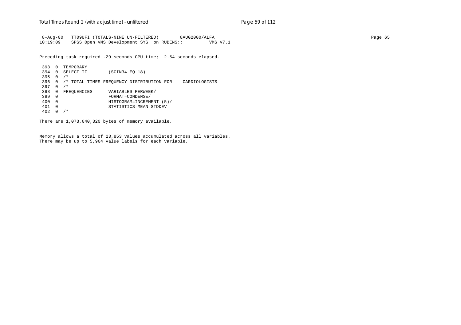8-Aug-00 TT09UFI (TOTALS-NINE UN-FILTERED) 8AUG2000/ALFA Page 65 10:19:09 SPSS Open VMS Development SYS on RUBENS:: VMS V7.1

Preceding task required .29 seconds CPU time; 2.54 seconds elapsed.

 393 0 TEMPORARY 394 0 SELECT IF (SCIN34 EQ 18) 395 0 /\* 396 0 /\* TOTAL TIMES FREQUENCY DISTRIBUTION FOR CARDIOLOGISTS 397 0 /\* 398 0 FREQUENCIES VARIABLES=PERWEEK/<br>399 0 FORMAT=CONDENSE/ 399 0 FORMAT=CONDENSE/ 400 0 HISTOGRAM=INCREMENT (5)/ 401 0 STATISTICS=MEAN STDDEV 402 0 /\*

There are 1,073,640,320 bytes of memory available.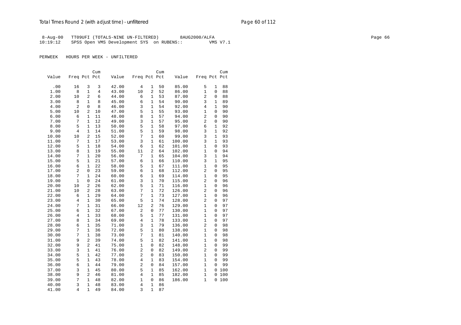8-Aug-00 TT09UFI (TOTALS-NINE UN-FILTERED) 8AUG2000/ALFA Page 66 10:19:12 SPSS Open VMS Development SYS on RUBENS:: VMS V7.1

|                |                |              | Cum      |                |                                  |                   | Cum      |                  |                   |              | Cum          |
|----------------|----------------|--------------|----------|----------------|----------------------------------|-------------------|----------|------------------|-------------------|--------------|--------------|
| Value          | Freq Pct Pct   |              |          | Value          | Freq Pct Pct                     |                   |          | Value            | Freq Pct Pct      |              |              |
| .00            | 16             | 3            | 3        | 42.00          | 4                                | 1                 | 50       | 85.00            | 5                 | 1            | 88           |
| 1.00           | 8              | 1            | 4        | 43.00          | 10                               | $\overline{2}$    | 52       | 86.00            | 1                 | 0            | 88           |
| 2.00           | 10             | 2            | 6        | 44.00          | 6                                | $\mathbf{1}$      | 53       | 87.00            | 2                 | 0            | 88           |
| 3.00           | 8              | 1            | 8        | 45.00          | 6                                | 1                 | 54       | 90.00            | 3                 | 1            | 89           |
| 4.00           | 2              | $\Omega$     | 8        | 46.00          | 3                                | 1                 | 54       | 92.00            | 4                 | $\mathbf{1}$ | 90           |
| 5.00           | 10             | 2            | 10       | 47.00          | 5                                | 1                 | 55       | 93.00            | 1                 | 0            | 90           |
| 6.00           | 6              | 1            | 11       | 48.00          | 8                                | 1                 | 57       | 94.00            | $\overline{a}$    | 0            | 90           |
| 7.00           | 7              | $\mathbf{1}$ | 12       | 49.00          | 3                                | $\mathbf{1}$      | 57       | 95.00            | 2                 | 0            | 90           |
| 8.00           | 5              | $\mathbf{1}$ | 13       | 50.00          | 5                                | $\mathbf{1}$      | 58       | 97.00            | 6                 | 1            | 92           |
| 9.00           | 4              | $\mathbf{1}$ | 14       | 51.00          | 5                                | 1                 | 59       | 98.00            | 3                 | 1            | 92           |
| 10.00          | 10             | 2            | 15       | 52.00          | 7                                | 1                 | 60       | 99.00            | 3                 | 1            | 93           |
| 11.00          | 7              | $\mathbf{1}$ | 17       | 53.00          | 3                                | 1                 | 61       | 100.00           | 3                 | $\mathbf{1}$ | 93           |
| 12.00          | 5              | $\mathbf{1}$ | 18       | 54.00          | 6                                | 1                 | 62       | 101.00           | 1                 | $\Omega$     | 93           |
| 13.00          | 8              | $\mathbf{1}$ | 19       | 55.00          | 11                               | $\overline{2}$    | 64       | 102.00           | 1                 | 0            | 94           |
| 14.00          | 7              | $\mathbf{1}$ | 20       | 56.00          | 7                                | 1                 | 65       | 104.00           | 3                 | 1            | 94           |
| 15.00          | 5              | 1            | 21       | 57.00          | 6                                | 1                 | 66       | 110.00           | 3                 | 1            | 95           |
| 16.00          | 6              | $\mathbf{1}$ | 22       | 58.00          | 5                                | $\mathbf{1}$      | 67       | 111.00           | 1                 | 0            | 95           |
| 17.00          | $\overline{c}$ | 0            | 23       | 59.00          | 6                                | 1                 | 68       | 112.00           | 2                 | 0            | 95           |
| 18.00          | 7              | $\mathbf{1}$ | 24       | 60.00          | 6                                | 1                 | 69       | 114.00           | $\mathbf{1}$      | $\Omega$     | 95           |
| 19.00          | 1              | 0            | 24       | 61.00          | 3                                | 1                 | 70       | 115.00           | 2                 | 0            | 96           |
| 20.00          | 10             | 2            | 26       | 62.00          | 5                                | $\mathbf{1}$      | 71       | 116.00           | $\mathbf{1}$      | 0            | 96           |
| 21.00          | 10             | 2            | 28       | 63.00          | 7                                | $\mathbf 1$       | 72       | 126.00           | $\overline{2}$    | 0            | 96           |
| 22.00          | 6              | 1            | 29       | 64.00          | 7                                | 1                 | 73       | 127.00           | 1                 | 0            | 96           |
| 23.00          | 4              | 1            | 30       | 65.00          | 5                                | $\mathbf{1}$      | 74       | 128.00           | 2                 | 0            | 97           |
| 24.00          | 7              | $\mathbf{1}$ | 31       | 66.00          | 12                               | $\overline{2}$    | 76       | 129.00           | 1                 | 0            | 97           |
| 25.00          | 6              | 1            | 32       | 67.00          | 2                                | 0                 | 77       | 130.00           | 1                 | 0            | 97           |
| 26.00          | $\overline{4}$ | $\mathbf{1}$ | 33       | 68.00          | 5                                | $\mathbf{1}$      | 77       | 131.00           | $\mathbf{1}$      | 0            | 97           |
| 27.00          | 8              | 1            | 34       | 69.00          | $\overline{4}$                   | 1                 | 78       | 133.00           | $\mathbf{1}$      | 0            | 97           |
| 28.00          | 6              | $\mathbf{1}$ | 35       | 71.00          | 3                                | $\mathbf{1}$      | 79       | 136.00           | 2                 | 0            | 98           |
| 29.00          | 7              | 1            | 36       | 72.00          | 5                                | 1                 | 80       | 138.00           | $\mathbf{1}$      | 0            | 98           |
| 30.00          | 7              | 1            | 38       | 73.00          | 7                                | 1                 | 81       | 140.00           | 1                 | 0            | 98           |
| 31.00          | 9              | 2            | 39       | 74.00          | 5                                | 1                 | 82       | 141.00           | 1                 | 0            | 98           |
| 32.00          | 9              | 2            | 41       | 75.00          | $\mathbf{1}$                     | 0                 | 82       | 148.00           | $\mathbf{1}$      | 0            | 99           |
| 33.00          | 3              | 1            | 41       | 76.00          | $\overline{c}$<br>$\overline{a}$ | 0                 | 82       | 149.00           | $\overline{2}$    | 0            | 99           |
| 34.00          | 5              | 1            | 42       | 77.00          |                                  | 0                 | 83       | 150.00           | 1                 | 0            | 99           |
| 35.00          | 5              | 1            | 43       | 78.00          | $\overline{4}$<br>$\overline{a}$ | 1                 | 83       | 154.00           | 1<br>$\mathbf{1}$ | 0            | 99<br>99     |
| 36.00          | 6              | 1            | 44       | 79.00          | 5                                | 0<br>$\mathbf{1}$ | 84       | 157.00           |                   | 0            |              |
| 37.00<br>38.00 | 3<br>9         | 1<br>2       | 45       | 80.00<br>81.00 | $\overline{4}$                   | $\mathbf{1}$      | 85<br>85 | 162.00<br>182.00 | 1<br>$\mathbf{1}$ | 0            | 0 100<br>100 |
| 39.00          | 7              | 1            | 46<br>48 | 82.00          | 1                                | 0                 | 86       | 186.00           | $\mathbf{1}$      |              | 0 100        |
| 40.00          | 3              | $\mathbf{1}$ | 48       | 83.00          | 4                                | $\mathbf{1}$      | 86       |                  |                   |              |              |
|                | 4              | $\mathbf{1}$ |          |                | 3                                | $\mathbf 1$       | 87       |                  |                   |              |              |
| 41.00          |                |              | 49       | 84.00          |                                  |                   |          |                  |                   |              |              |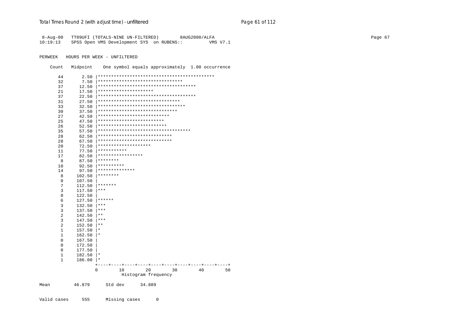|          | 8-Aug-00 TT09UFI (TOTALS-NINE UN-FILTERED) | 8AUG2000/ALFA | Page 67 |
|----------|--------------------------------------------|---------------|---------|
| 10:19:13 | SPSS Open VMS Development SYS on RUBENS::  | VMS V7.1      |         |

PERWEEK HOURS PER WEEK - UNFILTERED

Count Midpoint One symbol equals approximately 1.00 occurrence

| 44          | 2.50   |                                        |          |
|-------------|--------|----------------------------------------|----------|
| 32          | 7.50   | ********************************       |          |
| 37          | 12.50  | ************************************** |          |
| 21          | 17.50  | *********************                  |          |
| 37          | 22.50  | ************************************** |          |
| 31          | 27.50  | *******************************        |          |
| 33          | 32.50  | *********************************      |          |
| 30          | 37.50  | ******************************         |          |
| 27          | 42.50  | ***************************            |          |
| 25          | 47.50  | *************************              |          |
| 26          | 52.50  | **************************             |          |
| 35          | 57.50  | ************************************   |          |
| 28          | 62.50  | ****************************           |          |
| 28          | 67.50  | ****************************           |          |
| 20          | 72.50  | ********************                   |          |
| 11          | 77.50  | ***********                            |          |
| 17          | 82.50  | *****************                      |          |
| 8           | 87.50  | ********                               |          |
| 10          | 92.50  | **********                             |          |
| 14          | 97.50  | * * * * * * * * * * * * * *            |          |
| 8           | 102.50 | ********                               |          |
| 0           | 107.50 |                                        |          |
| 7           | 112.50 | *******                                |          |
| 3           | 117.50 | ***                                    |          |
| 0           | 122.50 |                                        |          |
| 6           | 127.50 | ******                                 |          |
| 3           | 132.50 | ***                                    |          |
| 3           | 137.50 | $***$                                  |          |
| 2           | 142.50 | $\star\star$                           |          |
| 3           | 147.50 | ***                                    |          |
| 2           | 152.50 | $***$                                  |          |
| 1           | 157.50 | $^\star$                               |          |
| $1\,$       | 162.50 | $^\star$                               |          |
| 0           | 167.50 |                                        |          |
| 0           | 172.50 |                                        |          |
| 0           | 177.50 |                                        |          |
| 1           | 182.50 | $^\star$                               |          |
| $\mathbf 1$ | 186.00 | ∣ *                                    |          |
|             |        |                                        |          |
|             |        | 20<br>0<br>10<br>30                    | 50<br>40 |
|             |        | Histogram frequency                    |          |
| Mean        | 46.879 | Std dev<br>34.889                      |          |

Valid cases 555 Missing cases 0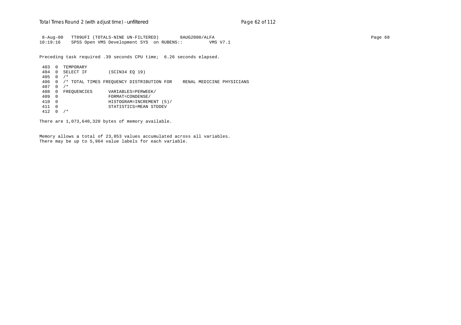8-Aug-00 TT09UFI (TOTALS-NINE UN-FILTERED) 8AUG2000/ALFA Page 68 10:19:16 SPSS Open VMS Development SYS on RUBENS:: VMS V7.1

Preceding task required .39 seconds CPU time; 6.26 seconds elapsed.

 403 0 TEMPORARY 404 0 SELECT IF (SCIN34 EQ 19) 405 0 /\* 406 0 /\* TOTAL TIMES FREQUENCY DISTRIBUTION FOR RENAL MEDICINE PHYSICIANS 407 0 /\* 408 0 FREQUENCIES VARIABLES=PERWEEK/<br>409 0 FORMAT=CONDENSE/ 409 0 FORMAT=CONDENSE/ 410 0 HISTOGRAM=INCREMENT (5)/ 411 0 STATISTICS=MEAN STDDEV 412 0 /\*

There are 1,073,640,320 bytes of memory available.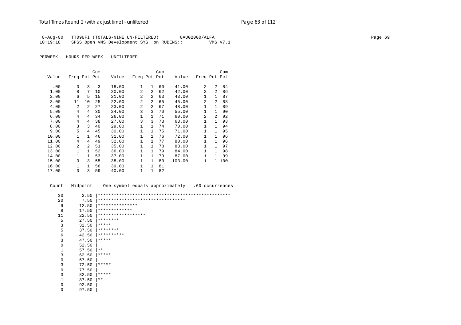8-Aug-00 TT09UFI (TOTALS-NINE UN-FILTERED) 8AUG2000/ALFA Page 69  $10:19:18$  SPSS Open VMS Development SYS on RUBENS::

PERWEEK HOURS PER WEEK - UNFILTERED

0 97.50 |

|       |              |                | Cum |       |                |                | Cum |        |                |                | Cum |
|-------|--------------|----------------|-----|-------|----------------|----------------|-----|--------|----------------|----------------|-----|
| Value | Freq Pct Pct |                |     | Value | Freq Pct Pct   |                |     | Value  | Freq Pct Pct   |                |     |
| .00   | 3            | 3              | 3   | 18.00 | 1              | 1              | 60  | 41.00  | 2              | 2              | 84  |
| 1.00  | 8            | 7              | 10  | 20.00 | $\overline{a}$ | $\overline{2}$ | 62  | 42.00  | $\overline{2}$ | $\overline{2}$ | 86  |
| 2.00  | 6            | 5              | 15  | 21.00 | 2              | 2              | 63  | 43.00  | 1              | $\mathbf{1}$   | 87  |
| 3.00  | 11           | 10             | 25  | 22.00 | $\overline{a}$ | 2              | 65  | 45.00  | 2              | 2              | 88  |
| 4.00  | 2            | 2              | 27  | 23.00 | $\overline{a}$ | $\mathfrak{D}$ | 67  | 48.00  | 1              | $\mathbf{1}$   | 89  |
| 5.00  | 4            | 4              | 30  | 24.00 | 3              | 3              | 70  | 55.00  | $\mathbf{1}$   | 1              | 90  |
| 6.00  | 4            | 4              | 34  | 26.00 | 1              | 1              | 71  | 60.00  | $\overline{2}$ | 2              | 92  |
| 7.00  | 4            | 4              | 38  | 27.00 | 3              | 3              | 73  | 63.00  | $\mathbf{1}$   | $\mathbf{1}$   | 93  |
| 8.00  | 3            | 3              | 40  | 29.00 | $\mathbf 1$    | $\mathbf{1}$   | 74  | 70.00  | 1              | $\mathbf{1}$   | 94  |
| 9.00  | 5            | 4              | 45  | 30.00 | 1              | 1              | 75  | 71.00  | $\mathbf{1}$   | $\mathbf{1}$   | 95  |
| 10.00 | 1            | $\mathbf{1}$   | 46  | 31.00 | $\mathbf{1}$   | $\mathbf{1}$   | 76  | 72.00  | $\mathbf{1}$   | $\mathbf{1}$   | 96  |
| 11.00 | 4            | 4              | 49  | 32.00 | 1              | 1              | 77  | 80.00  | 1              | $\mathbf{1}$   | 96  |
| 12.00 | 2            | $\overline{a}$ | 51  | 35.00 | $\mathbf{1}$   | 1              | 78  | 83.00  | 1              | $\mathbf{1}$   | 97  |
| 13.00 | 1            | $\mathbf{1}$   | 52  | 36.00 | $\mathbf 1$    | 1              | 79  | 84.00  | 1              | $\mathbf{1}$   | 98  |
| 14.00 | 1            | $\mathbf{1}$   | 53  | 37.00 | $\mathbf 1$    | 1              | 79  | 87.00  | $\mathbf{1}$   | 1              | 99  |
| 15.00 | 3            | 3              | 55  | 38.00 | $\mathbf 1$    | $\mathbf{1}$   | 80  | 103.00 | 1              | $\mathbf{1}$   | 100 |
| 16.00 | 1            | $\mathbf{1}$   | 56  | 39.00 | $\mathbf{1}$   | $\mathbf{1}$   | 81  |        |                |                |     |
| 17.00 | 3            | 3              | 59  | 40.00 | $\mathbf{1}$   | 1              | 82  |        |                |                |     |

Count Midpoint One symbol equals approximately .60 occurrences

| 30          | 2.50  |                                   |
|-------------|-------|-----------------------------------|
| 20          | 7.50  | ********************************* |
| 9           | 12.50 | ***************                   |
| 8           | 17.50 | *************                     |
| 11          | 22.50 | ******************                |
| 5           | 27.50 | ********                          |
| 3           | 32.50 | *****                             |
| 5           | 37.50 | ********                          |
| 6           | 42.50 | **********                        |
| 3           | 47.50 | *****                             |
| $\mathbf 0$ | 52.50 |                                   |
| 1           | 57.50 | $***$                             |
| 3           | 62.50 | *****                             |
| $\mathbf 0$ | 67.50 |                                   |
| 3           | 72.50 | *****                             |
| $\mathbf 0$ | 77.50 |                                   |
| 3           | 82.50 | *****                             |
| 1           | 87.50 | $***$                             |
| 0           | 92.50 |                                   |
|             |       |                                   |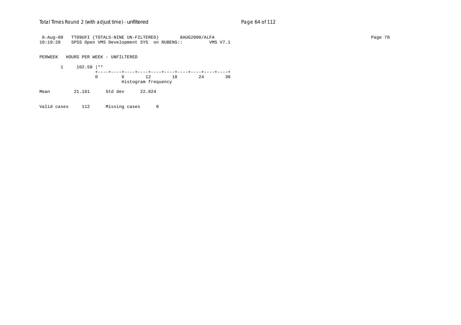8-Aug-00 TT09UFI (TOTALS-NINE UN-FILTERED) 8AUG2000/ALFA Page 70 10:19:20 SPSS Open VMS Development SYS on RUBENS:: VMS V7.1

PERWEEK HOURS PER WEEK - UNFILTERED

 1 102.50 |\*\* +----+----+----+----+----+----+----+----+----+----+ 0 6 12 18 24 30 Histogram frequency

Mean 21.161 Std dev 22.824

Valid cases 112 Missing cases 0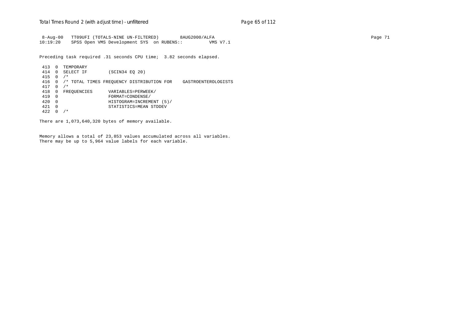8-Aug-00 TT09UFI (TOTALS-NINE UN-FILTERED) 8AUG2000/ALFA Page 71 10:19:20 SPSS Open VMS Development SYS on RUBENS:: VMS V7.1

Preceding task required .31 seconds CPU time; 3.82 seconds elapsed.

 413 0 TEMPORARY 414 0 SELECT IF (SCIN34 EQ 20) 415 0 /\* 416 0 /\* TOTAL TIMES FREQUENCY DISTRIBUTION FOR GASTROENTEROLOGISTS 417 0 /\* 418 0 FREQUENCIES VARIABLES=PERWEEK/<br>419 0 FORMAT=CONDENSE/ 419 0 FORMAT=CONDENSE/ 420 0 HISTOGRAM=INCREMENT (5)/ 421 0 STATISTICS=MEAN STDDEV 422 0 /\*

There are 1,073,640,320 bytes of memory available.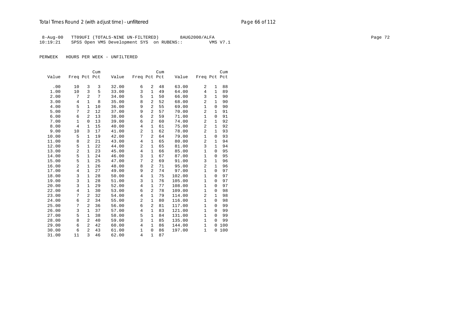8-Aug-00 TT09UFI (TOTALS-NINE UN-FILTERED) 8AUG2000/ALFA Page 72 10:19:21 SPSS Open VMS Development SYS on RUBENS:: VMS V7.1

|       |                |                | Cum |       |                |                | Cum |        |                |              | Cum |
|-------|----------------|----------------|-----|-------|----------------|----------------|-----|--------|----------------|--------------|-----|
| Value | Freq Pct Pct   |                |     | Value | Freq Pct Pct   |                |     | Value  | Freq Pct Pct   |              |     |
|       |                |                |     |       |                |                |     |        |                |              |     |
| .00   | 10             | 3              | 3   | 32.00 | 6              | 2              | 48  | 63.00  | 2              | 1            | 88  |
| 1.00  | 10             | 3              | 5   | 33.00 | 3              | $\mathbf{1}$   | 49  | 64.00  | $\overline{4}$ | $\mathbf{1}$ | 89  |
| 2.00  | 7              | $\overline{2}$ | 7   | 34.00 | 5              | $\mathbf{1}$   | 50  | 66.00  | 3              | $\mathbf{1}$ | 90  |
| 3.00  | 4              | $\mathbf{1}$   | 8   | 35.00 | 8              | 2              | 52  | 68.00  | $\overline{a}$ | $\mathbf{1}$ | 90  |
| 4.00  | 5              | $\mathbf{1}$   | 10  | 36.00 | 9              | $\overline{a}$ | 55  | 69.00  | $\mathbf{1}$   | 0            | 90  |
| 5.00  | 7              | $\overline{a}$ | 12  | 37.00 | 9              | $\overline{2}$ | 57  | 70.00  | 2              | $\mathbf{1}$ | 91  |
| 6.00  | 6              | $\overline{a}$ | 13  | 38.00 | 6              | $\overline{c}$ | 59  | 71.00  | $\mathbf{1}$   | 0            | 91  |
| 7.00  | 1              | $\mathbf 0$    | 13  | 39.00 | 6              | $\overline{c}$ | 60  | 74.00  | 2              | $\mathbf{1}$ | 92  |
| 8.00  | 4              | $\mathbf{1}$   | 15  | 40.00 | 4              | $\mathbf{1}$   | 61  | 75.00  | $\overline{a}$ | $\mathbf{1}$ | 92  |
| 9.00  | 10             | 3              | 17  | 41.00 | 2              | $\mathbf{1}$   | 62  | 78.00  | $\overline{2}$ | $\mathbf{1}$ | 93  |
| 10.00 | 5              | $\mathbf{1}$   | 19  | 42.00 | 7              | $\overline{2}$ | 64  | 79.00  | $\mathbf{1}$   | 0            | 93  |
| 11.00 | 8              | 2              | 21  | 43.00 | 4              | 1              | 65  | 80.00  | 2              | $\mathbf{1}$ | 94  |
| 12.00 | 5              | 1              | 22  | 44.00 | 2              | $\mathbf 1$    | 65  | 81.00  | 3              | $\mathbf{1}$ | 94  |
| 13.00 | $\overline{c}$ | 1              | 23  | 45.00 | $\overline{4}$ | 1              | 66  | 85.00  | $\mathbf{1}$   | 0            | 95  |
| 14.00 | 5              | $\mathbf{1}$   | 24  | 46.00 | 3              | 1              | 67  | 87.00  | $\mathbf{1}$   | 0            | 95  |
| 15.00 | 5              | $\mathbf{1}$   | 25  | 47.00 | 7              | $\overline{2}$ | 69  | 91.00  | 3              | $\mathbf{1}$ | 96  |
| 16.00 | $\overline{c}$ | $\mathbf{1}$   | 26  | 48.00 | 8              | $\overline{2}$ | 71  | 95.00  | $\overline{a}$ | $\mathbf{1}$ | 96  |
| 17.00 | 4              | $\mathbf{1}$   | 27  | 49.00 | 9              | $\overline{a}$ | 74  | 97.00  | $\mathbf{1}$   | $\mathbf{0}$ | 97  |
| 18.00 | 3              | 1              | 28  | 50.00 | 4              | 1              | 75  | 102.00 | $\mathbf{1}$   | $\Omega$     | 97  |
| 19.00 | 3              | $\mathbf{1}$   | 28  | 51.00 | 3              | $\mathbf{1}$   | 76  | 105.00 | $\mathbf{1}$   | 0            | 97  |
| 20.00 | 3              | $\mathbf{1}$   | 29  | 52.00 | 4              | 1              | 77  | 108.00 | $\mathbf{1}$   | $\Omega$     | 97  |
| 22.00 | 4              | $\mathbf{1}$   | 30  | 53.00 | 6              | 2              | 78  | 109.00 | $\mathbf{1}$   | $\mathbf 0$  | 98  |
| 23.00 | 7              | 2              | 32  | 54.00 | 4              | 1              | 79  | 114.00 | 2              | $\mathbf{1}$ | 98  |
| 24.00 | 6              | $\overline{a}$ | 34  | 55.00 | $\overline{a}$ | $\mathbf{1}$   | 80  | 116.00 | $\mathbf{1}$   | 0            | 98  |
| 25.00 | 7              | $\overline{a}$ | 36  | 56.00 | 6              | $\overline{a}$ | 81  | 117.00 | $\mathbf{1}$   | 0            | 99  |
| 26.00 | 3              | $\mathbf{1}$   | 37  | 57.00 | 4              | $\mathbf{1}$   | 83  | 121.00 | $\mathbf{1}$   | 0            | 99  |
| 27.00 | 5              | $\mathbf{1}$   | 38  | 58.00 | 5              | 1              | 84  | 131.00 | $\mathbf{1}$   | $\mathbf 0$  | 99  |
| 28.00 | 8              | 2              | 40  | 59.00 | 3              | 1              | 85  | 135.00 | $\mathbf{1}$   | $\mathbf 0$  | 99  |
| 29.00 | 6              | $\overline{a}$ | 42  | 60.00 | 4              | 1              | 86  | 144.00 | $\mathbf{1}$   | 0            | 100 |
| 30.00 | 6              | $\overline{a}$ | 43  | 61.00 | $\mathbf{1}$   | $\mathbf 0$    | 86  | 197.00 | $\mathbf{1}$   | 0            | 100 |
| 31.00 | 11             | 3              | 46  | 62.00 | 4              | $\mathbf{1}$   | 87  |        |                |              |     |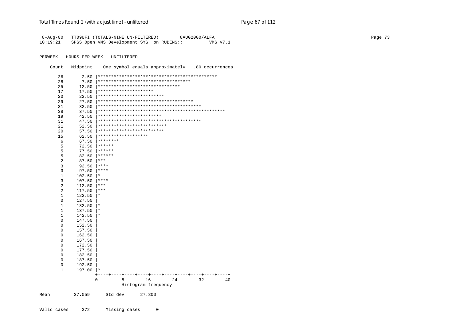| $8 - Aug - 00$<br>10:19:21 |             | TT09UFI (TOTALS-NINE UN-FILTERED)<br>8AUG2000/ALFA<br>SPSS Open VMS Development SYS on RUBENS::<br>VMS V7.1 | Page 73 |
|----------------------------|-------------|-------------------------------------------------------------------------------------------------------------|---------|
| PERWEEK                    |             | HOURS PER WEEK - UNFILTERED                                                                                 |         |
| Count                      | Midpoint    | One symbol equals approximately .80 occurrences                                                             |         |
| 36                         |             |                                                                                                             |         |
| 28                         | 7.50        | <del>  **********************************</del>                                                             |         |
| 25                         | 12.50       |                                                                                                             |         |
| 17                         | 17.50       | <del>  ********************</del> *                                                                         |         |
| 20                         | 22.50       |                                                                                                             |         |
| 29                         | 27.50       |                                                                                                             |         |
| 31                         | 32.50       |                                                                                                             |         |
| 38                         | 37.50       |                                                                                                             |         |
| 19                         | 42.50       |                                                                                                             |         |
| 31                         | 47.50       |                                                                                                             |         |
| 21                         | 52.50       |                                                                                                             |         |
| 20                         | 57.50       | *************************                                                                                   |         |
| 15                         | 62.50       | <b>*******************</b>                                                                                  |         |
| 6                          |             | $67.50$ ********                                                                                            |         |
| 5                          | 72.50       | $+******$                                                                                                   |         |
| 5                          |             | $77.50$ ******                                                                                              |         |
| 5                          | 82.50       | $ ******$                                                                                                   |         |
| $\overline{2}$             | 87.50       | $ ***$                                                                                                      |         |
| 3                          | 92.50       | $ ***$                                                                                                      |         |
| 3                          | 97.50       | $ ***$                                                                                                      |         |
| $\mathbf{1}$               | $102.50$  * |                                                                                                             |         |
| 3                          | 107.50      | $ ***$                                                                                                      |         |
| $\sqrt{2}$                 | 112.50      | $ ***$                                                                                                      |         |
| $\sqrt{2}$                 | 117.50      | $ ***$                                                                                                      |         |
| $\mathbf{1}$               | $122.50$  * |                                                                                                             |         |
| $\mathsf 0$                | 127.50      |                                                                                                             |         |
| $\mathbf{1}$               | $132.50$  * |                                                                                                             |         |
| $\mathbf{1}$               | 137.50      | $\vert *$                                                                                                   |         |
| $\mathbf{1}$               | $142.50$  * |                                                                                                             |         |
| $\mathsf{0}$               | 147.50      |                                                                                                             |         |
| $\mathsf{O}\xspace$        | 152.50      |                                                                                                             |         |
| $\mathsf 0$                | 157.50      |                                                                                                             |         |
| $\mathsf 0$                | 162.50      |                                                                                                             |         |
| $\mathsf{O}\xspace$        | 167.50      |                                                                                                             |         |
| $\mathsf 0$                | 172.50      |                                                                                                             |         |
| $\mathsf 0$                | 177.50      |                                                                                                             |         |
| 0                          | 182.50      |                                                                                                             |         |
| $\mathsf 0$                | 187.50      |                                                                                                             |         |
| $\mathsf 0$                | 192.50      |                                                                                                             |         |
| $\mathbf{1}$               | $197.00$  * |                                                                                                             |         |
|                            |             | $\mathbf 0$<br>24<br>32<br>8<br>16<br>40                                                                    |         |
|                            |             | Histogram frequency                                                                                         |         |
| Mean                       | 37.059      | Std dev<br>27.800                                                                                           |         |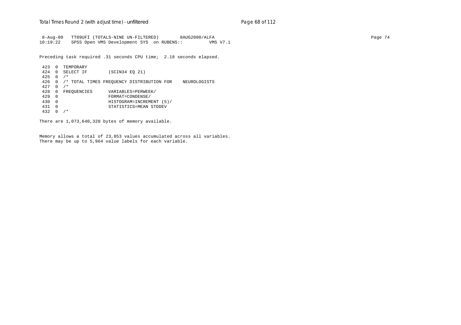8-Aug-00 TT09UFI (TOTALS-NINE UN-FILTERED) 8AUG2000/ALFA Page 74 10:19:22 SPSS Open VMS Development SYS on RUBENS:: VMS V7.1

Preceding task required .31 seconds CPU time; 2.18 seconds elapsed.

 423 0 TEMPORARY 424 0 SELECT IF (SCIN34 EQ 21) 425 0 /\* 426 0 /\* TOTAL TIMES FREQUENCY DISTRIBUTION FOR NEUROLOGISTS 427 0 /\* 428 0 FREQUENCIES VARIABLES=PERWEEK/<br>429 0 FORMAT=CONDENSE/ 429 0 FORMAT=CONDENSE/ 430 0 HISTOGRAM=INCREMENT (5)/ 431 0 STATISTICS=MEAN STDDEV 432 0 /\*

There are 1,073,640,320 bytes of memory available.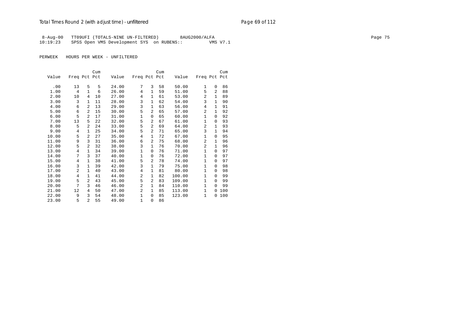8-Aug-00 TT09UFI (TOTALS-NINE UN-FILTERED) 8AUG2000/ALFA Page 75 10:19:23 SPSS Open VMS Development SYS on RUBENS::

|       |                |                | Cum |       |                |                | Cum |        |                |                | Cum |
|-------|----------------|----------------|-----|-------|----------------|----------------|-----|--------|----------------|----------------|-----|
| Value | Freq Pct Pct   |                |     | Value | Freq Pct Pct   |                |     | Value  | Freq Pct Pct   |                |     |
|       |                |                |     |       |                |                |     |        |                |                |     |
| .00   | 13             | 5              | 5   | 24.00 | 7              | 3              | 58  | 50.00  | 1              | $\Omega$       | 86  |
| 1.00  | 4              | $\mathbf{1}$   | 6   | 26.00 | 4              | $\mathbf{1}$   | 59  | 51.00  | 5              | $\mathfrak{D}$ | 88  |
| 2.00  | 10             | $\overline{4}$ | 10  | 27.00 | $\overline{4}$ | 1              | 61  | 53.00  | $\overline{2}$ | $\mathbf{1}$   | 89  |
| 3.00  | 3              | $\mathbf{1}$   | 11  | 28.00 | 3              | $\mathbf{1}$   | 62  | 54.00  | 3              | $\mathbf{1}$   | 90  |
| 4.00  | 6              | 2              | 13  | 29.00 | 3              | $\mathbf{1}$   | 63  | 56.00  | 4              | $\mathbf{1}$   | 91  |
| 5.00  | 6              | $\overline{a}$ | 15  | 30.00 | 5              | $\overline{2}$ | 65  | 57.00  | $\overline{2}$ | 1              | 92  |
| 6.00  | 5              | $\overline{a}$ | 17  | 31.00 | $\mathbf{1}$   | $\Omega$       | 65  | 60.00  | $\mathbf{1}$   | $\Omega$       | 92  |
| 7.00  | 13             | 5              | 22  | 32.00 | 5              | $\overline{2}$ | 67  | 61.00  | $\mathbf{1}$   | $\Omega$       | 93  |
| 8.00  | 5              | 2              | 24  | 33.00 | 5              | $\overline{2}$ | 69  | 64.00  | $\overline{2}$ | 1              | 93  |
| 9.00  | 4              | $\mathbf{1}$   | 25  | 34.00 | 5              | $\overline{2}$ | 71  | 65.00  | 3              | 1              | 94  |
| 10.00 | 5              | $\overline{2}$ | 27  | 35.00 | $\overline{4}$ | $\mathbf{1}$   | 72  | 67.00  | $\mathbf{1}$   | $\Omega$       | 95  |
| 11.00 | 9              | 3              | 31  | 36.00 | 6              | $\mathfrak{D}$ | 75  | 68.00  | $\overline{2}$ | $\mathbf{1}$   | 96  |
| 12.00 | 5              | $\overline{2}$ | 32  | 38.00 | 3              | $\mathbf{1}$   | 76  | 70.00  | $\overline{a}$ | $\mathbf{1}$   | 96  |
| 13.00 | 4              | $\mathbf{1}$   | 34  | 39.00 | $\mathbf 1$    | 0              | 76  | 71.00  | 1              | $\Omega$       | 97  |
| 14.00 | 7              | 3              | 37  | 40.00 | $\mathbf 1$    | $\Omega$       | 76  | 72.00  | $\mathbf{1}$   | 0              | 97  |
| 15.00 | 4              | 1              | 38  | 41.00 | 5              | $\overline{2}$ | 78  | 74.00  | $\mathbf{1}$   | $\Omega$       | 97  |
| 16.00 | 3              | $\mathbf{1}$   | 39  | 42.00 | 3              | $\mathbf{1}$   | 79  | 75.00  | $\mathbf{1}$   | $\mathbf{0}$   | 98  |
| 17.00 | 2              | $\mathbf{1}$   | 40  | 43.00 | $\overline{4}$ | $\mathbf{1}$   | 81  | 80.00  | $\mathbf{1}$   | $\Omega$       | 98  |
| 18.00 | $\overline{4}$ | $\mathbf{1}$   | 41  | 44.00 | $\overline{a}$ | $\mathbf{1}$   | 82  | 100.00 | $\mathbf{1}$   | $\Omega$       | 99  |
| 19.00 | 5              | $\overline{2}$ | 43  | 45.00 | 5              | $\mathfrak{D}$ | 83  | 109.00 | $\mathbf{1}$   | $\Omega$       | 99  |
| 20.00 | 7              | 3              | 46  | 46.00 | 2              | $\mathbf{1}$   | 84  | 110.00 | $\mathbf{1}$   | $\mathbf 0$    | 99  |
| 21.00 | 12             | 4              | 50  | 47.00 | $\overline{a}$ | $\mathbf{1}$   | 85  | 113.00 | $\mathbf{1}$   | $\mathbf 0$    | 100 |
| 22.00 | 9              | 3              | 54  | 48.00 | $\mathbf{1}$   | 0              | 85  | 123.00 | 1              | 0              | 100 |
| 23.00 | 5              | $\overline{a}$ | 55  | 49.00 | $\mathbf{1}$   | 0              | 86  |        |                |                |     |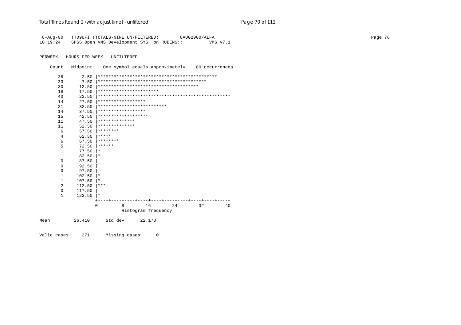# Total Times Round 2 (with adjust time) - *unfiltered* example 20 page 70 of 112

| $8 - Aug - 00$ |              | TT09UFI (TOTALS-NINE UN-FILTERED)<br>8AUG2000/ALFA    | Page 76 |
|----------------|--------------|-------------------------------------------------------|---------|
| 10:19:24       |              | SPSS Open VMS Development SYS on RUBENS::<br>VMS V7.1 |         |
|                |              |                                                       |         |
| PERWEEK        |              | HOURS PER WEEK - UNFILTERED                           |         |
| Count          | Midpoint     | One symbol equals approximately .80 occurrences       |         |
| 36             |              |                                                       |         |
| 33             | $7.50$       |                                                       |         |
| 30             | $12.50$      |                                                       |         |
| 18             | 17.50        | ***********************                               |         |
| 40             | 22.50        |                                                       |         |
| 14             | 27.50        | ******************                                    |         |
| 21             | 32.50        | **************************                            |         |
| 14             | 37.50        | ******************                                    |         |
| 15             | 42.50        | *******************                                   |         |
| 11             | 47.50        | **************                                        |         |
| 11             | 52.50        | **************                                        |         |
| 6              |              | $57.50$ ********                                      |         |
| $\overline{4}$ |              | $62.50$ *****                                         |         |
| $\sqrt{6}$     |              | $67.50$   ********                                    |         |
| 5              |              | $72.50$ ******                                        |         |
| 1              | $77.50$  *   |                                                       |         |
| 1              | $82.50$  *   |                                                       |         |
| $\mathbf 0$    | 87.50        |                                                       |         |
| 0              | 92.50        |                                                       |         |
| 0              | 97.50        |                                                       |         |
| 1              | $102.50$  *  |                                                       |         |
| 1              | $107.50$  *  |                                                       |         |
| 2              | $112.50$ *** |                                                       |         |
| $\mathbf 0$    | 117.50       |                                                       |         |
| $\mathbf{1}$   | $122.50$  *  |                                                       |         |
|                |              | 16<br>24<br>32<br>0<br>8<br>40                        |         |
|                |              | Histogram frequency                                   |         |
|                |              |                                                       |         |
| Mean           | 26.410       | Std dev<br>22.170                                     |         |
|                |              |                                                       |         |

Valid cases 271 Missing cases 0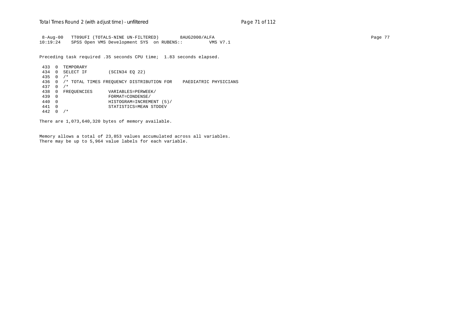8-Aug-00 TT09UFI (TOTALS-NINE UN-FILTERED) 8AUG2000/ALFA Page 77 10:19:24 SPSS Open VMS Development SYS on RUBENS:: VMS V7.1

Preceding task required .35 seconds CPU time; 1.83 seconds elapsed.

 433 0 TEMPORARY 434 0 SELECT IF (SCIN34 EQ 22) 435 0 /\* 436 0 /\* TOTAL TIMES FREQUENCY DISTRIBUTION FOR PAEDIATRIC PHYSICIANS 437 0 /\* 438 0 FREQUENCIES VARIABLES=PERWEEK/<br>439 0 FORMAT=CONDENSE/ 439 0 FORMAT=CONDENSE/ 440 0 HISTOGRAM=INCREMENT (5)/ 441 0 STATISTICS=MEAN STDDEV 442 0 /\*

There are 1,073,640,320 bytes of memory available.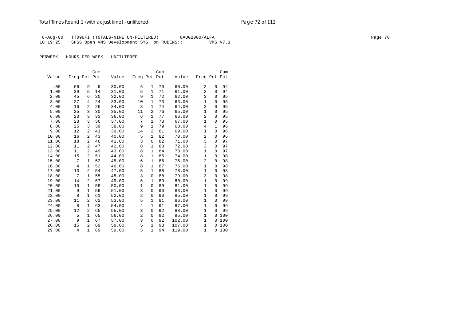8-Aug-00 TT09UFI (TOTALS-NINE UN-FILTERED) 8AUG2000/ALFA Page 78 10:19:25 SPSS Open VMS Development SYS on RUBENS:: VMS V7.1

|       |                |                | Cum |       |                |                | Cum |        |                |              | Cum |
|-------|----------------|----------------|-----|-------|----------------|----------------|-----|--------|----------------|--------------|-----|
| Value | Freq Pct Pct   |                |     | Value | Freq Pct Pct   |                |     | Value  | Freq Pct Pct   |              |     |
|       |                |                |     |       |                |                |     |        |                |              |     |
| .00   | 66             | 9              | 9   | 30.00 | 6              | 1              | 70  | 60.00  | 2              | 0            | 94  |
| 1.00  | 39             | 5              | 14  | 31.00 | 5              | 1              | 71  | 61.00  | 2              | $\Omega$     | 94  |
| 2.00  | 45             | 6              | 20  | 32.00 | 9              | $\mathbf{1}$   | 72  | 62.00  | 3              | $\Omega$     | 95  |
| 3.00  | 27             | 4              | 24  | 33.00 | 10             | $\mathbf{1}$   | 73  | 63.00  | $\mathbf{1}$   | $\mathbf 0$  | 95  |
| 4.00  | 16             | 2              | 26  | 34.00 | 8              | 1              | 74  | 64.00  | $\overline{2}$ | $\mathbf 0$  | 95  |
| 5.00  | 25             | 3              | 30  | 35.00 | 11             | 2              | 76  | 65.00  | $\mathbf{1}$   | 0            | 95  |
| 6.00  | 23             | 3              | 33  | 36.00 | 6              | 1              | 77  | 66.00  | 2              | $\mathbf 0$  | 95  |
| 7.00  | 23             | 3              | 36  | 37.00 | 7              | 1              | 78  | 67.00  | $\mathbf{1}$   | $\mathbf 0$  | 95  |
| 8.00  | 25             | 3              | 39  | 38.00 | 9              | $\mathbf{1}$   | 79  | 68.00  | $\overline{4}$ | $\mathbf{1}$ | 96  |
| 9.00  | 12             | 2              | 41  | 39.00 | 14             | $\overline{a}$ | 81  | 69.00  | $\mathbf{1}$   | $\mathbf 0$  | 96  |
| 10.00 | 16             | 2              | 43  | 40.00 | 5              | 1              | 82  | 70.00  | $\overline{2}$ | $\mathbf 0$  | 96  |
| 11.00 | 18             | 2              | 46  | 41.00 | 3              | $\mathbf 0$    | 82  | 71.00  | 3              | $\mathbf 0$  | 97  |
| 12.00 | 11             | 2              | 47  | 42.00 | 8              | 1              | 83  | 72.00  | 3              | $\mathbf 0$  | 97  |
| 13.00 | 11             | 2              | 49  | 43.00 | 8              | $\mathbf{1}$   | 84  | 73.00  | $\mathbf{1}$   | 0            | 97  |
| 14.00 | 15             | 2              | 51  | 44.00 | 8              | $\mathbf{1}$   | 85  | 74.00  | $\mathbf{1}$   | 0            | 98  |
| 15.00 | 7              | $\mathbf{1}$   | 52  | 45.00 | 6              | 1              | 86  | 75.00  | $\overline{a}$ | $\mathbf 0$  | 98  |
| 16.00 | $\overline{4}$ | $\mathbf{1}$   | 52  | 46.00 | 8              | 1              | 87  | 76.00  | $\mathbf 1$    | $\Omega$     | 98  |
| 17.00 | 13             | 2              | 54  | 47.00 | 5              | 1              | 88  | 78.00  | $\mathbf{1}$   | 0            | 98  |
| 18.00 | 7              | $\mathbf{1}$   | 55  | 48.00 | 3              | 0              | 88  | 79.00  | 3              | $\mathbf 0$  | 98  |
| 19.00 | 14             | 2              | 57  | 49.00 | 6              | $\mathbf{1}$   | 89  | 80.00  | $\mathbf{1}$   | 0            | 99  |
| 20.00 | 10             | $\mathbf{1}$   | 58  | 50.00 | $\mathbf{1}$   | 0              | 89  | 81.00  | $\mathbf{1}$   | $\Omega$     | 99  |
| 21.00 | 9              | $\mathbf{1}$   | 59  | 51.00 | 3              | $\mathbf 0$    | 90  | 83.00  | $\mathbf{1}$   | $\mathbf 0$  | 99  |
| 22.00 | 8              | $\mathbf{1}$   | 61  | 52.00 | $\overline{2}$ | 0              | 90  | 85.00  | $\mathbf{1}$   | $\mathbf 0$  | 99  |
| 23.00 | 11             | 2              | 62  | 53.00 | 5              | 1              | 91  | 86.00  | 1              | $\Omega$     | 99  |
| 24.00 | 8              | $\mathbf{1}$   | 63  | 54.00 | $\overline{4}$ | $\mathbf{1}$   | 91  | 87.00  | $\mathbf{1}$   | $\mathbf 0$  | 99  |
| 25.00 | 12             | 2              | 65  | 55.00 | 3              | $\mathbf 0$    | 92  | 88.00  | $\mathbf{1}$   | $\Omega$     | 99  |
| 26.00 | 5              | $\mathbf{1}$   | 65  | 56.00 | $\overline{2}$ | $\mathbf 0$    | 92  | 95.00  | $\mathbf{1}$   | $\mathbf 0$  | 100 |
| 27.00 | 9              | $\mathbf{1}$   | 67  | 57.00 | 3              | 0              | 92  | 102.00 | $\mathbf{1}$   | 0            | 100 |
| 28.00 | 15             | $\overline{2}$ | 69  | 58.00 | 5              | 1              | 93  | 107.00 | $\mathbf{1}$   | $\Omega$     | 100 |
| 29.00 | $\overline{4}$ | $\mathbf{1}$   | 69  | 59.00 | 5              | $\mathbf{1}$   | 94  | 119.00 | $\mathbf{1}$   | $\mathbf 0$  | 100 |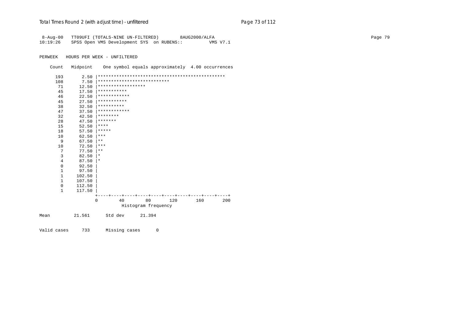| 8-Aug-00       |          | TT09UFI (TOTALS-NINE UN-FILTERED)                |                                                |     | 8AUG2000/ALFA |          |  | Page 79 |
|----------------|----------|--------------------------------------------------|------------------------------------------------|-----|---------------|----------|--|---------|
| 10:19:26       |          | SPSS Open VMS Development SYS on RUBENS::        |                                                |     |               | VMS V7.1 |  |         |
|                |          |                                                  |                                                |     |               |          |  |         |
| PERWEEK        |          | HOURS PER WEEK - UNFILTERED                      |                                                |     |               |          |  |         |
|                |          |                                                  |                                                |     |               |          |  |         |
| Count          | Midpoint | One symbol equals approximately 4.00 occurrences |                                                |     |               |          |  |         |
| 193            | 2.50     |                                                  |                                                |     |               |          |  |         |
| 108            | 7.50     | ***************************                      |                                                |     |               |          |  |         |
| 71             | 12.50    | ******************                               |                                                |     |               |          |  |         |
| 45             | 17.50    | ***********                                      |                                                |     |               |          |  |         |
| 46             | 22.50    | ************                                     |                                                |     |               |          |  |         |
| 45             | 27.50    | ***********                                      |                                                |     |               |          |  |         |
| 38             | 32.50    | **********                                       |                                                |     |               |          |  |         |
| 47             | 37.50    | ************                                     |                                                |     |               |          |  |         |
| 32             | 42.50    | ********                                         |                                                |     |               |          |  |         |
| 28             | 47.50    | *******                                          |                                                |     |               |          |  |         |
| 15             | 52.50    | $***$ * * *                                      |                                                |     |               |          |  |         |
| 18             | 57.50    | $***$ * * *                                      |                                                |     |               |          |  |         |
| 10             | 62.50    | $***$                                            |                                                |     |               |          |  |         |
| 9              | 67.50    | $\star \star$                                    |                                                |     |               |          |  |         |
| 10             | 72.50    | $***$                                            |                                                |     |               |          |  |         |
| 7              | 77.50    | $* *$                                            |                                                |     |               |          |  |         |
| 3              | 82.50    | $\star$                                          |                                                |     |               |          |  |         |
| $\overline{4}$ | 87.50    | $\star$                                          |                                                |     |               |          |  |         |
| $\mathbf 0$    | 92.50    |                                                  |                                                |     |               |          |  |         |
| $\mathbf{1}$   | 97.50    |                                                  |                                                |     |               |          |  |         |
| $\mathbf{1}$   | 102.50   |                                                  |                                                |     |               |          |  |         |
| $\mathbf{1}$   | 107.50   |                                                  |                                                |     |               |          |  |         |
| $\mathbf 0$    | 112.50   |                                                  |                                                |     |               |          |  |         |
| $\mathbf{1}$   | 117.50   |                                                  |                                                |     |               |          |  |         |
|                |          | $+-$<br>40<br>0                                  | ---+----+----+----+----+----+----+----+-<br>80 | 120 | 160           | 200      |  |         |
|                |          |                                                  | Histogram frequency                            |     |               |          |  |         |
|                |          |                                                  |                                                |     |               |          |  |         |
| Mean           | 21.561   | Std dev                                          | 21.394                                         |     |               |          |  |         |
|                |          |                                                  |                                                |     |               |          |  |         |
|                |          |                                                  |                                                |     |               |          |  |         |

Valid cases 733 Missing cases 0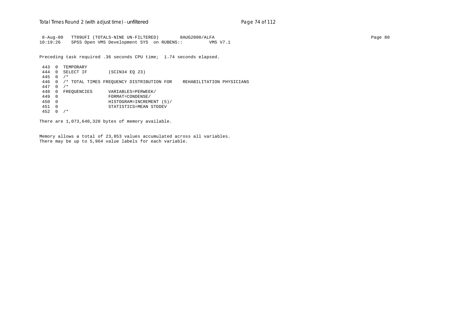8-Aug-00 TT09UFI (TOTALS-NINE UN-FILTERED) 8AUG2000/ALFA Page 80 10:19:26 SPSS Open VMS Development SYS on RUBENS:: VMS V7.1

Preceding task required .36 seconds CPU time; 1.74 seconds elapsed.

 443 0 TEMPORARY 444 0 SELECT IF (SCIN34 EQ 23) 445 0 /\* 446 0 /\* TOTAL TIMES FREQUENCY DISTRIBUTION FOR REHABILITATION PHYSICIANS 447 0 /\* 448 0 FREQUENCIES VARIABLES=PERWEEK/<br>449 0 FORMAT=CONDENSE/ 449 0 FORMAT=CONDENSE/ 450 0 HISTOGRAM=INCREMENT (5)/ 451 0 STATISTICS=MEAN STDDEV 452 0 /\*

There are 1,073,640,320 bytes of memory available.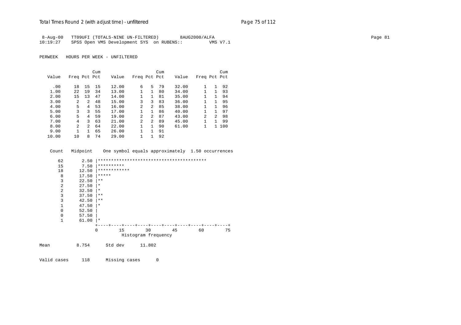|          | 8-Aug-00 TT09UFI (TOTALS-NINE UN-FILTERED) | 8AUG2000/ALFA | Page 81 |
|----------|--------------------------------------------|---------------|---------|
| 10:19:27 | SPSS Open VMS Development SYS on RUBENS::  | VMS V7.1      |         |

PERWEEK HOURS PER WEEK - UNFILTERED

|       |                |               | Cum |       |                |                | Cum |       |              |               | Cum |
|-------|----------------|---------------|-----|-------|----------------|----------------|-----|-------|--------------|---------------|-----|
| Value | Freq Pct Pct   |               |     | Value | Freq Pct Pct   |                |     | Value | Freq Pct Pct |               |     |
|       |                |               |     |       |                |                |     |       |              |               |     |
| .00   | 18             | 15            | 15  | 12.00 | 6              | 5.             | 79  | 32.00 |              | 1             | 92  |
| 1.00  | 22             | 19            | 34  | 13.00 | 1              | 1              | 80  | 34.00 |              | 1             | 93  |
| 2.00  | 15             | 13            | 47  | 14.00 | $\mathbf{1}$   | $\mathbf{1}$   | 81  | 35.00 |              | 1             | 94  |
| 3.00  | $\overline{a}$ | $\mathcal{L}$ | 48  | 15.00 | 3              | 3              | 83  | 36.00 |              | 1             | 95  |
| 4.00  | 5              | 4             | 53  | 16.00 | 2              | 2              | 85  | 38.00 |              | 1             | 96  |
| 5.00  | 3              | ζ             | 55  | 17.00 | $\mathbf{1}$   | 1.             | 86  | 40.00 |              | 1             | 97  |
| 6.00  | 5              | 4             | 59  | 19.00 | $\mathfrak{D}$ | $\overline{a}$ | 87  | 43.00 | 2            | $\mathcal{L}$ | 98  |
| 7.00  | 4              | 3             | 63  | 21.00 | 2              | 2              | 89  | 45.00 |              | 1             | 99  |
| 8.00  | $\mathfrak{D}$ | $2^{1}$       | 64  | 22.00 | 1              | $\mathbf{1}$   | 90  | 61.00 | 1            | $\mathbf{1}$  | 100 |
| 9.00  |                |               | 65  | 26.00 |                |                | 91  |       |              |               |     |
| 10.00 | 10             | 8             | 74  | 29.00 | 1              |                | 92  |       |              |               |     |

Count Midpoint One symbol equals approximately 1.50 occurrences

| 62             | 2.50  |              |    |                     |    |    |    |
|----------------|-------|--------------|----|---------------------|----|----|----|
| 15             | 7.50  | **********   |    |                     |    |    |    |
| 18             | 12.50 | ************ |    |                     |    |    |    |
| 8              | 17.50 | *****        |    |                     |    |    |    |
| 3              | 22.50 | $***$        |    |                     |    |    |    |
| 2              | 27.50 | $^\star$     |    |                     |    |    |    |
| $\overline{2}$ | 32.50 | $\star$      |    |                     |    |    |    |
| 3              | 37.50 | $***$        |    |                     |    |    |    |
| 3              | 42.50 | $\star\star$ |    |                     |    |    |    |
| 1              | 47.50 | $\star$      |    |                     |    |    |    |
| 0              | 52.50 |              |    |                     |    |    |    |
| $\mathbf 0$    | 57.50 |              |    |                     |    |    |    |
| 1              | 61.00 | ∣∗           |    |                     |    |    |    |
|                |       |              |    |                     |    |    |    |
|                |       | $\Omega$     | 15 | 30                  | 45 | 60 | 75 |
|                |       |              |    | Histogram frequency |    |    |    |
| Mean           | 8.754 | Std dev      |    | 11.802              |    |    |    |
|                |       |              |    |                     |    |    |    |

Valid cases 118 Missing cases 0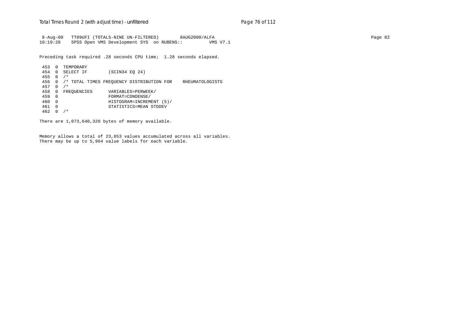8-Aug-00 TT09UFI (TOTALS-NINE UN-FILTERED) 8AUG2000/ALFA Page 82 10:19:28 SPSS Open VMS Development SYS on RUBENS:: VMS V7.1

Preceding task required .28 seconds CPU time; 1.28 seconds elapsed.

 453 0 TEMPORARY 454 0 SELECT IF (SCIN34 EQ 24) 455 0 /\* 456 0 /\* TOTAL TIMES FREQUENCY DISTRIBUTION FOR RHEUMATOLOGISTS 457 0 /\* 458 0 FREQUENCIES VARIABLES=PERWEEK/<br>459 0 FORMAT=CONDENSE/ 459 0 FORMAT=CONDENSE/ 460 0 HISTOGRAM=INCREMENT (5)/ 461 0 STATISTICS=MEAN STDDEV 462 0 /\*

There are 1,073,640,320 bytes of memory available.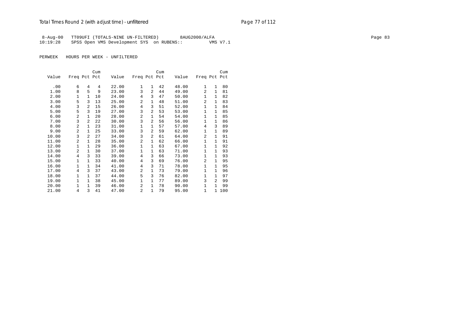8-Aug-00 TT09UFI (TOTALS-NINE UN-FILTERED) 8AUG2000/ALFA Page 83 10:19:28 SPSS Open VMS Development SYS on RUBENS:: VMS V7.1

|       |                |                | Cum |       |                |                | Cum |       |                |                | Cum   |
|-------|----------------|----------------|-----|-------|----------------|----------------|-----|-------|----------------|----------------|-------|
| Value | Freq Pct Pct   |                |     | Value | Freq Pct Pct   |                |     | Value | Freq Pct Pct   |                |       |
|       |                |                |     |       |                |                |     |       |                |                |       |
| .00   | 6              | 4              | 4   | 22.00 | $\mathbf{1}$   | $\mathbf{1}$   | 42  | 48.00 | 1              | $\mathbf{1}$   | 80    |
| 1.00  | 8              | 5              | 9   | 23.00 | 3              | $\overline{2}$ | 44  | 49.00 | $\overline{2}$ | $\mathbf{1}$   | 81    |
| 2.00  | 1              | $\mathbf{1}$   | 10  | 24.00 | 4              | 3              | 47  | 50.00 | $\mathbf{1}$   | $\mathbf{1}$   | 82    |
| 3.00  | 5              | 3              | 13  | 25.00 | $\overline{a}$ | $\mathbf{1}$   | 48  | 51.00 | $\overline{2}$ | 1              | 83    |
| 4.00  | 3              | $\overline{a}$ | 15  | 26.00 | $\overline{4}$ | 3              | 51  | 52.00 | $\mathbf{1}$   | $\mathbf{1}$   | 84    |
| 5.00  | 5              | 3              | 19  | 27.00 | 3              | 2              | 53  | 53.00 | $\mathbf{1}$   | $\mathbf{1}$   | 85    |
| 6.00  | 2              | $\mathbf{1}$   | 20  | 28.00 | 2              | $\mathbf{1}$   | 54  | 54.00 | $\mathbf{1}$   | $\mathbf 1$    | 85    |
| 7.00  | 3              | $\overline{a}$ | 22  | 30.00 | 3              | $\overline{2}$ | 56  | 56.00 | $\mathbf{1}$   | $\mathbf{1}$   | 86    |
| 8.00  | 2              | $\mathbf{1}$   | 23  | 31.00 | $\mathbf{1}$   | $\mathbf{1}$   | 57  | 57.00 | $\overline{4}$ | 3              | 89    |
| 9.00  | $\overline{a}$ | $\mathbf{1}$   | 25  | 33.00 | 3              | $\overline{a}$ | 59  | 62.00 | $\mathbf{1}$   | $\mathbf 1$    | 89    |
| 10.00 | 3              | 2              | 27  | 34.00 | 3              | 2              | 61  | 64.00 | 2              | $\mathbf 1$    | 91    |
| 11.00 | 2              | $\mathbf{1}$   | 28  | 35.00 | 2              | $\mathbf{1}$   | 62  | 66.00 | $\mathbf{1}$   | 1              | 91    |
| 12.00 | 1              | $\mathbf{1}$   | 29  | 36.00 | $\mathbf{1}$   | $\mathbf{1}$   | 63  | 67.00 | $\mathbf{1}$   | $\mathbf 1$    | 92    |
| 13.00 | 2              | $\mathbf{1}$   | 30  | 37.00 | $\mathbf 1$    | $\mathbf{1}$   | 63  | 71.00 | $\mathbf{1}$   | 1              | 93    |
| 14.00 | 4              | 3              | 33  | 39.00 | 4              | 3              | 66  | 73.00 | $\mathbf{1}$   | $\mathbf{1}$   | 93    |
| 15.00 | 1              | $\mathbf{1}$   | 33  | 40.00 | 4              | 3              | 69  | 76.00 | $\overline{2}$ | 1              | 95    |
| 16.00 | 1              | $\mathbf{1}$   | 34  | 41.00 | 4              | 3              | 71  | 78.00 | $\mathbf{1}$   | $\mathbf{1}$   | 95    |
| 17.00 | $\overline{4}$ | 3              | 37  | 43.00 | 2              | $\mathbf{1}$   | 73  | 79.00 | $\mathbf{1}$   | 1              | 96    |
| 18.00 | 1              | $\mathbf{1}$   | 37  | 44.00 | 5              | 3              | 76  | 82.00 | $\mathbf{1}$   | 1              | 97    |
| 19.00 | 1              | $\mathbf{1}$   | 38  | 45.00 | $\mathbf 1$    | $\mathbf{1}$   | 77  | 89.00 | 3              | $\overline{a}$ | 99    |
| 20.00 | $\mathbf{1}$   | $\mathbf{1}$   | 39  | 46.00 | $\overline{a}$ | $\mathbf{1}$   | 78  | 90.00 | $\mathbf{1}$   | 1              | 99    |
| 21.00 | 4              | 3              | 41  | 47.00 | $\overline{a}$ | $\mathbf{1}$   | 79  | 95.00 | $\mathbf{1}$   |                | 1 100 |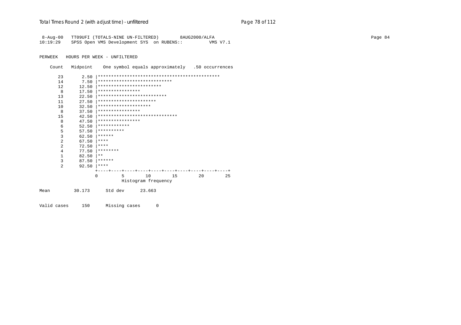| $8 - Aug - 00$ |              | TT09UFI (TOTALS-NINE UN-FILTERED)<br>8AUG2000/ALFA    | Page 84 |
|----------------|--------------|-------------------------------------------------------|---------|
| 10:19:29       |              | SPSS Open VMS Development SYS on RUBENS::<br>VMS V7.1 |         |
| PERWEEK        |              | HOURS PER WEEK - UNFILTERED                           |         |
|                |              |                                                       |         |
| Count          | Midpoint     | One symbol equals approximately .50 occurrences       |         |
| 23             | 2.50         |                                                       |         |
| 14             | 7.50         | ****************************                          |         |
| 12             | 12.50        | ************************                              |         |
| 8              | 17.50        | ****************                                      |         |
| 13             | 22.50        | **************************                            |         |
| 11             | 27.50        | **********************                                |         |
| 10             | 32.50        | ********************                                  |         |
| 8              | 37.50        | ****************                                      |         |
| 15             | 42.50        | *******************************                       |         |
| 8              | 47.50        | ****************                                      |         |
| 6              | 52.50        | ************                                          |         |
| 5              | 57.50        | **********                                            |         |
| 3              | 62.50        | $* * * * * * *$                                       |         |
| $\overline{2}$ | 67.50        | $***$ * * *                                           |         |
| $\overline{2}$ | 72.50        | $***$ * * *                                           |         |
| $\overline{4}$ | 77.50        | $*********$                                           |         |
| 1              | 82.50        | $***$                                                 |         |
| 3              | 87.50        | $* * * * * * *$                                       |         |
| 2              | $92.50$ **** |                                                       |         |
|                |              | 10<br>15<br>20<br>25<br>0<br>5                        |         |
|                |              | Histogram frequency                                   |         |
| Mean           | 30.173       | Std dev<br>23.663                                     |         |
| Valid cases    | 150          | Missing cases<br>0                                    |         |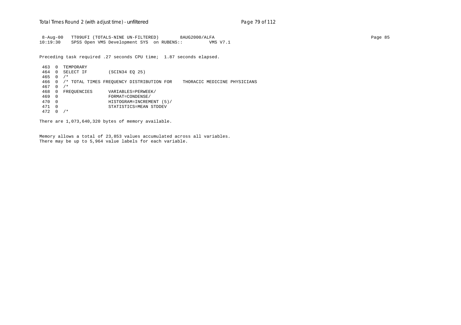8-Aug-00 TT09UFI (TOTALS-NINE UN-FILTERED) 8AUG2000/ALFA Page 85 10:19:30 SPSS Open VMS Development SYS on RUBENS:: VMS V7.1

Preceding task required .27 seconds CPU time; 1.87 seconds elapsed.

 463 0 TEMPORARY 464 0 SELECT IF (SCIN34 EQ 25) 465 0 /\* 466 0 /\* TOTAL TIMES FREQUENCY DISTRIBUTION FOR THORACIC MEDICINE PHYSICIANS 467 0 /\* 468 0 FREQUENCIES VARIABLES=PERWEEK/<br>469 0 FORMAT=CONDENSE/ 469 0 FORMAT=CONDENSE/ 470 0 HISTOGRAM=INCREMENT (5)/ 471 0 STATISTICS=MEAN STDDEV 472 0 /\*

There are 1,073,640,320 bytes of memory available.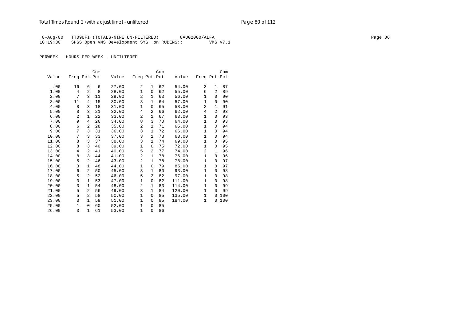## Total Times Round 2 (with adjust time) - *unfiltered* example 20 page 80 of 112

8-Aug-00 TT09UFI (TOTALS-NINE UN-FILTERED) 8AUG2000/ALFA Page 86 Page 86 10:19:30 SPSS Open VMS Development SYS on RUBENS:: VMS V7.1

|       |              |                | Cum |       |                |                | Cum |        |              |                | Cum |
|-------|--------------|----------------|-----|-------|----------------|----------------|-----|--------|--------------|----------------|-----|
| Value | Freq Pct Pct |                |     | Value | Freq Pct Pct   |                |     | Value  | Freq Pct Pct |                |     |
|       |              |                |     |       |                |                |     |        |              |                |     |
| .00   | 16           | 6              | 6   | 27.00 | 2              | 1              | 62  | 54.00  | 3            | $\mathbf{1}$   | 87  |
| 1.00  | 4            | 2              | 8   | 28.00 | 1              | $\Omega$       | 62  | 55.00  | 6            | 2              | 89  |
| 2.00  | 7            | 3              | 11  | 29.00 | $\overline{a}$ | 1              | 63  | 56.00  | $\mathbf{1}$ | $\Omega$       | 90  |
| 3.00  | 11           | 4              | 15  | 30.00 | 3              | $\mathbf{1}$   | 64  | 57.00  | $\mathbf{1}$ | $\Omega$       | 90  |
| 4.00  | 8            | 3              | 18  | 31.00 | 1              | 0              | 65  | 58.00  | 2            | 1              | 91  |
| 5.00  | 8            | 3              | 21  | 32.00 | 4              | $\overline{2}$ | 66  | 62.00  | 4            | $\overline{a}$ | 93  |
| 6.00  | 2            | 1              | 22  | 33.00 | $\overline{a}$ | $\mathbf{1}$   | 67  | 63.00  | $\mathbf{1}$ | $\Omega$       | 93  |
| 7.00  | 9            | 4              | 26  | 34.00 | 8              | 3              | 70  | 64.00  | $\mathbf{1}$ | $\Omega$       | 93  |
| 8.00  | 6            | 2              | 28  | 35.00 | 2              | 1              | 71  | 65.00  | $\mathbf{1}$ | $\Omega$       | 94  |
| 9.00  | 7            | 3              | 31  | 36.00 | 3              | $\mathbf{1}$   | 72  | 66.00  | $\mathbf{1}$ | $\Omega$       | 94  |
| 10.00 | 7            | 3              | 33  | 37.00 | 3              | $\mathbf{1}$   | 73  | 68.00  | $\mathbf{1}$ | $\Omega$       | 94  |
| 11.00 | 8            | 3              | 37  | 38.00 | 3              | $\mathbf{1}$   | 74  | 69.00  | $\mathbf{1}$ | $\Omega$       | 95  |
| 12.00 | 8            | 3              | 40  | 39.00 | $\mathbf{1}$   | $\Omega$       | 75  | 72.00  | $\mathbf{1}$ | $\Omega$       | 95  |
| 13.00 | 4            | 2              | 41  | 40.00 | 5              | 2              | 77  | 74.00  | 2            | 1              | 96  |
| 14.00 | 8            | 3              | 44  | 41.00 | $\overline{2}$ | $\mathbf{1}$   | 78  | 76.00  | $\mathbf{1}$ | $\Omega$       | 96  |
| 15.00 | 5            | 2              | 46  | 43.00 | $\overline{a}$ | $\mathbf{1}$   | 78  | 78.00  | $\mathbf{1}$ | $\Omega$       | 97  |
| 16.00 | 3            | $\mathbf{1}$   | 48  | 44.00 | $\mathbf 1$    | $\Omega$       | 79  | 85.00  | $\mathbf{1}$ | $\Omega$       | 97  |
| 17.00 | 6            | 2              | 50  | 45.00 | 3              | 1              | 80  | 93.00  | $\mathbf{1}$ | 0              | 98  |
| 18.00 | 5            | 2              | 52  | 46.00 | 5              | 2              | 82  | 97.00  | 1            | $\Omega$       | 98  |
| 19.00 | 3            | 1              | 53  | 47.00 | $\mathbf 1$    | 0              | 82  | 111.00 | $\mathbf{1}$ | $\Omega$       | 98  |
| 20.00 | 3            | 1              | 54  | 48.00 | $\overline{2}$ | 1              | 83  | 114.00 | $\mathbf{1}$ | $\Omega$       | 99  |
| 21.00 | 5            | $\overline{a}$ | 56  | 49.00 | 3              | 1              | 84  | 120.00 | $\mathbf{1}$ | $\Omega$       | 99  |
| 22.00 | 5            | 2              | 58  | 50.00 | $\mathbf 1$    | 0              | 85  | 135.00 | $\mathbf{1}$ | 0              | 100 |
| 23.00 | 3            | $\mathbf{1}$   | 59  | 51.00 | $\mathbf{1}$   | 0              | 85  | 184.00 | $\mathbf{1}$ | 0              | 100 |
| 25.00 | $\mathbf{1}$ | $\mathbf 0$    | 60  | 52.00 | $\mathbf 1$    | $\Omega$       | 85  |        |              |                |     |
| 26.00 | 3            | $\mathbf{1}$   | 61  | 53.00 | 1              | 0              | 86  |        |              |                |     |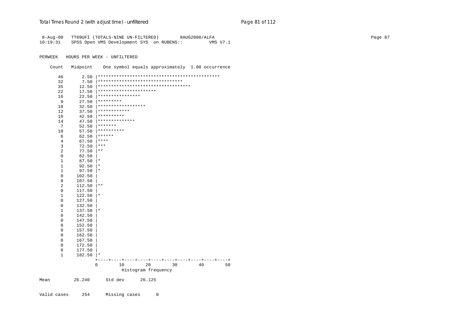| 8-Aug-00<br>10:19:31 |                       | TT09UFI (TOTALS-NINE UN-FILTERED)<br>8AUG2000/ALFA<br>SPSS Open VMS Development SYS on RUBENS::<br>VMS V7.1 | Page 87 |
|----------------------|-----------------------|-------------------------------------------------------------------------------------------------------------|---------|
| PERWEEK              |                       | HOURS PER WEEK - UNFILTERED                                                                                 |         |
| Count                | Midpoint              | One symbol equals approximately 1.00 occurrence                                                             |         |
| 46                   |                       |                                                                                                             |         |
| 32                   | 7.50                  | ********************************                                                                            |         |
| 35                   | 12.50                 | ***********************************                                                                         |         |
| 22                   | 17.50                 | **********************                                                                                      |         |
| 16                   | 22.50                 | ****************                                                                                            |         |
| 9                    | 27.50                 | *********                                                                                                   |         |
| 18                   | 32.50                 | ******************                                                                                          |         |
| 12                   | 37.50                 | ************                                                                                                |         |
| 10                   | 42.50                 | **********                                                                                                  |         |
| 14                   | 47.50                 | **************                                                                                              |         |
| $7\phantom{.0}$      | 52.50                 | *******                                                                                                     |         |
| 10                   | 57.50                 | $************$                                                                                              |         |
| 6                    |                       | 62.50   ******                                                                                              |         |
| $\overline{4}$       | 67.50                 | $***$                                                                                                       |         |
| $\mathsf 3$          | $72.50$ ***           |                                                                                                             |         |
| $\sqrt{2}$           | $77.50$   **          |                                                                                                             |         |
| $\mathsf 0$          | 82.50                 |                                                                                                             |         |
| $\mathbf{1}$         | $87.50$  *            |                                                                                                             |         |
| $\,1\,$              | 92.50                 | $\star$                                                                                                     |         |
| $\mathbf{1}$         | $97.50$  *            |                                                                                                             |         |
| $\mathbb O$          | 102.50                |                                                                                                             |         |
| $\mathsf 0$          | 107.50                |                                                                                                             |         |
| 2                    | $112.50$  **          |                                                                                                             |         |
| $\mathbf 0$          | 117.50                |                                                                                                             |         |
| $\mathbf{1}$         | $122.50$  *           |                                                                                                             |         |
| $\mathbf 0$          | 127.50                |                                                                                                             |         |
| $\mathbf 0$          | 132.50                |                                                                                                             |         |
| $1\,$<br>$\mathbb O$ | $137.50$  *<br>142.50 |                                                                                                             |         |
| $\mathbf 0$          | 147.50                |                                                                                                             |         |
| $\mathbf 0$          | 152.50                |                                                                                                             |         |
| $\mathbf 0$          | 157.50                |                                                                                                             |         |
| $\mathbb O$          | 162.50                |                                                                                                             |         |
| $\mathsf 0$          | 167.50                |                                                                                                             |         |
| $\mathsf 0$          | 172.50                |                                                                                                             |         |
| $\mathbb O$          | 177.50                |                                                                                                             |         |
| $\mathbf{1}$         | $182.50$  *           |                                                                                                             |         |
|                      |                       | --+----+----+----+----+----+----+----+<br>$+ -$<br>----+----+<br>0<br>20<br>30<br>40<br>50<br>10            |         |
|                      |                       | Histogram frequency                                                                                         |         |
| Mean                 | 26.240                | Std dev<br>26.125                                                                                           |         |

Valid cases 254 Missing cases 0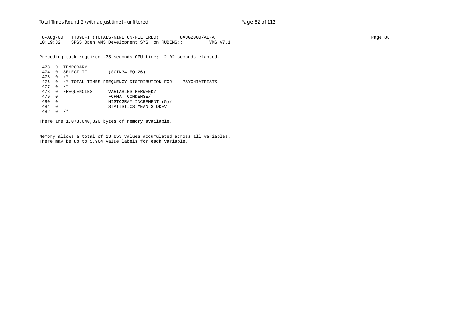8-Aug-00 TT09UFI (TOTALS-NINE UN-FILTERED) 8AUG2000/ALFA Page 88 10:19:32 SPSS Open VMS Development SYS on RUBENS:: VMS V7.1

Preceding task required .35 seconds CPU time; 2.02 seconds elapsed.

 473 0 TEMPORARY 474 0 SELECT IF (SCIN34 EQ 26) 475 0 /\* 476 0 /\* TOTAL TIMES FREQUENCY DISTRIBUTION FOR PSYCHIATRISTS 477 0 /\* 478 0 FREQUENCIES VARIABLES=PERWEEK/<br>479 0 FORMAT=CONDENSE/ 479 0 FORMAT=CONDENSE/ 480 0 HISTOGRAM=INCREMENT (5)/ 481 0 STATISTICS=MEAN STDDEV 482 0 /\*

There are 1,073,640,320 bytes of memory available.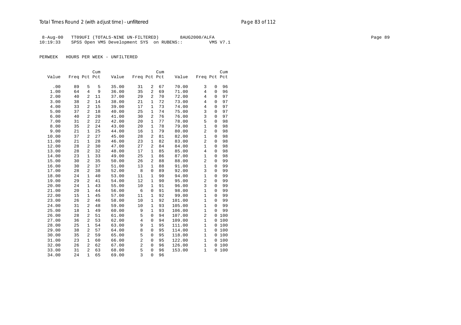8-Aug-00 TT09UFI (TOTALS-NINE UN-FILTERED) 8AUG2000/ALFA Page 89 Page 89 Page 89 10:19:33 SPSS Open VMS Development SYS on RUBENS:: VMS V7.1

|       |              |                | Cum |       |                |                | Cum |        |                |              | Cum |
|-------|--------------|----------------|-----|-------|----------------|----------------|-----|--------|----------------|--------------|-----|
| Value | Freq Pct Pct |                |     | Value | Freq Pct Pct   |                |     | Value  | Freq Pct Pct   |              |     |
|       |              |                |     |       |                |                |     |        |                |              |     |
| .00   | 89           | 5              | 5   | 35.00 | 31             | 2              | 67  | 70.00  | 3              | $\mathbf{0}$ | 96  |
| 1.00  | 64           | 4              | 9   | 36.00 | 35             | $\overline{a}$ | 69  | 71.00  | $\overline{4}$ | $\mathbf 0$  | 96  |
| 2.00  | 40           | 2              | 11  | 37.00 | 29             | $\overline{a}$ | 70  | 72.00  | $\overline{4}$ | $\Omega$     | 97  |
| 3.00  | 38           | $\overline{2}$ | 14  | 38.00 | 21             | 1              | 72  | 73.00  | $\overline{4}$ | $\Omega$     | 97  |
| 4.00  | 33           | $\overline{a}$ | 15  | 39.00 | 17             | 1              | 73  | 74.00  | $\overline{4}$ | $\mathbf 0$  | 97  |
| 5.00  | 37           | 2              | 18  | 40.00 | 25             | 1              | 74  | 75.00  | 3              | $\mathbf{0}$ | 97  |
| 6.00  | 40           | 2              | 20  | 41.00 | 30             | $\overline{a}$ | 76  | 76.00  | 3              | $\Omega$     | 97  |
| 7.00  | 31           | $\overline{a}$ | 22  | 42.00 | 20             | $\mathbf{1}$   | 77  | 78.00  | 5              | $\mathbf{0}$ | 98  |
| 8.00  | 35           | 2              | 24  | 43.00 | 20             | $\mathbf{1}$   | 78  | 79.00  | $\mathbf{1}$   | $\Omega$     | 98  |
| 9.00  | 21           | $\mathbf{1}$   | 25  | 44.00 | 16             | $\mathbf{1}$   | 79  | 80.00  | $\overline{2}$ | $\mathbf{0}$ | 98  |
| 10.00 | 37           | $\overline{2}$ | 27  | 45.00 | 28             | $\overline{c}$ | 81  | 82.00  | $\mathbf{1}$   | $\mathbf 0$  | 98  |
| 11.00 | 21           | $\mathbf{1}$   | 28  | 46.00 | 23             | $\mathbf{1}$   | 82  | 83.00  | $\overline{2}$ | $\mathbf{0}$ | 98  |
| 12.00 | 28           | 2              | 30  | 47.00 | 27             | 2              | 84  | 84.00  | 1              | $\mathbf{0}$ | 98  |
| 13.00 | 28           | 2              | 32  | 48.00 | 17             | 1              | 85  | 85.00  | $\,4$          | $\mathsf 0$  | 98  |
| 14.00 | 23           | $\mathbf{1}$   | 33  | 49.00 | 25             | 1              | 86  | 87.00  | $\mathbf{1}$   | $\mathbf{0}$ | 98  |
| 15.00 | 30           | 2              | 35  | 50.00 | 26             | $\overline{a}$ | 88  | 88.00  | $\sqrt{2}$     | $\Omega$     | 99  |
| 16.00 | 30           | $\overline{2}$ | 37  | 51.00 | 13             | 1              | 88  | 91.00  | $\mathbf{1}$   | $\mathbf{0}$ | 99  |
| 17.00 | 28           | $\overline{a}$ | 38  | 52.00 | 8              | $\mathbf 0$    | 89  | 92.00  | 3              | $\mathbf{0}$ | 99  |
| 18.00 | 24           | $\mathbf{1}$   | 40  | 53.00 | 11             | 1              | 90  | 94.00  | $\mathbf{1}$   | $\mathbf{0}$ | 99  |
| 19.00 | 29           | $\overline{2}$ | 41  | 54.00 | 12             | $\mathbf{1}$   | 90  | 95.00  | $\overline{2}$ | $\mathbf 0$  | 99  |
| 20.00 | 24           | $\mathbf{1}$   | 43  | 55.00 | 10             | $\mathbf{1}$   | 91  | 96.00  | 3              | $\mathbf{0}$ | 99  |
| 21.00 | 20           | 1              | 44  | 56.00 | 6              | 0              | 91  | 98.00  | $\mathbf{1}$   | $\mathbf{0}$ | 99  |
| 22.00 | 15           | $\mathbf{1}$   | 45  | 57.00 | 11             | 1              | 92  | 99.00  | $\mathbf{1}$   | $\mathbf 0$  | 99  |
| 23.00 | 26           | $\overline{a}$ | 46  | 58.00 | 10             | $\mathbf{1}$   | 92  | 101.00 | $\mathbf{1}$   | $\mathbf 0$  | 99  |
| 24.00 | 31           | $\overline{a}$ | 48  | 59.00 | 10             | 1              | 93  | 105.00 | $\mathbf{1}$   | $\mathbf 0$  | 99  |
| 25.00 | 18           | $\mathbf{1}$   | 49  | 60.00 | 9              | $\mathbf{1}$   | 93  | 106.00 | $\mathbf{1}$   | $\mathbf{0}$ | 99  |
| 26.00 | 28           | $\overline{a}$ | 51  | 61.00 | 5              | $\mathbf 0$    | 94  | 107.00 | $\overline{2}$ | $\mathbf 0$  | 100 |
| 27.00 | 36           | 2              | 53  | 62.00 | $\overline{4}$ | $\mathbf 0$    | 94  | 109.00 | $\mathbf{1}$   | $\mathbf 0$  | 100 |
| 28.00 | 25           | $\mathbf{1}$   | 54  | 63.00 | 9              | $\mathbf{1}$   | 95  | 111.00 | $\mathbf{1}$   | $\mathbf 0$  | 100 |
| 29.00 | 38           | $\overline{a}$ | 57  | 64.00 | 8              | $\mathbf 0$    | 95  | 114.00 | $\mathbf{1}$   | $\mathbf 0$  | 100 |
| 30.00 | 35           | 2              | 59  | 65.00 | 5              | $\mathbf 0$    | 95  | 118.00 | $\mathbf{1}$   | $\mathbf 0$  | 100 |
| 31.00 | 23           | $\mathbf{1}$   | 60  | 66.00 | $\overline{c}$ | $\mathbf 0$    | 95  | 122.00 | $\mathbf{1}$   | $\mathbf 0$  | 100 |
| 32.00 | 26           | $\overline{a}$ | 62  | 67.00 | $\overline{2}$ | $\mathbf 0$    | 96  | 126.00 | $\mathbf{1}$   | $\mathbf{0}$ | 100 |
| 33.00 | 31           | $\overline{a}$ | 63  | 68.00 | 5              | $\mathbf 0$    | 96  | 153.00 | $\mathbf{1}$   | 0            | 100 |
| 34.00 | 24           | $\mathbf{1}$   | 65  | 69.00 | 3              | $\Omega$       | 96  |        |                |              |     |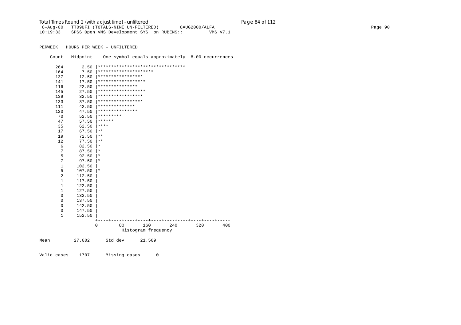Total Times Round 2 (with adjust time) - *unfiltered* Page 84 of 112

 8-Aug-00 TT09UFI (TOTALS-NINE UN-FILTERED) 8AUG2000/ALFA Page 90 10:19:33 SPSS Open VMS Development SYS on RUBENS:: VMS V7.1

PERWEEK HOURS PER WEEK - UNFILTERED

Count Midpoint One symbol equals approximately 8.00 occurrences

|      | 264          | 2.50   |                                   |         |                       |     |     |     |
|------|--------------|--------|-----------------------------------|---------|-----------------------|-----|-----|-----|
|      | 164          | 7.50   |                                   |         | ********************* |     |     |     |
|      | 137          | 12.50  | *****************                 |         |                       |     |     |     |
|      | 141          | 17.50  | * * * * * * * * * * * * * * * * * |         |                       |     |     |     |
|      | 116          | 22.50  | ***************                   |         |                       |     |     |     |
|      | 145          | 27.50  | ******************                |         |                       |     |     |     |
|      | 139          | 32.50  | *****************                 |         |                       |     |     |     |
|      | 133          | 37.50  | *****************                 |         |                       |     |     |     |
|      | 111          | 42.50  | **************                    |         |                       |     |     |     |
|      | 120          | 47.50  | ***************                   |         |                       |     |     |     |
|      | 70           | 52.50  | *********                         |         |                       |     |     |     |
|      | 47           | 57.50  | ******                            |         |                       |     |     |     |
|      | 35           | 62.50  | $***$ * * *                       |         |                       |     |     |     |
|      | 17           | 67.50  | $***$                             |         |                       |     |     |     |
|      | 19           | 72.50  | $* *$                             |         |                       |     |     |     |
|      | 12           | 77.50  | $\star\star$                      |         |                       |     |     |     |
|      | 6            | 82.50  | $^\star$                          |         |                       |     |     |     |
|      | 7            | 87.50  | $^\star$                          |         |                       |     |     |     |
|      | 5            | 92.50  | $\star$                           |         |                       |     |     |     |
|      | 7            | 97.50  | $^\star$                          |         |                       |     |     |     |
|      | $\mathbf{1}$ | 102.50 |                                   |         |                       |     |     |     |
|      | 5            | 107.50 | $\star$                           |         |                       |     |     |     |
|      | 2            | 112.50 |                                   |         |                       |     |     |     |
|      | $\mathbf{1}$ | 117.50 |                                   |         |                       |     |     |     |
|      | $\mathbf{1}$ | 122.50 |                                   |         |                       |     |     |     |
|      | $\mathbf 1$  | 127.50 |                                   |         |                       |     |     |     |
|      | $\mathsf 0$  | 132.50 |                                   |         |                       |     |     |     |
|      | $\mathbf 0$  | 137.50 |                                   |         |                       |     |     |     |
|      | $\mathbf 0$  | 142.50 |                                   |         |                       |     |     |     |
|      | $\mathbf 0$  | 147.50 |                                   |         |                       |     |     |     |
|      | $\mathbf{1}$ | 152.50 |                                   |         |                       |     |     |     |
|      |              |        |                                   |         |                       |     |     |     |
|      |              |        | $\mathbf 0$                       | 80      | 160                   | 240 | 320 | 400 |
|      |              |        |                                   |         | Histogram frequency   |     |     |     |
| Mean |              | 27.602 |                                   | Std dev | 21.569                |     |     |     |
|      |              |        |                                   |         |                       |     |     |     |

Valid cases 1707 Missing cases 0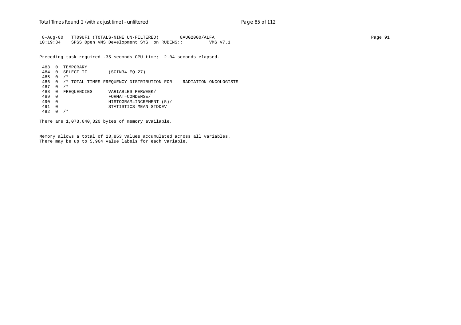8-Aug-00 TT09UFI (TOTALS-NINE UN-FILTERED) 8AUG2000/ALFA Page 91 10:19:34 SPSS Open VMS Development SYS on RUBENS:: VMS V7.1

Preceding task required .35 seconds CPU time; 2.04 seconds elapsed.

 483 0 TEMPORARY 484 0 SELECT IF (SCIN34 EQ 27) 485 0 /\* 486 0 /\* TOTAL TIMES FREQUENCY DISTRIBUTION FOR RADIATION ONCOLOGISTS 487 0 /\* 488 0 FREQUENCIES VARIABLES=PERWEEK/<br>489 0 FORMAT=CONDENSE/ 489 0 FORMAT=CONDENSE/ 490 0 HISTOGRAM=INCREMENT (5)/ 491 0 STATISTICS=MEAN STDDEV 492 0 /\*

There are 1,073,640,320 bytes of memory available.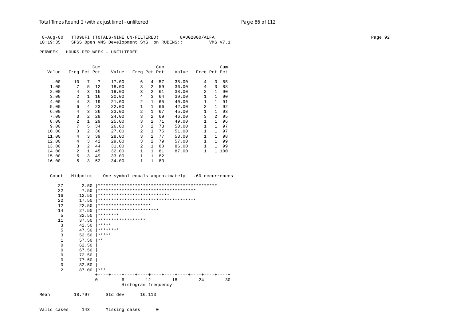#### Total Times Round 2 (with adjust time) - *unfiltered* Page 86 of 112

|          | 8-Aug-00 TT09UFI (TOTALS-NINE UN-FILTERED) | 8AUG2000/ALFA | Page 92 |
|----------|--------------------------------------------|---------------|---------|
| 10:19:35 | SPSS Open VMS Development SYS on RUBENS::  | VMS V7.1      |         |

PERWEEK HOURS PER WEEK - UNFILTERED

|       |                |                | Cum |       |              |                | Cum |       |                |              | Cum |
|-------|----------------|----------------|-----|-------|--------------|----------------|-----|-------|----------------|--------------|-----|
| Value | Freq Pct Pct   |                |     | Value | Freq Pct Pct |                |     | Value | Freq Pct Pct   |              |     |
| .00   | 10             | 7              | 7   | 17.00 | 6            | 4              | 57  | 35.00 | 4              | 3            | 85  |
| 1.00  | 7              | 5.             | 12  | 18.00 | 3            | 2              | 59  | 36.00 | 4              | 3            | 88  |
| 2.00  | 4              | 3              | 15  | 19.00 | 3            | 2              | 61  | 38.00 | 2              | $\mathbf{1}$ | 90  |
| 3.00  | 2              | 1              | 16  | 20.00 | 4            | 3              | 64  | 39.00 | 1              | 1            | 90  |
| 4.00  | 4              | 3              | 19  | 21.00 | 2            | 1              | 65  | 40.00 | 1              | $\mathbf{1}$ | 91  |
| 5.00  | 6              | 4              | 23  | 22.00 | $\mathbf{1}$ | $\mathbf{1}$   | 66  | 42.00 | $\overline{a}$ | $\mathbf{1}$ | 92  |
| 6.00  | 4              | 3              | 26  | 23.00 | 2            | 1              | 67  | 45.00 | 1              | $\mathbf{1}$ | 93  |
| 7.00  | 3              | $\overline{a}$ | 28  | 24.00 | 3            | $\overline{a}$ | 69  | 46.00 | 3              | 2            | 95  |
| 8.00  | $\mathfrak{D}$ | $\mathbf{1}$   | 29  | 25.00 | 3            | $\mathfrak{D}$ | 71  | 49.00 | 1              | 1            | 96  |
| 9.00  | 7              | 5.             | 34  | 26.00 | 3            | $\overline{a}$ | 73  | 50.00 | $\mathbf{1}$   | 1            | 97  |
| 10.00 | 3              | 2              | 36  | 27.00 | 2            | 1              | 75  | 51.00 | $\mathbf{1}$   | 1            | 97  |
| 11.00 | 4              | 3              | 39  | 28.00 | 3            | $\overline{a}$ | 77  | 53.00 | $\mathbf{1}$   | 1            | 98  |
| 12.00 | 4              | 3              | 42  | 29.00 | 3            | $\overline{a}$ | 79  | 57.00 | $\mathbf{1}$   | 1            | 99  |
| 13.00 | 3              | $\overline{2}$ | 44  | 31.00 | 2            | 1              | 80  | 86.00 | 1              | $\mathbf{1}$ | 99  |
| 14.00 | 2              | $\mathbf{1}$   | 45  | 32.00 | 1            | 1              | 81  | 87.00 | 1              | $\mathbf{1}$ | 100 |
| 15.00 | 5              | 3              | 49  | 33.00 | 1            | 1              | 82  |       |                |              |     |
| 16.00 | 5              | 3              | 52  | 34.00 | $\mathbf 1$  | 1              | 83  |       |                |              |     |

 Count Midpoint One symbol equals approximately .60 occurrences 27 2.50 |\*\*\*\*\*\*\*\*\*\*\*\*\*\*\*\*\*\*\*\*\*\*\*\*\*\*\*\*\*\*\*\*\*\*\*\*\*\*\*\*\*\*\*\*\* 22 7.50 |\*\*\*\*\*\*\*\*\*\*\*\*\*\*\*\*\*\*\*\*\*\*\*\*\*\*\*\*\*\*\*\*\*\*\*\*\* 16 12.50 |\*\*\*\*\*\*\*\*\*\*\*\*\*\*\*\*\*\*\*\*\*\*\*\*\*\*\*\*\*<br>22 17.50 |\*\*\*\*\*\*\*\*\*\*\*\*\*\*\*\*\*\*\*\*\*\*\*\*\*\*\*\*\* 22 17.50 |\*\*\*\*\*\*\*\*\*\*\*\*\*\*\*\*\*\*\*\*\*\*\*\*\*\*\*\*\*\*\*\*\*\*\*\*\* 12 22.50 |\*\*\*\*\*\*\*\*\*\*\*\*\*\*\*\*\*\*\*\* 14 27.50 |\*\*\*\*\*\*\*\*\*\*\*\*\*\*\*\*\*\*\*\*\*\*\* 5  $32.50$   $********$  11 37.50 |\*\*\*\*\*\*\*\*\*\*\*\*\*\*\*\*\*\* 3  $42.50$   $****$ <br>5  $47.50$   $****$ 5 47.50  $********$ <br>3 52.50  $********$ 3  $52.50$   $****$ <br>1  $57.50$   $**$  $\begin{array}{ccc} 1 & 57.50 & \ast \ast \\ 0 & 62.50 & \end{array}$  0 62.50 | 0 67.50 |  $0$  72.50<br>0 77.50  $0$  77.50<br>0 82.50 0 82.50 | 2 87.00 |\*\*\*  $\begin{array}{cccccccc} + & - & - & + & - & - & + & - & - & + & - & - & + & - & - & + & - & - & + & - & - & + & - & - & + & - & - & + & - & - & + & - & - & + & - & - & + & - & - & + & - & - & + & - & - & + & - & - & + & - & - & + & - & - & + & - & - & + & - & - & - & + & - & - & - & + & - & - & - & + & - & - & - & + & - & - & - & - & + & - & - & - & + & - & - & - & - & + & - & - & - & - & - & - & - & - & - & - & - & - & - & - & - & - & - & - &$  0 6 12 18 24 30 Histogram frequency Mean 18.797 Std dev 16.113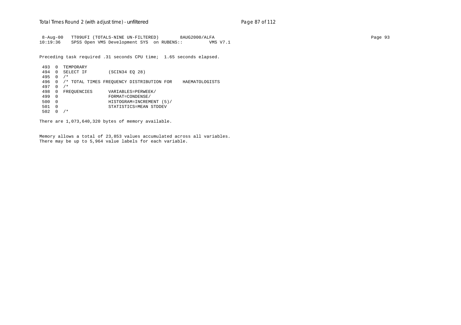8-Aug-00 TT09UFI (TOTALS-NINE UN-FILTERED) 8AUG2000/ALFA Page 93 10:19:36 SPSS Open VMS Development SYS on RUBENS:: VMS V7.1

Preceding task required .31 seconds CPU time; 1.65 seconds elapsed.

 493 0 TEMPORARY 494 0 SELECT IF (SCIN34 EQ 28) 495 0 /\* 496 0 /\* TOTAL TIMES FREQUENCY DISTRIBUTION FOR HAEMATOLOGISTS 497 0 /\* 498 0 FREQUENCIES VARIABLES=PERWEEK/<br>499 0 FORMAT=CONDENSE/ 499 0 FORMAT=CONDENSE/ 500 0 HISTOGRAM=INCREMENT (5)/ 501 0 STATISTICS=MEAN STDDEV 502 0 /\*

There are 1,073,640,320 bytes of memory available.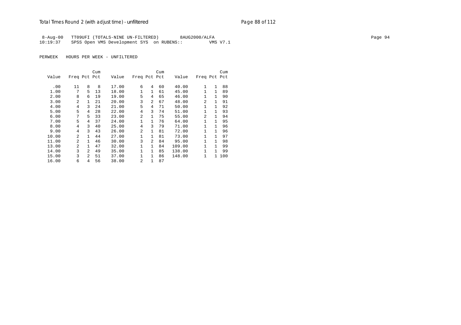8-Aug-00 TT09UFI (TOTALS-NINE UN-FILTERED) 8AUG2000/ALFA Page 94 10:19:37 SPSS Open VMS Development SYS on RUBENS:: VMS V7.1

|       |                |                | Cum |       |                |                | Cum |        |                |              | Cum |
|-------|----------------|----------------|-----|-------|----------------|----------------|-----|--------|----------------|--------------|-----|
| Value | Freq Pct Pct   |                |     | Value | Freq Pct Pct   |                |     | Value  | Freq Pct Pct   |              |     |
|       |                |                |     |       |                |                |     |        |                |              |     |
| .00   | 11             | 8              | 8   | 17.00 | 6              | 4              | 60  | 40.00  | $\mathbf{1}$   | 1            | 88  |
| 1.00  | 7              | 5.             | 13  | 18.00 | 1              | $\mathbf{1}$   | 61  | 45.00  | 1              | 1            | 89  |
| 2.00  | 8              | 6              | 19  | 19.00 | 5              | 4              | 65  | 46.00  | $\mathbf{1}$   | $\mathbf{1}$ | 90  |
| 3.00  | $\mathfrak{D}$ | $\mathbf{1}$   | 21  | 20.00 | 3              | $\mathfrak{D}$ | 67  | 48.00  | $\mathfrak{D}$ | 1            | 91  |
| 4.00  | $\overline{4}$ | ζ              | 24  | 21.00 | 5              | 4              | 71  | 50.00  | $\mathbf{1}$   | 1            | 92  |
| 5.00  | 5              | 4              | 28  | 22.00 | 4              | 3              | 74  | 51.00  | $\mathbf{1}$   | 1            | 93  |
| 6.00  | 7              | 5              | 33  | 23.00 | 2              | $\mathbf{1}$   | 75  | 55.00  | $\overline{a}$ | 1            | 94  |
| 7.00  | 5              | 4              | 37  | 24.00 | 1              | $\mathbf{1}$   | 76  | 64.00  | $\mathbf{1}$   | 1            | 95  |
| 8.00  | 4              | 3              | 40  | 25.00 | 4              | 3              | 79  | 71.00  | $\mathbf{1}$   | 1            | 96  |
| 9.00  | 4              | 3              | 43  | 26.00 | 2              | $\mathbf{1}$   | 81  | 72.00  | $\mathbf{1}$   | 1            | 96  |
| 10.00 | $\overline{a}$ | $\mathbf{1}$   | 44  | 27.00 | 1              | $\mathbf{1}$   | 81  | 73.00  | 1              | 1            | 97  |
| 11.00 | $\overline{2}$ | 1.             | 46  | 30.00 | 3              | $\overline{a}$ | 84  | 95.00  | $\mathbf{1}$   | 1            | 98  |
| 13.00 | $\overline{a}$ | 1.             | 47  | 32.00 | 1              | $\mathbf{1}$   | 84  | 109.00 | $\mathbf{1}$   | 1            | 99  |
| 14.00 | 3              | $\overline{2}$ | 49  | 35.00 | 1              | $\mathbf{1}$   | 85  | 138.00 | 1              | 1            | 99  |
| 15.00 | 3              | $\overline{a}$ | 51  | 37.00 | 1              | $\mathbf{1}$   | 86  | 148.00 | 1              | $\mathbf{1}$ | 100 |
| 16.00 | 6              | 4              | 56  | 38.00 | $\overline{a}$ | 1              | 87  |        |                |              |     |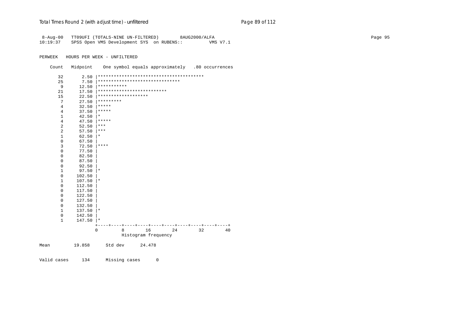| $8 - Aug - 00$<br>10:19:37 |              | TT09UFI (TOTALS-NINE UN-FILTERED)<br>8AUG2000/ALFA<br>SPSS Open VMS Development SYS on RUBENS::<br>VMS V7.1 | Page 95 |
|----------------------------|--------------|-------------------------------------------------------------------------------------------------------------|---------|
| PERWEEK                    |              | HOURS PER WEEK - UNFILTERED                                                                                 |         |
| Count                      | Midpoint     | One symbol equals approximately .80 occurrences                                                             |         |
| 32                         |              |                                                                                                             |         |
| 25                         |              |                                                                                                             |         |
| 9                          | 12.50        | ***********                                                                                                 |         |
| 21                         | 17.50        | **************************                                                                                  |         |
| 15                         | 22.50        | *******************                                                                                         |         |
| 7                          |              | $27.50$ *********                                                                                           |         |
| 4                          |              | $32.50$ *****                                                                                               |         |
| $\overline{4}$             |              | $37.50$ *****                                                                                               |         |
| $\,1\,$                    | 42.50        | $\star$                                                                                                     |         |
| $\overline{4}$             | 47.50        | $***$ * * *                                                                                                 |         |
| $\overline{2}$             | 52.50        | $\star\star\star$                                                                                           |         |
| $\sqrt{2}$                 | 57.50        | $\star\star\star$                                                                                           |         |
| $\mathbf{1}$               | 62.50        | $\star$                                                                                                     |         |
| $\mathbf 0$                | 67.50        |                                                                                                             |         |
| $\mathsf 3$                | $72.50$ **** |                                                                                                             |         |
| $\mathbf 0$                | 77.50        |                                                                                                             |         |
| $\mathbf 0$                | 82.50        |                                                                                                             |         |
| $\mathsf 0$                | 87.50        |                                                                                                             |         |
| $\mathsf 0$                | 92.50        |                                                                                                             |         |
| $\mathbf{1}$               | $97.50$  *   |                                                                                                             |         |
| $\mathbf 0$                | 102.50       |                                                                                                             |         |
| $\mathbf{1}$               | $107.50$  *  |                                                                                                             |         |
| $\mathbf 0$                | 112.50       |                                                                                                             |         |
| $\mathbf 0$                | 117.50       |                                                                                                             |         |
| $\mathsf 0$                | 122.50       |                                                                                                             |         |
| $\mathbf 0$                | 127.50       |                                                                                                             |         |
| $\mathbf 0$                | 132.50       |                                                                                                             |         |
| $\mathbf{1}$               | $137.50$  *  |                                                                                                             |         |
| $\mathsf 0$                | 142.50       |                                                                                                             |         |
| $\mathbf{1}$               | $147.50$  *  |                                                                                                             |         |
|                            |              | $+ - -$<br>16<br>24<br>32<br>40<br>0<br>8<br>Histogram frequency                                            |         |
| Mean                       | 19.858       | Std dev<br>24.478                                                                                           |         |
|                            |              |                                                                                                             |         |

Valid cases 134 Missing cases 0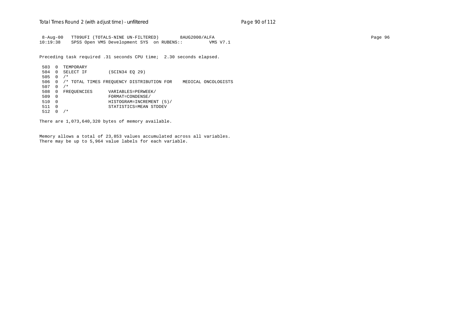8-Aug-00 TT09UFI (TOTALS-NINE UN-FILTERED) 8AUG2000/ALFA Page 96 10:19:38 SPSS Open VMS Development SYS on RUBENS:: VMS V7.1

Preceding task required .31 seconds CPU time; 2.30 seconds elapsed.

 503 0 TEMPORARY 504 0 SELECT IF (SCIN34 EQ 29) 505 0 /\* 506 0 /\* TOTAL TIMES FREQUENCY DISTRIBUTION FOR MEDICAL ONCOLOGISTS 507 0 /\* 508 0 FREQUENCIES VARIABLES=PERWEEK/<br>509 0 FORMAT=CONDENSE/ 509 0 FORMAT=CONDENSE/ 510 0 HISTOGRAM=INCREMENT (5)/ 511 0 STATISTICS=MEAN STDDEV 512 0 /\*

There are 1,073,640,320 bytes of memory available.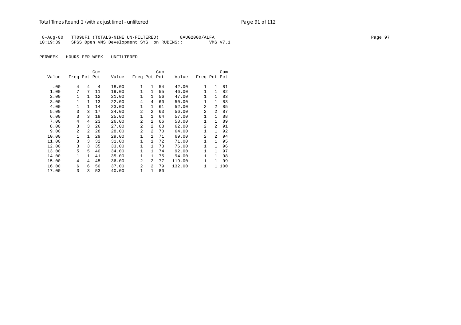8-Aug-00 TT09UFI (TOTALS-NINE UN-FILTERED) 8AUG2000/ALFA Page 97 10:19:39 SPSS Open VMS Development SYS on RUBENS::

|       |                |                | Cum |       |                |                | Cum |        |                |                | Cum |
|-------|----------------|----------------|-----|-------|----------------|----------------|-----|--------|----------------|----------------|-----|
| Value | Freq Pct Pct   |                |     | Value | Freq Pct Pct   |                |     | Value  | Freq Pct Pct   |                |     |
|       |                |                |     |       |                |                |     |        |                |                |     |
| .00   | 4              | 4              | 4   | 18.00 | 1              | $\mathbf{1}$   | 54  | 42.00  | 1              | 1              | 81  |
| 1.00  | 7              | 7              | 11  | 19.00 | 1              | $\mathbf{1}$   | 55  | 46.00  | 1              | 1              | 82  |
| 2.00  | 1              | $\mathbf{1}$   | 12  | 21.00 | $\mathbf{1}$   | $\mathbf{1}$   | 56  | 47.00  | $\mathbf{1}$   | $\mathbf{1}$   | 83  |
| 3.00  | $\mathbf{1}$   | 1              | 13  | 22.00 | 4              | 4              | 60  | 50.00  | $\mathbf{1}$   | $\mathbf{1}$   | 83  |
| 4.00  | 1              | $\mathbf{1}$   | 14  | 23.00 | $\mathbf{1}$   | $\mathbf{1}$   | 61  | 52.00  | $\overline{a}$ | $\mathfrak{D}$ | 85  |
| 5.00  | 3              | 3              | 17  | 24.00 | $\mathfrak{D}$ | $\overline{a}$ | 63  | 56.00  | 2              | 2              | 87  |
| 6.00  | 3              | 3              | 19  | 25.00 | $\mathbf{1}$   | $\mathbf{1}$   | 64  | 57.00  | $\mathbf{1}$   | $\mathbf{1}$   | 88  |
| 7.00  | 4              | 4              | 23  | 26.00 | $\mathfrak{D}$ | $\mathfrak{D}$ | 66  | 58.00  | 1              | $\mathbf{1}$   | 89  |
| 8.00  | 3              | 3              | 26  | 27.00 | 2              | 2              | 68  | 62.00  | $\mathfrak{D}$ | 2              | 91  |
| 9.00  | $\mathfrak{D}$ | $\overline{a}$ | 28  | 28.00 | $\mathfrak{D}$ | $\overline{2}$ | 70  | 64.00  | $\mathbf{1}$   | $\mathbf{1}$   | 92  |
| 10.00 | 1              | $\mathbf{1}$   | 29  | 29.00 | 1              | 1              | 71  | 69.00  | 2              | $\mathfrak{D}$ | 94  |
| 11.00 | 3              | 3              | 32  | 31.00 | $\mathbf{1}$   | 1              | 72  | 71.00  | $\mathbf{1}$   | $\mathbf{1}$   | 95  |
| 12.00 | 3              | 3              | 35  | 33.00 | $\mathbf{1}$   | 1              | 73  | 76.00  | 1              | $\mathbf{1}$   | 96  |
| 13.00 | 5              | 5              | 40  | 34.00 | $\mathbf{1}$   | $\mathbf{1}$   | 74  | 92.00  | $\mathbf{1}$   | $\mathbf{1}$   | 97  |
| 14.00 | 1              | $\mathbf{1}$   | 41  | 35.00 | 1              | $\mathbf{1}$   | 75  | 94.00  | $\mathbf{1}$   | $\mathbf{1}$   | 98  |
| 15.00 | 4              | 4              | 45  | 36.00 | $\overline{a}$ | $\overline{a}$ | 77  | 119.00 | 1              | $\mathbf{1}$   | 99  |
| 16.00 | 6              | 6              | 50  | 37.00 | $\overline{2}$ | $\overline{2}$ | 79  | 132.00 | 1              | $\mathbf{1}$   | 100 |
| 17.00 | 3              | 3              | 53  | 40.00 | 1              | 1              | 80  |        |                |                |     |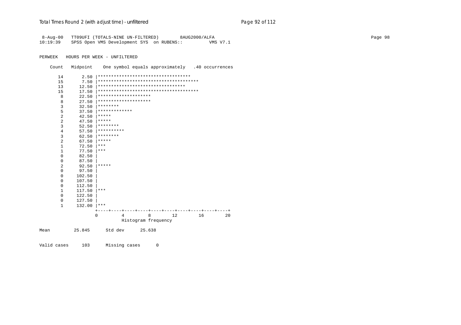| $8 - Aug - 00$ |               | TT09UFI (TOTALS-NINE UN-FILTERED)<br>8AUG2000/ALFA    | Page 98 |
|----------------|---------------|-------------------------------------------------------|---------|
| 10:19:39       |               | SPSS Open VMS Development SYS on RUBENS::<br>VMS V7.1 |         |
|                |               |                                                       |         |
|                |               |                                                       |         |
| PERWEEK        |               | HOURS PER WEEK - UNFILTERED                           |         |
| Count          | Midpoint      | One symbol equals approximately .40 occurrences       |         |
|                |               |                                                       |         |
| 14             | 2.50          | ***********************************                   |         |
| 15             | 7.50          |                                                       |         |
| 13             | 12.50         |                                                       |         |
| 15             | 17.50         |                                                       |         |
| 8              | 22.50         | ********************                                  |         |
| 8              | 27.50         | ********************                                  |         |
| 3              | 32.50         | ********                                              |         |
| 5              | 37.50         | *************                                         |         |
| $\overline{2}$ | 42.50         | *****                                                 |         |
| $\overline{c}$ | 47.50         | *****                                                 |         |
| 3              | 52.50         | $*******$                                             |         |
| $\sqrt{4}$     |               | $57.50$ **********                                    |         |
| 3              | 62.50         | $*******$                                             |         |
| $\sqrt{2}$     | 67.50         | $ *****$                                              |         |
| 1              | 72.50         | $***$                                                 |         |
| $\mathbf{1}$   | 77.50         | $ ***$                                                |         |
| $\mathsf 0$    | 82.50         |                                                       |         |
| 0              | 87.50         |                                                       |         |
| 2              | 92.50         | $***$ * * * *                                         |         |
| $\mathsf 0$    | 97.50         |                                                       |         |
| $\mathsf 0$    | 102.50        |                                                       |         |
| $\mathsf 0$    | 107.50        |                                                       |         |
| $\mathsf 0$    | 112.50        |                                                       |         |
| $\mathbf{1}$   | 117.50        | $ ***$                                                |         |
| 0              | 122.50        |                                                       |         |
| $\mathsf 0$    | 127.50        |                                                       |         |
| $\mathbf{1}$   | $132.00$  *** |                                                       |         |
|                |               |                                                       |         |
|                |               | $\mathbf 0$<br>8<br>12<br>16<br>20<br>4               |         |
|                |               | Histogram frequency                                   |         |
|                |               |                                                       |         |
| Mean           | 25.845        | Std dev<br>25.638                                     |         |
|                |               |                                                       |         |
| Valid cases    | 103           | Missing cases<br>0                                    |         |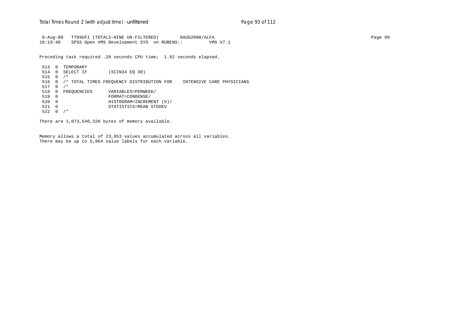8-Aug-00 TT09UFI (TOTALS-NINE UN-FILTERED) 8AUG2000/ALFA Page 99 10:19:40 SPSS Open VMS Development SYS on RUBENS:: VMS V7.1

Preceding task required .28 seconds CPU time; 1.92 seconds elapsed.

 513 0 TEMPORARY 514 0 SELECT IF (SCIN34 EQ 30) 515 0 /\* 516 0 /\* TOTAL TIMES FREQUENCY DISTRIBUTION FOR INTENSIVE CARE PHYSICIANS 517 0 /\* 518 0 FREQUENCIES VARIABLES=PERWEEK/<br>519 0 FORMAT=CONDENSE/ 519 0 FORMAT=CONDENSE/ 520 0 HISTOGRAM=INCREMENT (5)/ 521 0 STATISTICS=MEAN STDDEV  $522 \t0 / *$ 

There are 1,073,640,320 bytes of memory available.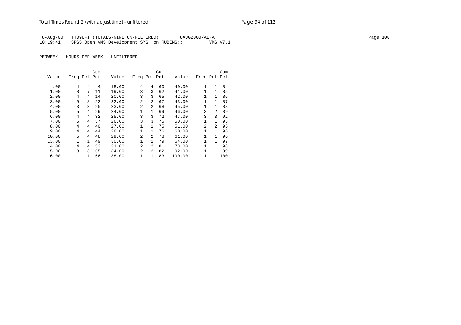8-Aug-00 TT09UFI (TOTALS-NINE UN-FILTERED) 8AUG2000/ALFA Page 100 10:19:41 SPSS Open VMS Development SYS on RUBENS:: VMS V7.1

|       |              |   | Cum |       |                |                | Cum |        |                |              | Cum |
|-------|--------------|---|-----|-------|----------------|----------------|-----|--------|----------------|--------------|-----|
| Value | Freq Pct Pct |   |     | Value | Freq Pct Pct   |                |     | Value  | Freq Pct Pct   |              |     |
|       |              |   |     |       |                |                |     |        |                |              |     |
| .00   | 4            | 4 | 4   | 18.00 | 4              | 4              | 60  | 40.00  | 1              | 1            | 84  |
| 1.00  | 8            | 7 | 11  | 19.00 | 3              | 3              | 62  | 41.00  | 1              | $\mathbf{1}$ | 85  |
| 2.00  | 4            | 4 | 14  | 20.00 | 3              | 3              | 65  | 42.00  | 1              | 1            | 86  |
| 3.00  | 9            | 8 | 22  | 22.00 | 2              | $\mathfrak{D}$ | 67  | 43.00  | 1              | 1            | 87  |
| 4.00  | 3            | 3 | 25  | 23.00 | $\mathfrak{D}$ | $\mathfrak{D}$ | 68  | 45.00  | 1              | $\mathbf{1}$ | 88  |
| 5.00  | 5            | 4 | 29  | 24.00 | 1              | 1              | 69  | 46.00  | 2              | 2            | 89  |
| 6.00  | 4            | 4 | 32  | 25.00 | 3              | 3              | 72  | 47.00  | 3              | ζ            | 92  |
| 7.00  | 5            | 4 | 37  | 26.00 | 3              | 3              | 75  | 50.00  | 1              | 1            | 93  |
| 8.00  | 4            | 4 | 40  | 27.00 | 1              | 1              | 75  | 51.00  | $\mathfrak{D}$ | 2            | 95  |
| 9.00  | 4            | 4 | 44  | 28.00 |                | $\mathbf{1}$   | 76  | 60.00  | 1              | $\mathbf{1}$ | 96  |
| 10.00 | 5            | 4 | 48  | 29.00 | 2              | $\overline{2}$ | 78  | 61.00  | 1              | $\mathbf{1}$ | 96  |
| 13.00 | $\mathbf{1}$ | 1 | 49  | 30.00 | 1              | $\mathbf{1}$   | 79  | 64.00  | 1              | 1            | 97  |
| 14.00 | 4            | 4 | 53  | 31.00 | 2              | $\overline{2}$ | 81  | 73.00  | 1              | $\mathbf{1}$ | 98  |
| 15.00 | 3            | 3 | 55  | 34.00 | $\overline{a}$ | $\mathfrak{D}$ | 82  | 92.00  | 1              | 1            | 99  |
| 16.00 | 1            |   | 56  | 38.00 | 1              | 1              | 83  | 190.00 | 1              | 1            | 100 |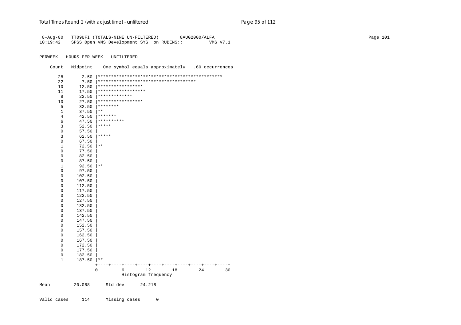| $8 - Aug - 00$<br>10:19:42 | Page 101<br>TT09UFI (TOTALS-NINE UN-FILTERED)<br>8AUG2000/ALFA<br>SPSS Open VMS Development SYS on RUBENS::<br>VMS V7.1 |                                                 |  |  |  |  |  |
|----------------------------|-------------------------------------------------------------------------------------------------------------------------|-------------------------------------------------|--|--|--|--|--|
| PERWEEK                    |                                                                                                                         | HOURS PER WEEK - UNFILTERED                     |  |  |  |  |  |
| Count                      | Midpoint                                                                                                                | One symbol equals approximately .60 occurrences |  |  |  |  |  |
| 28                         |                                                                                                                         |                                                 |  |  |  |  |  |
| 22                         | 7.50                                                                                                                    | *************************************           |  |  |  |  |  |
| 10                         | 12.50                                                                                                                   | *****************                               |  |  |  |  |  |
| 11                         | 17.50                                                                                                                   | ******************                              |  |  |  |  |  |
| 8                          | 22.50                                                                                                                   | *************                                   |  |  |  |  |  |
| 10                         | 27.50                                                                                                                   | *****************                               |  |  |  |  |  |
| 5                          | 32.50                                                                                                                   | ********                                        |  |  |  |  |  |
| $1\,$                      | 37.50                                                                                                                   | $***$                                           |  |  |  |  |  |
| $4\,$                      | 42.50                                                                                                                   | $* * * * * * * *$                               |  |  |  |  |  |
| 6                          | 47.50                                                                                                                   | **********                                      |  |  |  |  |  |
| $\mathbf{3}$               | 52.50                                                                                                                   | $***$ * * * *                                   |  |  |  |  |  |
| $\mathsf 0$                | 57.50                                                                                                                   |                                                 |  |  |  |  |  |
| $\mathsf 3$                | 62.50                                                                                                                   | $ *****$                                        |  |  |  |  |  |
| $\mathsf 0$                | 67.50                                                                                                                   |                                                 |  |  |  |  |  |
| $1\,$                      | $72.50$   **                                                                                                            |                                                 |  |  |  |  |  |
| $\mathbb O$                | 77.50                                                                                                                   |                                                 |  |  |  |  |  |
| $\mathbb O$                | 82.50                                                                                                                   |                                                 |  |  |  |  |  |
| $\mathsf 0$                | 87.50                                                                                                                   |                                                 |  |  |  |  |  |
| $\mathbf{1}$               | $92.50$  **                                                                                                             |                                                 |  |  |  |  |  |
| $\mathbb O$                | 97.50                                                                                                                   |                                                 |  |  |  |  |  |
| $\mathbb O$                | 102.50                                                                                                                  |                                                 |  |  |  |  |  |
| $\mathbb O$                | 107.50                                                                                                                  |                                                 |  |  |  |  |  |
| $\mathbb O$                | 112.50                                                                                                                  |                                                 |  |  |  |  |  |
| $\mathbb O$                | 117.50                                                                                                                  |                                                 |  |  |  |  |  |
| $\mathbf 0$                | 122.50                                                                                                                  |                                                 |  |  |  |  |  |
| $\mathbf 0$                | 127.50                                                                                                                  |                                                 |  |  |  |  |  |
| $\mathbf 0$                | 132.50                                                                                                                  |                                                 |  |  |  |  |  |
| $\mathbf 0$                | 137.50                                                                                                                  |                                                 |  |  |  |  |  |
| $\mathbb O$                | 142.50                                                                                                                  |                                                 |  |  |  |  |  |
| $\mathbf 0$                | 147.50                                                                                                                  |                                                 |  |  |  |  |  |
| $\mathbb O$                | 152.50                                                                                                                  |                                                 |  |  |  |  |  |
| $\mathbb O$                | 157.50                                                                                                                  |                                                 |  |  |  |  |  |
| $\mathsf 0$                | 162.50                                                                                                                  |                                                 |  |  |  |  |  |
| $\mathbf 0$                | 167.50                                                                                                                  |                                                 |  |  |  |  |  |
| $\mathbf 0$                | 172.50                                                                                                                  |                                                 |  |  |  |  |  |
| $\mathbf 0$                | 177.50                                                                                                                  |                                                 |  |  |  |  |  |
| $\mathsf 0$                | 182.50                                                                                                                  |                                                 |  |  |  |  |  |
| $\mathbf{1}$               | $187.50$  **                                                                                                            |                                                 |  |  |  |  |  |
|                            |                                                                                                                         | 12<br>18<br>0<br>6<br>24<br>30                  |  |  |  |  |  |
|                            |                                                                                                                         | Histogram frequency                             |  |  |  |  |  |
| Mean                       | 20.088                                                                                                                  | Std dev<br>24.218                               |  |  |  |  |  |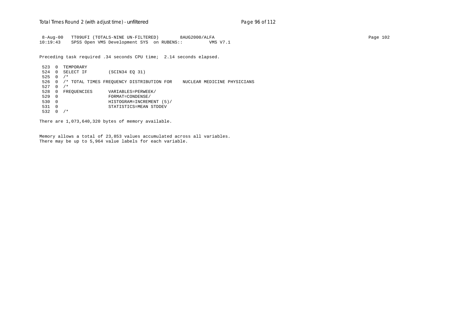8-Aug-00 TT09UFI (TOTALS-NINE UN-FILTERED) 8AUG2000/ALFA Page 102 10:19:43 SPSS Open VMS Development SYS on RUBENS:: VMS V7.1

Preceding task required .34 seconds CPU time; 2.14 seconds elapsed.

 523 0 TEMPORARY 524 0 SELECT IF (SCIN34 EQ 31) 525 0 /\* 526 0 /\* TOTAL TIMES FREQUENCY DISTRIBUTION FOR NUCLEAR MEDICINE PHYSICIANS 527 0 /\* 528 0 FREQUENCIES VARIABLES=PERWEEK/<br>529 0 FORMAT=CONDENSE/ 529 0 FORMAT=CONDENSE/ 530 0 HISTOGRAM=INCREMENT (5)/ 531 0 STATISTICS=MEAN STDDEV 532 0 /\*

There are 1,073,640,320 bytes of memory available.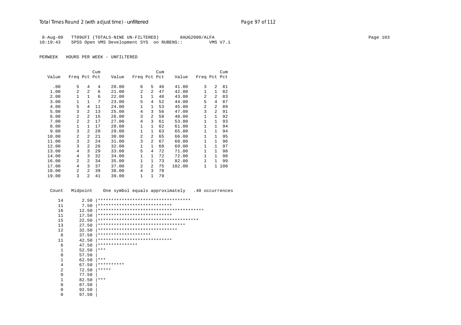8-Aug-00 TT09UFI (TOTALS-NINE UN-FILTERED) 8AUG2000/ALFA<br>10:19:43 SPSS Open VMS Development SYS on RUBENS:: WMS V7.1 SPSS Open VMS Development SYS on RUBENS:: VMS V7.1

PERWEEK HOURS PER WEEK - UNFILTERED

|       |                |                | Cum |       |                |                | Cum |        |              |              | Cum |
|-------|----------------|----------------|-----|-------|----------------|----------------|-----|--------|--------------|--------------|-----|
| Value | Freq Pct Pct   |                |     | Value | Freq Pct Pct   |                |     | Value  | Freq Pct     |              | Pct |
|       | 5              |                | 4   |       | 6              | 5              |     |        | 3            | 2            | 81  |
| .00   |                | 4              |     | 20.00 |                |                | 46  | 41.00  |              |              |     |
| 1.00  | $\overline{2}$ | $\overline{a}$ | 6   | 21.00 | 2              | 2              | 47  | 42.00  | $\mathbf{1}$ | $\mathbf{1}$ | 82  |
| 2.00  | 1              | $\mathbf{1}$   | 6   | 22.00 | 1              | $\mathbf{1}$   | 48  | 43.00  | 2            | 2            | 83  |
| 3.00  | 1              | $\mathbf{1}$   | 7   | 23.00 | 5              | 4              | 52  | 44.00  | 5            | 4            | 87  |
| 4.00  | 5              | 4              | 11  | 24.00 | $\mathbf{1}$   | 1              | 53  | 45.00  | 2            | 2            | 89  |
| 5.00  | 3              | 2              | 13  | 25.00 | 4              | 3              | 56  | 47.00  | 3            | 2            | 91  |
| 6.00  | 2              | $\mathfrak{D}$ | 15  | 26.00 | 3              | $\overline{a}$ | 58  | 48.00  | 1            | 1            | 92  |
| 7.00  | $\overline{a}$ | 2              | 17  | 27.00 | 4              | 3              | 61  | 53.00  | $\mathbf{1}$ | $\mathbf{1}$ | 93  |
| 8.00  | $\mathbf{1}$   | $\mathbf{1}$   | 17  | 28.00 | $\mathbf 1$    | 1              | 62  | 61.00  | $\mathbf{1}$ | $\mathbf{1}$ | 94  |
| 9.00  | 3              | $\overline{a}$ | 20  | 29.00 | 1              | $\mathbf{1}$   | 63  | 65.00  | $\mathbf{1}$ | 1            | 94  |
| 10.00 | $\overline{a}$ | $\overline{a}$ | 21  | 30.00 | $\overline{a}$ | 2              | 65  | 66.00  | 1            | $\mathbf{1}$ | 95  |
| 11.00 | 3              | $\overline{a}$ | 24  | 31.00 | 3              | $\overline{2}$ | 67  | 68.00  | $\mathbf{1}$ | $\mathbf{1}$ | 96  |
| 12.00 | 3              | $\overline{a}$ | 26  | 32.00 | $\mathbf 1$    | 1              | 68  | 69.00  | $\mathbf{1}$ | $\mathbf{1}$ | 97  |
| 13.00 | 4              | 3              | 29  | 33.00 | 5              | $\overline{4}$ | 72  | 71.00  | $\mathbf{1}$ | 1            | 98  |
| 14.00 | 4              | 3              | 32  | 34.00 | 1              | 1              | 72  | 72.00  | $\mathbf{1}$ | $\mathbf{1}$ | 98  |
| 16.00 | $\overline{a}$ | $\overline{a}$ | 34  | 35.00 | $\mathbf{1}$   | 1              | 73  | 82.00  | $\mathbf{1}$ | $\mathbf{1}$ | 99  |
| 17.00 | 4              | 3              | 37  | 37.00 | $\overline{a}$ | $\overline{a}$ | 75  | 102.00 | $\mathbf{1}$ | $\mathbf{1}$ | 100 |
| 18.00 | $\mathfrak{D}$ | 2              | 39  | 38.00 | 4              | 3              | 78  |        |              |              |     |
| 19.00 | 3              | $\overline{a}$ | 41  | 39.00 | $\mathbf{1}$   | $\mathbf{1}$   | 79  |        |              |              |     |

 Count Midpoint One symbol equals approximately .40 occurrences 14 2.50 |\*\*\*\*\*\*\*\*\*\*\*\*\*\*\*\*\*\*\*\*\*\*\*\*\*\*\*\*\*\*\*\*\*\*\* 11 7.50 |\*\*\*\*\*\*\*\*\*\*\*\*\*\*\*\*\*\*\*\*\*\*\*\*\*\*\*\* 16 12.50 |\*\*\*\*\*\*\*\*\*\*\*\*\*\*\*\*\*\*\*\*\*\*\*\*\*\*\*\*\*\*\*\*\*\*\*\*\*\*\*\* 11 17.50 |\*\*\*\*\*\*\*\*\*\*\*\*\*\*\*\*\*\*\*\*\*\*\*\*\*\*\*\* 15 22.50 |\*\*\*\*\*\*\*\*\*\*\*\*\*\*\*\*\*\*\*\*\*\*\*\*\*\*\*\*\*\*\*\*\*\*\*\*\*\* 13 27.50 |\*\*\*\*\*\*\*\*\*\*\*\*\*\*\*\*\*\*\*\*\*\*\*\*\*\*\*\*\*\*\*\*\* 12 32.50 |\*\*\*\*\*\*\*\*\*\*\*\*\*\*\*\*\*\*\*\*\*\*\*\*\*\*\*\*\*\*\*\*\*\*<br>8 37.50 |\*\*\*\*\*\*\*\*\*\*\*\*\*\*\*\*\*\*\*\*\* 8 37.50 |\*\*\*\*\*\*\*\*\*\*\*\*\*\*\*\*\*\*\*\* 11 42.50 |\*\*\*\*\*\*\*\*\*\*\*\*\*\*\*\*\*\*\*\*\*\*\*\*\*\*\*\* 6 47.50 |\*\*\*\*\*\*\*\*\*\*\*\*\*\*\*  $\begin{array}{ccc} 1 & 52.50 \\ 0 & 57.50 \end{array}$  \*\*\*  $\begin{array}{ccc} 0 & & 57.50 \\ 1 & & 62.50 \end{array}$  $\begin{array}{ccc} 1 & 62.50 & \ast \ast \ast \\ 4 & 67.50 & \ast \ast \ast \ast \end{array}$  4 67.50 |\*\*\*\*\*\*\*\*\*\* 2 72.50  $*****$ <br>0 77.50  $\begin{array}{ccc} 0 & & 77.50 \\ 1 & & 82.50 \end{array}$  $\begin{array}{ccc} 1 & 82.50 & \ast \ast \ast \\ 0 & 87.50 & \end{array}$  $\begin{array}{ccc} 0 & 87.50 \\ 0 & 92.50 \end{array}$  $0$  92.50<br>0 97.50 0 97.50 |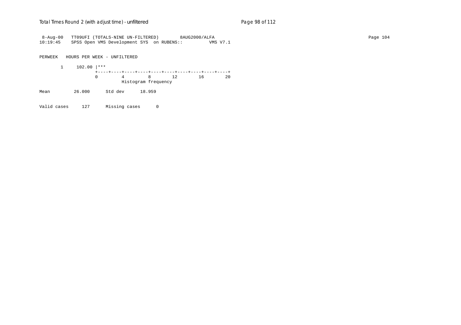8-Aug-00 TT09UFI (TOTALS-NINE UN-FILTERED) 8AUG2000/ALFA Page 104 10:19:45 SPSS Open VMS Development SYS on RUBENS:: VMS V7.1

PERWEEK HOURS PER WEEK - UNFILTERED

 1 102.00 |\*\*\* +----+----+----+----+----+----+----+----+----+----+ 0 4 8 12 16 20 Histogram frequency

Mean 26.000 Std dev 18.959

Valid cases 127 Missing cases 0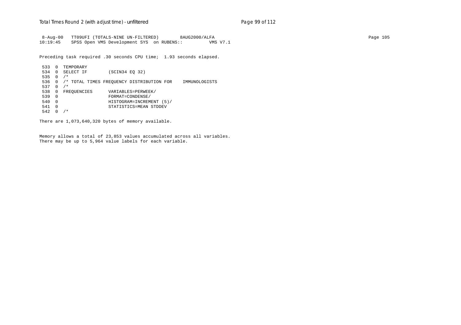#### Total Times Round 2 (with adjust time) - *unfiltered* example 2 and Page 99 of 112

 8-Aug-00 TT09UFI (TOTALS-NINE UN-FILTERED) 8AUG2000/ALFA Page 105 10:19:45 SPSS Open VMS Development SYS on RUBENS:: VMS V7.1

Preceding task required .30 seconds CPU time; 1.93 seconds elapsed.

 533 0 TEMPORARY 534 0 SELECT IF (SCIN34 EQ 32) 535 0 /\* 536 0 /\* TOTAL TIMES FREQUENCY DISTRIBUTION FOR IMMUNOLOGISTS 537 0 /\* 538 0 FREQUENCIES VARIABLES=PERWEEK/<br>539 0 FORMAT=CONDENSE/ 539 0 FORMAT=CONDENSE/ 540 0 HISTOGRAM=INCREMENT (5)/ 541 0 STATISTICS=MEAN STDDEV 542 0 /\*

There are 1,073,640,320 bytes of memory available.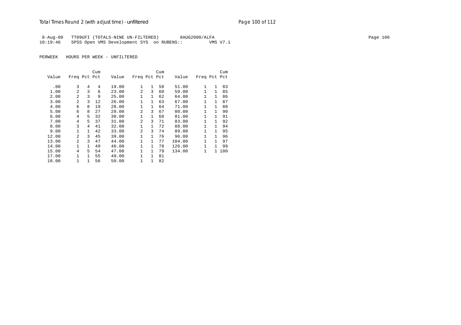8-Aug-00 TT09UFI (TOTALS-NINE UN-FILTERED) 8AUG2000/ALFA Page 106 10:19:46 SPSS Open VMS Development SYS on RUBENS::

|       |                |              | Cum |       |                |              | Cum |        |              |              | Cum |
|-------|----------------|--------------|-----|-------|----------------|--------------|-----|--------|--------------|--------------|-----|
| Value | Freq Pct Pct   |              |     | Value | Freq Pct Pct   |              |     | Value  | Freq Pct Pct |              |     |
|       |                |              |     |       |                |              |     |        |              |              |     |
| .00   | 3              | 4            | 4   | 19.00 | 1              | $\mathbf{1}$ | 58  | 51.00  | 1            | $\mathbf{1}$ | 83  |
| 1.00  | $\overline{2}$ | 3            | 6   | 23.00 | $\overline{a}$ | 3            | 60  | 59.00  | $\mathbf{1}$ | $\mathbf{1}$ | 85  |
| 2.00  | $\mathfrak{D}$ | 3            | 9   | 25.00 | $\mathbf{1}$   | $\mathbf{1}$ | 62  | 64.00  | $\mathbf{1}$ | $\mathbf{1}$ | 86  |
| 3.00  | $\mathfrak{D}$ | 3            | 12  | 26.00 | $\mathbf{1}$   | $\mathbf{1}$ | 63  | 67.00  | $\mathbf{1}$ | $\mathbf{1}$ | 87  |
| 4.00  | 6              | 8            | 19  | 28.00 | 1              | $\mathbf{1}$ | 64  | 71.00  | $\mathbf{1}$ | 1            | 88  |
| 5.00  | 6              | 8            | 27  | 29.00 | 2              | 3            | 67  | 80.00  | $\mathbf{1}$ | $\mathbf{1}$ | 90  |
| 6.00  | 4              | 5            | 32  | 30.00 | $\mathbf{1}$   | $\mathbf{1}$ | 68  | 81.00  | $\mathbf{1}$ | $\mathbf{1}$ | 91  |
| 7.00  | 4              | 5.           | 37  | 31.00 | $\overline{a}$ | 3            | 71  | 83.00  | $\mathbf{1}$ | $\mathbf{1}$ | 92  |
| 8.00  | 3              | 4            | 41  | 32.00 | 1              | 1            | 72  | 88.00  | $\mathbf{1}$ | 1            | 94  |
| 9.00  | 1              | $\mathbf{1}$ | 42  | 33.00 | 2              | 3            | 74  | 89.00  | $\mathbf{1}$ | 1            | 95  |
| 12.00 | $\mathfrak{D}$ | 3            | 45  | 39.00 | 1              | $\mathbf{1}$ | 76  | 96.00  | $\mathbf{1}$ | 1            | 96  |
| 13.00 | $\mathfrak{D}$ | ζ            | 47  | 44.00 | 1              | $\mathbf{1}$ | 77  | 104.00 | $\mathbf{1}$ | 1            | 97  |
| 14.00 | 1              | $\mathbf{1}$ | 49  | 46.00 | 1              | 1            | 78  | 126.00 | $\mathbf{1}$ |              | 99  |
| 15.00 | 4              | 5.           | 54  | 47.00 | 1              | 1            | 79  | 134.00 | $\mathbf{1}$ | $\mathbf{1}$ | 100 |
| 17.00 | $\mathbf{1}$   | $\mathbf{1}$ | 55  | 49.00 | 1              | 1            | 81  |        |              |              |     |
| 18.00 | 1              | 1            | 56  | 50.00 | $\mathbf{1}$   | 1            | 82  |        |              |              |     |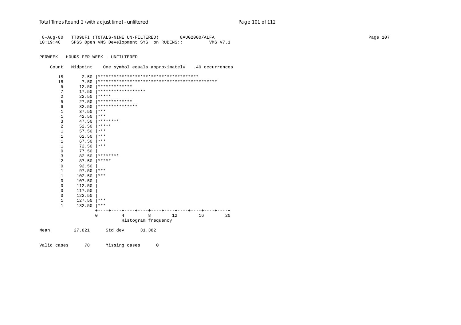#### Total Times Round 2 (with adjust time) - *unfiltered* Page 101 of 112

 8-Aug-00 TT09UFI (TOTALS-NINE UN-FILTERED) 8AUG2000/ALFA Page 107 10:19:46 SPSS Open VMS Development SYS on RUBENS:: VMS V7.1 PERWEEK HOURS PER WEEK - UNFILTERED

Count Midpoint One symbol equals approximately .40 occurrences

- 15 2.50 |\*\*\*\*\*\*\*\*\*\*\*\*\*\*\*\*\*\*\*\*\*\*\*\*\*\*\*\*\*\*\*\*\*\*\*\*\*\* 18 7.50 |\*\*\*\*\*\*\*\*\*\*\*\*\*\*\*\*\*\*\*\*\*\*\*\*\*\*\*\*\*\*\*\*\*\*\*\*\*\*\*\*\*\*\*\*\* 5 12.50  $*****************$  7 17.50 |\*\*\*\*\*\*\*\*\*\*\*\*\*\*\*\*\*\*  $22.50$  |\*\*\*\*\* 5 27.50  $******************$ 6  $32.50$   $***********************$ <br>1 37.50  $***$ 37.50  $|***$  $\begin{array}{ccc} 1 & 42.50 & \ast \ast \ast \\ 3 & 47.50 & \ast \ast \ast \end{array}$  $47.50$   $********$ 2  $52.50$   $****$  $1$  57.50  $***$  $1$  62.50  $*$  $1$  67.50  $***$  1 72.50 |\*\*\* 0 77.50 | 3 82.50 |\*\*\*\*\*\*\*\* 2  $87.50$   $****$  $\begin{array}{ccc} 0 & & 92.50 \\ 1 & & 97.50 \end{array}$  $\begin{array}{ccc} 1 & 97.50 & \ast \ast \ast \\ 1 & 102.50 & \ast \ast \ast \end{array}$  $102.50$  |\*\*\* 0 107.50 |  $0 \t 112.50$  $0$  117.50<br>  $0$  122.50  $0$  122.50<br>1 127.50  $127.50$  |\*\*\*  $1$  132.50  $*$  +----+----+----+----+----+----+----+----+----+----+ 0 4 8 12 16 20 Histogram frequency Mean 27.821 Std dev 31.382
- Valid cases 78 Missing cases 0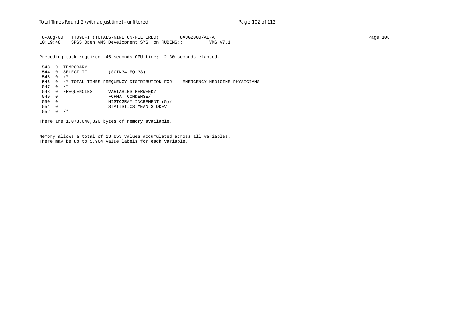8-Aug-00 TT09UFI (TOTALS-NINE UN-FILTERED) 8AUG2000/ALFA Page 108 10:19:48 SPSS Open VMS Development SYS on RUBENS:: VMS V7.1

Preceding task required .46 seconds CPU time; 2.30 seconds elapsed.

 543 0 TEMPORARY 544 0 SELECT IF (SCIN34 EQ 33) 545 0 /\* 546 0 /\* TOTAL TIMES FREQUENCY DISTRIBUTION FOR EMERGENCY MEDICINE PHYSICIANS 547 0 /\* 548 0 FREQUENCIES VARIABLES=PERWEEK/<br>549 0 FORMAT=CONDENSE/ 549 0 FORMAT=CONDENSE/ 550 0 HISTOGRAM=INCREMENT (5)/ 551 0 STATISTICS=MEAN STDDEV 552 0 /\*

There are 1,073,640,320 bytes of memory available.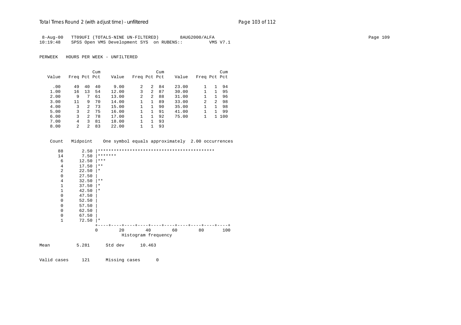# Total Times Round 2 (with adjust time) - *unfiltered* example 2001 2012 Page 103 of 112

|          | 8-Aug-00 TT09UFI (TOTALS-NINE UN-FILTERED) | 8AUG2000/ALFA | Page 109 |
|----------|--------------------------------------------|---------------|----------|
| 10:19:48 | SPSS Open VMS Development SYS on RUBENS::  | VMS V7.1      |          |

|       |              |               | Cum |       |              |                | Cum |       |                |             | Cum |
|-------|--------------|---------------|-----|-------|--------------|----------------|-----|-------|----------------|-------------|-----|
| Value | Freq Pct Pct |               |     | Value | Freq Pct Pct |                |     | Value | Freq Pct Pct   |             |     |
|       |              |               |     |       |              |                |     |       |                |             |     |
| .00   | 49           | 40            | 40  | 9.00  | 2            | $\mathcal{L}$  | 84  | 23.00 |                |             | 94  |
| 1.00  | 16           | 13            | 54  | 12.00 | 3            | 2              | 87  | 30.00 |                |             | 95  |
| 2.00  | 9            | 7             | 61  | 13.00 | 2            | $\overline{a}$ | 88  | 31.00 |                |             | 96  |
| 3.00  | 11           | 9             | 70  | 14.00 |              |                | 89  | 33.00 | $\overline{2}$ | $2^{\circ}$ | 98  |
| 4.00  | 3            | $\mathcal{L}$ | 73  | 15.00 |              | 1.             | 90  | 35.00 |                | 1.          | 98  |
| 5.00  | 3            | 2             | 75  | 16.00 |              |                | 91  | 41.00 |                |             | 99  |
| 6.00  | ζ            | 2             | 78  | 17.00 |              |                | 92  | 75.00 |                | 1.          | 100 |
| 7.00  | 4            | 3             | 81  | 18.00 |              |                | 93  |       |                |             |     |
| 8.00  | 2            | $\mathcal{L}$ | 83  | 22.00 |              |                | 93  |       |                |             |     |

| Count          |       | Midpoint One symbol equals approximately 2.00 occurrences |
|----------------|-------|-----------------------------------------------------------|
| 88             | 2.50  |                                                           |
| 14             | 7.50  | *******                                                   |
| 6              | 12.50 | $***$                                                     |
| 4              | 17.50 | $* *$                                                     |
| $\overline{2}$ | 22.50 | $\star$                                                   |
| $\mathbf{0}$   | 27.50 |                                                           |
| 4              | 32.50 | $***$                                                     |
| $\mathbf{1}$   | 37.50 | $\star$                                                   |
| $\mathbf{1}$   | 42.50 | $\ast$                                                    |
| 0              | 47.50 |                                                           |
| 0              | 52.50 |                                                           |
| 0              | 57.50 |                                                           |
| 0              | 62.50 |                                                           |
| 0              | 67.50 |                                                           |
| $\mathbf 1$    | 72.50 | $\star$                                                   |
|                |       |                                                           |
|                |       | 2.0<br>40<br>$\Omega$<br>60<br>80<br>100                  |
|                |       | Histogram frequency                                       |
|                |       |                                                           |
| Mean           | 5.281 | Std dev 10.463                                            |
|                |       |                                                           |
|                |       |                                                           |
| Valid cases    | 121   | Missing cases<br>0                                        |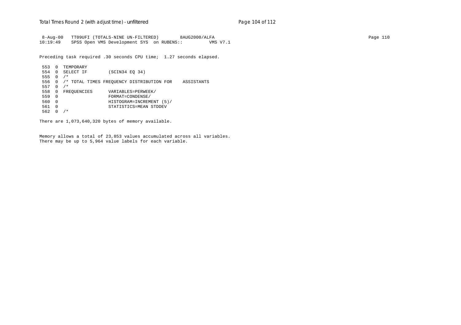8-Aug-00 TT09UFI (TOTALS-NINE UN-FILTERED) 8AUG2000/ALFA Page 110 10:19:49 SPSS Open VMS Development SYS on RUBENS:: VMS V7.1

Preceding task required .30 seconds CPU time; 1.27 seconds elapsed.

 553 0 TEMPORARY 554 0 SELECT IF (SCIN34 EQ 34) 555 0 /\* 556 0 /\* TOTAL TIMES FREQUENCY DISTRIBUTION FOR ASSISTANTS 557 0 /\* 558 0 FREQUENCIES VARIABLES=PERWEEK/<br>559 0 FORMAT=CONDENSE/ 559 0 FORMAT=CONDENSE/ 560 0 HISTOGRAM=INCREMENT (5)/ 561 0 STATISTICS=MEAN STDDEV 562 0 /\*

There are 1,073,640,320 bytes of memory available.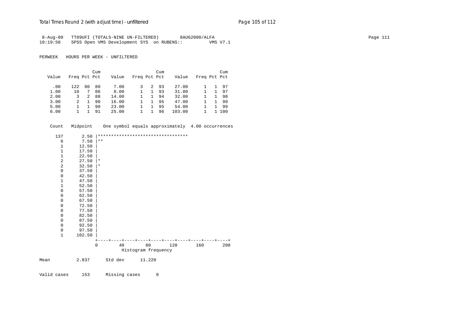# Total Times Round 2 (with adjust time) - *unfiltered* example 2001 2012 2013 01:00 Page 105 of 112

| 8-Aug-00 TT09UFI (TOTALS-NINE UN-FILTERED)         | 8AUG2000/ALFA | Page 111 |
|----------------------------------------------------|---------------|----------|
| 10:19:50 SPSS Open VMS Development SYS on RUBENS:: | VMS V7.1      |          |

PERWEEK HOURS PER WEEK - UNFILTERED

|       |              |    | Cum |       |              |    | Cum |        |              | Cum |
|-------|--------------|----|-----|-------|--------------|----|-----|--------|--------------|-----|
| Value | Freq Pct Pct |    |     | Value | Freq Pct Pct |    |     | Value  | Freq Pct Pct |     |
|       |              |    |     |       |              |    |     |        |              |     |
| .00   | 122          | 80 | 80  | 7.00  |              | 2  | 93  | 27.00  |              | 97  |
| 1.00  | 10           |    | 86  | 8.00  |              |    | 93  | 31.00  |              | 97  |
| 2.00  | 3            | 2  | 88  | 14.00 |              | 1. | 94  | 32.00  |              | -98 |
| 3.00  | 2            |    | 90  | 16.00 |              |    | 95  | 47.00  |              | 99  |
| 5.00  |              |    | 90  | 23.00 |              |    | 95  | 54.00  |              | 99  |
| 6.00  |              |    | 91  | 25.00 |              |    | 96  | 103.00 |              | 100 |

| Count        | Midpoint | One symbol equals approximately 4.00 occurrences |                     |     |     |     |  |
|--------------|----------|--------------------------------------------------|---------------------|-----|-----|-----|--|
| 137          | 2.50     | **********************************               |                     |     |     |     |  |
| 6            | 7.50     | $\star\star$                                     |                     |     |     |     |  |
| 1            | 12.50    |                                                  |                     |     |     |     |  |
| $\mathbf{1}$ | 17.50    |                                                  |                     |     |     |     |  |
| $\mathbf{1}$ | 22.50    |                                                  |                     |     |     |     |  |
| 2            | 27.50    | $\vert *$                                        |                     |     |     |     |  |
| 2            | 32.50    | *                                                |                     |     |     |     |  |
| $\mathbf{0}$ | 37.50    |                                                  |                     |     |     |     |  |
| 0            | 42.50    |                                                  |                     |     |     |     |  |
| 1            | 47.50    |                                                  |                     |     |     |     |  |
| $\mathbf{1}$ | 52.50    |                                                  |                     |     |     |     |  |
| 0            | 57.50    |                                                  |                     |     |     |     |  |
| 0            | 62.50    |                                                  |                     |     |     |     |  |
| 0            | 67.50    |                                                  |                     |     |     |     |  |
| $\mathbf 0$  | 72.50    |                                                  |                     |     |     |     |  |
| 0            | 77.50    |                                                  |                     |     |     |     |  |
| 0            | 82.50    |                                                  |                     |     |     |     |  |
| 0            | 87.50    |                                                  |                     |     |     |     |  |
| 0            | 92.50    |                                                  |                     |     |     |     |  |
| $\mathbf 0$  | 97.50    |                                                  |                     |     |     |     |  |
| $\mathbf{1}$ | 102.50   |                                                  |                     |     |     |     |  |
|              |          |                                                  |                     |     |     |     |  |
|              |          | 40<br>$\Omega$                                   | 80                  | 120 | 160 | 200 |  |
|              |          |                                                  | Histogram frequency |     |     |     |  |
| Mean         | 2.837    | Std dev                                          | 11.220              |     |     |     |  |

Valid cases 153 Missing cases 0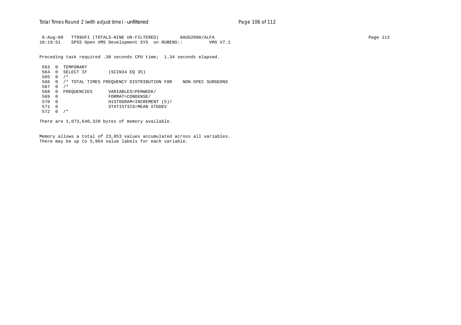8-Aug-00 TT09UFI (TOTALS-NINE UN-FILTERED) 8AUG2000/ALFA Page 112 10:19:51 SPSS Open VMS Development SYS on RUBENS:: VMS V7.1

Preceding task required .30 seconds CPU time; 1.34 seconds elapsed.

 563 0 TEMPORARY 564 0 SELECT IF (SCIN34 EQ 35) 565 0 /\* 566 0 /\* TOTAL TIMES FREQUENCY DISTRIBUTION FOR NON-SPEC SURGEONS 567 0 /\* 568 0 FREQUENCIES VARIABLES=PERWEEK/<br>569 0 FORMAT=CONDENSE/ 569 0 FORMAT=CONDENSE/ 570 0 HISTOGRAM=INCREMENT (5)/ 571 0 STATISTICS=MEAN STDDEV 572 0 /\*

There are 1,073,640,320 bytes of memory available.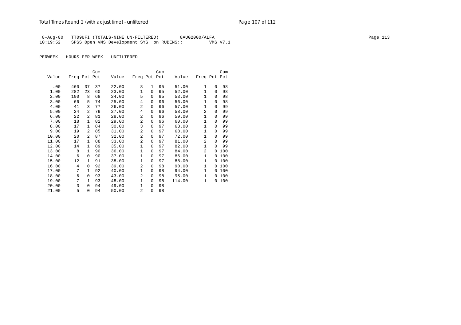8-Aug-00 TT09UFI (TOTALS-NINE UN-FILTERED) 8AUG2000/ALFA Page 113 10:19:52 SPSS Open VMS Development SYS on RUBENS:: VMS V7.1

|       |              |                | Cum |       |                |              | Cum |        |                |          | Cum |
|-------|--------------|----------------|-----|-------|----------------|--------------|-----|--------|----------------|----------|-----|
| Value | Freq Pct Pct |                |     | Value | Freq Pct Pct   |              |     | Value  | Freq Pct Pct   |          |     |
|       |              |                |     |       |                |              |     |        |                |          |     |
| .00   | 460          | 37             | 37  | 22.00 | 8              | $\mathbf{1}$ | 95  | 51.00  | 1              | 0        | 98  |
| 1.00  | 282          | 23             | 60  | 23.00 | $\mathbf{1}$   | $\Omega$     | 95  | 52.00  | $\mathbf{1}$   | $\Omega$ | 98  |
| 2.00  | 100          | 8              | 68  | 24.00 | 5              | $\Omega$     | 95  | 53.00  | 1              | $\Omega$ | 98  |
| 3.00  | 66           | 5              | 74  | 25.00 | 4              | 0            | 96  | 56.00  | $\mathbf{1}$   | 0        | 98  |
| 4.00  | 41           | 3              | 77  | 26.00 | $\overline{a}$ | $\Omega$     | 96  | 57.00  | 1              | $\Omega$ | 99  |
| 5.00  | 24           | $\overline{a}$ | 79  | 27.00 | 4              | 0            | 96  | 58.00  | 2              | $\Omega$ | 99  |
| 6.00  | 22           | $\overline{a}$ | 81  | 28.00 | $\overline{a}$ | 0            | 96  | 59.00  | 1              | $\Omega$ | 99  |
| 7.00  | 18           | $\mathbf{1}$   | 82  | 29.00 | 2              | $\Omega$     | 96  | 60.00  | 1              | $\Omega$ | 99  |
| 8.00  | 17           | $\mathbf{1}$   | 84  | 30.00 | 3              | $\Omega$     | 97  | 63.00  | $\mathbf{1}$   | $\Omega$ | 99  |
| 9.00  | 19           | $\overline{a}$ | 85  | 31.00 | 2              | 0            | 97  | 68.00  | $\mathbf{1}$   | 0        | 99  |
| 10.00 | 20           | $\overline{a}$ | 87  | 32.00 | $\overline{a}$ | 0            | 97  | 72.00  | 1              | $\Omega$ | 99  |
| 11.00 | 17           | $\mathbf{1}$   | 88  | 33.00 | 2              | $\Omega$     | 97  | 81.00  | $\overline{a}$ | $\Omega$ | 99  |
| 12.00 | 14           | $\mathbf{1}$   | 89  | 35.00 | $\mathbf{1}$   | 0            | 97  | 82.00  | 1              | $\Omega$ | 99  |
| 13.00 | 8            | $\mathbf{1}$   | 90  | 36.00 | $\mathbf{1}$   | 0            | 97  | 84.00  | $\overline{a}$ | $\Omega$ | 100 |
| 14.00 | 6            | $\Omega$       | 90  | 37.00 | $\mathbf{1}$   | $\Omega$     | 97  | 86.00  | $\mathbf{1}$   | $\Omega$ | 100 |
| 15.00 | 12           | $\mathbf{1}$   | 91  | 38.00 | $\mathbf{1}$   | $\Omega$     | 97  | 88.00  | $\mathbf{1}$   | $\Omega$ | 100 |
| 16.00 | 4            | $\Omega$       | 92  | 39.00 | $\overline{a}$ | $\Omega$     | 98  | 90.00  | 1              | 0        | 100 |
| 17.00 | 7            | $\mathbf{1}$   | 92  | 40.00 | $\mathbf 1$    | 0            | 98  | 94.00  | 1              | 0        | 100 |
| 18.00 | 6            | $\Omega$       | 93  | 43.00 | $\overline{a}$ | $\Omega$     | 98  | 95.00  | $\mathbf{1}$   | $\Omega$ | 100 |
| 19.00 | 7            | 1              | 93  | 48.00 | $\mathbf{1}$   | 0            | 98  | 114.00 | 1              | 0        | 100 |
| 20.00 | 3            | $\Omega$       | 94  | 49.00 | $\mathbf{1}$   | $\Omega$     | 98  |        |                |          |     |
| 21.00 | 5            | $\Omega$       | 94  | 50.00 | $\overline{2}$ | $\Omega$     | 98  |        |                |          |     |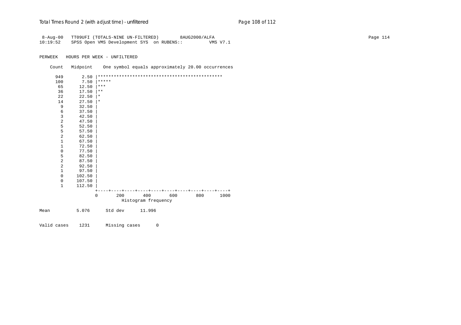| $8 - Aug - 00$<br>10:19:52 |          | TT09UFI (TOTALS-NINE UN-FILTERED)<br>SPSS Open VMS Development SYS on RUBENS:: |                                         |     | 8AUG2000/ALFA | VMS V7.1 | Page 114 |
|----------------------------|----------|--------------------------------------------------------------------------------|-----------------------------------------|-----|---------------|----------|----------|
| PERWEEK                    |          | HOURS PER WEEK - UNFILTERED                                                    |                                         |     |               |          |          |
| Count                      | Midpoint | One symbol equals approximately 20.00 occurrences                              |                                         |     |               |          |          |
| 949                        | 2.50     |                                                                                |                                         |     |               |          |          |
| 100                        | 7.50     | $***$ * * * *                                                                  |                                         |     |               |          |          |
| 65                         | 12.50    | $ ***$                                                                         |                                         |     |               |          |          |
| 36                         | 17.50    | $ **$                                                                          |                                         |     |               |          |          |
| 22                         | 22.50    | $\star$                                                                        |                                         |     |               |          |          |
| 14                         | 27.50    | $\vert *$                                                                      |                                         |     |               |          |          |
| 9                          | 32.50    |                                                                                |                                         |     |               |          |          |
| 6                          | 37.50    |                                                                                |                                         |     |               |          |          |
| 3                          | 42.50    |                                                                                |                                         |     |               |          |          |
| $\overline{a}$             | 47.50    |                                                                                |                                         |     |               |          |          |
| 5                          | 52.50    |                                                                                |                                         |     |               |          |          |
| 5                          | 57.50    |                                                                                |                                         |     |               |          |          |
| 2                          | 62.50    |                                                                                |                                         |     |               |          |          |
| $\mathbf{1}$               | 67.50    |                                                                                |                                         |     |               |          |          |
| $1\,$                      | 72.50    |                                                                                |                                         |     |               |          |          |
| $\mathsf 0$                | 77.50    |                                                                                |                                         |     |               |          |          |
| 5                          | 82.50    |                                                                                |                                         |     |               |          |          |
| $\sqrt{2}$                 | 87.50    |                                                                                |                                         |     |               |          |          |
| $\sqrt{2}$                 | 92.50    |                                                                                |                                         |     |               |          |          |
| $\mathbf{1}$               | 97.50    |                                                                                |                                         |     |               |          |          |
| $\mathbf 0$                | 102.50   |                                                                                |                                         |     |               |          |          |
| 0                          | 107.50   |                                                                                |                                         |     |               |          |          |
| $\mathbf{1}$               | 112.50   |                                                                                |                                         |     |               |          |          |
|                            |          | $+ -$                                                                          | ---+----+----+----+----+----+----+----+ |     |               |          |          |
|                            |          | 200<br>0                                                                       | 400<br>Histogram frequency              | 600 | 800           | 1000     |          |
|                            |          |                                                                                |                                         |     |               |          |          |
| Mean                       | 5.076    | Std dev                                                                        | 11.996                                  |     |               |          |          |
|                            |          |                                                                                |                                         |     |               |          |          |

Valid cases 1231 Missing cases 0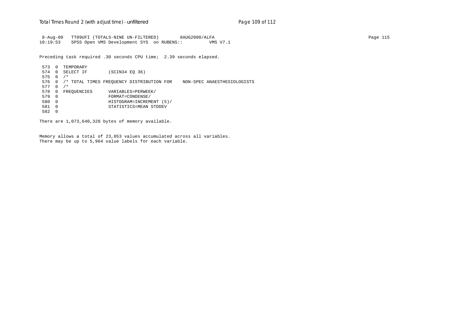8-Aug-00 TT09UFI (TOTALS-NINE UN-FILTERED) 8AUG2000/ALFA Page 115 10:19:53 SPSS Open VMS Development SYS on RUBENS:: VMS V7.1

Preceding task required .30 seconds CPU time; 2.39 seconds elapsed.

 573 0 TEMPORARY 574 0 SELECT IF (SCIN34 EQ 36) 575 0 /\* 576 0 /\* TOTAL TIMES FREQUENCY DISTRIBUTION FOR NON-SPEC ANAESTHESIOLOGISTS 577 0 /\* 578 0 FREQUENCIES VARIABLES=PERWEEK/<br>579 0 FORMAT=CONDENSE/ 579 0 FORMAT=CONDENSE/ 580 0 HISTOGRAM=INCREMENT (5)/ 581 0 STATISTICS=MEAN STDDEV 582 0

There are 1,073,640,320 bytes of memory available.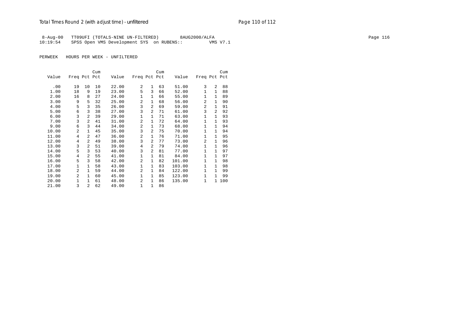8-Aug-00 TT09UFI (TOTALS-NINE UN-FILTERED) 8AUG2000/ALFA Page 116 10:19:54 SPSS Open VMS Development SYS on RUBENS:: VMS V7.1

|       |                |                | Cum |       |                |                | Cum |        |                |                | Cum   |
|-------|----------------|----------------|-----|-------|----------------|----------------|-----|--------|----------------|----------------|-------|
| Value | Freq Pct Pct   |                |     | Value | Freq Pct Pct   |                |     | Value  | Freq Pct Pct   |                |       |
|       |                |                |     |       |                |                |     |        |                |                |       |
| .00   | 19             | 10             | 10  | 22.00 | 2              | $\mathbf{1}$   | 63  | 51.00  | 3              | $\overline{a}$ | 88    |
| 1.00  | 18             | 9              | 19  | 23.00 | 5              | 3              | 66  | 52.00  | 1              | $\mathbf 1$    | 88    |
| 2.00  | 16             | 8              | 27  | 24.00 | $\mathbf 1$    | $\mathbf{1}$   | 66  | 55.00  | $\mathbf{1}$   | $\mathbf{1}$   | 89    |
| 3.00  | 9              | 5              | 32  | 25.00 | 2              | $\mathbf{1}$   | 68  | 56.00  | 2              | $\mathbf{1}$   | 90    |
| 4.00  | 5              | 3              | 35  | 26.00 | 3              | $\overline{2}$ | 69  | 59.00  | 2              | 1              | 91    |
| 5.00  | 6              | 3              | 38  | 27.00 | 3              | $\overline{2}$ | 71  | 61.00  | 3              | $\overline{a}$ | 92    |
| 6.00  | 3              | 2              | 39  | 29.00 | $\mathbf 1$    | $\mathbf{1}$   | 71  | 63.00  | 1              | 1              | 93    |
| 7.00  | 3              | 2              | 41  | 31.00 | 2              | $\mathbf{1}$   | 72  | 64.00  | $\mathbf{1}$   | 1              | 93    |
| 9.00  | 6              | 3              | 44  | 34.00 | 2              | $\mathbf{1}$   | 73  | 68.00  | $\mathbf{1}$   | $\mathbf 1$    | 94    |
| 10.00 | 2              | $\mathbf{1}$   | 45  | 35.00 | 3              | $\overline{a}$ | 75  | 70.00  | 1              | $\mathbf{1}$   | 94    |
| 11.00 | 4              | 2              | 47  | 36.00 | 2              | 1              | 76  | 71.00  | 1              | $\mathbf 1$    | 95    |
| 12.00 | $\overline{4}$ | $\overline{a}$ | 49  | 38.00 | 3              | $\overline{2}$ | 77  | 73.00  | $\overline{2}$ | $\mathbf{1}$   | 96    |
| 13.00 | 3              | $\overline{a}$ | 51  | 39.00 | $\overline{4}$ | $\overline{2}$ | 79  | 74.00  | 1              | $\mathbf{1}$   | 96    |
| 14.00 | 5              | 3              | 53  | 40.00 | 3              | $\overline{2}$ | 81  | 77.00  | 1              | 1              | 97    |
| 15.00 | 4              | 2              | 55  | 41.00 | 1              | $\mathbf{1}$   | 81  | 84.00  | $\mathbf{1}$   | 1              | 97    |
| 16.00 | 5              | 3              | 58  | 42.00 | $\mathfrak{D}$ | $\mathbf{1}$   | 82  | 101.00 | $\mathbf{1}$   | 1              | 98    |
| 17.00 | 1              | 1              | 58  | 43.00 | $\mathbf 1$    | $\mathbf{1}$   | 83  | 103.00 | 1              | $\mathbf{1}$   | 98    |
| 18.00 | 2              | $\mathbf{1}$   | 59  | 44.00 | 2              | $\mathbf{1}$   | 84  | 122.00 | 1              | $\mathbf{1}$   | 99    |
| 19.00 | $\overline{a}$ | $\mathbf{1}$   | 60  | 45.00 | $\mathbf{1}$   | $\mathbf{1}$   | 85  | 123.00 | 1              | $\mathbf{1}$   | 99    |
| 20.00 | $\mathbf{1}$   | $\mathbf{1}$   | 61  | 48.00 | 2              | $\mathbf{1}$   | 86  | 135.00 | 1              |                | 1 100 |
| 21.00 | 3              | $\overline{a}$ | 62  | 49.00 | $\mathbf 1$    | 1              | 86  |        |                |                |       |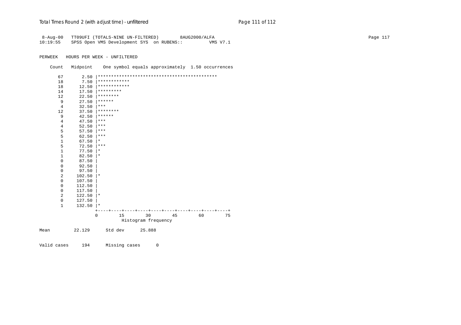# Total Times Round 2 (with adjust time) - *unfiltered* example and pay and page 111 of 112

| $8 - Aug - 00$      |             | TT09UFI (TOTALS-NINE UN-FILTERED)<br>8AUG2000/ALFA    | Page 117 |
|---------------------|-------------|-------------------------------------------------------|----------|
| 10:19:55            |             | SPSS Open VMS Development SYS on RUBENS::<br>VMS V7.1 |          |
|                     |             |                                                       |          |
| PERWEEK             |             |                                                       |          |
|                     |             | HOURS PER WEEK - UNFILTERED                           |          |
| Count               | Midpoint    | One symbol equals approximately 1.50 occurrences      |          |
|                     |             |                                                       |          |
| 67                  | 2.50        |                                                       |          |
| 18                  | 7.50        | <b>  * * * * * * * * * * * *</b>                      |          |
| 18                  | 12.50       | ************                                          |          |
| 14                  | 17.50       | $**********$                                          |          |
| 12                  | 22.50       | ********                                              |          |
| 9                   | 27.50       | $* * * * * * *$                                       |          |
| 4                   | 32.50       | $***$                                                 |          |
| 12                  | 37.50       | ********                                              |          |
| 9                   | 42.50       | $ ******$                                             |          |
| $\overline{4}$      | 47.50       | $***$                                                 |          |
| $\overline{4}$      | 52.50       | $ ***$                                                |          |
| 5                   | 57.50       | ***                                                   |          |
| 5                   | 62.50       | $***$                                                 |          |
| $\mathbf{1}$        | 67.50       | $\vert * \vert$                                       |          |
| 5                   | 72.50       | $ ***$                                                |          |
| $\mathbf{1}$        | 77.50       | $\vert *$                                             |          |
| $\mathbf{1}$        | 82.50       | $\vert *$                                             |          |
| $\mathbf 0$         | 87.50       |                                                       |          |
| 0                   | 92.50       |                                                       |          |
| $\mathbf 0$         | 97.50       |                                                       |          |
| $\overline{2}$      | $102.50$  * |                                                       |          |
| $\mathsf{O}\xspace$ | 107.50      |                                                       |          |
| $\mathsf{0}$        | 112.50      |                                                       |          |
| $\mathbf 0$         | 117.50      |                                                       |          |
| 2                   | $122.50$  * |                                                       |          |
| $\mathbf 0$         | 127.50      |                                                       |          |
| $\mathbf{1}$        | $132.50$  * |                                                       |          |
|                     |             |                                                       |          |
|                     |             | 30<br>45<br>$\mathbf 0$<br>15<br>60<br>75             |          |
|                     |             | Histogram frequency                                   |          |
|                     | 22.129      | Std dev<br>25.888                                     |          |
| Mean                |             |                                                       |          |
|                     |             |                                                       |          |
| Valid cases         | 194         | Missing cases<br>0                                    |          |